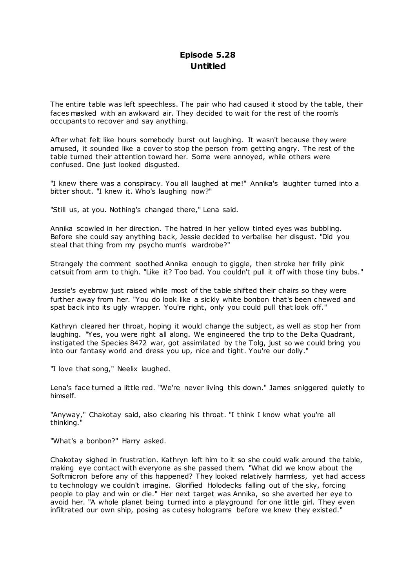# **Episode 5.28 Untitled**

The entire table was left speechless. The pair who had caused it stood by the table, their faces masked with an awkward air. They decided to wait for the rest of the room's occupants to recover and say anything.

After what felt like hours somebody burst out laughing. It wasn't because they were amused, it sounded like a cover to stop the person from getting angry. The rest of the table turned their attention toward her. Some were annoyed, while others were confused. One just looked disgusted.

"I knew there was a conspiracy. You all laughed at me!" Annika's laughter turned into a bitter shout. "I knew it. Who's laughing now?"

"Still us, at you. Nothing's changed there," Lena said.

Annika scowled in her direction. The hatred in her yellow tinted eyes was bubbling. Before she could say anything back, Jessie decided to verbalise her disgust. "Did you steal that thing from my psycho mum's wardrobe?"

Strangely the comment soothed Annika enough to giggle, then stroke her frilly pink catsuit from arm to thigh. "Like it? Too bad. You couldn't pull it off with those tiny bubs."

Jessie's eyebrow just raised while most of the table shifted their chairs so they were further away from her. "You do look like a sickly white bonbon that's been chewed and spat back into its ugly wrapper. You're right, only you could pull that look off."

Kathryn cleared her throat, hoping it would change the subject, as well as stop her from laughing. "Yes, you were right all along. We engineered the trip to the Delta Quadrant, instigated the Species 8472 war, got assimilated by the Tolg, just so we could bring you into our fantasy world and dress you up, nice and tight. You're our dolly."

"I love that song," Neelix laughed.

Lena's face turned a little red. "We're never living this down." James sniggered quietly to himself.

"Anyway," Chakotay said, also clearing his throat. "I think I know what you're all thinking."

"What's a bonbon?" Harry asked.

Chakotay sighed in frustration. Kathryn left him to it so she could walk around the table, making eye contact with everyone as she passed them. "What did we know about the Softmicron before any of this happened? They looked relatively harmless, yet had access to technology we couldn't imagine. Glorified Holodecks falling out of the sky, forcing people to play and win or die." Her next target was Annika, so she averted her eye to avoid her. "A whole planet being turned into a playground for one little girl. They even infiltrated our own ship, posing as cutesy holograms before we knew they existed."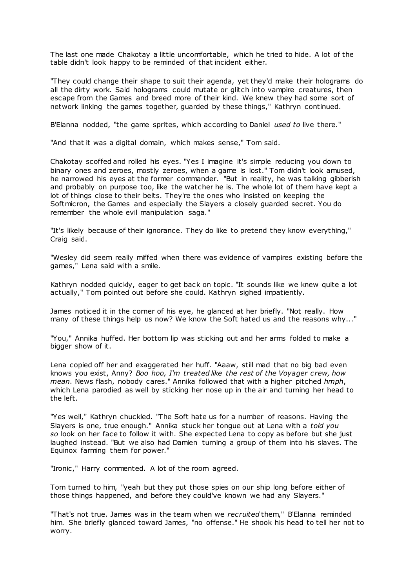The last one made Chakotay a little uncomfortable, which he tried to hide. A lot of the table didn't look happy to be reminded of that incident either.

"They could change their shape to suit their agenda, yet they'd make their holograms do all the dirty work. Said holograms could mutate or glitch into vampire creatures, then escape from the Games and breed more of their kind. We knew they had some sort of network linking the games together, guarded by these things," Kathryn continued.

B'Elanna nodded, "the game sprites, which according to Daniel *used to* live there."

"And that it was a digital domain, which makes sense," Tom said.

Chakotay scoffed and rolled his eyes. "Yes I imagine it's simple reducing you down to binary ones and zeroes, mostly zeroes, when a game is lost." Tom didn't look amused, he narrowed his eyes at the former commander. "But in reality, he was talking gibberish and probably on purpose too, like the watcher he is. The whole lot of them have kept a lot of things close to their belts. They're the ones who insisted on keeping the Softmicron, the Games and especially the Slayers a closely guarded secret. You do remember the whole evil manipulation saga."

"It's likely because of their ignorance. They do like to pretend they know everything," Craig said.

"Wesley did seem really miffed when there was evidence of vampires existing before the games," Lena said with a smile.

Kathryn nodded quickly, eager to get back on topic. "It sounds like we knew quite a lot actually," Tom pointed out before she could. Kathryn sighed impatiently.

James noticed it in the corner of his eye, he glanced at her briefly. "Not really. How many of these things help us now? We know the Soft hated us and the reasons why..."

"You," Annika huffed. Her bottom lip was sticking out and her arms folded to make a bigger show of it.

Lena copied off her and exaggerated her huff. "Aaaw, still mad that no big bad even knows you exist, Anny? *Boo hoo, I'm treated like the rest of the Voyager crew, how mean*. News flash, nobody cares." Annika followed that with a higher pitched *hmph*, which Lena parodied as well by sticking her nose up in the air and turning her head to the left.

"Yes well," Kathryn chuckled. "The Soft hate us for a number of reasons. Having the Slayers is one, true enough." Annika stuck her tongue out at Lena with a *told you so* look on her face to follow it with. She expected Lena to copy as before but she just laughed instead. "But we also had Damien turning a group of them into his slaves. The Equinox farming them for power."

"Ironic ," Harry commented. A lot of the room agreed.

Tom turned to him, "yeah but they put those spies on our ship long before either of those things happened, and before they could've known we had any Slayers."

"That's not true. James was in the team when we *recruited* them," B'Elanna reminded him. She briefly glanced toward James, "no offense." He shook his head to tell her not to worry.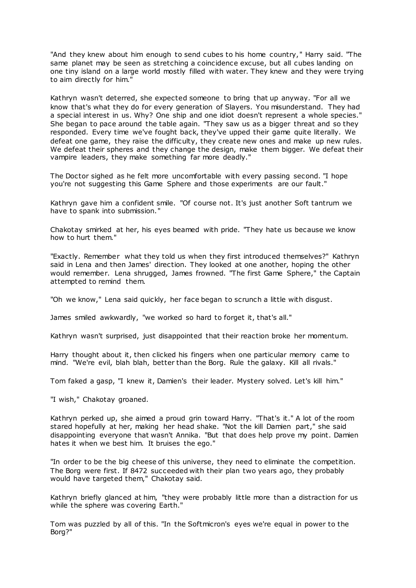"And they knew about him enough to send cubes to his home country," Harry said. "The same planet may be seen as stretching a coincidence excuse, but all cubes landing on one tiny island on a large world mostly filled with water. They knew and they were trying to aim directly for him."

Kathryn wasn't deterred, she expected someone to bring that up anyway. "For all we know that's what they do for every generation of Slayers. You misunderstand. They had a special interest in us. Why? One ship and one idiot doesn't represent a whole species." She began to pace around the table again. "They saw us as a bigger threat and so they responded. Every time we've fought back, they've upped their game quite literally. We defeat one game, they raise the difficulty, they create new ones and make up new rules. We defeat their spheres and they change the design, make them bigger. We defeat their vampire leaders, they make something far more deadly."

The Doctor sighed as he felt more uncomfortable with every passing second. "I hope you're not suggesting this Game Sphere and those experiments are our fault."

Kathryn gave him a confident smile. "Of course not. It's just another Soft tantrum we have to spank into submission."

Chakotay smirked at her, his eyes beamed with pride. "They hate us because we know how to hurt them."

"Exactly. Remember what they told us when they first introduced themselves?" Kathryn said in Lena and then James' direction. They looked at one another, hoping the other would remember. Lena shrugged, James frowned. "The first Game Sphere," the Captain attempted to remind them.

"Oh we know," Lena said quickly, her face began to scrunch a little with disgust.

James smiled awkwardly, "we worked so hard to forget it, that's all."

Kathryn wasn't surprised, just disappointed that their reaction broke her momentum.

Harry thought about it, then clicked his fingers when one particular memory came to mind. "We're evil, blah blah, better than the Borg. Rule the galaxy. Kill all rivals."

Tom faked a gasp, "I knew it, Damien's their leader. Mystery solved. Let's kill him."

"I wish," Chakotay groaned.

Kathryn perked up, she aimed a proud grin toward Harry. "That's it." A lot of the room stared hopefully at her, making her head shake. "Not the kill Damien part," she said disappointing everyone that wasn't Annika. "But that does help prove my point. Damien hates it when we best him. It bruises the ego."

"In order to be the big cheese of this universe, they need to eliminate the competition. The Borg were first. If 8472 succeeded with their plan two years ago, they probably would have targeted them," Chakotay said.

Kathryn briefly glanced at him, "they were probably little more than a distraction for us while the sphere was covering Earth."

Tom was puzzled by all of this. "In the Softmicron's eyes we're equal in power to the Borg?"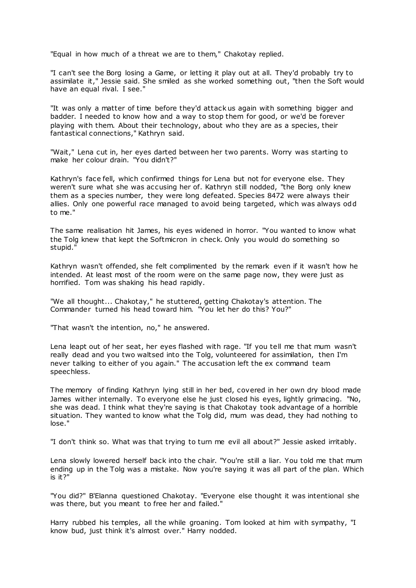"Equal in how much of a threat we are to them," Chakotay replied.

"I can't see the Borg losing a Game, or letting it play out at all. They'd probably try to assimilate it," Jessie said. She smiled as she worked something out, "then the Soft would have an equal rival. I see."

"It was only a matter of time before they'd attack us again with something bigger and badder. I needed to know how and a way to stop them for good, or we'd be forever playing with them. About their technology, about who they are as a species, their fantastical connections," Kathryn said.

"Wait," Lena cut in, her eyes darted between her two parents. Worry was starting to make her colour drain. "You didn't?"

Kathryn's face fell, which confirmed things for Lena but not for everyone else. They weren't sure what she was accusing her of. Kathryn still nodded, "the Borg only knew them as a species number, they were long defeated. Species 8472 were always their allies. Only one powerful race managed to avoid being targeted, which was always odd to me."

The same realisation hit James, his eyes widened in horror. "You wanted to know what the Tolg knew that kept the Softmicron in check. Only you would do something so stupid."

Kathryn wasn't offended, she felt complimented by the remark even if it wasn't how he intended. At least most of the room were on the same page now, they were just as horrified. Tom was shaking his head rapidly.

"We all thought... Chakotay," he stuttered, getting Chakotay's attention. The Commander turned his head toward him. "You let her do this? You?"

"That wasn't the intention, no," he answered.

Lena leapt out of her seat, her eyes flashed with rage. "If you tell me that mum wasn't really dead and you two waltsed into the Tolg, volunteered for assimilation, then I'm never talking to either of you again." The accusation left the ex command team speechless.

The memory of finding Kathryn lying still in her bed, covered in her own dry blood made James wither internally. To everyone else he just closed his eyes, lightly grimacing. "No, she was dead. I think what they're saying is that Chakotay took advantage of a horrible situation. They wanted to know what the Tolg did, mum was dead, they had nothing to lose."

"I don't think so. What was that trying to turn me evil all about?" Jessie asked irritably.

Lena slowly lowered herself back into the chair. "You're still a liar. You told me that mum ending up in the Tolg was a mistake. Now you're saying it was all part of the plan. Which is it?"

"You did?" B'Elanna questioned Chakotay. "Everyone else thought it was intentional she was there, but you meant to free her and failed."

Harry rubbed his temples, all the while groaning. Tom looked at him with sympathy, "I know bud, just think it's almost over." Harry nodded.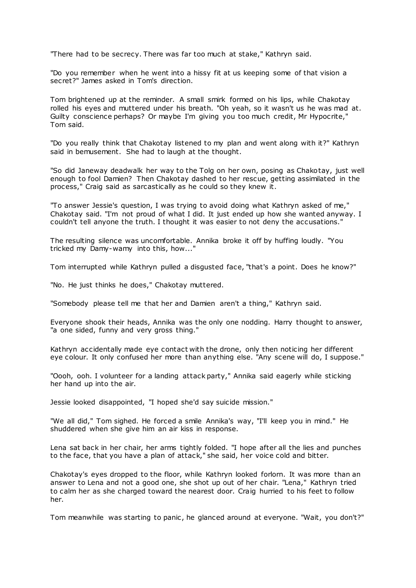"There had to be secrecy. There was far too much at stake," Kathryn said.

"Do you remember when he went into a hissy fit at us keeping some of that vision a secret?" James asked in Tom's direction.

Tom brightened up at the reminder. A small smirk formed on his lips, while Chakotay rolled his eyes and muttered under his breath. "Oh yeah, so it wasn't us he was mad at. Guilty conscience perhaps? Or maybe I'm giving you too much credit, Mr Hypocrite," Tom said.

"Do you really think that Chakotay listened to my plan and went along with it?" Kathryn said in bemusement. She had to laugh at the thought.

"So did Janeway deadwalk her way to the Tolg on her own, posing as Chakotay, just well enough to fool Damien? Then Chakotay dashed to her rescue, getting assimilated in the process," Craig said as sarcastically as he could so they knew it.

"To answer Jessie's question, I was trying to avoid doing what Kathryn asked of me," Chakotay said. "I'm not proud of what I did. It just ended up how she wanted anyway. I couldn't tell anyone the truth. I thought it was easier to not deny the accusations."

The resulting silence was uncomfortable. Annika broke it off by huffing loudly. "You tricked my Damy-wamy into this, how..."

Tom interrupted while Kathryn pulled a disgusted face, "that's a point. Does he know?"

"No. He just thinks he does," Chakotay muttered.

"Somebody please tell me that her and Damien aren't a thing," Kathryn said.

Everyone shook their heads, Annika was the only one nodding. Harry thought to answer, "a one sided, funny and very gross thing."

Kathryn accidentally made eye contact with the drone, only then noticing her different eye colour. It only confused her more than anything else. "Any scene will do, I suppose."

"Oooh, ooh. I volunteer for a landing attack party," Annika said eagerly while sticking her hand up into the air.

Jessie looked disappointed, "I hoped she'd say suicide mission."

"We all did," Tom sighed. He forced a smile Annika's way, "I'll keep you in mind." He shuddered when she give him an air kiss in response.

Lena sat back in her chair, her arms tightly folded. "I hope after all the lies and punches to the face, that you have a plan of attack," she said, her voice cold and bitter.

Chakotay's eyes dropped to the floor, while Kathryn looked forlorn. It was more than an answer to Lena and not a good one, she shot up out of her chair. "Lena," Kathryn tried to calm her as she charged toward the nearest door. Craig hurried to his feet to follow her.

Tom meanwhile was starting to panic , he glanced around at everyone. "Wait, you don't?"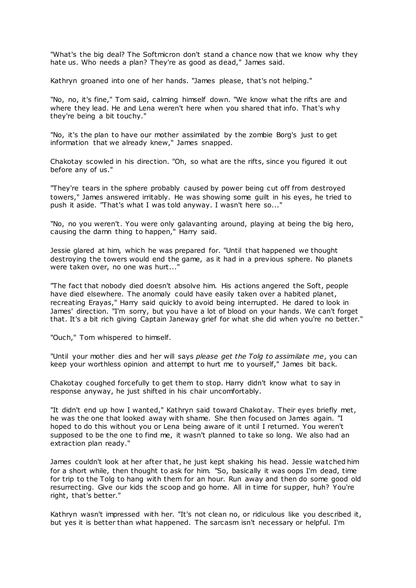"What's the big deal? The Softmicron don't stand a chance now that we know why they hate us. Who needs a plan? They're as good as dead," James said.

Kathryn groaned into one of her hands. "James please, that's not helping."

"No, no, it's fine," Tom said, calming himself down. "We know what the rifts are and where they lead. He and Lena weren't here when you shared that info. That's why they're being a bit touchy."

"No, it's the plan to have our mother assimilated by the zombie Borg's just to get information that we already knew," James snapped.

Chakotay scowled in his direction. "Oh, so what are the rifts, since you figured it out before any of us."

"They're tears in the sphere probably caused by power being cut off from destroyed towers," James answered irritably. He was showing some guilt in his eyes, he tried to push it aside. "That's what I was told anyway. I wasn't here so..."

"No, no you weren't. You were only galavanting around, playing at being the big hero, causing the damn thing to happen," Harry said.

Jessie glared at him, which he was prepared for. "Until that happened we thought destroying the towers would end the game, as it had in a previous sphere. No planets were taken over, no one was hurt...'

"The fact that nobody died doesn't absolve him. His actions angered the Soft, people have died elsewhere. The anomaly could have easily taken over a habited planet, recreating Erayas," Harry said quickly to avoid being interrupted. He dared to look in James' direction. "I'm sorry, but you have a lot of blood on your hands. We can't forget that. It's a bit rich giving Captain Janeway grief for what she did when you're no better."

"Ouch," Tom whispered to himself.

"Until your mother dies and her will says *please get the Tolg to assimilate me*, you can keep your worthless opinion and attempt to hurt me to yourself," James bit back.

Chakotay coughed forcefully to get them to stop. Harry didn't know what to say in response anyway, he just shifted in his chair uncomfortably.

"It didn't end up how I wanted," Kathryn said toward Chakotay. Their eyes briefly met, he was the one that looked away with shame. She then focused on James again. "I hoped to do this without you or Lena being aware of it until I returned. You weren't supposed to be the one to find me, it wasn't planned to take so long. We also had an extraction plan ready."

James couldn't look at her after that, he just kept shaking his head. Jessie watched him for a short while, then thought to ask for him. "So, basically it was oops I'm dead, time for trip to the Tolg to hang with them for an hour. Run away and then do some good old resurrecting. Give our kids the scoop and go home. All in time for supper, huh? You're right, that's better."

Kathryn wasn't impressed with her. "It's not clean no, or ridiculous like you described it, but yes it is better than what happened. The sarcasm isn't necessary or helpful. I'm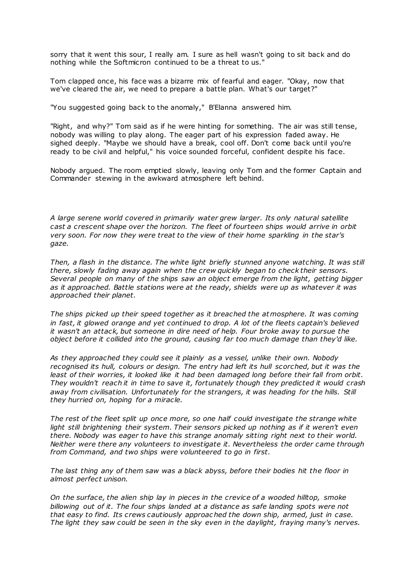sorry that it went this sour, I really am. I sure as hell wasn't going to sit back and do nothing while the Softmicron continued to be a threat to us."

Tom clapped once, his face was a bizarre mix of fearful and eager. "Okay, now that we've cleared the air, we need to prepare a battle plan. What's our target?"

"You suggested going back to the anomaly," B'Elanna answered him.

"Right, and why?" Tom said as if he were hinting for something. The air was still tense, nobody was willing to play along. The eager part of his expression faded away. He sighed deeply. "Maybe we should have a break, cool off. Don't come back until you're ready to be civil and helpful," his voice sounded forceful, confident despite his face.

Nobody argued. The room emptied slowly, leaving only Tom and the former Captain and Commander stewing in the awkward atmosphere left behind.

*A large serene world covered in primarily water grew larger. Its only natural satellite cast a crescent shape over the horizon. The fleet of fourteen ships would arrive in orbit very soon. For now they were treat to the view of their home sparkling in the star's gaze.*

*Then, a flash in the distance. The white light briefly stunned anyone watching. It was still there, slowly fading away again when the crew quickly began to check their sensors. Several people on many of the ships saw an object emerge from the light, getting bigger as it approached. Battle stations were at the ready, shields were up as whatever it was approached their planet.*

*The ships picked up their speed together as it breached the atmosphere. It was coming in fast, it glowed orange and yet continued to drop. A lot of the fleets captain's believed it wasn't an attack, but someone in dire need of help. Four broke away to pursue the object before it collided into the ground, causing far too much damage than they'd like.*

*As they approached they could see it plainly as a vessel, unlike their own. Nobody recognised its hull, colours or design. The entry had left its hull scorched, but it was the least of their worries, it looked like it had been damaged long before their fall from orbit. They wouldn't reach it in time to save it, fortunately though they predicted it would crash away from civilisation. Unfortunately for the strangers, it was heading for the hills. Still they hurried on, hoping for a miracle.*

*The rest of the fleet split up once more, so one half could investigate the strange white light still brightening their system. Their sensors picked up nothing as if it weren't even there. Nobody was eager to have this strange anomaly sitting right next to their world. Neither were there any volunteers to investigate it. Nevertheless the order came through from Command, and two ships were volunteered to go in first.*

*The last thing any of them saw was a black abyss, before their bodies hit the floor in almost perfect unison.*

*On the surface, the alien ship lay in pieces in the crevice of a wooded hilltop, smoke billowing out of it. The four ships landed at a distance as safe landing spots were not that easy to find. Its crews cautiously approached the down ship, armed, just in case. The light they saw could be seen in the sky even in the daylight, fraying many's nerves.*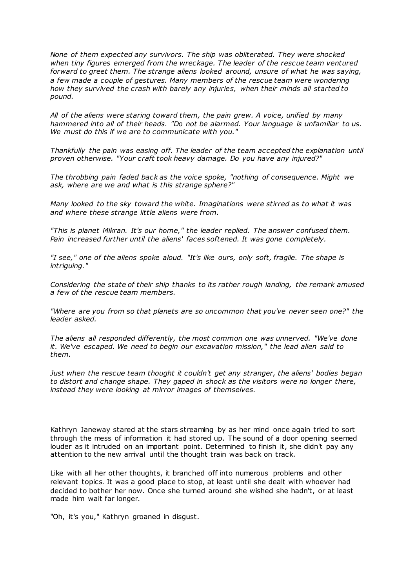*None of them expected any survivors. The ship was obliterated. They were shocked when tiny figures emerged from the wreckage. The leader of the rescue team ventured forward to greet them. The strange aliens looked around, unsure of what he was saying, a few made a couple of gestures. Many members of the rescue team were wondering how they survived the crash with barely any injuries, when their minds all started to pound.*

*All of the aliens were staring toward them, the pain grew. A voice, unified by many hammered into all of their heads. "Do not be alarmed. Your language is unfamiliar to us. We must do this if we are to communicate with you."*

*Thankfully the pain was easing off. The leader of the team accepted the explanation until proven otherwise. "Your craft took heavy damage. Do you have any injured?"*

*The throbbing pain faded back as the voice spoke, "nothing of consequence. Might we ask, where are we and what is this strange sphere?"*

*Many looked to the sky toward the white. Imaginations were stirred as to what it was and where these strange little aliens were from.*

*"This is planet Mikran. It's our home," the leader replied. The answer confused them. Pain increased further until the aliens' faces softened. It was gone completely.*

*"I see," one of the aliens spoke aloud. "It's like ours, only soft, fragile. The shape is intriguing."*

*Considering the state of their ship thanks to its rather rough landing, the remark amused a few of the rescue team members.*

*"Where are you from so that planets are so uncommon that you've never seen one?" the leader asked.*

*The aliens all responded differently, the most common one was unnerved. "We've done it. We've escaped. We need to begin our excavation mission," the lead alien said to them.*

*Just when the rescue team thought it couldn't get any stranger, the aliens' bodies began to distort and change shape. They gaped in shock as the visitors were no longer there, instead they were looking at mirror images of themselves.*

Kathryn Janeway stared at the stars streaming by as her mind once again tried to sort through the mess of information it had stored up. The sound of a door opening seemed louder as it intruded on an important point. Determined to finish it, she didn't pay any attention to the new arrival until the thought train was back on track.

Like with all her other thoughts, it branched off into numerous problems and other relevant topics. It was a good place to stop, at least until she dealt with whoever had decided to bother her now. Once she turned around she wished she hadn't, or at least made him wait far longer.

"Oh, it's you," Kathryn groaned in disgust.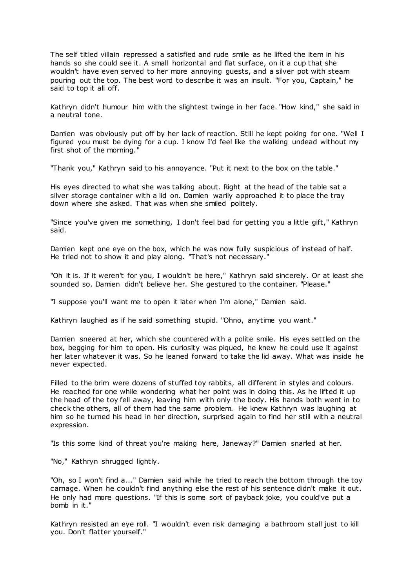The self titled villain repressed a satisfied and rude smile as he lifted the item in his hands so she could see it. A small horizontal and flat surface, on it a cup that she wouldn't have even served to her more annoying guests, and a silver pot with steam pouring out the top. The best word to describe it was an insult. "For you, Captain," he said to top it all off.

Kathryn didn't humour him with the slightest twinge in her face. "How kind," she said in a neutral tone.

Damien was obviously put off by her lack of reaction. Still he kept poking for one. "Well I figured you must be dying for a cup. I know I'd feel like the walking undead without my first shot of the morning."

"Thank you," Kathryn said to his annoyance. "Put it next to the box on the table."

His eyes directed to what she was talking about. Right at the head of the table sat a silver storage container with a lid on. Damien warily approached it to place the tray down where she asked. That was when she smiled politely.

"Since you've given me something, I don't feel bad for getting you a little gift," Kathryn said.

Damien kept one eye on the box, which he was now fully suspicious of instead of half. He tried not to show it and play along. "That's not necessary."

"Oh it is. If it weren't for you, I wouldn't be here," Kathryn said sincerely. Or at least she sounded so. Damien didn't believe her. She gestured to the container. "Please."

"I suppose you'll want me to open it later when I'm alone," Damien said.

Kathryn laughed as if he said something stupid. "Ohno, anytime you want."

Damien sneered at her, which she countered with a polite smile. His eyes settled on the box, begging for him to open. His curiosity was piqued, he knew he could use it against her later whatever it was. So he leaned forward to take the lid away. What was inside he never expected.

Filled to the brim were dozens of stuffed toy rabbits, all different in styles and colours. He reached for one while wondering what her point was in doing this. As he lifted it up the head of the toy fell away, leaving him with only the body. His hands both went in to check the others, all of them had the same problem. He knew Kathryn was laughing at him so he turned his head in her direction, surprised again to find her still with a neutral expression.

"Is this some kind of threat you're making here, Janeway?" Damien snarled at her.

"No," Kathryn shrugged lightly.

"Oh, so I won't find a..." Damien said while he tried to reach the bottom through the toy carnage. When he couldn't find anything else the rest of his sentence didn't make it out. He only had more questions. "If this is some sort of payback joke, you could've put a bomb in it."

Kathryn resisted an eye roll. "I wouldn't even risk damaging a bathroom stall just to kill you. Don't flatter yourself."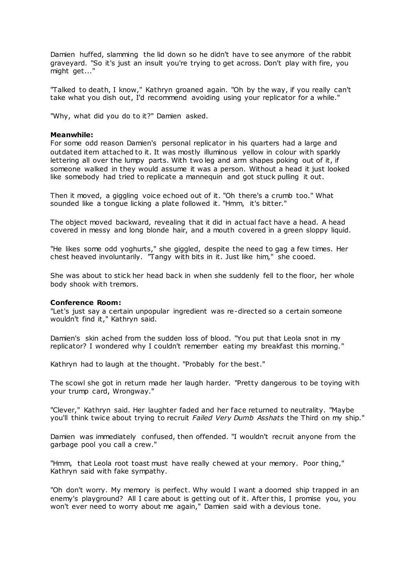Damien huffed, slamming the lid down so he didn't have to see anymore of the rabbit graveyard. "So it's just an insult you're trying to get across. Don't play with fire, you might get..."

"Talked to death, I know," Kathryn groaned again. "Oh by the way, if you really can't take what you dish out, I'd recommend avoiding using your replicator for a while."

"Why, what did you do to it?" Damien asked.

## **Meanwhile:**

For some odd reason Damien's personal replicator in his quarters had a large and outdated item attached to it. It was mostly illuminous yellow in colour with sparkly lettering all over the lumpy parts. With two leg and arm shapes poking out of it, if someone walked in they would assume it was a person. Without a head it just looked like somebody had tried to replicate a mannequin and got stuck pulling it out.

Then it moved, a giggling voice echoed out of it. "Oh there's a crumb too." What sounded like a tongue licking a plate followed it. "Hmm, it's bitter."

The object moved backward, revealing that it did in actual fact have a head. A head covered in messy and long blonde hair, and a mouth covered in a green sloppy liquid.

"He likes some odd yoghurts," she giggled, despite the need to gag a few times. Her chest heaved involuntarily. "Tangy with bits in it. Just like him," she cooed.

She was about to stick her head back in when she suddenly fell to the floor, her whole body shook with tremors.

## **Conference Room:**

"Let's just say a certain unpopular ingredient was re-directed so a certain someone wouldn't find it," Kathryn said.

Damien's skin ached from the sudden loss of blood. "You put that Leola snot in my replicator? I wondered why I couldn't remember eating my breakfast this morning."

Kathryn had to laugh at the thought. "Probably for the best."

The scowl she got in return made her laugh harder. "Pretty dangerous to be toying with your trump card, Wrongway."

"Clever," Kathryn said. Her laughter faded and her face returned to neutrality. "Maybe you'll think twice about trying to recruit *Failed Very Dumb Asshats* the Third on my ship."

Damien was immediately confused, then offended. "I wouldn't recruit anyone from the garbage pool you call a crew."

"Hmm, that Leola root toast must have really chewed at your memory. Poor thing," Kathryn said with fake sympathy.

"Oh don't worry. My memory is perfect. Why would I want a doomed ship trapped in an enemy's playground? All I care about is getting out of it. After this, I promise you, you won't ever need to worry about me again," Damien said with a devious tone.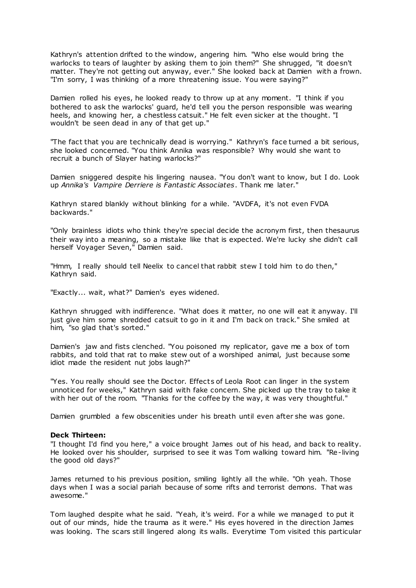Kathryn's attention drifted to the window, angering him. "Who else would bring the warlocks to tears of laughter by asking them to join them?" She shrugged, "it doesn't matter. They're not getting out anyway, ever." She looked back at Damien with a frown. "I'm sorry, I was thinking of a more threatening issue. You were saying?"

Damien rolled his eyes, he looked ready to throw up at any moment. "I think if you bothered to ask the warlocks' guard, he'd tell you the person responsible was wearing heels, and knowing her, a chestless catsuit." He felt even sicker at the thought. "I wouldn't be seen dead in any of that get up."

"The fact that you are technically dead is worrying." Kathryn's face turned a bit serious, she looked concerned. "You think Annika was responsible? Why would she want to recruit a bunch of Slayer hating warlocks?"

Damien sniggered despite his lingering nausea. "You don't want to know, but I do. Look up *Annika's Vampire Derriere is Fantastic Associates*. Thank me later."

Kathryn stared blankly without blinking for a while. "AVDFA, it's not even FVDA backwards."

"Only brainless idiots who think they're special decide the acronym first, then thesaurus their way into a meaning, so a mistake like that is expected. We're lucky she didn't call herself Voyager Seven," Damien said.

"Hmm, I really should tell Neelix to cancel that rabbit stew I told him to do then," Kathryn said.

"Exactly... wait, what?" Damien's eyes widened.

Kathryn shrugged with indifference. "What does it matter, no one will eat it anyway. I'll just give him some shredded catsuit to go in it and I'm back on track." She smiled at him, "so glad that's sorted."

Damien's jaw and fists clenched. "You poisoned my replicator, gave me a box of torn rabbits, and told that rat to make stew out of a worshiped animal, just because some idiot made the resident nut jobs laugh?"

"Yes. You really should see the Doctor. Effects of Leola Root can linger in the system unnoticed for weeks," Kathryn said with fake concern. She picked up the tray to take it with her out of the room. "Thanks for the coffee by the way, it was very thoughtful."

Damien grumbled a few obscenities under his breath until even after she was gone.

## **Deck Thirteen:**

"I thought I'd find you here," a voice brought James out of his head, and back to reality. He looked over his shoulder, surprised to see it was Tom walking toward him. "Re-living the good old days?"

James returned to his previous position, smiling lightly all the while. "Oh yeah. Those days when I was a social pariah because of some rifts and terrorist demons. That was awesome."

Tom laughed despite what he said. "Yeah, it's weird. For a while we managed to put it out of our minds, hide the trauma as it were." His eyes hovered in the direction James was looking. The scars still lingered along its walls. Everytime Tom visited this particular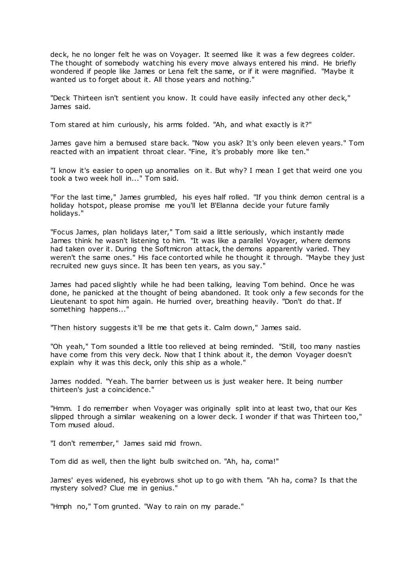deck, he no longer felt he was on Voyager. It seemed like it was a few degrees colder. The thought of somebody watching his every move always entered his mind. He briefly wondered if people like James or Lena felt the same, or if it were magnified. "Maybe it wanted us to forget about it. All those years and nothing."

"Deck Thirteen isn't sentient you know. It could have easily infected any other deck," James said.

Tom stared at him curiously, his arms folded. "Ah, and what exactly is it?"

James gave him a bemused stare back. "Now you ask? It's only been eleven years." Tom reacted with an impatient throat clear. "Fine, it's probably more like ten."

"I know it's easier to open up anomalies on it. But why? I mean I get that weird one you took a two week holl in..." Tom said.

"For the last time," James grumbled, his eyes half rolled. "If you think demon central is a holiday hotspot, please promise me you'll let B'Elanna decide your future family holidays."

"Focus James, plan holidays later," Tom said a little seriously, which instantly made James think he wasn't listening to him. "It was like a parallel Voyager, where demons had taken over it. During the Softmicron attack, the demons apparently varied. They weren't the same ones." His face contorted while he thought it through. "Maybe they just recruited new guys since. It has been ten years, as you say."

James had paced slightly while he had been talking, leaving Tom behind. Once he was done, he panicked at the thought of being abandoned. It took only a few seconds for the Lieutenant to spot him again. He hurried over, breathing heavily. "Don't do that. If something happens..."

"Then history suggests it'll be me that gets it. Calm down," James said.

"Oh yeah," Tom sounded a little too relieved at being reminded. "Still, too many nasties have come from this very deck. Now that I think about it, the demon Voyager doesn't explain why it was this deck, only this ship as a whole."

James nodded. "Yeah. The barrier between us is just weaker here. It being number thirteen's just a coincidence."

"Hmm. I do remember when Voyager was originally split into at least two, that our Kes slipped through a similar weakening on a lower deck. I wonder if that was Thirteen too," Tom mused aloud.

"I don't remember," James said mid frown.

Tom did as well, then the light bulb switched on. "Ah, ha, coma!"

James' eyes widened, his eyebrows shot up to go with them. "Ah ha, coma? Is that the mystery solved? Clue me in genius."

"Hmph no," Tom grunted. "Way to rain on my parade."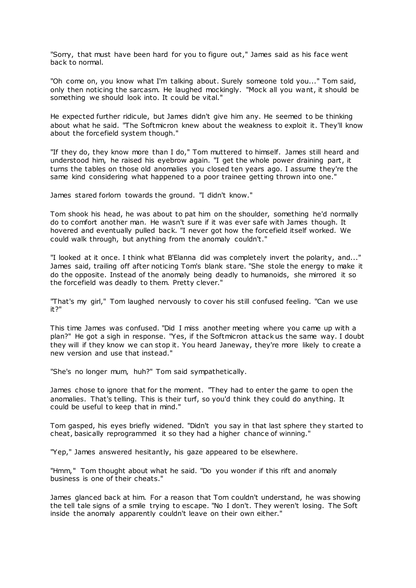"Sorry, that must have been hard for you to figure out," James said as his face went back to normal.

"Oh come on, you know what I'm talking about. Surely someone told you..." Tom said, only then noticing the sarcasm. He laughed mockingly. "Mock all you want, it should be something we should look into. It could be vital."

He expected further ridicule, but James didn't give him any. He seemed to be thinking about what he said. "The Softmicron knew about the weakness to exploit it. They'll know about the forcefield system though."

"If they do, they know more than I do," Tom muttered to himself. James still heard and understood him, he raised his eyebrow again. "I get the whole power draining part, it turns the tables on those old anomalies you closed ten years ago. I assume they're the same kind considering what happened to a poor trainee getting thrown into one."

James stared forlorn towards the ground. "I didn't know."

Tom shook his head, he was about to pat him on the shoulder, something he'd normally do to comfort another man. He wasn't sure if it was ever safe with James though. It hovered and eventually pulled back. "I never got how the forcefield itself worked. We could walk through, but anything from the anomaly couldn't."

"I looked at it once. I think what B'Elanna did was completely invert the polarity, and..." James said, trailing off after noticing Tom's blank stare. "She stole the energy to make it do the opposite. Instead of the anomaly being deadly to humanoids, she mirrored it so the forcefield was deadly to them. Pretty clever."

"That's my girl," Tom laughed nervously to cover his still confused feeling. "Can we use it?"

This time James was confused. "Did I miss another meeting where you came up with a plan?" He got a sigh in response. "Yes, if the Softmicron attack us the same way. I doubt they will if they know we can stop it. You heard Janeway, they're more likely to create a new version and use that instead."

"She's no longer mum, huh?" Tom said sympathetically.

James chose to ignore that for the moment. "They had to enter the game to open the anomalies. That's telling. This is their turf, so you'd think they could do anything. It could be useful to keep that in mind."

Tom gasped, his eyes briefly widened. "Didn't you say in that last sphere they started to cheat, basically reprogrammed it so they had a higher chance of winning."

"Yep," James answered hesitantly, his gaze appeared to be elsewhere.

"Hmm," Tom thought about what he said. "Do you wonder if this rift and anomaly business is one of their cheats."

James glanced back at him. For a reason that Tom couldn't understand, he was showing the tell tale signs of a smile trying to escape. "No I don't. They weren't losing. The Soft inside the anomaly apparently couldn't leave on their own either."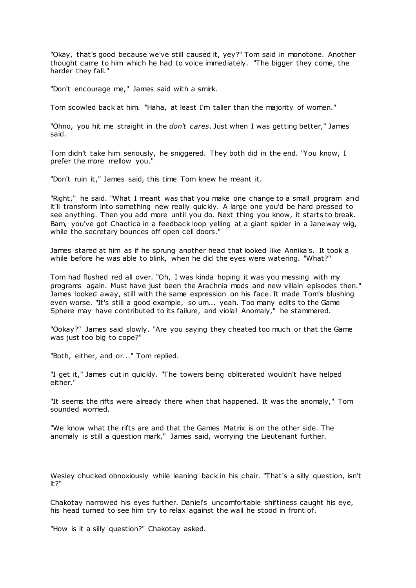"Okay, that's good because we've still caused it, yey?" Tom said in monotone. Another thought came to him which he had to voice immediately. "The bigger they come, the harder they fall."

"Don't encourage me," James said with a smirk.

Tom scowled back at him. "Haha, at least I'm taller than the majority of women."

"Ohno, you hit me straight in the *don't cares*. Just when I was getting better," James said.

Tom didn't take him seriously, he sniggered. They both did in the end. "You know, I prefer the more mellow you."

"Don't ruin it," James said, this time Tom knew he meant it.

"Right," he said. "What I meant was that you make one change to a small program and it'll transform into something new really quickly. A large one you'd be hard pressed to see anything. Then you add more until you do. Next thing you know, it starts to break. Bam, you've got Chaotica in a feedback loop yelling at a giant spider in a Janeway wig, while the secretary bounces off open cell doors."

James stared at him as if he sprung another head that looked like Annika's. It took a while before he was able to blink, when he did the eyes were watering. "What?"

Tom had flushed red all over. "Oh, I was kinda hoping it was you messing with my programs again. Must have just been the Arachnia mods and new villain episodes then." James looked away, still with the same expression on his face. It made Tom's blushing even worse. "It's still a good example, so um... yeah. Too many edits to the Game Sphere may have contributed to its failure, and viola! Anomaly," he stammered.

"Ookay?" James said slowly. "Are you saying they cheated too much or that the Game was just too big to cope?"

"Both, either, and or..." Tom replied.

"I get it," James cut in quickly. "The towers being obliterated wouldn't have helped either."

"It seems the rifts were already there when that happened. It was the anomaly," Tom sounded worried.

"We know what the rifts are and that the Games Matrix is on the other side. The anomaly is still a question mark," James said, worrying the Lieutenant further.

Wesley chucked obnoxiously while leaning back in his chair. "That's a silly question, isn't it?"

Chakotay narrowed his eyes further. Daniel's uncomfortable shiftiness caught his eye, his head turned to see him try to relax against the wall he stood in front of.

"How is it a silly question?" Chakotay asked.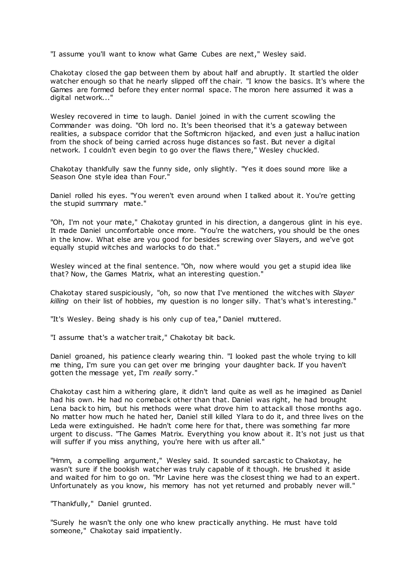"I assume you'll want to know what Game Cubes are next," Wesley said.

Chakotay closed the gap between them by about half and abruptly. It startled the older watcher enough so that he nearly slipped off the chair. "I know the basics. It's where the Games are formed before they enter normal space. The moron here assumed it was a digital network..."

Wesley recovered in time to laugh. Daniel joined in with the current scowling the Commander was doing. "Oh lord no. It's been theorised that it's a gateway between realities, a subspace corridor that the Softmicron hijacked, and even just a halluc ination from the shock of being carried across huge distances so fast. But never a digital network. I couldn't even begin to go over the flaws there," Wesley chuckled.

Chakotay thankfully saw the funny side, only slightly. "Yes it does sound more like a Season One style idea than Four."

Daniel rolled his eyes. "You weren't even around when I talked about it. You're getting the stupid summary mate."

"Oh, I'm not your mate," Chakotay grunted in his direction, a dangerous glint in his eye. It made Daniel uncomfortable once more. "You're the watchers, you should be the ones in the know. What else are you good for besides screwing over Slayers, and we've got equally stupid witches and warlocks to do that."

Wesley winced at the final sentence. "Oh, now where would you get a stupid idea like that? Now, the Games Matrix, what an interesting question."

Chakotay stared suspiciously, "oh, so now that I've mentioned the witches with *Slayer killing* on their list of hobbies, my question is no longer silly. That's what's interesting."

"It's Wesley. Being shady is his only cup of tea," Daniel muttered.

"I assume that's a watcher trait," Chakotay bit back.

Daniel groaned, his patience clearly wearing thin. "I looked past the whole trying to kill me thing, I'm sure you can get over me bringing your daughter back. If you haven't gotten the message yet, I'm *really* sorry."

Chakotay cast him a withering glare, it didn't land quite as well as he imagined as Daniel had his own. He had no comeback other than that. Daniel was right, he had brought Lena back to him, but his methods were what drove him to attack all those months ago. No matter how much he hated her, Daniel still killed Ylara to do it, and three lives on the Leda were extinguished. He hadn't come here for that, there was something far more urgent to discuss. "The Games Matrix. Everything you know about it. It's not just us that will suffer if you miss anything, you're here with us after all."

"Hmm, a compelling argument," Wesley said. It sounded sarcastic to Chakotay, he wasn't sure if the bookish watcher was truly capable of it though. He brushed it aside and waited for him to go on. "Mr Lavine here was the closest thing we had to an expert. Unfortunately as you know, his memory has not yet returned and probably never will."

"Thankfully," Daniel grunted.

"Surely he wasn't the only one who knew practically anything. He must have told someone," Chakotay said impatiently.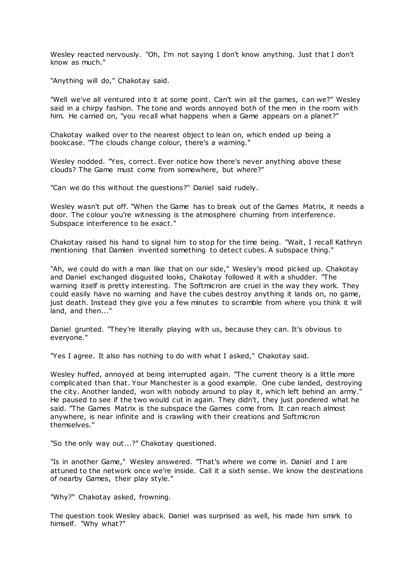Wesley reacted nervously. "Oh, I'm not saying I don't know anything. Just that I don't know as much."

"Anything will do," Chakotay said.

"Well we've all ventured into it at some point. Can't win all the games, can we?" Wesley said in a chirpy fashion. The tone and words annoyed both of the men in the room with him. He carried on, "you recall what happens when a Game appears on a planet?"

Chakotay walked over to the nearest object to lean on, which ended up being a bookcase. "The clouds change colour, there's a warning."

Wesley nodded. "Yes, correct. Ever notice how there's never anything above these clouds? The Game must come from somewhere, but where?"

"Can we do this without the questions?" Daniel said rudely.

Wesley wasn't put off. "When the Game has to break out of the Games Matrix, it needs a door. The colour you're witnessing is the atmosphere churning from interference. Subspace interference to be exact."

Chakotay raised his hand to signal him to stop for the time being. "Wait, I recall Kathryn mentioning that Damien invented something to detect cubes. A subspace thing."

"Ah, we could do with a man like that on our side," Wesley's mood picked up. Chakotay and Daniel exchanged disgusted looks, Chakotay followed it with a shudder. "The warning itself is pretty interesting. The Softmicron are cruel in the way they work. They could easily have no warning and have the cubes destroy anything it lands on, no game, just death. Instead they give you a few minutes to scramble from where you think it will land, and then..."

Daniel grunted. "They're literally playing with us, because they can. It's obvious to everyone."

"Yes I agree. It also has nothing to do with what I asked," Chakotay said.

Wesley huffed, annoyed at being interrupted again. "The current theory is a little more complicated than that. Your Manchester is a good example. One cube landed, destroying the city. Another landed, won with nobody around to play it, which left behind an army." He paused to see if the two would cut in again. They didn't, they just pondered what he said. "The Games Matrix is the subspace the Games come from. It can reach almost anywhere, is near infinite and is crawling with their creations and Softmicron themselves."

"So the only way out...?" Chakotay questioned.

"Is in another Game," Wesley answered. "That's where we come in. Daniel and I are attuned to the network once we're inside. Call it a sixth sense. We know the destinations of nearby Games, their play style."

"Why?" Chakotay asked, frowning.

The question took Wesley aback. Daniel was surprised as well, his made him smirk to himself. "Why what?"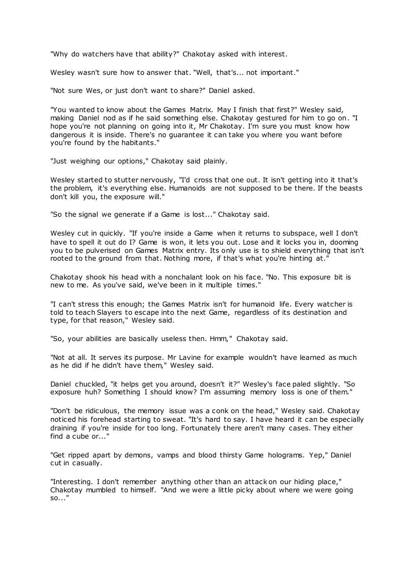"Why do watchers have that ability?" Chakotay asked with interest.

Wesley wasn't sure how to answer that. "Well, that's... not important."

"Not sure Wes, or just don't want to share?" Daniel asked.

"You wanted to know about the Games Matrix. May I finish that first?" Wesley said, making Daniel nod as if he said something else. Chakotay gestured for him to go on. "I hope you're not planning on going into it, Mr Chakotay. I'm sure you must know how dangerous it is inside. There's no guarantee it can take you where you want before you're found by the habitants."

"Just weighing our options," Chakotay said plainly.

Wesley started to stutter nervously, "I'd cross that one out. It isn't getting into it that's the problem, it's everything else. Humanoids are not supposed to be there. If the beasts don't kill you, the exposure will."

"So the signal we generate if a Game is lost..." Chakotay said.

Wesley cut in quickly. "If you're inside a Game when it returns to subspace, well I don't have to spell it out do I? Game is won, it lets you out. Lose and it locks you in, dooming you to be pulverised on Games Matrix entry. Its only use is to shield everything that isn't rooted to the ground from that. Nothing more, if that's what you're hinting at."

Chakotay shook his head with a nonchalant look on his face. "No. This exposure bit is new to me. As you've said, we've been in it multiple times."

"I can't stress this enough; the Games Matrix isn't for humanoid life. Every watcher is told to teach Slayers to escape into the next Game, regardless of its destination and type, for that reason," Wesley said.

"So, your abilities are basically useless then. Hmm," Chakotay said.

"Not at all. It serves its purpose. Mr Lavine for example wouldn't have learned as much as he did if he didn't have them," Wesley said.

Daniel chuckled, "it helps get you around, doesn't it?" Wesley's face paled slightly. "So exposure huh? Something I should know? I'm assuming memory loss is one of them."

"Don't be ridiculous, the memory issue was a conk on the head," Wesley said. Chakotay noticed his forehead starting to sweat. "It's hard to say. I have heard it can be especially draining if you're inside for too long. Fortunately there aren't many cases. They either find a cube or..."

"Get ripped apart by demons, vamps and blood thirsty Game holograms. Yep," Daniel cut in casually.

"Interesting. I don't remember anything other than an attack on our hiding place," Chakotay mumbled to himself. "And we were a little picky about where we were going so..."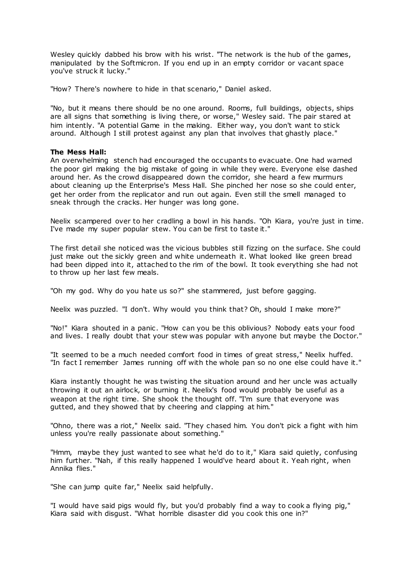Wesley quickly dabbed his brow with his wrist. "The network is the hub of the games, manipulated by the Softmicron. If you end up in an empty corridor or vacant space you've struck it lucky."

"How? There's nowhere to hide in that scenario," Daniel asked.

"No, but it means there should be no one around. Rooms, full buildings, objects, ships are all signs that something is living there, or worse," Wesley said. The pair stared at him intently. "A potential Game in the making. Either way, you don't want to stick around. Although I still protest against any plan that involves that ghastly place."

## **The Mess Hall:**

An overwhelming stench had encouraged the occupants to evacuate. One had warned the poor girl making the big mistake of going in while they were. Everyone else dashed around her. As the crowd disappeared down the corridor, she heard a few murmurs about cleaning up the Enterprise's Mess Hall. She pinched her nose so she could enter, get her order from the replicator and run out again. Even still the smell managed to sneak through the cracks. Her hunger was long gone.

Neelix scampered over to her cradling a bowl in his hands. "Oh Kiara, you're just in time. I've made my super popular stew. You can be first to taste it."

The first detail she noticed was the vicious bubbles still fizzing on the surface. She could just make out the sickly green and white underneath it. What looked like green bread had been dipped into it, attached to the rim of the bowl. It took everything she had not to throw up her last few meals.

"Oh my god. Why do you hate us so?" she stammered, just before gagging.

Neelix was puzzled. "I don't. Why would you think that? Oh, should I make more?"

"No!" Kiara shouted in a panic . "How can you be this oblivious? Nobody eats your food and lives. I really doubt that your stew was popular with anyone but maybe the Doctor."

"It seemed to be a much needed comfort food in times of great stress," Neelix huffed. "In fact I remember James running off with the whole pan so no one else could have it."

Kiara instantly thought he was twisting the situation around and her uncle was actually throwing it out an airlock, or burning it. Neelix's food would probably be useful as a weapon at the right time. She shook the thought off. "I'm sure that everyone was gutted, and they showed that by cheering and clapping at him."

"Ohno, there was a riot," Neelix said. "They chased him. You don't pick a fight with him unless you're really passionate about something."

"Hmm, maybe they just wanted to see what he'd do to it," Kiara said quietly, confusing him further. "Nah, if this really happened I would've heard about it. Yeah right, when Annika flies."

"She can jump quite far," Neelix said helpfully.

"I would have said pigs would fly, but you'd probably find a way to cook a flying pig," Kiara said with disgust. "What horrible disaster did you cook this one in?"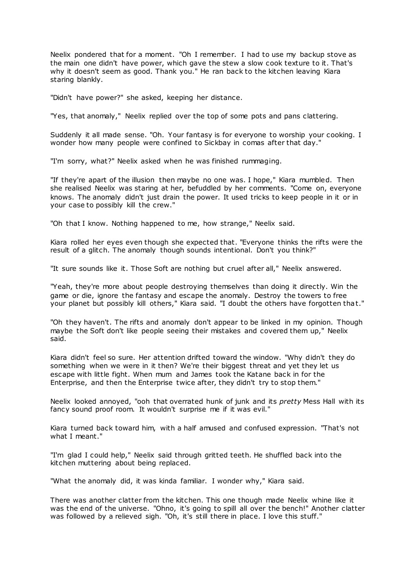Neelix pondered that for a moment. "Oh I remember. I had to use my backup stove as the main one didn't have power, which gave the stew a slow cook texture to it. That's why it doesn't seem as good. Thank you." He ran back to the kitchen leaving Kiara staring blankly.

"Didn't have power?" she asked, keeping her distance.

"Yes, that anomaly," Neelix replied over the top of some pots and pans clattering.

Suddenly it all made sense. "Oh. Your fantasy is for everyone to worship your cooking. I wonder how many people were confined to Sickbay in comas after that day."

"I'm sorry, what?" Neelix asked when he was finished rummaging.

"If they're apart of the illusion then maybe no one was. I hope," Kiara mumbled. Then she realised Neelix was staring at her, befuddled by her comments. "Come on, everyone knows. The anomaly didn't just drain the power. It used tricks to keep people in it or in your case to possibly kill the crew."

"Oh that I know. Nothing happened to me, how strange," Neelix said.

Kiara rolled her eyes even though she expected that. "Everyone thinks the rifts were the result of a glitch. The anomaly though sounds intentional. Don't you think?"

"It sure sounds like it. Those Soft are nothing but cruel after all," Neelix answered.

"Yeah, they're more about people destroying themselves than doing it directly. Win the game or die, ignore the fantasy and escape the anomaly. Destroy the towers to free your planet but possibly kill others," Kiara said. "I doubt the others have forgotten that."

"Oh they haven't. The rifts and anomaly don't appear to be linked in my opinion. Though maybe the Soft don't like people seeing their mistakes and covered them up," Neelix said.

Kiara didn't feel so sure. Her attention drifted toward the window. "Why didn't they do something when we were in it then? We're their biggest threat and yet they let us escape with little fight. When mum and James took the Katane back in for the Enterprise, and then the Enterprise twice after, they didn't try to stop them."

Neelix looked annoyed, "ooh that overrated hunk of junk and its *pretty* Mess Hall with its fancy sound proof room. It wouldn't surprise me if it was evil."

Kiara turned back toward him, with a half amused and confused expression. "That's not what I meant."

"I'm glad I could help," Neelix said through gritted teeth. He shuffled back into the kitchen muttering about being replaced.

"What the anomaly did, it was kinda familiar. I wonder why," Kiara said.

There was another clatter from the kitchen. This one though made Neelix whine like it was the end of the universe. "Ohno, it's going to spill all over the bench!" Another clatter was followed by a relieved sigh. "Oh, it's still there in place. I love this stuff."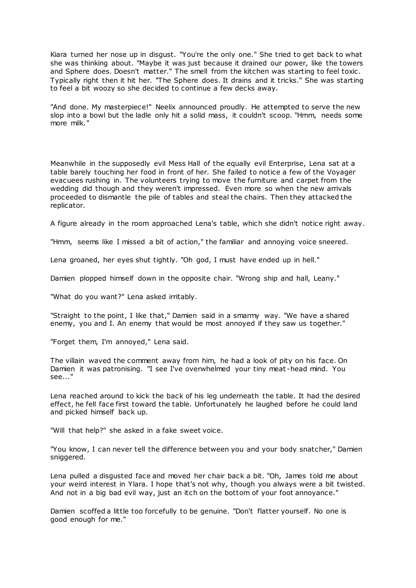Kiara turned her nose up in disgust. "You're the only one." She tried to get back to what she was thinking about. "Maybe it was just because it drained our power, like the towers and Sphere does. Doesn't matter." The smell from the kitchen was starting to feel toxic . Typically right then it hit her. "The Sphere does. It drains and it tricks." She was starting to feel a bit woozy so she decided to continue a few decks away.

"And done. My masterpiece!" Neelix announced proudly. He attempted to serve the new slop into a bowl but the ladle only hit a solid mass, it couldn't scoop. "Hmm, needs some more milk."

Meanwhile in the supposedly evil Mess Hall of the equally evil Enterprise, Lena sat at a table barely touching her food in front of her. She failed to notice a few of the Voyager evacuees rushing in. The volunteers trying to move the furniture and carpet from the wedding did though and they weren't impressed. Even more so when the new arrivals proceeded to dismantle the pile of tables and steal the chairs. Then they attacked the replicator.

A figure already in the room approached Lena's table, which she didn't notice right away.

"Hmm, seems like I missed a bit of action," the familiar and annoying voice sneered.

Lena groaned, her eyes shut tightly. "Oh god, I must have ended up in hell."

Damien plopped himself down in the opposite chair. "Wrong ship and hall, Leany."

"What do you want?" Lena asked irritably.

"Straight to the point, I like that," Damien said in a smarmy way. "We have a shared enemy, you and I. An enemy that would be most annoyed if they saw us together."

"Forget them, I'm annoyed," Lena said.

The villain waved the comment away from him, he had a look of pity on his face. On Damien it was patronising. "I see I've overwhelmed your tiny meat -head mind. You see..."

Lena reached around to kick the back of his leg underneath the table. It had the desired effect, he fell face first toward the table. Unfortunately he laughed before he could land and picked himself back up.

"Will that help?" she asked in a fake sweet voice.

"You know, I can never tell the difference between you and your body snatcher," Damien sniggered.

Lena pulled a disgusted face and moved her chair back a bit. "Oh, James told me about your weird interest in Ylara. I hope that's not why, though you always were a bit twisted. And not in a big bad evil way, just an itch on the bottom of your foot annoyance."

Damien scoffed a little too forcefully to be genuine. "Don't flatter yourself. No one is good enough for me."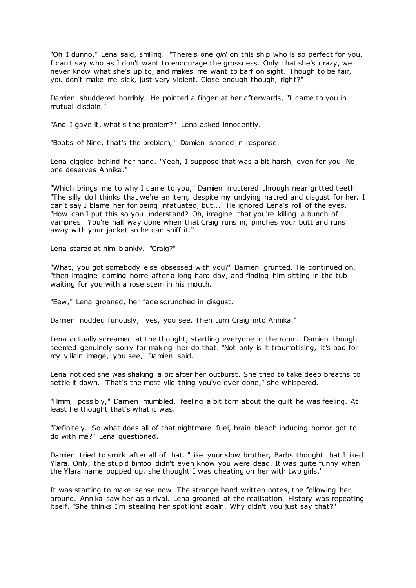"Oh I dunno," Lena said, smiling. "There's one *girl* on this ship who is so perfect for you. I can't say who as I don't want to encourage the grossness. Only that she's crazy, we never know what she's up to, and makes me want to barf on sight. Though to be fair, you don't make me sick, just very violent. Close enough though, right?"

Damien shuddered horribly. He pointed a finger at her afterwards, "I came to you in mutual disdain."

"And I gave it, what's the problem?" Lena asked innocently.

"Boobs of Nine, that's the problem," Damien snarled in response.

Lena giggled behind her hand. "Yeah, I suppose that was a bit harsh, even for you. No one deserves Annika."

"Which brings me to why I came to you," Damien muttered through near gritted teeth. "The silly doll thinks that we're an item, despite my undying hatred and disgust for her. I can't say I blame her for being infatuated, but..." He ignored Lena's roll of the eyes. "How can I put this so you understand? Oh, imagine that you're killing a bunch of vampires. You're half way done when that Craig runs in, pinches your butt and runs away with your jacket so he can sniff it."

Lena stared at him blankly. "Craig?"

"What, you got somebody else obsessed with you?" Damien grunted. He continued on, "then imagine coming home after a long hard day, and finding him sitting in the tub waiting for you with a rose stem in his mouth."

"Eew," Lena groaned, her face scrunched in disgust.

Damien nodded furiously, "yes, you see. Then turn Craig into Annika."

Lena actually screamed at the thought, startling everyone in the room. Damien though seemed genuinely sorry for making her do that. "Not only is it traumatising, it's bad for my villain image, you see," Damien said.

Lena noticed she was shaking a bit after her outburst. She tried to take deep breaths to settle it down. "That's the most vile thing you've ever done," she whispered.

"Hmm, possibly," Damien mumbled, feeling a bit torn about the guilt he was feeling. At least he thought that's what it was.

"Definitely. So what does all of that nightmare fuel, brain bleach inducing horror got to do with me?" Lena questioned.

Damien tried to smirk after all of that. "Like your slow brother, Barbs thought that I liked Ylara. Only, the stupid bimbo didn't even know you were dead. It was quite funny when the Ylara name popped up, she thought I was cheating on her with two girls."

It was starting to make sense now. The strange hand written notes, the following her around. Annika saw her as a rival. Lena groaned at the realisation. History was repeating itself. "She thinks I'm stealing her spotlight again. Why didn't you just say that?"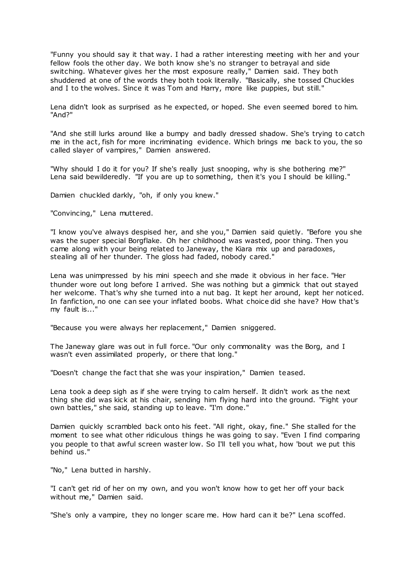"Funny you should say it that way. I had a rather interesting meeting with her and your fellow fools the other day. We both know she's no stranger to betrayal and side switching. Whatever gives her the most exposure really," Damien said. They both shuddered at one of the words they both took literally. "Basically, she tossed Chuckles and I to the wolves. Since it was Tom and Harry, more like puppies, but still."

Lena didn't look as surprised as he expected, or hoped. She even seemed bored to him. "And?"

"And she still lurks around like a bumpy and badly dressed shadow. She's trying to catch me in the act, fish for more incriminating evidence. Which brings me back to you, the so called slayer of vampires," Damien answered.

"Why should I do it for you? If she's really just snooping, why is she bothering me?" Lena said bewilderedly. "If you are up to something, then it's you I should be killing."

Damien chuckled darkly, "oh, if only you knew."

"Convincing," Lena muttered.

"I know you've always despised her, and she you," Damien said quietly. "Before you she was the super special Borgflake. Oh her childhood was wasted, poor thing. Then you came along with your being related to Janeway, the Kiara mix up and paradoxes, stealing all of her thunder. The gloss had faded, nobody cared."

Lena was unimpressed by his mini speech and she made it obvious in her face. "Her thunder wore out long before I arrived. She was nothing but a gimmick that out stayed her welcome. That's why she turned into a nut bag. It kept her around, kept her noticed. In fanfiction, no one can see your inflated boobs. What choice did she have? How that's my fault is..."

"Because you were always her replacement," Damien sniggered.

The Janeway glare was out in full force. "Our only commonality was the Borg, and I wasn't even assimilated properly, or there that long."

"Doesn't change the fact that she was your inspiration," Damien teased.

Lena took a deep sigh as if she were trying to calm herself. It didn't work as the next thing she did was kick at his chair, sending him flying hard into the ground. "Fight your own battles," she said, standing up to leave. "I'm done."

Damien quickly scrambled back onto his feet. "All right, okay, fine." She stalled for the moment to see what other ridiculous things he was going to say. "Even I find comparing you people to that awful screen waster low. So I'll tell you what, how 'bout we put this behind us."

"No," Lena butted in harshly.

"I can't get rid of her on my own, and you won't know how to get her off your back without me," Damien said.

"She's only a vampire, they no longer scare me. How hard can it be?" Lena scoffed.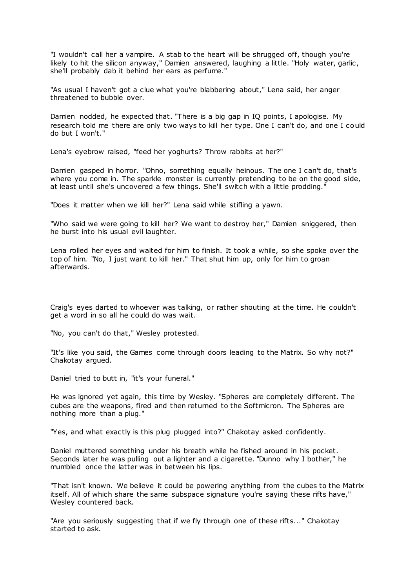"I wouldn't call her a vampire. A stab to the heart will be shrugged off, though you're likely to hit the silicon anyway," Damien answered, laughing a little. "Holy water, garlic, she'll probably dab it behind her ears as perfume."

"As usual I haven't got a clue what you're blabbering about," Lena said, her anger threatened to bubble over.

Damien nodded, he expected that. "There is a big gap in IQ points, I apologise. My research told me there are only two ways to kill her type. One I can't do, and one I could do but I won't."

Lena's eyebrow raised, "feed her yoghurts? Throw rabbits at her?"

Damien gasped in horror. "Ohno, something equally heinous. The one I can't do, that's where you come in. The sparkle monster is currently pretending to be on the good side, at least until she's uncovered a few things. She'll switch with a little prodding."

"Does it matter when we kill her?" Lena said while stifling a yawn.

"Who said we were going to kill her? We want to destroy her," Damien sniggered, then he burst into his usual evil laughter.

Lena rolled her eyes and waited for him to finish. It took a while, so she spoke over the top of him. "No, I just want to kill her." That shut him up, only for him to groan afterwards.

Craig's eyes darted to whoever was talking, or rather shouting at the time. He couldn't get a word in so all he could do was wait.

"No, you can't do that," Wesley protested.

"It's like you said, the Games come through doors leading to the Matrix. So why not?" Chakotay argued.

Daniel tried to butt in, "it's your funeral."

He was ignored yet again, this time by Wesley. "Spheres are completely different. The cubes are the weapons, fired and then returned to the Softmicron. The Spheres are nothing more than a plug."

"Yes, and what exactly is this plug plugged into?" Chakotay asked confidently.

Daniel muttered something under his breath while he fished around in his pocket. Seconds later he was pulling out a lighter and a cigarette. "Dunno why I bother," he mumbled once the latter was in between his lips.

"That isn't known. We believe it could be powering anything from the cubes to the Matrix itself. All of which share the same subspace signature you're saying these rifts have," Wesley countered back.

"Are you seriously suggesting that if we fly through one of these rifts..." Chakotay started to ask.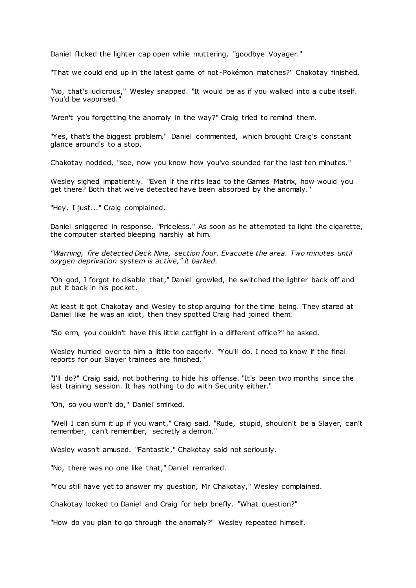Daniel flicked the lighter cap open while muttering, "goodbye Voyager."

"That we could end up in the latest game of not -Pokémon matches?" Chakotay finished.

"No, that's ludicrous," Wesley snapped. "It would be as if you walked into a cube itself. You'd be vaporised."

"Aren't you forgetting the anomaly in the way?" Craig tried to remind them.

"Yes, that's the biggest problem," Daniel commented, which brought Craig's constant glance around's to a stop.

Chakotay nodded, "see, now you know how you've sounded for the last ten minutes."

Wesley sighed impatiently. "Even if the rifts lead to the Games Matrix, how would you get there? Both that we've detected have been absorbed by the anomaly."

"Hey, I just..." Craig complained.

Daniel sniggered in response. "Priceless." As soon as he attempted to light the cigarette, the computer started bleeping harshly at him.

*"Warning, fire detected Deck Nine, section four. Evacuate the area. Two minutes until oxygen deprivation system is active," it barked.*

"Oh god, I forgot to disable that," Daniel growled, he switched the lighter back off and put it back in his pocket.

At least it got Chakotay and Wesley to stop arguing for the time being. They stared at Daniel like he was an idiot, then they spotted Craig had joined them.

"So erm, you couldn't have this little catfight in a different office?" he asked.

Wesley hurried over to him a little too eagerly. "You'll do. I need to know if the final reports for our Slayer trainees are finished."

"I'll do?" Craig said, not bothering to hide his offense. "It's been two months since the last training session. It has nothing to do with Security either."

"Oh, so you won't do," Daniel smirked.

"Well I can sum it up if you want," Craig said. "Rude, stupid, shouldn't be a Slayer, can't remember, can't remember, secretly a demon."

Wesley wasn't amused. "Fantastic," Chakotay said not seriously.

"No, there was no one like that," Daniel remarked.

"You still have yet to answer my question, Mr Chakotay," Wesley complained.

Chakotay looked to Daniel and Craig for help briefly. "What question?"

"How do you plan to go through the anomaly?" Wesley repeated himself.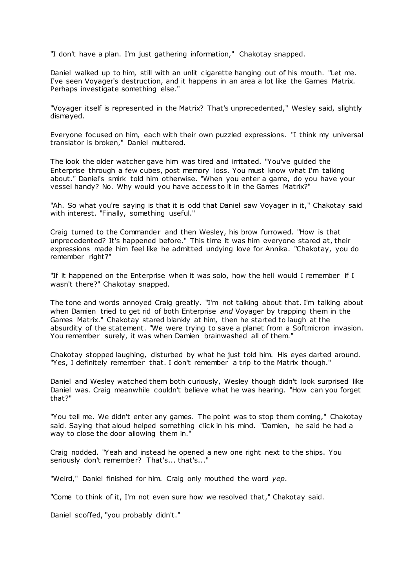"I don't have a plan. I'm just gathering information," Chakotay snapped.

Daniel walked up to him, still with an unlit cigarette hanging out of his mouth. "Let me. I've seen Voyager's destruction, and it happens in an area a lot like the Games Matrix. Perhaps investigate something else."

"Voyager itself is represented in the Matrix? That's unprecedented," Wesley said, slightly dismayed.

Everyone focused on him, each with their own puzzled expressions. "I think my universal translator is broken," Daniel muttered.

The look the older watcher gave him was tired and irritated. "You've guided the Enterprise through a few cubes, post memory loss. You must know what I'm talking about." Daniel's smirk told him otherwise. "When you enter a game, do you have your vessel handy? No. Why would you have access to it in the Games Matrix?"

"Ah. So what you're saying is that it is odd that Daniel saw Voyager in it," Chakotay said with interest. "Finally, something useful."

Craig turned to the Commander and then Wesley, his brow furrowed. "How is that unprecedented? It's happened before." This time it was him everyone stared at, their expressions made him feel like he admitted undying love for Annika. "Chakotay, you do remember right?"

"If it happened on the Enterprise when it was solo, how the hell would I remember if I wasn't there?" Chakotay snapped.

The tone and words annoyed Craig greatly. "I'm not talking about that. I'm talking about when Damien tried to get rid of both Enterprise *and* Voyager by trapping them in the Games Matrix." Chakotay stared blankly at him, then he started to laugh at the absurdity of the statement. "We were trying to save a planet from a Softmicron invasion. You remember surely, it was when Damien brainwashed all of them."

Chakotay stopped laughing, disturbed by what he just told him. His eyes darted around. "Yes, I definitely remember that. I don't remember a trip to the Matrix though."

Daniel and Wesley watched them both curiously, Wesley though didn't look surprised like Daniel was. Craig meanwhile couldn't believe what he was hearing. "How can you forget that?"

"You tell me. We didn't enter any games. The point was to stop them coming," Chakotay said. Saying that aloud helped something click in his mind. "Damien, he said he had a way to close the door allowing them in."

Craig nodded. "Yeah and instead he opened a new one right next to the ships. You seriously don't remember? That's... that's..."

"Weird," Daniel finished for him. Craig only mouthed the word *yep*.

"Come to think of it, I'm not even sure how we resolved that," Chakotay said.

Daniel scoffed, "you probably didn't."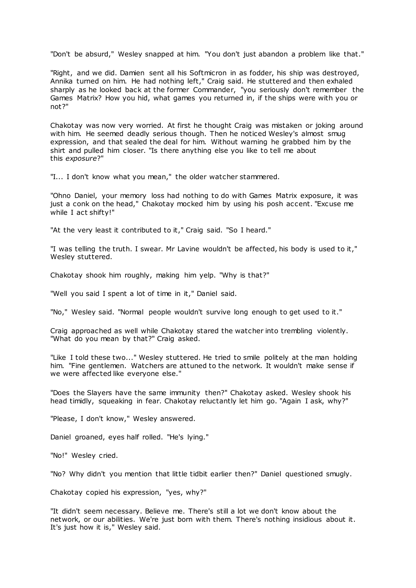"Don't be absurd," Wesley snapped at him. "You don't just abandon a problem like that."

"Right, and we did. Damien sent all his Softmicron in as fodder, his ship was destroyed, Annika turned on him. He had nothing left," Craig said. He stuttered and then exhaled sharply as he looked back at the former Commander, "you seriously don't remember the Games Matrix? How you hid, what games you returned in, if the ships were with you or not?"

Chakotay was now very worried. At first he thought Craig was mistaken or joking around with him. He seemed deadly serious though. Then he noticed Wesley's almost smug expression, and that sealed the deal for him. Without warning he grabbed him by the shirt and pulled him closer. "Is there anything else you like to tell me about this *exposure*?"

"I... I don't know what you mean," the older watcher stammered.

"Ohno Daniel, your memory loss had nothing to do with Games Matrix exposure, it was just a conk on the head," Chakotay mocked him by using his posh accent. "Excuse me while I act shifty!"

"At the very least it contributed to it," Craig said. "So I heard."

"I was telling the truth. I swear. Mr Lavine wouldn't be affected, his body is used to it," Wesley stuttered.

Chakotay shook him roughly, making him yelp. "Why is that?"

"Well you said I spent a lot of time in it," Daniel said.

"No," Wesley said. "Normal people wouldn't survive long enough to get used to it."

Craig approached as well while Chakotay stared the watcher into trembling violently. "What do you mean by that?" Craig asked.

"Like I told these two..." Wesley stuttered. He tried to smile politely at the man holding him. "Fine gentlemen. Watchers are attuned to the network. It wouldn't make sense if we were affected like everyone else."

"Does the Slayers have the same immunity then?" Chakotay asked. Wesley shook his head timidly, squeaking in fear. Chakotay reluctantly let him go. "Again I ask, why?"

"Please, I don't know," Wesley answered.

Daniel groaned, eyes half rolled. "He's lying."

"No!" Wesley cried.

"No? Why didn't you mention that little tidbit earlier then?" Daniel questioned smugly.

Chakotay copied his expression, "yes, why?"

"It didn't seem necessary. Believe me. There's still a lot we don't know about the network, or our abilities. We're just born with them. There's nothing insidious about it. It's just how it is," Wesley said.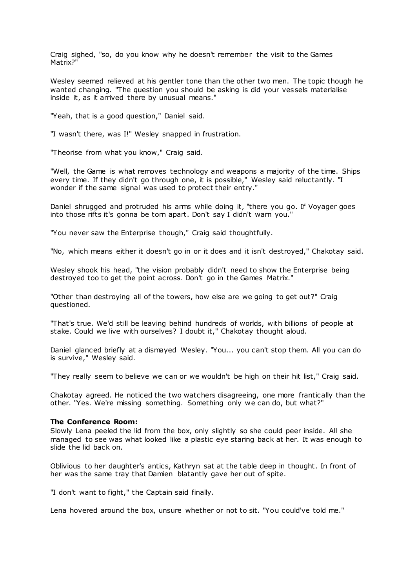Craig sighed, "so, do you know why he doesn't remember the visit to the Games Matrix?"

Wesley seemed relieved at his gentler tone than the other two men. The topic though he wanted changing. "The question you should be asking is did your vessels materialise inside it, as it arrived there by unusual means."

"Yeah, that is a good question," Daniel said.

"I wasn't there, was I!" Wesley snapped in frustration.

"Theorise from what you know," Craig said.

"Well, the Game is what removes technology and weapons a majority of the time. Ships every time. If they didn't go through one, it is possible," Wesley said reluctantly. "I wonder if the same signal was used to protect their entry."

Daniel shrugged and protruded his arms while doing it, "there you go. If Voyager goes into those rifts it's gonna be torn apart. Don't say I didn't warn you."

"You never saw the Enterprise though," Craig said thoughtfully.

"No, which means either it doesn't go in or it does and it isn't destroyed," Chakotay said.

Wesley shook his head, "the vision probably didn't need to show the Enterprise being destroyed too to get the point across. Don't go in the Games Matrix."

"Other than destroying all of the towers, how else are we going to get out?" Craig questioned.

"That's true. We'd still be leaving behind hundreds of worlds, with billions of people at stake. Could we live with ourselves? I doubt it," Chakotay thought aloud.

Daniel glanced briefly at a dismayed Wesley. "You... you can't stop them. All you can do is survive," Wesley said.

"They really seem to believe we can or we wouldn't be high on their hit list," Craig said.

Chakotay agreed. He noticed the two watchers disagreeing, one more frantically than the other. "Yes. We're missing something. Something only we can do, but what?"

### **The Conference Room:**

Slowly Lena peeled the lid from the box, only slightly so she could peer inside. All she managed to see was what looked like a plastic eye staring back at her. It was enough to slide the lid back on.

Oblivious to her daughter's antics, Kathryn sat at the table deep in thought. In front of her was the same tray that Damien blatantly gave her out of spite.

"I don't want to fight," the Captain said finally.

Lena hovered around the box, unsure whether or not to sit. "You could've told me."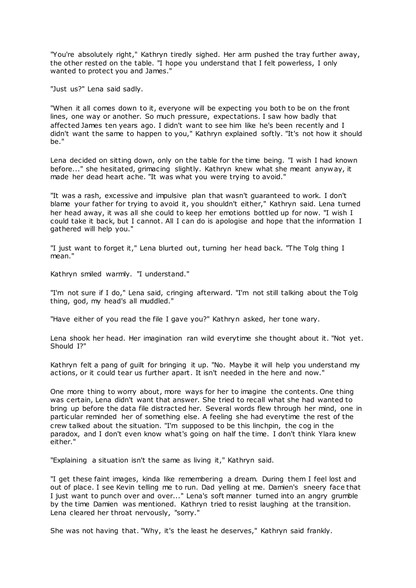"You're absolutely right," Kathryn tiredly sighed. Her arm pushed the tray further away, the other rested on the table. "I hope you understand that I felt powerless, I only wanted to protect you and James."

"Just us?" Lena said sadly.

"When it all comes down to it, everyone will be expecting you both to be on the front lines, one way or another. So much pressure, expectations. I saw how badly that affected James ten years ago. I didn't want to see him like he's been recently and I didn't want the same to happen to you," Kathryn explained softly. "It's not how it should be."

Lena decided on sitting down, only on the table for the time being. "I wish I had known before..." she hesitated, grimacing slightly. Kathryn knew what she meant anyway, it made her dead heart ache. "It was what you were trying to avoid."

"It was a rash, excessive and impulsive plan that wasn't guaranteed to work. I don't blame your father for trying to avoid it, you shouldn't either," Kathryn said. Lena turned her head away, it was all she could to keep her emotions bottled up for now. "I wish I could take it back, but I cannot. All I can do is apologise and hope that the information I gathered will help you."

"I just want to forget it," Lena blurted out, turning her head back. "The Tolg thing I mean."

Kathryn smiled warmly. "I understand."

"I'm not sure if I do," Lena said, cringing afterward. "I'm not still talking about the Tolg thing, god, my head's all muddled."

"Have either of you read the file I gave you?" Kathryn asked, her tone wary.

Lena shook her head. Her imagination ran wild everytime she thought about it. "Not yet. Should I?"

Kathryn felt a pang of guilt for bringing it up. "No. Maybe it will help you understand my actions, or it could tear us further apart. It isn't needed in the here and now."

One more thing to worry about, more ways for her to imagine the contents. One thing was certain, Lena didn't want that answer. She tried to recall what she had wanted to bring up before the data file distracted her. Several words flew through her mind, one in particular reminded her of something else. A feeling she had everytime the rest of the crew talked about the situation. "I'm supposed to be this linchpin, the cog in the paradox, and I don't even know what's going on half the time. I don't think Ylara knew either."

"Explaining a situation isn't the same as living it," Kathryn said.

"I get these faint images, kinda like remembering a dream. During them I feel lost and out of place. I see Kevin telling me to run. Dad yelling at me. Damien's sneery face that I just want to punch over and over..." Lena's soft manner turned into an angry grumble by the time Damien was mentioned. Kathryn tried to resist laughing at the transition. Lena cleared her throat nervously, "sorry."

She was not having that. "Why, it's the least he deserves," Kathryn said frankly.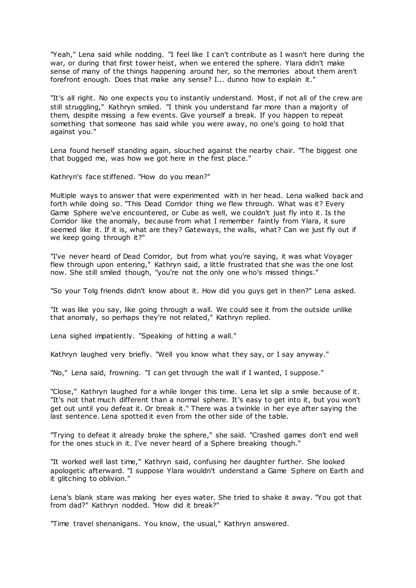"Yeah," Lena said while nodding. "I feel like I can't contribute as I wasn't here during the war, or during that first tower heist, when we entered the sphere. Ylara didn't make sense of many of the things happening around her, so the memories about them aren't forefront enough. Does that make any sense? I... dunno how to explain it."

"It's all right. No one expects you to instantly understand. Most, if not all of the crew are still struggling," Kathryn smiled. "I think you understand far more than a majority of them, despite missing a few events. Give yourself a break. If you happen to repeat something that someone has said while you were away, no one's going to hold that against you."

Lena found herself standing again, slouched against the nearby chair. "The biggest one that bugged me, was how we got here in the first place."

Kathryn's face stiffened. "How do you mean?"

Multiple ways to answer that were experimented with in her head. Lena walked back and forth while doing so. "This Dead Corridor thing we flew through. What was it? Every Game Sphere we've encountered, or Cube as well, we couldn't just fly into it. Is the Corridor like the anomaly, because from what I remember faintly from Ylara, it sure seemed like it. If it is, what are they? Gateways, the walls, what? Can we just fly out if we keep going through it?"

"I've never heard of Dead Corridor, but from what you're saying, it was what Voyager flew through upon entering," Kathryn said, a little frustrated that she was the one lost now. She still smiled though, "you're not the only one who's missed things."

"So your Tolg friends didn't know about it. How did you guys get in then?" Lena asked.

"It was like you say, like going through a wall. We could see it from the outside unlike that anomaly, so perhaps they're not related," Kathryn replied.

Lena sighed impatiently. "Speaking of hitting a wall."

Kathryn laughed very briefly. "Well you know what they say, or I say anyway."

"No," Lena said, frowning. "I can get through the wall if I wanted, I suppose."

"Close," Kathryn laughed for a while longer this time. Lena let slip a smile because of it. "It's not that much different than a normal sphere. It's easy to get into it, but you won't get out until you defeat it. Or break it." There was a twinkle in her eye after saying the last sentence. Lena spotted it even from the other side of the table.

"Trying to defeat it already broke the sphere," she said. "Crashed games don't end well for the ones stuck in it. I've never heard of a Sphere breaking though."

"It worked well last time," Kathryn said, confusing her daughter further. She looked apologetic afterward. "I suppose Ylara wouldn't understand a Game Sphere on Earth and it glitching to oblivion."

Lena's blank stare was making her eyes water. She tried to shake it away. "You got that from dad?" Kathryn nodded. "How did it break?"

"Time travel shenanigans. You know, the usual," Kathryn answered.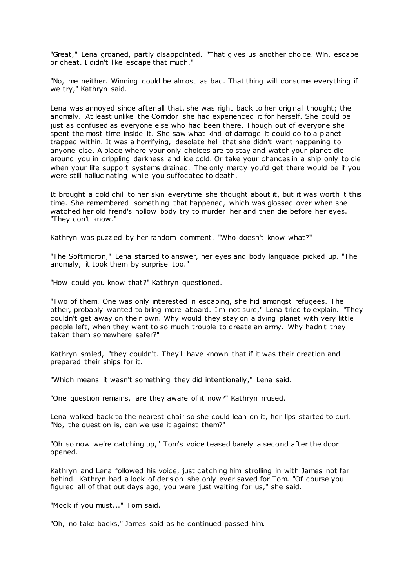"Great," Lena groaned, partly disappointed. "That gives us another choice. Win, escape or cheat. I didn't like escape that much."

"No, me neither. Winning could be almost as bad. That thing will consume everything if we try," Kathryn said.

Lena was annoyed since after all that, she was right back to her original thought; the anomaly. At least unlike the Corridor she had experienced it for herself. She could be just as confused as everyone else who had been there. Though out of everyone she spent the most time inside it. She saw what kind of damage it could do to a planet trapped within. It was a horrifying, desolate hell that she didn't want happening to anyone else. A place where your only choices are to stay and watch your planet die around you in crippling darkness and ice cold. Or take your chances in a ship only to die when your life support systems drained. The only mercy you'd get there would be if you were still hallucinating while you suffocated to death.

It brought a cold chill to her skin everytime she thought about it, but it was worth it this time. She remembered something that happened, which was glossed over when she watched her old frend's hollow body try to murder her and then die before her eyes. "They don't know."

Kathryn was puzzled by her random comment. "Who doesn't know what?"

"The Softmicron," Lena started to answer, her eyes and body language picked up. "The anomaly, it took them by surprise too."

"How could you know that?" Kathryn questioned.

"Two of them. One was only interested in escaping, she hid amongst refugees. The other, probably wanted to bring more aboard. I'm not sure," Lena tried to explain. "They couldn't get away on their own. Why would they stay on a dying planet with very little people left, when they went to so much trouble to c reate an army. Why hadn't they taken them somewhere safer?"

Kathryn smiled, "they couldn't. They'll have known that if it was their creation and prepared their ships for it."

"Which means it wasn't something they did intentionally," Lena said.

"One question remains, are they aware of it now?" Kathryn mused.

Lena walked back to the nearest chair so she could lean on it, her lips started to curl. "No, the question is, can we use it against them?"

"Oh so now we're catching up," Tom's voice teased barely a second after the door opened.

Kathryn and Lena followed his voice, just catching him strolling in with James not far behind. Kathryn had a look of derision she only ever saved for Tom. "Of course you figured all of that out days ago, you were just waiting for us," she said.

"Mock if you must..." Tom said.

"Oh, no take backs," James said as he continued passed him.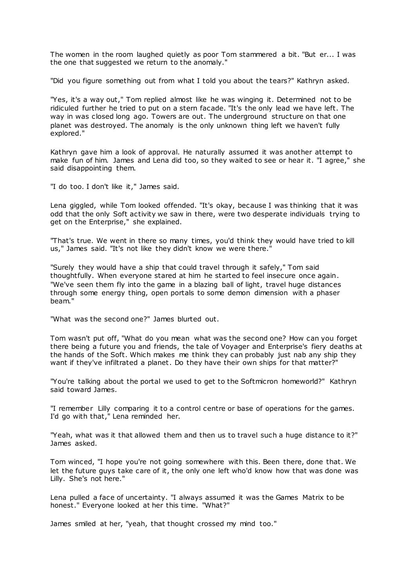The women in the room laughed quietly as poor Tom stammered a bit. "But er... I was the one that suggested we return to the anomaly."

"Did you figure something out from what I told you about the tears?" Kathryn asked.

"Yes, it's a way out," Tom replied almost like he was winging it. Determined not to be ridiculed further he tried to put on a stern facade. "It's the only lead we have left. The way in was closed long ago. Towers are out. The underground structure on that one planet was destroyed. The anomaly is the only unknown thing left we haven't fully explored."

Kathryn gave him a look of approval. He naturally assumed it was another attempt to make fun of him. James and Lena did too, so they waited to see or hear it. "I agree," she said disappointing them.

"I do too. I don't like it," James said.

Lena giggled, while Tom looked offended. "It's okay, because I was thinking that it was odd that the only Soft activity we saw in there, were two desperate individuals trying to get on the Enterprise," she explained.

"That's true. We went in there so many times, you'd think they would have tried to kill us," James said. "It's not like they didn't know we were there."

"Surely they would have a ship that could travel through it safely," Tom said thoughtfully. When everyone stared at him he started to feel insecure once again. "We've seen them fly into the game in a blazing ball of light, travel huge distances through some energy thing, open portals to some demon dimension with a phaser beam."

"What was the second one?" James blurted out.

Tom wasn't put off, "What do you mean what was the second one? How can you forget there being a future you and friends, the tale of Voyager and Enterprise's fiery deaths at the hands of the Soft. Which makes me think they can probably just nab any ship they want if they've infiltrated a planet. Do they have their own ships for that matter?"

"You're talking about the portal we used to get to the Softmicron homeworld?" Kathryn said toward James.

"I remember Lilly comparing it to a control centre or base of operations for the games. I'd go with that," Lena reminded her.

"Yeah, what was it that allowed them and then us to travel such a huge distance to it?" James asked.

Tom winced, "I hope you're not going somewhere with this. Been there, done that. We let the future guys take care of it, the only one left who'd know how that was done was Lilly. She's not here."

Lena pulled a face of uncertainty. "I always assumed it was the Games Matrix to be honest." Everyone looked at her this time. "What?"

James smiled at her, "yeah, that thought crossed my mind too."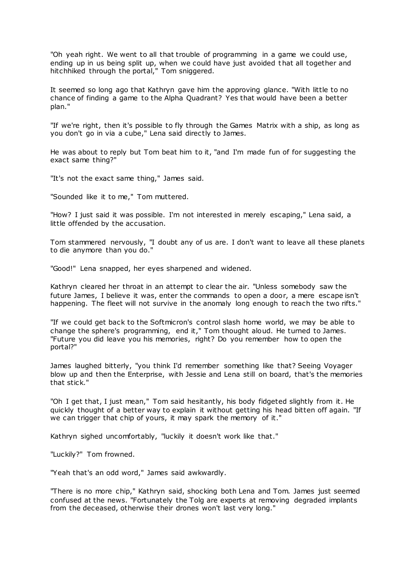"Oh yeah right. We went to all that trouble of programming in a game we could use, ending up in us being split up, when we could have just avoided that all together and hitchhiked through the portal," Tom sniggered.

It seemed so long ago that Kathryn gave him the approving glance. "With little to no chance of finding a game to the Alpha Quadrant? Yes that would have been a better plan."

"If we're right, then it's possible to fly through the Games Matrix with a ship, as long as you don't go in via a cube," Lena said directly to James.

He was about to reply but Tom beat him to it, "and I'm made fun of for suggesting the exact same thing?"

"It's not the exact same thing," James said.

"Sounded like it to me," Tom muttered.

"How? I just said it was possible. I'm not interested in merely escaping," Lena said, a little offended by the accusation.

Tom stammered nervously, "I doubt any of us are. I don't want to leave all these planets to die anymore than you do."

"Good!" Lena snapped, her eyes sharpened and widened.

Kathryn cleared her throat in an attempt to clear the air. "Unless somebody saw the future James, I believe it was, enter the commands to open a door, a mere escape isn't happening. The fleet will not survive in the anomaly long enough to reach the two rifts."

"If we could get back to the Softmicron's control slash home world, we may be able to change the sphere's programming, end it," Tom thought aloud. He turned to James. "Future you did leave you his memories, right? Do you remember how to open the portal?"

James laughed bitterly, "you think I'd remember something like that? Seeing Voyager blow up and then the Enterprise, with Jessie and Lena still on board, that's the memories that stick."

"Oh I get that, I just mean," Tom said hesitantly, his body fidgeted slightly from it. He quickly thought of a better way to explain it without getting his head bitten off again. "If we can trigger that chip of yours, it may spark the memory of it."

Kathryn sighed uncomfortably, "luckily it doesn't work like that."

"Luckily?" Tom frowned.

"Yeah that's an odd word," James said awkwardly.

"There is no more chip," Kathryn said, shocking both Lena and Tom. James just seemed confused at the news. "Fortunately the Tolg are experts at removing degraded implants from the deceased, otherwise their drones won't last very long."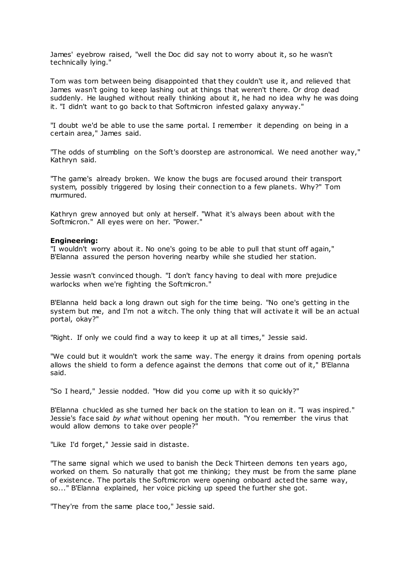James' eyebrow raised, "well the Doc did say not to worry about it, so he wasn't technically lying."

Tom was torn between being disappointed that they couldn't use it, and relieved that James wasn't going to keep lashing out at things that weren't there. Or drop dead suddenly. He laughed without really thinking about it, he had no idea why he was doing it. "I didn't want to go back to that Softmicron infested galaxy anyway."

"I doubt we'd be able to use the same portal. I remember it depending on being in a certain area," James said.

"The odds of stumbling on the Soft's doorstep are astronomical. We need another way," Kathryn said.

"The game's already broken. We know the bugs are focused around their transport system, possibly triggered by losing their connection to a few planets. Why?" Tom murmured.

Kathryn grew annoyed but only at herself. "What it's always been about with the Softmicron." All eyes were on her. "Power."

## **Engineering:**

"I wouldn't worry about it. No one's going to be able to pull that stunt off again," B'Elanna assured the person hovering nearby while she studied her station.

Jessie wasn't convinced though. "I don't fancy having to deal with more prejudice warlocks when we're fighting the Softmicron."

B'Elanna held back a long drawn out sigh for the time being. "No one's getting in the system but me, and I'm not a witch. The only thing that will activate it will be an actual portal, okay?"

"Right. If only we could find a way to keep it up at all times," Jessie said.

"We could but it wouldn't work the same way. The energy it drains from opening portals allows the shield to form a defence against the demons that come out of it," B'Elanna said.

"So I heard," Jessie nodded. "How did you come up with it so quickly?"

B'Elanna chuckled as she turned her back on the station to lean on it. "I was inspired." Jessie's face said *by what* without opening her mouth. "You remember the virus that would allow demons to take over people?"

"Like I'd forget," Jessie said in distaste.

"The same signal which we used to banish the Deck Thirteen demons ten years ago, worked on them. So naturally that got me thinking; they must be from the same plane of existence. The portals the Softmicron were opening onboard acted the same way, so..." B'Elanna explained, her voice picking up speed the further she got.

"They're from the same place too," Jessie said.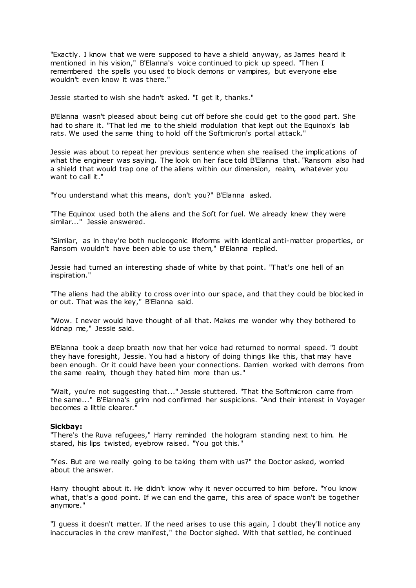"Exactly. I know that we were supposed to have a shield anyway, as James heard it mentioned in his vision," B'Elanna's voice continued to pick up speed. "Then I remembered the spells you used to block demons or vampires, but everyone else wouldn't even know it was there."

Jessie started to wish she hadn't asked. "I get it, thanks."

B'Elanna wasn't pleased about being cut off before she could get to the good part. She had to share it. "That led me to the shield modulation that kept out the Equinox's lab rats. We used the same thing to hold off the Softmicron's portal attack."

Jessie was about to repeat her previous sentence when she realised the implications of what the engineer was saying. The look on her face told B'Elanna that. "Ransom also had a shield that would trap one of the aliens within our dimension, realm, whatever you want to call it."

"You understand what this means, don't you?" B'Elanna asked.

"The Equinox used both the aliens and the Soft for fuel. We already knew they were similar..." Jessie answered.

"Similar, as in they're both nucleogenic lifeforms with identical anti-matter properties, or Ransom wouldn't have been able to use them," B'Elanna replied.

Jessie had turned an interesting shade of white by that point. "That's one hell of an inspiration."

"The aliens had the ability to cross over into our space, and that they could be blocked in or out. That was the key," B'Elanna said.

"Wow. I never would have thought of all that. Makes me wonder why they bothered to kidnap me," Jessie said.

B'Elanna took a deep breath now that her voice had returned to normal speed. "I doubt they have foresight, Jessie. You had a history of doing things like this, that may have been enough. Or it could have been your connections. Damien worked with demons from the same realm, though they hated him more than us."

"Wait, you're not suggesting that..." Jessie stuttered. "That the Softmicron came from the same..." B'Elanna's grim nod confirmed her suspicions. "And their interest in Voyager becomes a little clearer."

#### **Sickbay:**

"There's the Ruva refugees," Harry reminded the hologram standing next to him. He stared, his lips twisted, eyebrow raised. "You got this."

"Yes. But are we really going to be taking them with us?" the Doctor asked, worried about the answer.

Harry thought about it. He didn't know why it never occurred to him before. "You know what, that's a good point. If we can end the game, this area of space won't be together anymore."

"I guess it doesn't matter. If the need arises to use this again, I doubt they'll notice any inaccuracies in the crew manifest," the Doctor sighed. With that settled, he continued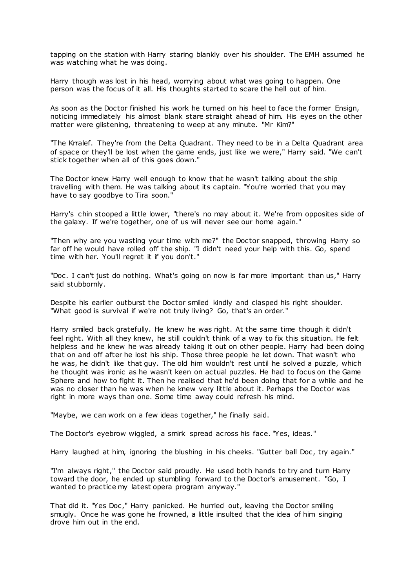tapping on the station with Harry staring blankly over his shoulder. The EMH assumed he was watching what he was doing.

Harry though was lost in his head, worrying about what was going to happen. One person was the focus of it all. His thoughts started to scare the hell out of him.

As soon as the Doctor finished his work he turned on his heel to face the former Ensign, noticing immediately his almost blank stare st raight ahead of him. His eyes on the other matter were glistening, threatening to weep at any minute. "Mr Kim?"

"The Krralef. They're from the Delta Quadrant. They need to be in a Delta Quadrant area of space or they'll be lost when the game ends, just like we were," Harry said. "We can't stick together when all of this goes down."

The Doctor knew Harry well enough to know that he wasn't talking about the ship travelling with them. He was talking about its captain. "You're worried that you may have to say goodbye to Tira soon."

Harry's chin stooped a little lower, "there's no may about it. We're from opposites side of the galaxy. If we're together, one of us will never see our home again."

"Then why are you wasting your time with me?" the Doctor snapped, throwing Harry so far off he would have rolled off the ship. "I didn't need your help with this. Go, spend time with her. You'll regret it if you don't."

"Doc . I can't just do nothing. What's going on now is far more important than us," Harry said stubbornly.

Despite his earlier outburst the Doctor smiled kindly and clasped his right shoulder. "What good is survival if we're not truly living? Go, that's an order."

Harry smiled back gratefully. He knew he was right. At the same time though it didn't feel right. With all they knew, he still couldn't think of a way to fix this situation. He felt helpless and he knew he was already taking it out on other people. Harry had been doing that on and off after he lost his ship. Those three people he let down. That wasn't who he was, he didn't like that guy. The old him wouldn't rest until he solved a puzzle, which he thought was ironic as he wasn't keen on actual puzzles. He had to focus on the Game Sphere and how to fight it. Then he realised that he'd been doing that for a while and he was no closer than he was when he knew very little about it. Perhaps the Doctor was right in more ways than one. Some time away could refresh his mind.

"Maybe, we can work on a few ideas together," he finally said.

The Doctor's eyebrow wiggled, a smirk spread across his face. "Yes, ideas."

Harry laughed at him, ignoring the blushing in his cheeks. "Gutter ball Doc, try again."

"I'm always right," the Doctor said proudly. He used both hands to try and turn Harry toward the door, he ended up stumbling forward to the Doctor's amusement. "Go, I wanted to practice my latest opera program anyway."

That did it. "Yes Doc ," Harry panicked. He hurried out, leaving the Doctor smiling smugly. Once he was gone he frowned, a little insulted that the idea of him singing drove him out in the end.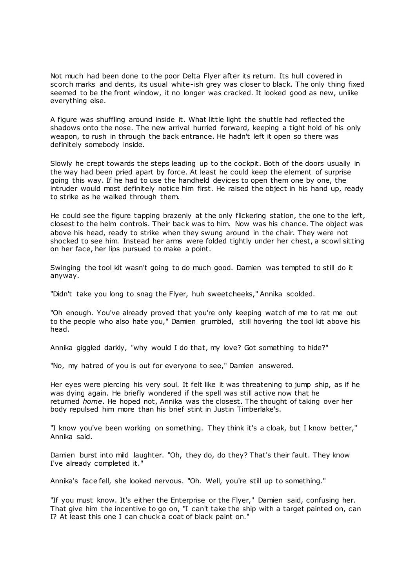Not much had been done to the poor Delta Flyer after its return. Its hull covered in scorch marks and dents, its usual white-ish grey was closer to black. The only thing fixed seemed to be the front window, it no longer was cracked. It looked good as new, unlike everything else.

A figure was shuffling around inside it. What little light the shuttle had reflected the shadows onto the nose. The new arrival hurried forward, keeping a tight hold of his only weapon, to rush in through the back entrance. He hadn't left it open so there was definitely somebody inside.

Slowly he crept towards the steps leading up to the cockpit. Both of the doors usually in the way had been pried apart by force. At least he could keep the element of surprise going this way. If he had to use the handheld devices to open them one by one, the intruder would most definitely notice him first. He raised the object in his hand up, ready to strike as he walked through them.

He could see the figure tapping brazenly at the only flickering station, the one to the left, closest to the helm controls. Their back was to him. Now was his chance. The object was above his head, ready to strike when they swung around in the chair. They were not shocked to see him. Instead her arms were folded tightly under her chest, a scowl sitting on her face, her lips pursued to make a point.

Swinging the tool kit wasn't going to do much good. Damien was tempted to still do it anyway.

"Didn't take you long to snag the Flyer, huh sweetcheeks," Annika scolded.

"Oh enough. You've already proved that you're only keeping watch of me to rat me out to the people who also hate you," Damien grumbled, still hovering the tool kit above his head.

Annika giggled darkly, "why would I do that, my love? Got something to hide?"

"No, my hatred of you is out for everyone to see," Damien answered.

Her eyes were piercing his very soul. It felt like it was threatening to jump ship, as if he was dying again. He briefly wondered if the spell was still active now that he returned *home*. He hoped not, Annika was the closest. The thought of taking over her body repulsed him more than his brief stint in Justin Timberlake's.

"I know you've been working on something. They think it's a cloak, but I know better," Annika said.

Damien burst into mild laughter. "Oh, they do, do they? That's their fault. They know I've already completed it."

Annika's face fell, she looked nervous. "Oh. Well, you're still up to something."

"If you must know. It's either the Enterprise or the Flyer," Damien said, confusing her. That give him the incentive to go on, "I can't take the ship with a target painted on, can I? At least this one I can chuck a coat of black paint on."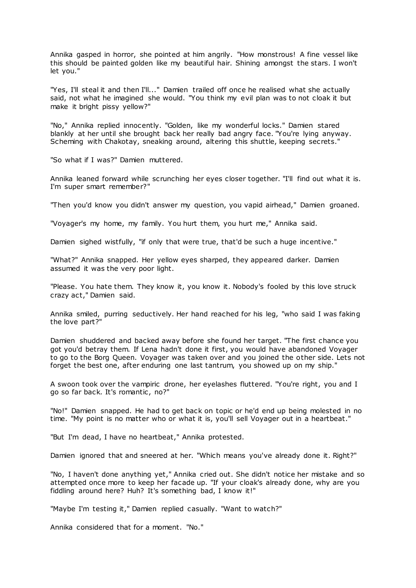Annika gasped in horror, she pointed at him angrily. "How monstrous! A fine vessel like this should be painted golden like my beautiful hair. Shining amongst the stars. I won't let you."

"Yes, I'll steal it and then I'll..." Damien trailed off once he realised what she actually said, not what he imagined she would. "You think my evil plan was to not cloak it but make it bright pissy yellow?"

"No," Annika replied innocently. "Golden, like my wonderful locks." Damien stared blankly at her until she brought back her really bad angry face. "You're lying anyway. Scheming with Chakotay, sneaking around, altering this shuttle, keeping secrets."

"So what if I was?" Damien muttered.

Annika leaned forward while scrunching her eyes closer together. "I'll find out what it is. I'm super smart remember?"

"Then you'd know you didn't answer my question, you vapid airhead," Damien groaned.

"Voyager's my home, my family. You hurt them, you hurt me," Annika said.

Damien sighed wistfully, "if only that were true, that'd be such a huge incentive."

"What?" Annika snapped. Her yellow eyes sharped, they appeared darker. Damien assumed it was the very poor light.

"Please. You hate them. They know it, you know it. Nobody's fooled by this love struck crazy act," Damien said.

Annika smiled, purring seductively. Her hand reached for his leg, "who said I was faking the love part?"

Damien shuddered and backed away before she found her target. "The first chance you got you'd betray them. If Lena hadn't done it first, you would have abandoned Voyager to go to the Borg Queen. Voyager was taken over and you joined the other side. Lets not forget the best one, after enduring one last tantrum, you showed up on my ship."

A swoon took over the vampiric drone, her eyelashes fluttered. "You're right, you and I go so far back. It's romantic, no?"

"No!" Damien snapped. He had to get back on topic or he'd end up being molested in no time. "My point is no matter who or what it is, you'll sell Voyager out in a heartbeat."

"But I'm dead, I have no heartbeat," Annika protested.

Damien ignored that and sneered at her. "Which means you've already done it. Right?"

"No, I haven't done anything yet," Annika cried out. She didn't notice her mistake and so attempted once more to keep her facade up. "If your cloak's already done, why are you fiddling around here? Huh? It's something bad, I know it!"

"Maybe I'm testing it," Damien replied casually. "Want to watch?"

Annika considered that for a moment. "No."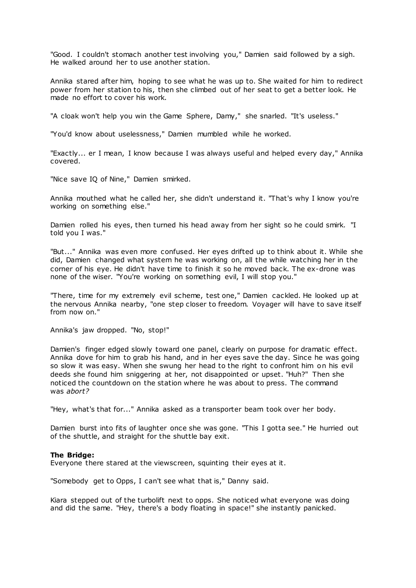"Good. I couldn't stomach another test involving you," Damien said followed by a sigh. He walked around her to use another station.

Annika stared after him, hoping to see what he was up to. She waited for him to redirect power from her station to his, then she climbed out of her seat to get a better look. He made no effort to cover his work.

"A cloak won't help you win the Game Sphere, Damy," she snarled. "It's useless."

"You'd know about uselessness," Damien mumbled while he worked.

"Exactly... er I mean, I know because I was always useful and helped every day," Annika covered.

"Nice save IQ of Nine," Damien smirked.

Annika mouthed what he called her, she didn't understand it. "That's why I know you're working on something else."

Damien rolled his eyes, then turned his head away from her sight so he could smirk. "I told you I was."

"But..." Annika was even more confused. Her eyes drifted up to think about it. While she did, Damien changed what system he was working on, all the while watching her in the corner of his eye. He didn't have time to finish it so he moved back. The ex-drone was none of the wiser. "You're working on something evil, I will stop you."

"There, time for my extremely evil scheme, test one," Damien cackled. He looked up at the nervous Annika nearby, "one step closer to freedom. Voyager will have to save itself from now on."

Annika's jaw dropped. "No, stop!"

Damien's finger edged slowly toward one panel, clearly on purpose for dramatic effect. Annika dove for him to grab his hand, and in her eyes save the day. Since he was going so slow it was easy. When she swung her head to the right to confront him on his evil deeds she found him sniggering at her, not disappointed or upset. "Huh?" Then she noticed the countdown on the station where he was about to press. The command was *abort?*

"Hey, what's that for..." Annika asked as a transporter beam took over her body.

Damien burst into fits of laughter once she was gone. "This I gotta see." He hurried out of the shuttle, and straight for the shuttle bay exit.

#### **The Bridge:**

Everyone there stared at the viewscreen, squinting their eyes at it.

"Somebody get to Opps, I can't see what that is," Danny said.

Kiara stepped out of the turbolift next to opps. She noticed what everyone was doing and did the same. "Hey, there's a body floating in space!" she instantly panicked.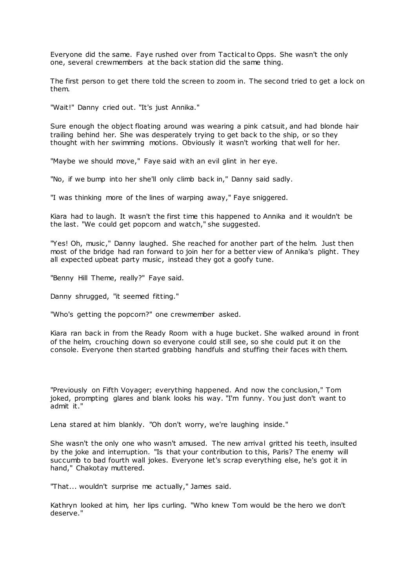Everyone did the same. Faye rushed over from Tactical to Opps. She wasn't the only one, several crewmembers at the back station did the same thing.

The first person to get there told the screen to zoom in. The second tried to get a lock on them.

"Wait!" Danny cried out. "It's just Annika."

Sure enough the object floating around was wearing a pink catsuit, and had blonde hair trailing behind her. She was desperately trying to get back to the ship, or so they thought with her swimming motions. Obviously it wasn't working that well for her.

"Maybe we should move," Faye said with an evil glint in her eye.

"No, if we bump into her she'll only climb back in," Danny said sadly.

"I was thinking more of the lines of warping away," Faye sniggered.

Kiara had to laugh. It wasn't the first time this happened to Annika and it wouldn't be the last. "We could get popcorn and watch," she suggested.

"Yes! Oh, music ," Danny laughed. She reached for another part of the helm. Just then most of the bridge had ran forward to join her for a better view of Annika's plight. They all expected upbeat party music, instead they got a goofy tune.

"Benny Hill Theme, really?" Faye said.

Danny shrugged, "it seemed fitting."

"Who's getting the popcorn?" one crewmember asked.

Kiara ran back in from the Ready Room with a huge bucket. She walked around in front of the helm, crouching down so everyone could still see, so she could put it on the console. Everyone then started grabbing handfuls and stuffing their faces with them.

"Previously on Fifth Voyager; everything happened. And now the conclusion," Tom joked, prompting glares and blank looks his way. "I'm funny. You just don't want to admit it."

Lena stared at him blankly. "Oh don't worry, we're laughing inside."

She wasn't the only one who wasn't amused. The new arrival gritted his teeth, insulted by the joke and interruption. "Is that your contribution to this, Paris? The enemy will succumb to bad fourth wall jokes. Everyone let's scrap everything else, he's got it in hand," Chakotay muttered.

"That... wouldn't surprise me actually," James said.

Kathryn looked at him, her lips curling. "Who knew Tom would be the hero we don't deserve."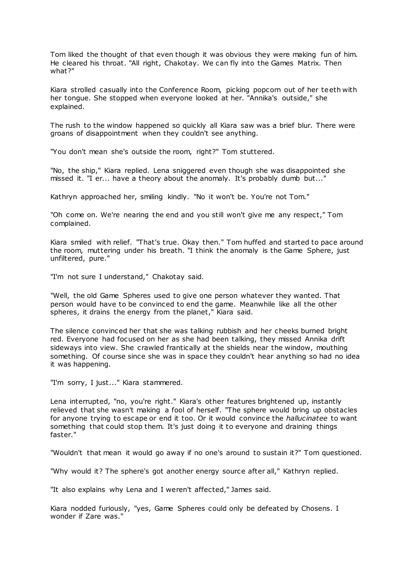Tom liked the thought of that even though it was obvious they were making fun of him. He cleared his throat. "All right, Chakotay. We can fly into the Games Matrix. Then what?"

Kiara strolled casually into the Conference Room, picking popcorn out of her teeth with her tongue. She stopped when everyone looked at her. "Annika's outside," she explained.

The rush to the window happened so quickly all Kiara saw was a brief blur. There were groans of disappointment when they couldn't see anything.

"You don't mean she's outside the room, right?" Tom stuttered.

"No, the ship," Kiara replied. Lena sniggered even though she was disappointed she missed it. "I er... have a theory about the anomaly. It's probably dumb but..."

Kathryn approached her, smiling kindly. "No it won't be. You're not Tom."

"Oh come on. We're nearing the end and you still won't give me any respect," Tom complained.

Kiara smiled with relief. "That's true. Okay then." Tom huffed and started to pace around the room, muttering under his breath. "I think the anomaly is the Game Sphere, just unfiltered, pure."

"I'm not sure I understand," Chakotay said.

"Well, the old Game Spheres used to give one person whatever they wanted. That person would have to be convinced to end the game. Meanwhile like all the other spheres, it drains the energy from the planet," Kiara said.

The silence convinced her that she was talking rubbish and her cheeks burned bright red. Everyone had focused on her as she had been talking, they missed Annika drift sideways into view. She crawled frantically at the shields near the window, mouthing something. Of course since she was in space they couldn't hear anything so had no idea it was happening.

"I'm sorry, I just..." Kiara stammered.

Lena interrupted, "no, you're right." Kiara's other features brightened up, instantly relieved that she wasn't making a fool of herself. "The sphere would bring up obstacles for anyone trying to escape or end it too. Or it would convince the *hallucinatee* to want something that could stop them. It's just doing it to everyone and draining things faster."

"Wouldn't that mean it would go away if no one's around to sustain it?" Tom questioned.

"Why would it? The sphere's got another energy source after all," Kathryn replied.

"It also explains why Lena and I weren't affected," James said.

Kiara nodded furiously, "yes, Game Spheres could only be defeated by Chosens. I wonder if Zare was."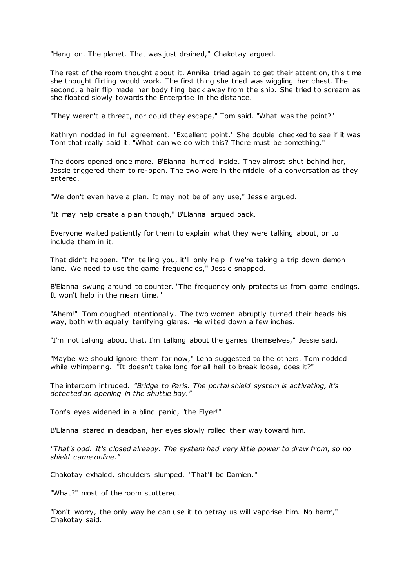"Hang on. The planet. That was just drained," Chakotay argued.

The rest of the room thought about it. Annika tried again to get their attention, this time she thought flirting would work. The first thing she tried was wiggling her chest. The second, a hair flip made her body fling back away from the ship. She tried to scream as she floated slowly towards the Enterprise in the distance.

"They weren't a threat, nor could they escape," Tom said. "What was the point?"

Kathryn nodded in full agreement. "Excellent point." She double checked to see if it was Tom that really said it. "What can we do with this? There must be something."

The doors opened once more. B'Elanna hurried inside. They almost shut behind her, Jessie triggered them to re-open. The two were in the middle of a conversation as they entered.

"We don't even have a plan. It may not be of any use," Jessie argued.

"It may help create a plan though," B'Elanna argued back.

Everyone waited patiently for them to explain what they were talking about, or to include them in it.

That didn't happen. "I'm telling you, it'll only help if we're taking a trip down demon lane. We need to use the game frequencies," Jessie snapped.

B'Elanna swung around to counter. "The frequency only protects us from game endings. It won't help in the mean time."

"Ahem!" Tom coughed intentionally. The two women abruptly turned their heads his way, both with equally terrifying glares. He wilted down a few inches.

"I'm not talking about that. I'm talking about the games themselves," Jessie said.

"Maybe we should ignore them for now," Lena suggested to the others. Tom nodded while whimpering. "It doesn't take long for all hell to break loose, does it?"

The intercom intruded. *"Bridge to Paris. The portal shield system is activating, it's detected an opening in the shuttle bay."*

Tom's eyes widened in a blind panic, "the Flyer!"

B'Elanna stared in deadpan, her eyes slowly rolled their way toward him.

*"That's odd. It's closed already. The system had very little power to draw from, so no shield came online."*

Chakotay exhaled, shoulders slumped. "That'll be Damien."

"What?" most of the room stuttered.

"Don't worry, the only way he can use it to betray us will vaporise him. No harm," Chakotay said.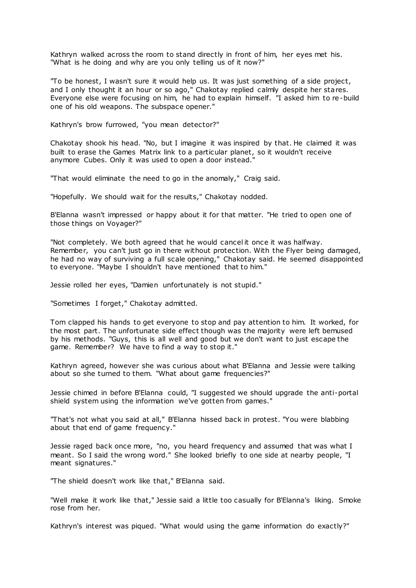Kathryn walked across the room to stand directly in front of him, her eyes met his. "What is he doing and why are you only telling us of it now?"

"To be honest, I wasn't sure it would help us. It was just something of a side project, and I only thought it an hour or so ago," Chakotay replied calmly despite her stares. Everyone else were focusing on him, he had to explain himself. "I asked him to re-build one of his old weapons. The subspace opener."

Kathryn's brow furrowed, "you mean detector?"

Chakotay shook his head. "No, but I imagine it was inspired by that. He claimed it was built to erase the Games Matrix link to a particular planet, so it wouldn't receive anymore Cubes. Only it was used to open a door instead."

"That would eliminate the need to go in the anomaly," Craig said.

"Hopefully. We should wait for the results," Chakotay nodded.

B'Elanna wasn't impressed or happy about it for that matter. "He tried to open one of those things on Voyager?"

"Not completely. We both agreed that he would cancel it once it was halfway. Remember, you can't just go in there without protection. With the Flyer being damaged, he had no way of surviving a full scale opening," Chakotay said. He seemed disappointed to everyone. "Maybe I shouldn't have mentioned that to him."

Jessie rolled her eyes, "Damien unfortunately is not stupid."

"Sometimes I forget," Chakotay admitted.

Tom clapped his hands to get everyone to stop and pay attention to him. It worked, for the most part. The unfortunate side effect though was the majority were left bemused by his methods. "Guys, this is all well and good but we don't want to just escape the game. Remember? We have to find a way to stop it."

Kathryn agreed, however she was curious about what B'Elanna and Jessie were talking about so she turned to them. "What about game frequencies?"

Jessie chimed in before B'Elanna could, "I suggested we should upgrade the anti-portal shield system using the information we've gotten from games."

"That's not what you said at all," B'Elanna hissed back in protest. "You were blabbing about that end of game frequency."

Jessie raged back once more, "no, you heard frequency and assumed that was what I meant. So I said the wrong word." She looked briefly to one side at nearby people, "I meant signatures."

"The shield doesn't work like that," B'Elanna said.

"Well make it work like that," Jessie said a little too casually for B'Elanna's liking. Smoke rose from her.

Kathryn's interest was piqued. "What would using the game information do exactly?"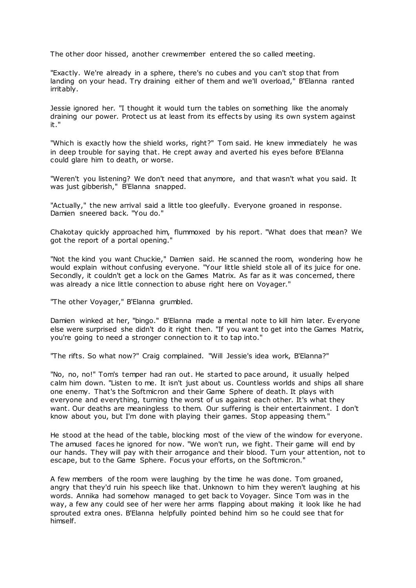The other door hissed, another crewmember entered the so called meeting.

"Exactly. We're already in a sphere, there's no cubes and you can't stop that from landing on your head. Try draining either of them and we'll overload," B'Elanna ranted irritably.

Jessie ignored her. "I thought it would turn the tables on something like the anomaly draining our power. Protect us at least from its effects by using its own system against it."

"Which is exactly how the shield works, right?" Tom said. He knew immediately he was in deep trouble for saying that. He crept away and averted his eyes before B'Elanna could glare him to death, or worse.

"Weren't you listening? We don't need that anymore, and that wasn't what you said. It was just gibberish," B'Elanna snapped.

"Actually," the new arrival said a little too gleefully. Everyone groaned in response. Damien sneered back. "You do."

Chakotay quickly approached him, flummoxed by his report. "What does that mean? We got the report of a portal opening."

"Not the kind you want Chuckie," Damien said. He scanned the room, wondering how he would explain without confusing everyone. "Your little shield stole all of its juice for one. Secondly, it couldn't get a lock on the Games Matrix. As far as it was concerned, there was already a nice little connection to abuse right here on Voyager."

"The other Voyager," B'Elanna grumbled.

Damien winked at her, "bingo." B'Elanna made a mental note to kill him later. Everyone else were surprised she didn't do it right then. "If you want to get into the Games Matrix, you're going to need a stronger connection to it to tap into."

"The rifts. So what now?" Craig complained. "Will Jessie's idea work, B'Elanna?"

"No, no, no!" Tom's temper had ran out. He started to pace around, it usually helped calm him down. "Listen to me. It isn't just about us. Countless worlds and ships all share one enemy. That's the Softmicron and their Game Sphere of death. It plays with everyone and everything, turning the worst of us against each other. It's what they want. Our deaths are meaningless to them. Our suffering is their entertainment. I don't know about you, but I'm done with playing their games. Stop appeasing them."

He stood at the head of the table, blocking most of the view of the window for everyone. The amused faces he ignored for now. "We won't run, we fight. Their game will end by our hands. They will pay with their arrogance and their blood. Turn your attention, not to escape, but to the Game Sphere. Focus your efforts, on the Softmicron."

A few members of the room were laughing by the time he was done. Tom groaned, angry that they'd ruin his speech like that. Unknown to him they weren't laughing at his words. Annika had somehow managed to get back to Voyager. Since Tom was in the way, a few any could see of her were her arms flapping about making it look like he had sprouted extra ones. B'Elanna helpfully pointed behind him so he could see that for himself.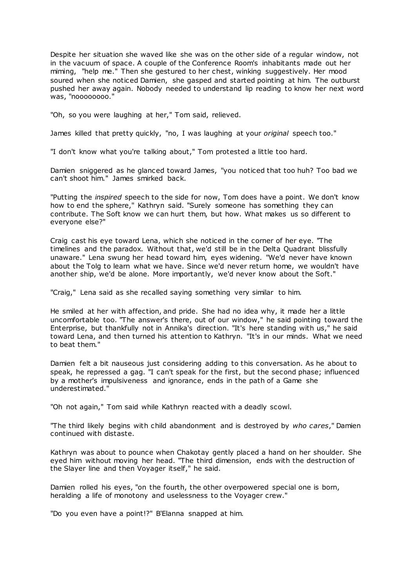Despite her situation she waved like she was on the other side of a regular window, not in the vacuum of space. A couple of the Conference Room's inhabitants made out her miming, "help me." Then she gestured to her chest, winking suggestively. Her mood soured when she noticed Damien, she gasped and started pointing at him. The outburst pushed her away again. Nobody needed to understand lip reading to know her next word was, "noooooooo."

"Oh, so you were laughing at her," Tom said, relieved.

James killed that pretty quickly, "no, I was laughing at your *original* speech too."

"I don't know what you're talking about," Tom protested a little too hard.

Damien sniggered as he glanced toward James, "you noticed that too huh? Too bad we can't shoot him." James smirked back.

"Putting the *inspired* speech to the side for now, Tom does have a point. We don't know how to end the sphere," Kathryn said. "Surely someone has something they can contribute. The Soft know we can hurt them, but how. What makes us so different to everyone else?"

Craig cast his eye toward Lena, which she noticed in the corner of her eye. "The timelines and the paradox. Without that, we'd still be in the Delta Quadrant blissfully unaware." Lena swung her head toward him, eyes widening. "We'd never have known about the Tolg to learn what we have. Since we'd never return home, we wouldn't have another ship, we'd be alone. More importantly, we'd never know about the Soft."

"Craig," Lena said as she recalled saying something very similar to him.

He smiled at her with affection, and pride. She had no idea why, it made her a little uncomfortable too. "The answer's there, out of our window," he said pointing toward the Enterprise, but thankfully not in Annika's direction. "It's here standing with us," he said toward Lena, and then turned his attention to Kathryn. "It's in our minds. What we need to beat them."

Damien felt a bit nauseous just considering adding to this conversation. As he about to speak, he repressed a gag. "I can't speak for the first, but the second phase; influenced by a mother's impulsiveness and ignorance, ends in the path of a Game she underestimated."

"Oh not again," Tom said while Kathryn reacted with a deadly scowl.

"The third likely begins with child abandonment and is destroyed by *who cares*," Damien continued with distaste.

Kathryn was about to pounce when Chakotay gently placed a hand on her shoulder. She eyed him without moving her head. "The third dimension, ends with the destruction of the Slayer line and then Voyager itself," he said.

Damien rolled his eyes, "on the fourth, the other overpowered special one is born, heralding a life of monotony and uselessness to the Voyager crew."

"Do you even have a point!?" B'Elanna snapped at him.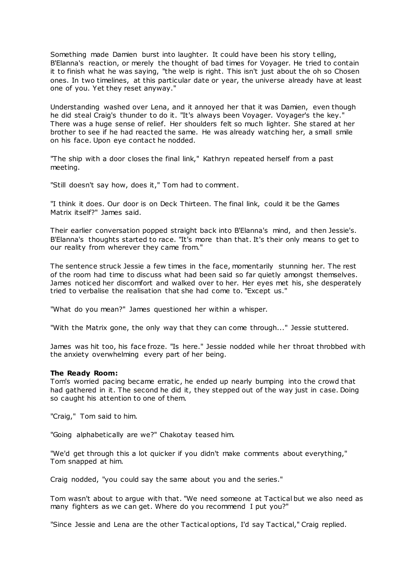Something made Damien burst into laughter. It could have been his story t elling, B'Elanna's reaction, or merely the thought of bad times for Voyager. He tried to contain it to finish what he was saying, "the welp is right. This isn't just about the oh so Chosen ones. In two timelines, at this particular date or year, the universe already have at least one of you. Yet they reset anyway."

Understanding washed over Lena, and it annoyed her that it was Damien, even though he did steal Craig's thunder to do it. "It's always been Voyager. Voyager's the key." There was a huge sense of relief. Her shoulders felt so much lighter. She stared at her brother to see if he had reacted the same. He was already watching her, a small smile on his face. Upon eye contact he nodded.

"The ship with a door closes the final link," Kathryn repeated herself from a past meeting.

"Still doesn't say how, does it," Tom had to comment.

"I think it does. Our door is on Deck Thirteen. The final link, could it be the Games Matrix itself?" James said.

Their earlier conversation popped straight back into B'Elanna's mind, and then Jessie's. B'Elanna's thoughts started to race. "It's more than that. It's their only means to get to our reality from wherever they came from."

The sentence struck Jessie a few times in the face, momentarily stunning her. The rest of the room had time to discuss what had been said so far quietly amongst themselves. James noticed her discomfort and walked over to her. Her eyes met his, she desperately tried to verbalise the realisation that she had come to. "Except us."

"What do you mean?" James questioned her within a whisper.

"With the Matrix gone, the only way that they can come through..." Jessie stuttered.

James was hit too, his face froze. "Is here." Jessie nodded while her throat throbbed with the anxiety overwhelming every part of her being.

### **The Ready Room:**

Tom's worried pacing became erratic , he ended up nearly bumping into the crowd that had gathered in it. The second he did it, they stepped out of the way just in case. Doing so caught his attention to one of them.

"Craig," Tom said to him.

"Going alphabetically are we?" Chakotay teased him.

"We'd get through this a lot quicker if you didn't make comments about everything," Tom snapped at him.

Craig nodded, "you could say the same about you and the series."

Tom wasn't about to argue with that. "We need someone at Tactical but we also need as many fighters as we can get. Where do you recommend I put you?"

"Since Jessie and Lena are the other Tactical options, I'd say Tactical," Craig replied.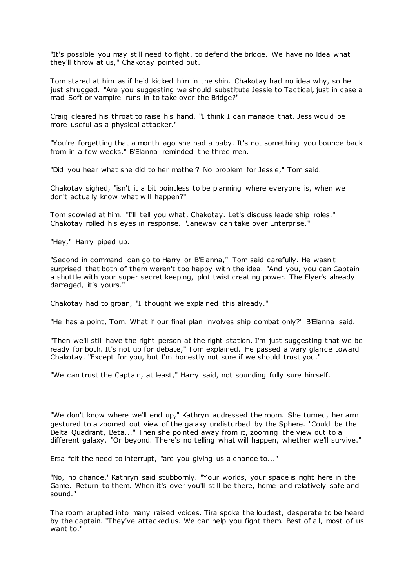"It's possible you may still need to fight, to defend the bridge. We have no idea what they'll throw at us," Chakotay pointed out.

Tom stared at him as if he'd kicked him in the shin. Chakotay had no idea why, so he just shrugged. "Are you suggesting we should substitute Jessie to Tactical, just in case a mad Soft or vampire runs in to take over the Bridge?"

Craig cleared his throat to raise his hand, "I think I can manage that. Jess would be more useful as a physical attacker."

"You're forgetting that a month ago she had a baby. It's not something you bounce back from in a few weeks," B'Elanna reminded the three men.

"Did you hear what she did to her mother? No problem for Jessie," Tom said.

Chakotay sighed, "isn't it a bit pointless to be planning where everyone is, when we don't actually know what will happen?"

Tom scowled at him. "I'll tell you what, Chakotay. Let's discuss leadership roles." Chakotay rolled his eyes in response. "Janeway can take over Enterprise."

"Hey," Harry piped up.

"Second in command can go to Harry or B'Elanna," Tom said carefully. He wasn't surprised that both of them weren't too happy with the idea. "And you, you can Captain a shuttle with your super secret keeping, plot twist creating power. The Flyer's already damaged, it's yours."

Chakotay had to groan, "I thought we explained this already."

"He has a point, Tom. What if our final plan involves ship combat only?" B'Elanna said.

"Then we'll still have the right person at the right station. I'm just suggesting that we be ready for both. It's not up for debate," Tom explained. He passed a wary glance toward Chakotay. "Except for you, but I'm honestly not sure if we should trust you."

"We can trust the Captain, at least," Harry said, not sounding fully sure himself.

"We don't know where we'll end up," Kathryn addressed the room. She turned, her arm gestured to a zoomed out view of the galaxy undisturbed by the Sphere. "Could be the Delta Quadrant, Beta..." Then she pointed away from it, zooming the view out to a different galaxy. "Or beyond. There's no telling what will happen, whether we'll survive."

Ersa felt the need to interrupt, "are you giving us a chance to..."

"No, no chance," Kathryn said stubbornly. "Your worlds, your space is right here in the Game. Return to them. When it's over you'll still be there, home and relatively safe and sound."

The room erupted into many raised voices. Tira spoke the loudest, desperate to be heard by the captain. "They've attacked us. We can help you fight them. Best of all, most of us want to."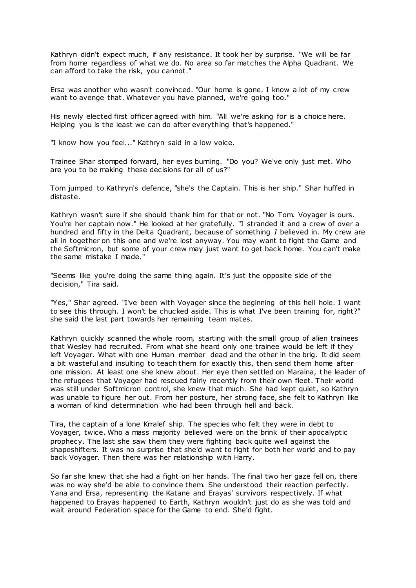Kathryn didn't expect much, if any resistance. It took her by surprise. "We will be far from home regardless of what we do. No area so far matches the Alpha Quadrant. We can afford to take the risk, you cannot."

Ersa was another who wasn't convinced. "Our home is gone. I know a lot of my crew want to avenge that. Whatever you have planned, we're going too."

His newly elected first officer agreed with him. "All we're asking for is a choice here. Helping you is the least we can do after everything that's happened."

"I know how you feel..." Kathryn said in a low voice.

Trainee Shar stomped forward, her eyes burning. "Do you? We've only just met. Who are you to be making these decisions for all of us?"

Tom jumped to Kathryn's defence, "she's the Captain. This is her ship." Shar huffed in distaste.

Kathryn wasn't sure if she should thank him for that or not. "No Tom. Voyager is ours. You're her captain now." He looked at her gratefully. "I stranded it and a crew of over a hundred and fifty in the Delta Quadrant, because of something *I* believed in. My crew are all in together on this one and we're lost anyway. You may want to fight the Game and the Softmicron, but some of your crew may just want to get back home. You can't make the same mistake I made."

"Seems like you're doing the same thing again. It's just the opposite side of the decision," Tira said.

"Yes," Shar agreed. "I've been with Voyager since the beginning of this hell hole. I want to see this through. I won't be chucked aside. This is what I've been training for, right?" she said the last part towards her remaining team mates.

Kathryn quickly scanned the whole room, starting with the small group of alien trainees that Wesley had recruited. From what she heard only one trainee would be left if they left Voyager. What with one Human member dead and the other in the brig. It did seem a bit wasteful and insulting to teach them for exactly this, then send them home after one mission. At least one she knew about. Her eye then settled on Maraina, t he leader of the refugees that Voyager had rescued fairly recently from their own fleet. Their world was still under Softmicron control, she knew that much. She had kept quiet, so Kathryn was unable to figure her out. From her posture, her strong face, she felt to Kathryn like a woman of kind determination who had been through hell and back.

Tira, the captain of a lone Krralef ship. The species who felt they were in debt to Voyager, twice. Who a mass majority believed were on the brink of their apocalyptic prophecy. The last she saw them they were fighting back quite well against the shapeshifters. It was no surprise that she'd want to fight for both her world and to pay back Voyager. Then there was her relationship with Harry.

So far she knew that she had a fight on her hands. The final two her gaze fell on, there was no way she'd be able to convince them. She understood their reaction perfectly. Yana and Ersa, representing the Katane and Erayas' survivors respectively. If what happened to Erayas happened to Earth, Kathryn wouldn't just do as she was told and wait around Federation space for the Game to end. She'd fight.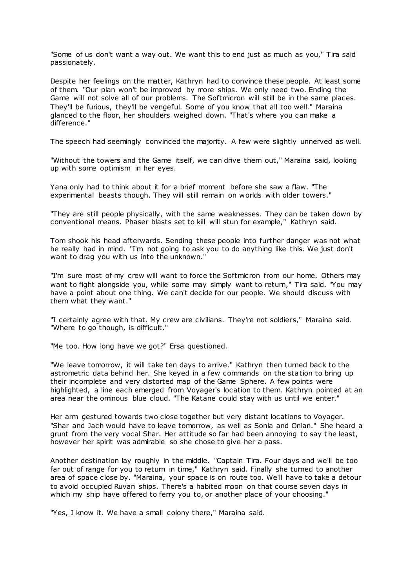"Some of us don't want a way out. We want this to end just as much as you," Tira said passionately.

Despite her feelings on the matter, Kathryn had to convince these people. At least some of them. "Our plan won't be improved by more ships. We only need two. Ending the Game will not solve all of our problems. The Softmicron will still be in the same places. They'll be furious, they'll be vengeful. Some of you know that all too well." Maraina glanced to the floor, her shoulders weighed down. "That's where you can make a difference."

The speech had seemingly convinced the majority. A few were slightly unnerved as well.

"Without the towers and the Game itself, we can drive them out," Maraina said, looking up with some optimism in her eyes.

Yana only had to think about it for a brief moment before she saw a flaw. "The experimental beasts though. They will still remain on worlds with older towers."

"They are still people physically, with the same weaknesses. They can be taken down by conventional means. Phaser blasts set to kill will stun for example," Kathryn said.

Tom shook his head afterwards. Sending these people into further danger was not what he really had in mind. "I'm not going to ask you to do anything like this. We just don't want to drag you with us into the unknown."

"I'm sure most of my crew will want to force the Softmicron from our home. Others may want to fight alongside you, while some may simply want to return," Tira said. "You may have a point about one thing. We can't decide for our people. We should discuss with them what they want."

"I certainly agree with that. My crew are civilians. They're not soldiers," Maraina said. "Where to go though, is difficult."

"Me too. How long have we got?" Ersa questioned.

"We leave tomorrow, it will take ten days to arrive." Kathryn then turned back to the astrometric data behind her. She keyed in a few commands on the station to bring up their incomplete and very distorted map of the Game Sphere. A few points were highlighted, a line each emerged from Voyager's location to them. Kathryn pointed at an area near the ominous blue cloud. "The Katane could stay with us until we enter."

Her arm gestured towards two close together but very distant locations to Voyager. "Shar and Jach would have to leave tomorrow, as well as Sonla and Onlan." She heard a grunt from the very vocal Shar. Her attitude so far had been annoying to say t he least, however her spirit was admirable so she chose to give her a pass.

Another destination lay roughly in the middle. "Captain Tira. Four days and we'll be too far out of range for you to return in time," Kathryn said. Finally she turned to another area of space close by. "Maraina, your space is on route too. We'll have to take a detour to avoid occupied Ruvan ships. There's a habited moon on that course seven days in which my ship have offered to ferry you to, or another place of your choosing."

"Yes, I know it. We have a small colony there," Maraina said.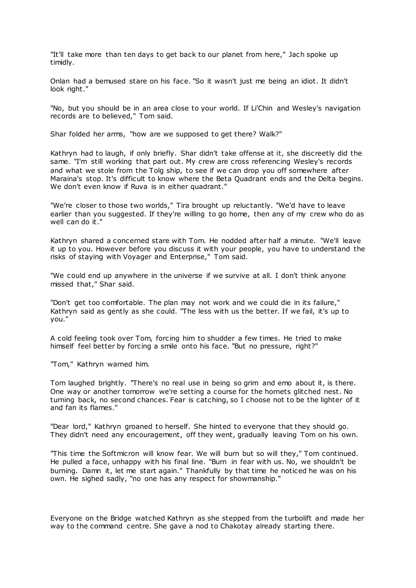"It'll take more than ten days to get back to our planet from here," Jach spoke up timidly.

Onlan had a bemused stare on his face. "So it wasn't just me being an idiot. It didn't look right."

"No, but you should be in an area close to your world. If Li'Chin and Wesley's navigation records are to believed," Tom said.

Shar folded her arms, "how are we supposed to get there? Walk?"

Kathryn had to laugh, if only briefly. Shar didn't take offense at it, she discreetly did the same. "I'm still working that part out. My crew are cross referencing Wesley's records and what we stole from the Tolg ship, to see if we can drop you off somewhere after Maraina's stop. It's difficult to know where the Beta Quadrant ends and the Delta begins. We don't even know if Ruva is in either quadrant."

"We're closer to those two worlds," Tira brought up reluctantly. "We'd have to leave earlier than you suggested. If they're willing to go home, then any of my crew who do as well can do it."

Kathryn shared a concerned stare with Tom. He nodded after half a minute. "We'll leave it up to you. However before you discuss it with your people, you have to understand the risks of staying with Voyager and Enterprise," Tom said.

"We could end up anywhere in the universe if we survive at all. I don't think anyone missed that," Shar said.

"Don't get too comfortable. The plan may not work and we could die in its failure," Kathryn said as gently as she could. "The less with us the better. If we fail, it's up to you."

A cold feeling took over Tom, forcing him to shudder a few times. He tried to make himself feel better by forcing a smile onto his face. "But no pressure, right?"

"Tom," Kathryn warned him.

Tom laughed brightly. "There's no real use in being so grim and emo about it, is there. One way or another tomorrow we're setting a course for the hornets glitched nest. No turning back, no second chances. Fear is catching, so I choose not to be the lighter of it and fan its flames."

"Dear lord," Kathryn groaned to herself. She hinted to everyone that they should go. They didn't need any encouragement, off they went, gradually leaving Tom on his own.

"This time the Softmicron will know fear. We will burn but so will they," Tom continued. He pulled a face, unhappy with his final line. "Burn in fear with us. No, we shouldn't be burning. Damn it, let me start again." Thankfully by that time he noticed he was on his own. He sighed sadly, "no one has any respect for showmanship."

Everyone on the Bridge watched Kathryn as she stepped from the turbolift and made her way to the command centre. She gave a nod to Chakotay already starting there.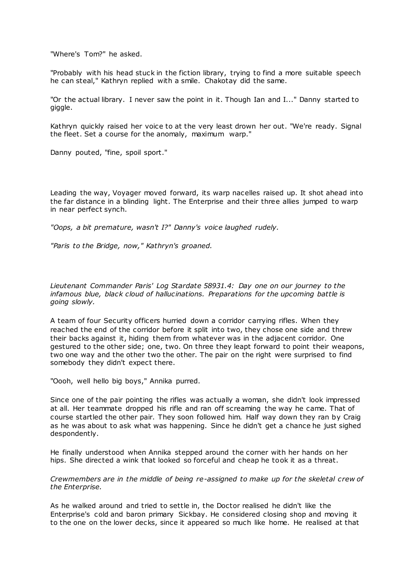"Where's Tom?" he asked.

"Probably with his head stuck in the fiction library, trying to find a more suitable speech he can steal," Kathryn replied with a smile. Chakotay did the same.

"Or the actual library. I never saw the point in it. Though Ian and I..." Danny started to giggle.

Kathryn quickly raised her voice to at the very least drown her out. "We're ready. Signal the fleet. Set a course for the anomaly, maximum warp."

Danny pouted, "fine, spoil sport."

Leading the way, Voyager moved forward, its warp nacelles raised up. It shot ahead into the far distance in a blinding light. The Enterprise and their three allies jumped to warp in near perfect synch.

*"Oops, a bit premature, wasn't I?" Danny's voice laughed rudely.*

*"Paris to the Bridge, now," Kathryn's groaned.*

*Lieutenant Commander Paris' Log Stardate 58931.4: Day one on our journey to the infamous blue, black cloud of hallucinations. Preparations for the upcoming battle is going slowly.*

A team of four Security officers hurried down a corridor carrying rifles. When they reached the end of the corridor before it split into two, they chose one side and threw their backs against it, hiding them from whatever was in the adjacent corridor. One gestured to the other side; one, two. On three they leapt forward to point their weapons, two one way and the other two the other. The pair on the right were surprised to find somebody they didn't expect there.

"Oooh, well hello big boys," Annika purred.

Since one of the pair pointing the rifles was actually a woman, she didn't look impressed at all. Her teammate dropped his rifle and ran off screaming the way he came. That of course startled the other pair. They soon followed him. Half way down they ran by Craig as he was about to ask what was happening. Since he didn't get a chance he just sighed despondently.

He finally understood when Annika stepped around the corner with her hands on her hips. She directed a wink that looked so forceful and cheap he took it as a threat.

*Crewmembers are in the middle of being re-assigned to make up for the skeletal crew of the Enterprise.*

As he walked around and tried to settle in, the Doctor realised he didn't like the Enterprise's cold and baron primary Sickbay. He considered closing shop and moving it to the one on the lower decks, since it appeared so much like home. He realised at that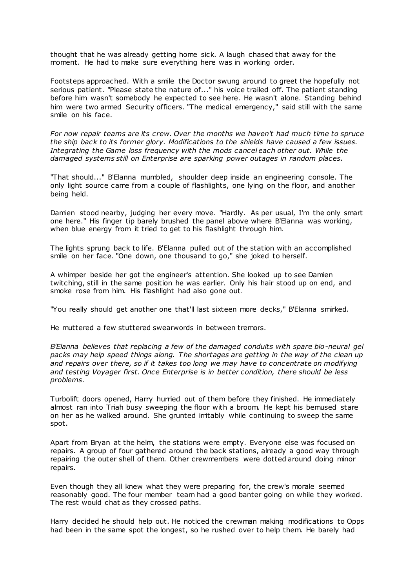thought that he was already getting home sick. A laugh chased that away for the moment. He had to make sure everything here was in working order.

Footsteps approached. With a smile the Doctor swung around to greet the hopefully not serious patient. "Please state the nature of..." his voice trailed off. The patient standing before him wasn't somebody he expected to see here. He wasn't alone. Standing behind him were two armed Security officers. "The medical emergency," said still with the same smile on his face.

*For now repair teams are its crew. Over the months we haven't had much time to spruce the ship back to its former glory. Modifications to the shields have caused a few issues. Integrating the Game loss frequency with the mods cancel each other out. While the damaged systems still on Enterprise are sparking power outages in random places.*

"That should..." B'Elanna mumbled, shoulder deep inside an engineering console. The only light source came from a couple of flashlights, one lying on the floor, and another being held.

Damien stood nearby, judging her every move. "Hardly. As per usual, I'm the only smart one here." His finger tip barely brushed the panel above where B'Elanna was working, when blue energy from it tried to get to his flashlight through him.

The lights sprung back to life. B'Elanna pulled out of the station with an accomplished smile on her face. "One down, one thousand to go," she joked to herself.

A whimper beside her got the engineer's attention. She looked up to see Damien twitching, still in the same position he was earlier. Only his hair stood up on end, and smoke rose from him. His flashlight had also gone out.

"You really should get another one that'll last sixteen more decks," B'Elanna smirked.

He muttered a few stuttered swearwords in between tremors.

*B'Elanna believes that replacing a few of the damaged conduits with spare bio-neural gel packs may help speed things along. The shortages are getting in the way of the clean up and repairs over there, so if it takes too long we may have to concentrate on modifying and testing Voyager first. Once Enterprise is in better condition, there should be less problems.*

Turbolift doors opened, Harry hurried out of them before they finished. He immediately almost ran into Triah busy sweeping the floor with a broom. He kept his bemused stare on her as he walked around. She grunted irritably while continuing to sweep the same spot.

Apart from Bryan at the helm, the stations were empty. Everyone else was focused on repairs. A group of four gathered around the back stations, already a good way through repairing the outer shell of them. Other crewmembers were dotted around doing minor repairs.

Even though they all knew what they were preparing for, the crew's morale seemed reasonably good. The four member team had a good banter going on while they worked. The rest would chat as they crossed paths.

Harry decided he should help out. He noticed the c rewman making modifications to Opps had been in the same spot the longest, so he rushed over to help them. He barely had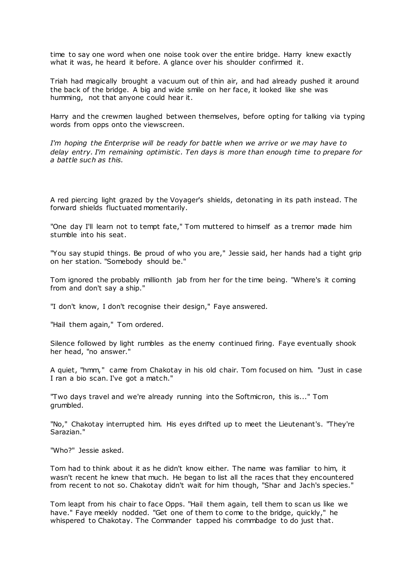time to say one word when one noise took over the entire bridge. Harry knew exactly what it was, he heard it before. A glance over his shoulder confirmed it.

Triah had magically brought a vacuum out of thin air, and had already pushed it around the back of the bridge. A big and wide smile on her face, it looked like she was humming, not that anyone could hear it.

Harry and the crewmen laughed between themselves, before opting for talking via typing words from opps onto the viewscreen.

*I'm hoping the Enterprise will be ready for battle when we arrive or we may have to delay entry. I'm remaining optimistic . Ten days is more than enough time to prepare for a battle such as this.*

A red piercing light grazed by the Voyager's shields, detonating in its path instead. The forward shields fluctuated momentarily.

"One day I'll learn not to tempt fate," Tom muttered to himself as a tremor made him stumble into his seat.

"You say stupid things. Be proud of who you are," Jessie said, her hands had a tight grip on her station. "Somebody should be."

Tom ignored the probably millionth jab from her for the time being. "Where's it coming from and don't say a ship."

"I don't know, I don't recognise their design," Faye answered.

"Hail them again," Tom ordered.

Silence followed by light rumbles as the enemy continued firing. Faye eventually shook her head, "no answer."

A quiet, "hmm," came from Chakotay in his old chair. Tom focused on him. "Just in case I ran a bio scan. I've got a match."

"Two days travel and we're already running into the Softmicron, this is..." Tom grumbled.

"No," Chakotay interrupted him. His eyes drifted up to meet the Lieutenant's. "They're Sarazian."

"Who?" Jessie asked.

Tom had to think about it as he didn't know either. The name was familiar to him, it wasn't recent he knew that much. He began to list all the races that they encountered from recent to not so. Chakotay didn't wait for him though, "Shar and Jach's species."

Tom leapt from his chair to face Opps. "Hail them again, tell them to scan us like we have." Faye meekly nodded. "Get one of them to come to the bridge, quickly," he whispered to Chakotay. The Commander tapped his commbadge to do just that.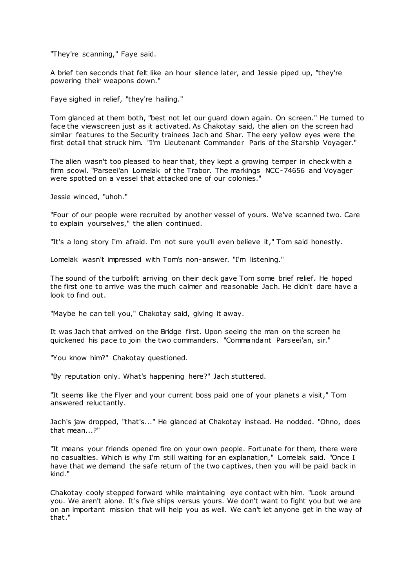"They're scanning," Faye said.

A brief ten seconds that felt like an hour silence later, and Jessie piped up, "they're powering their weapons down."

Faye sighed in relief, "they're hailing."

Tom glanced at them both, "best not let our guard down again. On screen." He turned to face the viewscreen just as it activated. As Chakotay said, the alien on the screen had similar features to the Security trainees Jach and Shar. The eery yellow eyes were the first detail that struck him. "I'm Lieutenant Commander Paris of the Starship Voyager."

The alien wasn't too pleased to hear that, they kept a growing temper in check with a firm scowl. "Parseei'an Lomelak of the Trabor. The markings NCC-74656 and Voyager were spotted on a vessel that attacked one of our colonies."

Jessie winced, "uhoh."

"Four of our people were recruited by another vessel of yours. We've scanned two. Care to explain yourselves," the alien continued.

"It's a long story I'm afraid. I'm not sure you'll even believe it," Tom said honestly.

Lomelak wasn't impressed with Tom's non-answer. "I'm listening."

The sound of the turbolift arriving on their deck gave Tom some brief relief. He hoped the first one to arrive was the much calmer and reasonable Jach. He didn't dare have a look to find out.

"Maybe he can tell you," Chakotay said, giving it away.

It was Jach that arrived on the Bridge first. Upon seeing the man on the screen he quickened his pace to join the two commanders. "Commandant Parseei'an, sir."

"You know him?" Chakotay questioned.

"By reputation only. What's happening here?" Jach stuttered.

"It seems like the Flyer and your current boss paid one of your planets a visit," Tom answered reluctantly.

Jach's jaw dropped, "that's..." He glanced at Chakotay instead. He nodded. "Ohno, does that mean...?"

"It means your friends opened fire on your own people. Fortunate for them, there were no casualties. Which is why I'm still waiting for an explanation," Lomelak said. "Once I have that we demand the safe return of the two captives, then you will be paid back in kind."

Chakotay cooly stepped forward while maintaining eye contact with him. "Look around you. We aren't alone. It's five ships versus yours. We don't want to fight you but we are on an important mission that will help you as well. We can't let anyone get in the way of that."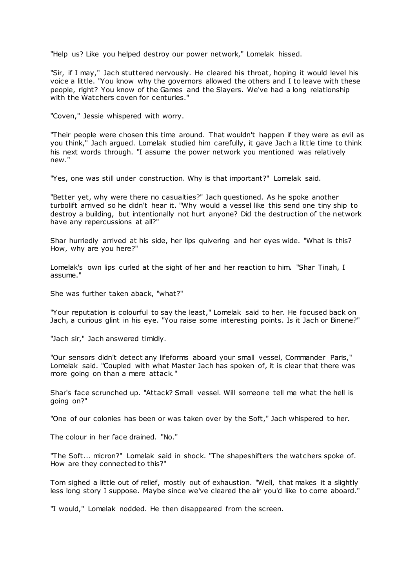"Help us? Like you helped destroy our power network," Lomelak hissed.

"Sir, if I may," Jach stuttered nervously. He cleared his throat, hoping it would level his voice a little. "You know why the governors allowed the others and I to leave with these people, right? You know of the Games and the Slayers. We've had a long relationship with the Watchers coven for centuries."

"Coven," Jessie whispered with worry.

"Their people were chosen this time around. That wouldn't happen if they were as evil as you think," Jach argued. Lomelak studied him carefully, it gave Jach a little time to think his next words through. "I assume the power network you mentioned was relatively new."

"Yes, one was still under construction. Why is that important?" Lomelak said.

"Better yet, why were there no casualties?" Jach questioned. As he spoke another turbolift arrived so he didn't hear it. "Why would a vessel like this send one tiny ship to destroy a building, but intentionally not hurt anyone? Did the destruction of the network have any repercussions at all?"

Shar hurriedly arrived at his side, her lips quivering and her eyes wide. "What is this? How, why are you here?"

Lomelak's own lips curled at the sight of her and her reaction to him. "Shar Tinah, I assume."

She was further taken aback, "what?"

"Your reputation is colourful to say the least," Lomelak said to her. He focused back on Jach, a curious glint in his eye. "You raise some interesting points. Is it Jach or Binene?"

"Jach sir," Jach answered timidly.

"Our sensors didn't detect any lifeforms aboard your small vessel, Commander Paris," Lomelak said. "Coupled with what Master Jach has spoken of, it is clear that there was more going on than a mere attack."

Shar's face scrunched up. "Attack? Small vessel. Will someone tell me what the hell is going on?"

"One of our colonies has been or was taken over by the Soft," Jach whispered to her.

The colour in her face drained. "No."

"The Soft... micron?" Lomelak said in shock. "The shapeshifters the watchers spoke of. How are they connected to this?"

Tom sighed a little out of relief, mostly out of exhaustion. "Well, that makes it a slightly less long story I suppose. Maybe since we've cleared the air you'd like to come aboard."

"I would," Lomelak nodded. He then disappeared from the screen.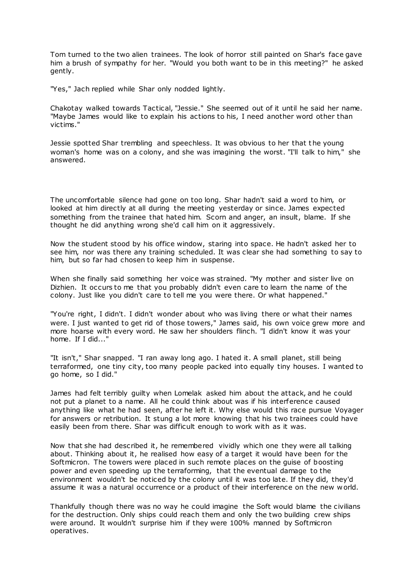Tom turned to the two alien trainees. The look of horror still painted on Shar's face gave him a brush of sympathy for her. "Would you both want to be in this meeting?" he asked gently.

"Yes," Jach replied while Shar only nodded lightly.

Chakotay walked towards Tactical, "Jessie." She seemed out of it until he said her name. "Maybe James would like to explain his actions to his, I need another word other than victims."

Jessie spotted Shar trembling and speechless. It was obvious to her that t he young woman's home was on a colony, and she was imagining the worst. "I'll talk to him," she answered.

The uncomfortable silence had gone on too long. Shar hadn't said a word to him, or looked at him directly at all during the meeting yesterday or since. James expected something from the trainee that hated him. Scorn and anger, an insult, blame. If she thought he did anything wrong she'd call him on it aggressively.

Now the student stood by his office window, staring into space. He hadn't asked her to see him, nor was there any training scheduled. It was clear she had something to say to him, but so far had chosen to keep him in suspense.

When she finally said something her voice was strained. "My mother and sister live on Dizhien. It occurs to me that you probably didn't even care to learn the name of the colony. Just like you didn't care to tell me you were there. Or what happened."

"You're right, I didn't. I didn't wonder about who was living there or what their names were. I just wanted to get rid of those towers," James said, his own voice grew more and more hoarse with every word. He saw her shoulders flinch. "I didn't know it was your home. If I did..."

"It isn't," Shar snapped. "I ran away long ago. I hated it. A small planet, still being terraformed, one tiny city, too many people packed into equally tiny houses. I wanted to go home, so I did."

James had felt terribly guilty when Lomelak asked him about the attack, and he could not put a planet to a name. All he could think about was if his interference caused anything like what he had seen, after he left it. Why else would this race pursue Voyager for answers or retribution. It stung a lot more knowing that his two trainees could have easily been from there. Shar was difficult enough to work with as it was.

Now that she had described it, he remembered vividly which one they were all talking about. Thinking about it, he realised how easy of a target it would have been for the Softmicron. The towers were placed in such remote places on the guise of boosting power and even speeding up the terraforming, that the eventual damage to the environment wouldn't be noticed by the colony until it was too late. If they did, they'd assume it was a natural occurrence or a product of their interference on the new w orld.

Thankfully though there was no way he could imagine the Soft would blame the civilians for the destruction. Only ships could reach them and only the two building crew ships were around. It wouldn't surprise him if they were 100% manned by Softmicron operatives.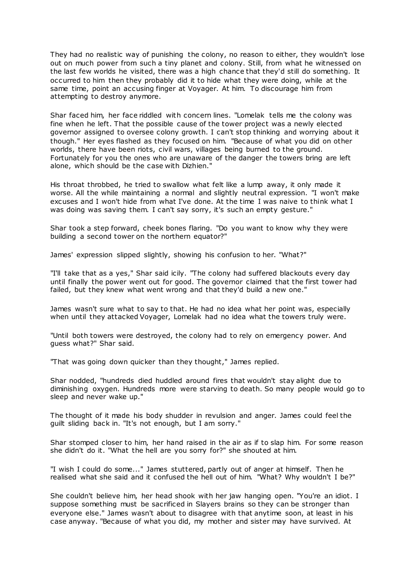They had no realistic way of punishing the colony, no reason to either, they wouldn't lose out on much power from such a tiny planet and colony. Still, from what he witnessed on the last few worlds he visited, there was a high chance that they'd still do something. It occurred to him then they probably did it to hide what they were doing, while at the same time, point an accusing finger at Voyager. At him. To discourage him from attempting to destroy anymore.

Shar faced him, her face riddled with concern lines. "Lomelak tells me the colony was fine when he left. That the possible cause of the tower project was a newly elected governor assigned to oversee colony growth. I can't stop thinking and worrying about it though." Her eyes flashed as they focused on him. "Because of what you did on other worlds, there have been riots, civil wars, villages being burned to the ground. Fortunately for you the ones who are unaware of the danger the towers bring are left alone, which should be the case with Dizhien."

His throat throbbed, he tried to swallow what felt like a lump away, it only made it worse. All the while maintaining a normal and slightly neutral expression. "I won't make excuses and I won't hide from what I've done. At the time I was naive to think what I was doing was saving them. I can't say sorry, it's such an empty gesture."

Shar took a step forward, cheek bones flaring. "Do you want to know why they were building a second tower on the northern equator?"

James' expression slipped slightly, showing his confusion to her. "What?"

"I'll take that as a yes," Shar said icily. "The colony had suffered blackouts every day until finally the power went out for good. The governor claimed that the first tower had failed, but they knew what went wrong and that they'd build a new one."

James wasn't sure what to say to that. He had no idea what her point was, especially when until they attacked Voyager, Lomelak had no idea what the towers truly were.

"Until both towers were destroyed, the colony had to rely on emergency power. And guess what?" Shar said.

"That was going down quicker than they thought," James replied.

Shar nodded, "hundreds died huddled around fires that wouldn't stay alight due to diminishing oxygen. Hundreds more were starving to death. So many people would go to sleep and never wake up."

The thought of it made his body shudder in revulsion and anger. James could feel the guilt sliding back in. "It's not enough, but I am sorry."

Shar stomped closer to him, her hand raised in the air as if to slap him. For some reason she didn't do it. "What the hell are you sorry for?" she shouted at him.

"I wish I could do some..." James stuttered, partly out of anger at himself. Then he realised what she said and it confused the hell out of him. "What? Why wouldn't I be?"

She couldn't believe him, her head shook with her jaw hanging open. "You're an idiot. I suppose something must be sacrificed in Slayers brains so they can be stronger than everyone else." James wasn't about to disagree with that anytime soon, at least in his case anyway. "Because of what you did, my mother and sister may have survived. At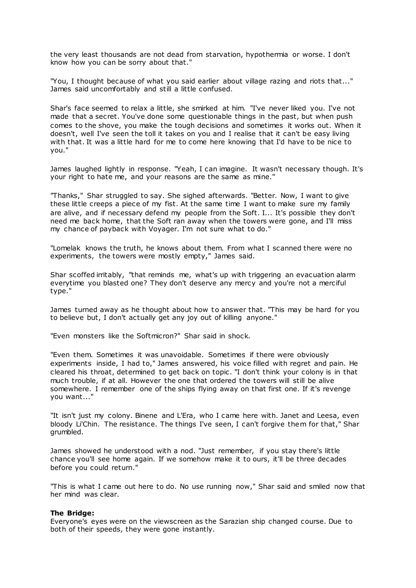the very least thousands are not dead from starvation, hypothermia or worse. I don't know how you can be sorry about that."

"You, I thought because of what you said earlier about village razing and riots that..." James said uncomfortably and still a little confused.

Shar's face seemed to relax a little, she smirked at him. "I've never liked you. I've not made that a secret. You've done some questionable things in the past, but when push comes to the shove, you make the tough decisions and sometimes it works out. When it doesn't, well I've seen the toll it takes on you and I realise that it can't be easy living with that. It was a little hard for me to come here knowing that I'd have to be nice to you."

James laughed lightly in response. "Yeah, I can imagine. It wasn't necessary though. It's your right to hate me, and your reasons are the same as mine."

"Thanks," Shar struggled to say. She sighed afterwards. "Better. Now, I want to give these little creeps a piece of my fist. At the same time I want to make sure my family are alive, and if necessary defend my people from the Soft. I... It's possible they don't need me back home, that the Soft ran away when the towers were gone, and I'll miss my chance of payback with Voyager. I'm not sure what to do."

"Lomelak knows the truth, he knows about them. From what I scanned there were no experiments, the towers were mostly empty," James said.

Shar scoffed irritably, "that reminds me, what's up with triggering an evacuation alarm everytime you blasted one? They don't deserve any mercy and you're not a merciful type."

James turned away as he thought about how to answer that. "This may be hard for you to believe but, I don't actually get any joy out of killing anyone."

"Even monsters like the Softmicron?" Shar said in shock.

"Even them. Sometimes it was unavoidable. Sometimes if there were obviously experiments inside, I had to," James answered, his voice filled with regret and pain. He cleared his throat, determined to get back on topic . "I don't think your colony is in that much trouble, if at all. However the one that ordered the towers will still be alive somewhere. I remember one of the ships flying away on that first one. If it's revenge you want..."

"It isn't just my colony. Binene and L'Era, who I came here with. Janet and Leesa, even bloody Li'Chin. The resistance. The things I've seen, I can't forgive them for that," Shar grumbled.

James showed he understood with a nod. "Just remember, if you stay there's little chance you'll see home again. If we somehow make it to ours, it'll be three decades before you could return."

"This is what I came out here to do. No use running now," Shar said and smiled now that her mind was clear.

### **The Bridge:**

Everyone's eyes were on the viewscreen as the Sarazian ship changed course. Due to both of their speeds, they were gone instantly.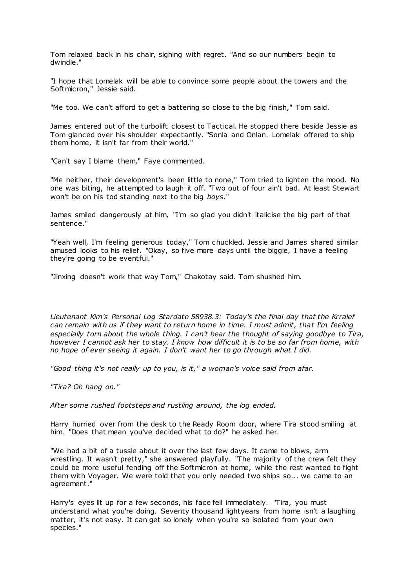Tom relaxed back in his chair, sighing with regret. "And so our numbers begin to dwindle."

"I hope that Lomelak will be able to convince some people about the towers and the Softmicron," Jessie said.

"Me too. We can't afford to get a battering so close to the big finish," Tom said.

James entered out of the turbolift closest to Tactical. He stopped there beside Jessie as Tom glanced over his shoulder expectantly. "Sonla and Onlan. Lomelak offered to ship them home, it isn't far from their world."

"Can't say I blame them," Faye commented.

"Me neither, their development's been little to none," Tom tried to lighten the mood. No one was biting, he attempted to laugh it off. "Two out of four ain't bad. At least Stewart won't be on his tod standing next to the big *boys*."

James smiled dangerously at him, "I'm so glad you didn't italicise the big part of that sentence."

"Yeah well, I'm feeling generous today," Tom chuckled. Jessie and James shared similar amused looks to his relief. "Okay, so five more days until the biggie, I have a feeling they're going to be eventful."

"Jinxing doesn't work that way Tom," Chakotay said. Tom shushed him.

*Lieutenant Kim's Personal Log Stardate 58938.3: Today's the final day that the Krralef can remain with us if they want to return home in time. I must admit, that I'm feeling especially torn about the whole thing. I can't bear the thought of saying goodbye to Tira, however I cannot ask her to stay. I know how difficult it is to be so far from home, with no hope of ever seeing it again. I don't want her to go through what I did.*

*"Good thing it's not really up to you, is it," a woman's voice said from afar.*

*"Tira? Oh hang on."*

*After some rushed footsteps and rustling around, the log ended.*

Harry hurried over from the desk to the Ready Room door, where Tira stood smiling at him. "Does that mean you've decided what to do?" he asked her.

"We had a bit of a tussle about it over the last few days. It came to blows, arm wrestling. It wasn't pretty," she answered playfully. "The majority of the crew felt they could be more useful fending off the Softmicron at home, while the rest wanted to fight them with Voyager. We were told that you only needed two ships so... we came to an agreement."

Harry's eyes lit up for a few seconds, his face fell immediately. "Tira, you must understand what you're doing. Seventy thousand lightyears from home isn't a laughing matter, it's not easy. It can get so lonely when you're so isolated from your own species."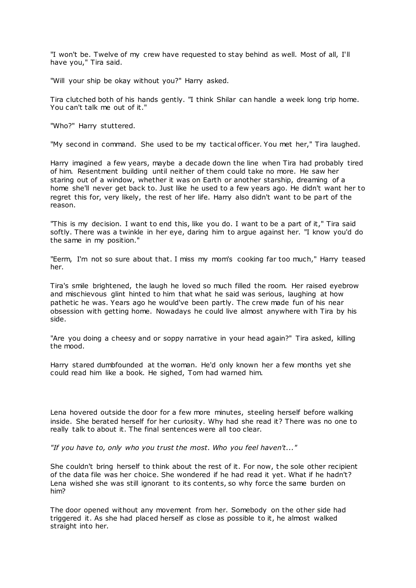"I won't be. Twelve of my crew have requested to stay behind as well. Most of all, I'll have you," Tira said.

"Will your ship be okay without you?" Harry asked.

Tira clutched both of his hands gently. "I think Shilar can handle a week long trip home. You can't talk me out of it."

"Who?" Harry stuttered.

"My second in command. She used to be my tactical officer. You met her," Tira laughed.

Harry imagined a few years, maybe a decade down the line when Tira had probably tired of him. Resentment building until neither of them could take no more. He saw her staring out of a window, whether it was on Earth or another starship, dreaming of a home she'll never get back to. Just like he used to a few years ago. He didn't want her to regret this for, very likely, the rest of her life. Harry also didn't want to be part of the reason.

"This is my decision. I want to end this, like you do. I want to be a part of it," Tira said softly. There was a twinkle in her eye, daring him to argue against her. "I know you'd do the same in my position."

"Eerm, I'm not so sure about that. I miss my mom's cooking far too much," Harry teased her.

Tira's smile brightened, the laugh he loved so much filled the room. Her raised eyebrow and mischievous glint hinted to him that what he said was serious, laughing at how pathetic he was. Years ago he would've been partly. The crew made fun of his near obsession with getting home. Nowadays he could live almost anywhere with Tira by his side.

"Are you doing a cheesy and or soppy narrative in your head again?" Tira asked, killing the mood.

Harry stared dumbfounded at the woman. He'd only known her a few months yet she could read him like a book. He sighed, Tom had warned him.

Lena hovered outside the door for a few more minutes, steeling herself before walking inside. She berated herself for her curiosity. Why had she read it? There was no one to really talk to about it. The final sentences were all too clear.

*"If you have to, only who you trust the most. Who you feel haven't..."*

She couldn't bring herself to think about the rest of it. For now, the sole other recipient of the data file was her choice. She wondered if he had read it yet. What if he hadn't? Lena wished she was still ignorant to its contents, so why force the same burden on him?

The door opened without any movement from her. Somebody on the other side had triggered it. As she had placed herself as close as possible to it, he almost walked straight into her.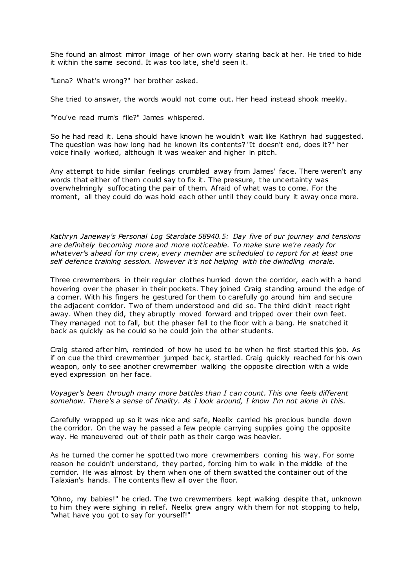She found an almost mirror image of her own worry staring back at her. He tried to hide it within the same second. It was too late, she'd seen it.

"Lena? What's wrong?" her brother asked.

She tried to answer, the words would not come out. Her head instead shook meekly.

"You've read mum's file?" James whispered.

So he had read it. Lena should have known he wouldn't wait like Kathryn had suggested. The question was how long had he known its contents? "It doesn't end, does it?" her voice finally worked, although it was weaker and higher in pitch.

Any attempt to hide similar feelings crumbled away from James' face. There weren't any words that either of them could say to fix it. The pressure, the uncertainty was overwhelmingly suffocating the pair of them. Afraid of what was to come. For the moment, all they could do was hold each other until they could bury it away once more.

*Kathryn Janeway's Personal Log Stardate 58940.5: Day five of our journey and tensions are definitely becoming more and more noticeable. To make sure we're ready for whatever's ahead for my crew, every member are scheduled to report for at least one self defence training session. However it's not helping with the dwindling morale.*

Three crewmembers in their regular clothes hurried down the corridor, each with a hand hovering over the phaser in their pockets. They joined Craig standing around the edge of a corner. With his fingers he gestured for them to carefully go around him and secure the adjacent corridor. Two of them understood and did so. The third didn't react right away. When they did, they abruptly moved forward and tripped over their own feet. They managed not to fall, but the phaser fell to the floor with a bang. He snatched it back as quickly as he could so he could join the other students.

Craig stared after him, reminded of how he used to be when he first started this job. As if on cue the third crewmember jumped back, startled. Craig quickly reached for his own weapon, only to see another crewmember walking the opposite direction with a wide eyed expression on her face.

*Voyager's been through many more battles than I can count. This one feels different somehow. There's a sense of finality. As I look around, I know I'm not alone in this.*

Carefully wrapped up so it was nice and safe, Neelix carried his precious bundle down the corridor. On the way he passed a few people carrying supplies going the opposite way. He maneuvered out of their path as their cargo was heavier.

As he turned the corner he spotted two more crewmembers coming his way. For some reason he couldn't understand, they parted, forcing him to walk in the middle of the corridor. He was almost by them when one of them swatted the container out of the Talaxian's hands. The contents flew all over the floor.

"Ohno, my babies!" he cried. The two crewmembers kept walking despite that, unknown to him they were sighing in relief. Neelix grew angry with them for not stopping to help, "what have you got to say for yourself!"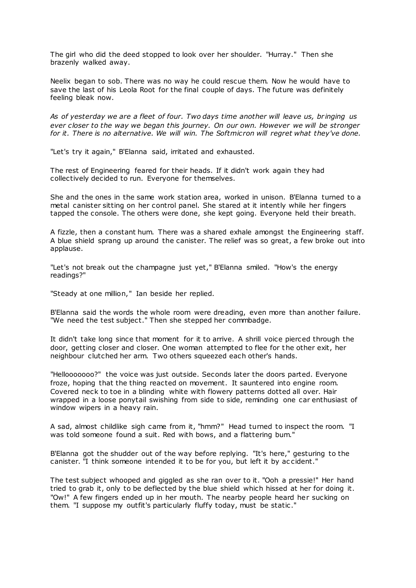The girl who did the deed stopped to look over her shoulder. "Hurray." Then she brazenly walked away.

Neelix began to sob. There was no way he could rescue them. Now he would have to save the last of his Leola Root for the final couple of days. The future was definitely feeling bleak now.

*As of yesterday we are a fleet of four. Two days time another will leave us, br inging us ever closer to the way we began this journey. On our own. However we will be stronger for it. There is no alternative. We will win. The Softmicron will regret what they've done.*

"Let's try it again," B'Elanna said, irritated and exhausted.

The rest of Engineering feared for their heads. If it didn't work again they had collectively decided to run. Everyone for themselves.

She and the ones in the same work station area, worked in unison. B'Elanna turned to a metal canister sitting on her control panel. She stared at it intently while her fingers tapped the console. The others were done, she kept going. Everyone held their breath.

A fizzle, then a constant hum. There was a shared exhale amongst the Engineering staff. A blue shield sprang up around the canister. The relief was so great, a few broke out into applause.

"Let's not break out the champagne just yet," B'Elanna smiled. "How's the energy readings?"

"Steady at one million," Ian beside her replied.

B'Elanna said the words the whole room were dreading, even more than another failure. "We need the test subject." Then she stepped her commbadge.

It didn't take long since that moment for it to arrive. A shrill voice pierced through the door, getting closer and closer. One woman attempted to flee for the other exit, her neighbour clutched her arm. Two others squeezed each other's hands.

"Hellooooooo?" the voice was just outside. Seconds later the doors parted. Everyone froze, hoping that the thing reacted on movement. It sauntered into engine room. Covered neck to toe in a blinding white with flowery patterns dotted all over. Hair wrapped in a loose ponytail swishing from side to side, reminding one car enthusiast of window wipers in a heavy rain.

A sad, almost childlike sigh came from it, "hmm?" Head turned to inspect the room. "I was told someone found a suit. Red with bows, and a flattering bum."

B'Elanna got the shudder out of the way before replying. "It's here," gesturing to the canister. "I think someone intended it to be for you, but left it by ac cident."

The test subject whooped and giggled as she ran over to it. "Ooh a pressie!" Her hand tried to grab it, only to be deflected by the blue shield which hissed at her for doing it. "Ow!" A few fingers ended up in her mouth. The nearby people heard her sucking on them. "I suppose my outfit's particularly fluffy today, must be static ."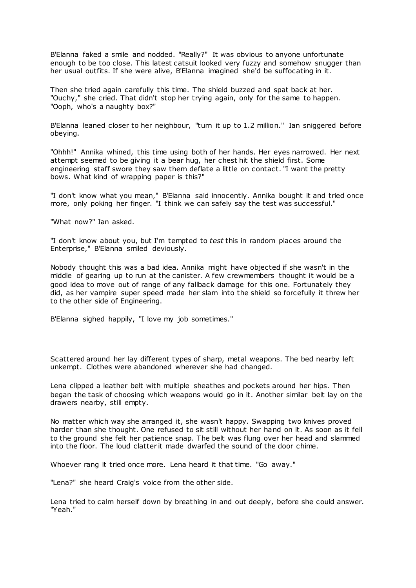B'Elanna faked a smile and nodded. "Really?" It was obvious to anyone unfortunate enough to be too close. This latest catsuit looked very fuzzy and somehow snugger than her usual outfits. If she were alive, B'Elanna imagined she'd be suffocating in it.

Then she tried again carefully this time. The shield buzzed and spat back at her. "Ouchy," she cried. That didn't stop her trying again, only for the same to happen. "Ooph, who's a naughty box?"

B'Elanna leaned closer to her neighbour, "turn it up to 1.2 million." Ian sniggered before obeying.

"Ohhh!" Annika whined, this time using both of her hands. Her eyes narrowed. Her next attempt seemed to be giving it a bear hug, her chest hit the shield first. Some engineering staff swore they saw them deflate a little on contact. "I want the pretty bows. What kind of wrapping paper is this?"

"I don't know what you mean," B'Elanna said innocently. Annika bought it and tried once more, only poking her finger. "I think we can safely say the test was successful."

"What now?" Ian asked.

"I don't know about you, but I'm tempted to *test* this in random places around the Enterprise," B'Elanna smiled deviously.

Nobody thought this was a bad idea. Annika might have objected if she wasn't in the middle of gearing up to run at the canister. A few crewmembers thought it would be a good idea to move out of range of any fallback damage for this one. Fortunately they did, as her vampire super speed made her slam into the shield so forcefully it threw her to the other side of Engineering.

B'Elanna sighed happily, "I love my job sometimes."

Scattered around her lay different types of sharp, metal weapons. The bed nearby left unkempt. Clothes were abandoned wherever she had changed.

Lena clipped a leather belt with multiple sheathes and pockets around her hips. Then began the task of choosing which weapons would go in it. Another similar belt lay on the drawers nearby, still empty.

No matter which way she arranged it, she wasn't happy. Swapping two knives proved harder than she thought. One refused to sit still without her hand on it. As soon as it fell to the ground she felt her patience snap. The belt was flung over her head and slammed into the floor. The loud clatter it made dwarfed the sound of the door chime.

Whoever rang it tried once more. Lena heard it that time. "Go away."

"Lena?" she heard Craig's voice from the other side.

Lena tried to calm herself down by breathing in and out deeply, before she could answer. "Yeah."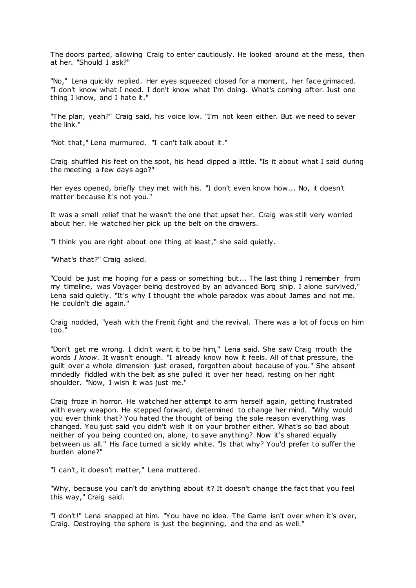The doors parted, allowing Craig to enter cautiously. He looked around at the mess, then at her. "Should I ask?"

"No," Lena quickly replied. Her eyes squeezed closed for a moment, her face grimaced. "I don't know what I need. I don't know what I'm doing. What's coming after. Just one thing I know, and I hate it."

"The plan, yeah?" Craig said, his voice low. "I'm not keen either. But we need to sever the link."

"Not that," Lena murmured. "I can't talk about it."

Craig shuffled his feet on the spot, his head dipped a little. "Is it about what I said during the meeting a few days ago?"

Her eyes opened, briefly they met with his. "I don't even know how... No, it doesn't matter because it's not you."

It was a small relief that he wasn't the one that upset her. Craig was still very worried about her. He watched her pick up the belt on the drawers.

"I think you are right about one thing at least," she said quietly.

"What's that?" Craig asked.

"Could be just me hoping for a pass or something but... The last thing I remember from my timeline, was Voyager being destroyed by an advanced Borg ship. I alone survived," Lena said quietly. "It's why I thought the whole paradox was about James and not me. He couldn't die again."

Craig nodded, "yeah with the Frenit fight and the revival. There was a lot of focus on him too."

"Don't get me wrong. I didn't want it to be him," Lena said. She saw Craig mouth the words *I know*. It wasn't enough. "I already know how it feels. All of that pressure, the guilt over a whole dimension just erased, forgotten about because of you." She absent mindedly fiddled with the belt as she pulled it over her head, resting on her right shoulder. "Now, I wish it was just me."

Craig froze in horror. He watched her attempt to arm herself again, getting frustrated with every weapon. He stepped forward, determined to change her mind. "Why would you ever think that? You hated the thought of being the sole reason everything was changed. You just said you didn't wish it on your brother either. What's so bad about neither of you being counted on, alone, to save anything? Now it's shared equally between us all." His face turned a sickly white. "Is that why? You'd prefer to suffer the burden alone?"

"I can't, it doesn't matter," Lena muttered.

"Why, because you can't do anything about it? It doesn't change the fact that you feel this way," Craig said.

"I don't!" Lena snapped at him. "You have no idea. The Game isn't over when it's over, Craig. Destroying the sphere is just the beginning, and the end as well."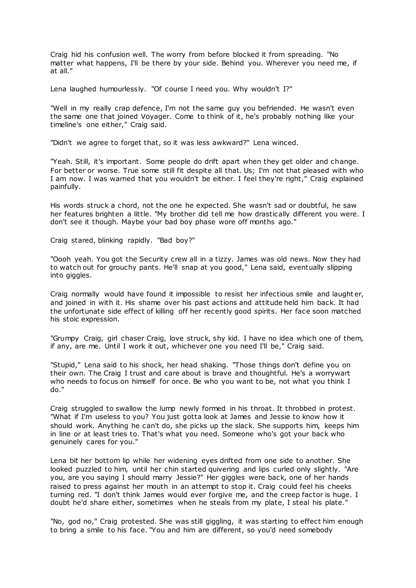Craig hid his confusion well. The worry from before blocked it from spreading. "No matter what happens, I'll be there by your side. Behind you. Wherever you need me, if at all."

Lena laughed humourlessly. "Of course I need you. Why wouldn't I?"

"Well in my really crap defence, I'm not the same guy you befriended. He wasn't even the same one that joined Voyager. Come to think of it, he's probably nothing like your timeline's one either," Craig said.

"Didn't we agree to forget that, so it was less awkward?" Lena winced.

"Yeah. Still, it's important. Some people do drift apart when they get older and change. For better or worse. True some still fit despite all that. Us; I'm not that pleased with who I am now. I was warned that you wouldn't be either. I feel they're right," Craig explained painfully.

His words struck a chord, not the one he expected. She wasn't sad or doubtful, he saw her features brighten a little. "My brother did tell me how drastically different you were. I don't see it though. Maybe your bad boy phase wore off months ago."

Craig stared, blinking rapidly. "Bad boy?"

"Oooh yeah. You got the Security crew all in a tizzy. James was old news. Now they had to watch out for grouchy pants. He'll snap at you good," Lena said, eventually slipping into giggles.

Craig normally would have found it impossible to resist her infectious smile and laught er, and joined in with it. His shame over his past actions and attitude held him back. It had the unfortunate side effect of killing off her recently good spirits. Her face soon matched his stoic expression.

"Grumpy Craig, girl chaser Craig, love struck, shy kid. I have no idea which one of them, if any, are me. Until I work it out, whichever one you need I'll be," Craig said.

"Stupid," Lena said to his shock, her head shaking. "Those things don't define you on their own. The Craig I trust and care about is brave and thoughtful. He's a worrywart who needs to focus on himself for once. Be who you want to be, not what you think I do."

Craig struggled to swallow the lump newly formed in his throat. It throbbed in protest. "What if I'm useless to you? You just gotta look at James and Jessie to know how it should work. Anything he can't do, she picks up the slack. She supports him, keeps him in line or at least tries to. That's what you need. Someone who's got your back who genuinely cares for you."

Lena bit her bottom lip while her widening eyes drifted from one side to another. She looked puzzled to him, until her chin started quivering and lips curled only slightly. "Are you, are you saying I should marry Jessie?" Her giggles were back, one of her hands raised to press against her mouth in an attempt to stop it. Craig could feel his cheeks turning red. "I don't think James would ever forgive me, and the creep factor is huge. I doubt he'd share either, sometimes when he steals from my plate, I steal his plate."

"No, god no," Craig protested. She was still giggling, it was starting to effect him enough to bring a smile to his face. "You and him are different, so you'd need somebody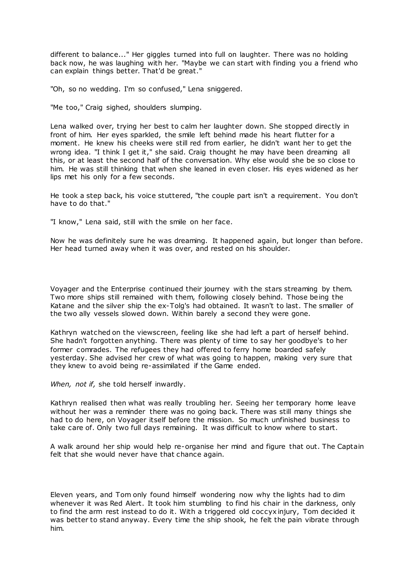different to balance..." Her giggles turned into full on laughter. There was no holding back now, he was laughing with her. "Maybe we can start with finding you a friend who can explain things better. That'd be great."

"Oh, so no wedding. I'm so confused," Lena sniggered.

"Me too," Craig sighed, shoulders slumping.

Lena walked over, trying her best to calm her laughter down. She stopped directly in front of him. Her eyes sparkled, the smile left behind made his heart flutter for a moment. He knew his cheeks were still red from earlier, he didn't want her to get the wrong idea. "I think I get it," she said. Craig thought he may have been dreaming all this, or at least the second half of the conversation. Why else would she be so close to him. He was still thinking that when she leaned in even closer. His eyes widened as her lips met his only for a few seconds.

He took a step back, his voice stuttered, "the couple part isn't a requirement. You don't have to do that."

"I know," Lena said, still with the smile on her face.

Now he was definitely sure he was dreaming. It happened again, but longer than before. Her head turned away when it was over, and rested on his shoulder.

Voyager and the Enterprise continued their journey with the stars streaming by them. Two more ships still remained with them, following closely behind. Those being the Katane and the silver ship the ex-Tolg's had obtained. It wasn't to last. The smaller of the two ally vessels slowed down. Within barely a second they were gone.

Kathryn watched on the viewscreen, feeling like she had left a part of herself behind. She hadn't forgotten anything. There was plenty of time to say her goodbye's to her former comrades. The refugees they had offered to ferry home boarded safely yesterday. She advised her crew of what was going to happen, making very sure that they knew to avoid being re-assimilated if the Game ended.

*When, not if,* she told herself inwardly.

Kathryn realised then what was really troubling her. Seeing her temporary home leave without her was a reminder there was no going back. There was still many things she had to do here, on Voyager itself before the mission. So much unfinished business to take care of. Only two full days remaining. It was difficult to know where to start.

A walk around her ship would help re-organise her mind and figure that out. The Captain felt that she would never have that chance again.

Eleven years, and Tom only found himself wondering now why the lights had to dim whenever it was Red Alert. It took him stumbling to find his chair in the darkness, only to find the arm rest instead to do it. With a triggered old coccyx injury, Tom decided it was better to stand anyway. Every time the ship shook, he felt the pain vibrate through him.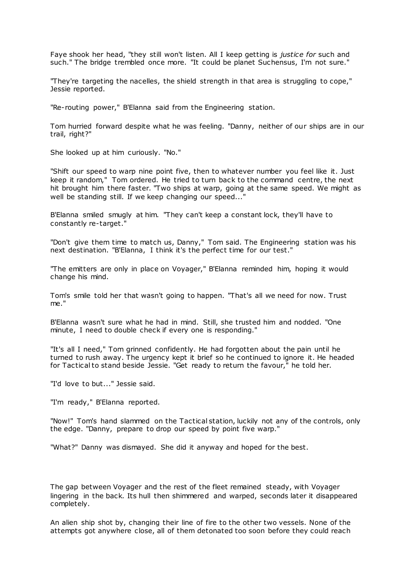Faye shook her head, "they still won't listen. All I keep getting is *justice for* such and such." The bridge trembled once more. "It could be planet Suchensus, I'm not sure."

"They're targeting the nacelles, the shield strength in that area is struggling to cope," Jessie reported.

"Re-routing power," B'Elanna said from the Engineering station.

Tom hurried forward despite what he was feeling. "Danny, neither of our ships are in our trail, right?"

She looked up at him curiously. "No."

"Shift our speed to warp nine point five, then to whatever number you feel like it. Just keep it random," Tom ordered. He tried to turn back to the command centre, the next hit brought him there faster. "Two ships at warp, going at the same speed. We might as well be standing still. If we keep changing our speed..."

B'Elanna smiled smugly at him. "They can't keep a constant lock, they'll have to constantly re-target."

"Don't give them time to match us, Danny," Tom said. The Engineering station was his next destination. "B'Elanna, I think it's the perfect time for our test."

"The emitters are only in place on Voyager," B'Elanna reminded him, hoping it would change his mind.

Tom's smile told her that wasn't going to happen. "That's all we need for now. Trust me."

B'Elanna wasn't sure what he had in mind. Still, she trusted him and nodded. "One minute, I need to double check if every one is responding."

"It's all I need," Tom grinned confidently. He had forgotten about the pain until he turned to rush away. The urgency kept it brief so he continued to ignore it. He headed for Tactical to stand beside Jessie. "Get ready to return the favour," he told her.

"I'd love to but..." Jessie said.

"I'm ready," B'Elanna reported.

"Now!" Tom's hand slammed on the Tactical station, luckily not any of the controls, only the edge. "Danny, prepare to drop our speed by point five warp."

"What?" Danny was dismayed. She did it anyway and hoped for the best.

The gap between Voyager and the rest of the fleet remained steady, with Voyager lingering in the back. Its hull then shimmered and warped, seconds later it disappeared completely.

An alien ship shot by, changing their line of fire to the other two vessels. None of the attempts got anywhere close, all of them detonated too soon before they could reach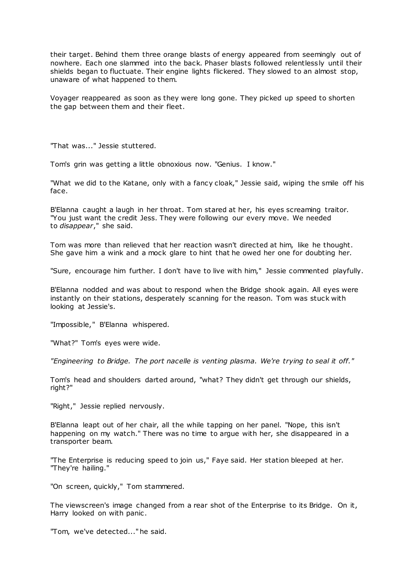their target. Behind them three orange blasts of energy appeared from seemingly out of nowhere. Each one slammed into the back. Phaser blasts followed relentlessly until their shields began to fluctuate. Their engine lights flickered. They slowed to an almost stop, unaware of what happened to them.

Voyager reappeared as soon as they were long gone. They picked up speed to shorten the gap between them and their fleet.

"That was..." Jessie stuttered.

Tom's grin was getting a little obnoxious now. "Genius. I know."

"What we did to the Katane, only with a fancy cloak," Jessie said, wiping the smile off his face.

B'Elanna caught a laugh in her throat. Tom stared at her, his eyes screaming traitor. "You just want the credit Jess. They were following our every move. We needed to *disappear*," she said.

Tom was more than relieved that her reaction wasn't directed at him, like he thought. She gave him a wink and a mock glare to hint that he owed her one for doubting her.

"Sure, encourage him further. I don't have to live with him," Jessie commented playfully.

B'Elanna nodded and was about to respond when the Bridge shook again. All eyes were instantly on their stations, desperately scanning for the reason. Tom was stuck with looking at Jessie's.

"Impossible," B'Elanna whispered.

"What?" Tom's eyes were wide.

*"Engineering to Bridge. The port nacelle is venting plasma. We're trying to seal it off."*

Tom's head and shoulders darted around, "what? They didn't get through our shields, right?"

"Right," Jessie replied nervously.

B'Elanna leapt out of her chair, all the while tapping on her panel. "Nope, this isn't happening on my watch." There was no time to argue with her, she disappeared in a transporter beam.

"The Enterprise is reducing speed to join us," Faye said. Her station bleeped at her. "They're hailing."

"On screen, quickly," Tom stammered.

The viewscreen's image changed from a rear shot of the Enterprise to its Bridge. On it, Harry looked on with panic.

"Tom, we've detected..." he said.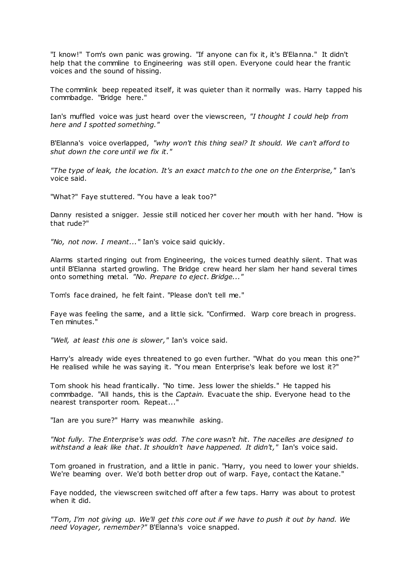"I know!" Tom's own panic was growing. "If anyone can fix it, it's B'Elanna." It didn't help that the commline to Engineering was still open. Everyone could hear the frantic voices and the sound of hissing.

The commlink beep repeated itself, it was quieter than it normally was. Harry tapped his commbadge. "Bridge here."

Ian's muffled voice was just heard over the viewscreen, *"I thought I could help from here and I spotted something."*

B'Elanna's voice overlapped, *"why won't this thing seal? It should. We can't afford to shut down the core until we fix it."*

*"The type of leak, the location. It's an exact match to the one on the Enterprise,"* Ian's voice said.

"What?" Faye stuttered. "You have a leak too?"

Danny resisted a snigger. Jessie still noticed her cover her mouth with her hand. "How is that rude?"

*"No, not now. I meant..."* Ian's voice said quickly.

Alarms started ringing out from Engineering, the voices turned deathly silent. That was until B'Elanna started growling. The Bridge crew heard her slam her hand several times onto something metal. *"No. Prepare to eject. Bridge..."*

Tom's face drained, he felt faint. "Please don't tell me."

Faye was feeling the same, and a little sick. "Confirmed. Warp core breach in progress. Ten minutes."

*"Well, at least this one is slower,"* Ian's voice said.

Harry's already wide eyes threatened to go even further. "What do you mean this one?" He realised while he was saying it. "You mean Enterprise's leak before we lost it?"

Tom shook his head frantically. "No time. Jess lower the shields." He tapped his commbadge. "All hands, this is the *Captain.* Evacuate the ship. Everyone head to the nearest transporter room. Repeat..."

"Ian are you sure?" Harry was meanwhile asking.

*"Not fully. The Enterprise's was odd. The core wasn't hit. The nacelles are designed to withstand a leak like that. It shouldn't have happened. It didn't,"* Ian's voice said.

Tom groaned in frustration, and a little in panic . "Harry, you need to lower your shields. We're beaming over. We'd both better drop out of warp. Faye, contact the Katane."

Faye nodded, the viewscreen switched off after a few taps. Harry was about to protest when it did.

*"Tom, I'm not giving up. We'll get this core out if we have to push it out by hand. We need Voyager, remember?"* B'Elanna's voice snapped.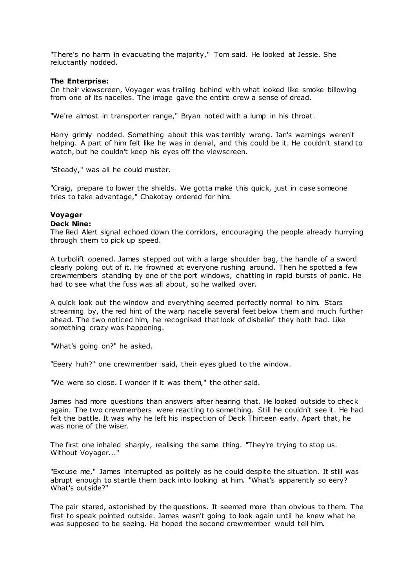"There's no harm in evacuating the majority," Tom said. He looked at Jessie. She reluctantly nodded.

## **The Enterprise:**

On their viewscreen, Voyager was trailing behind with what looked like smoke billowing from one of its nacelles. The image gave the entire crew a sense of dread.

"We're almost in transporter range," Bryan noted with a lump in his throat.

Harry grimly nodded. Something about this was terribly wrong. Ian's warnings weren't helping. A part of him felt like he was in denial, and this could be it. He couldn't stand to watch, but he couldn't keep his eyes off the viewscreen.

"Steady," was all he could muster.

"Craig, prepare to lower the shields. We gotta make this quick, just in case someone tries to take advantage," Chakotay ordered for him.

# **Voyager**

### **Deck Nine:**

The Red Alert signal echoed down the corridors, encouraging the people already hurrying through them to pick up speed.

A turbolift opened. James stepped out with a large shoulder bag, the handle of a sword clearly poking out of it. He frowned at everyone rushing around. Then he spotted a few crewmembers standing by one of the port windows, chatting in rapid bursts of panic . He had to see what the fuss was all about, so he walked over.

A quick look out the window and everything seemed perfectly normal to him. Stars streaming by, the red hint of the warp nacelle several feet below them and much further ahead. The two noticed him, he recognised that look of disbelief they both had. Like something crazy was happening.

"What's going on?" he asked.

"Eeery huh?" one crewmember said, their eyes glued to the window.

"We were so close. I wonder if it was them," the other said.

James had more questions than answers after hearing that. He looked outside to check again. The two crewmembers were reacting to something. Still he couldn't see it. He had felt the battle. It was why he left his inspection of Deck Thirteen early. Apart that, he was none of the wiser.

The first one inhaled sharply, realising the same thing. "They're trying to stop us. Without Voyager..."

"Excuse me," James interrupted as politely as he could despite the situation. It still was abrupt enough to startle them back into looking at him. "What's apparently so eery? What's outside?"

The pair stared, astonished by the questions. It seemed more than obvious to them. The first to speak pointed outside. James wasn't going to look again until he knew what he was supposed to be seeing. He hoped the second crewmember would tell him.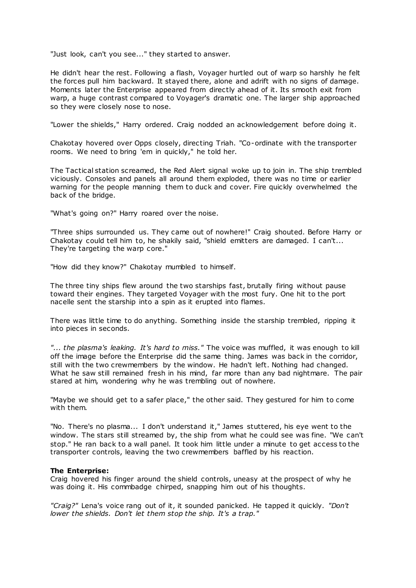"Just look, can't you see..." they started to answer.

He didn't hear the rest. Following a flash, Voyager hurtled out of warp so harshly he felt the forces pull him backward. It stayed there, alone and adrift with no signs of damage. Moments later the Enterprise appeared from directly ahead of it. Its smooth exit from warp, a huge contrast compared to Voyager's dramatic one. The larger ship approached so they were closely nose to nose.

"Lower the shields," Harry ordered. Craig nodded an acknowledgement before doing it.

Chakotay hovered over Opps closely, directing Triah. "Co-ordinate with the transporter rooms. We need to bring 'em in quickly," he told her.

The Tactical station screamed, the Red Alert signal woke up to join in. The ship trembled viciously. Consoles and panels all around them exploded, there was no time or earlier warning for the people manning them to duck and cover. Fire quickly overwhelmed the back of the bridge.

"What's going on?" Harry roared over the noise.

"Three ships surrounded us. They came out of nowhere!" Craig shouted. Before Harry or Chakotay could tell him to, he shakily said, "shield emitters are damaged. I can't... They're targeting the warp core."

"How did they know?" Chakotay mumbled to himself.

The three tiny ships flew around the two starships fast, brutally firing without pause toward their engines. They targeted Voyager with the most fury. One hit to the port nacelle sent the starship into a spin as it erupted into flames.

There was little time to do anything. Something inside the starship trembled, ripping it into pieces in seconds.

*"... the plasma's leaking. It's hard to miss."* The voice was muffled, it was enough to kill off the image before the Enterprise did the same thing. James was back in the corridor, still with the two crewmembers by the window. He hadn't left. Nothing had changed. What he saw still remained fresh in his mind, far more than any bad nightmare. The pair stared at him, wondering why he was trembling out of nowhere.

"Maybe we should get to a safer place," the other said. They gestured for him to come with them.

"No. There's no plasma... I don't understand it," James stuttered, his eye went to the window. The stars still streamed by, the ship from what he could see was fine. "We can't stop." He ran back to a wall panel. It took him little under a minute to get access to the transporter controls, leaving the two crewmembers baffled by his reaction.

### **The Enterprise:**

Craig hovered his finger around the shield controls, uneasy at the prospect of why he was doing it. His commbadge chirped, snapping him out of his thoughts.

*"Craig?"* Lena's voice rang out of it, it sounded panicked. He tapped it quickly. *"Don't lower the shields. Don't let them stop the ship. It's a trap."*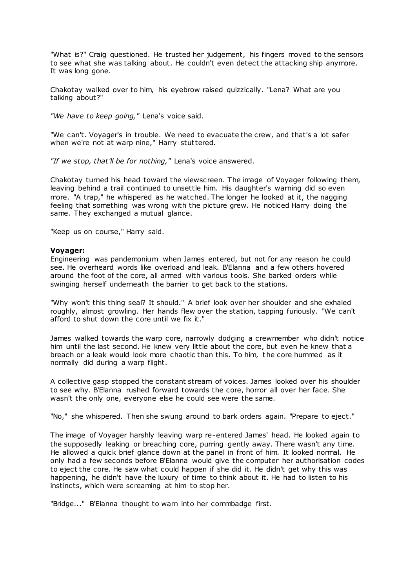"What is?" Craig questioned. He trusted her judgement, his fingers moved to the sensors to see what she was talking about. He couldn't even detect the attacking ship anymore. It was long gone.

Chakotay walked over to him, his eyebrow raised quizzically. "Lena? What are you talking about?"

*"We have to keep going,"* Lena's voice said.

"We can't. Voyager's in trouble. We need to evacuate the crew, and that's a lot safer when we're not at warp nine," Harry stuttered.

*"If we stop, that'll be for nothing,"* Lena's voice answered.

Chakotay turned his head toward the viewscreen. The image of Voyager following them, leaving behind a trail continued to unsettle him. His daughter's warning did so even more. "A trap," he whispered as he watched. The longer he looked at it, the nagging feeling that something was wrong with the picture grew. He noticed Harry doing the same. They exchanged a mutual glance.

"Keep us on course," Harry said.

### **Voyager:**

Engineering was pandemonium when James entered, but not for any reason he could see. He overheard words like overload and leak. B'Elanna and a few others hovered around the foot of the core, all armed with various tools. She barked orders while swinging herself underneath the barrier to get back to the stations.

"Why won't this thing seal? It should." A brief look over her shoulder and she exhaled roughly, almost growling. Her hands flew over the station, tapping furiously. "We can't afford to shut down the core until we fix it."

James walked towards the warp core, narrowly dodging a crewmember who didn't notice him until the last second. He knew very little about the core, but even he knew that a breach or a leak would look more chaotic than this. To him, the core hummed as it normally did during a warp flight.

A collective gasp stopped the constant stream of voices. James looked over his shoulder to see why. B'Elanna rushed forward towards the core, horror all over her face. She wasn't the only one, everyone else he could see were the same.

"No," she whispered. Then she swung around to bark orders again. "Prepare to eject."

The image of Voyager harshly leaving warp re-entered James' head. He looked again to the supposedly leaking or breaching core, purring gently away. There wasn't any time. He allowed a quick brief glance down at the panel in front of him. It looked normal. He only had a few seconds before B'Elanna would give the computer her authorisation codes to eject the core. He saw what could happen if she did it. He didn't get why this was happening, he didn't have the luxury of time to think about it. He had to listen to his instincts, which were screaming at him to stop her.

"Bridge..." B'Elanna thought to warn into her commbadge first.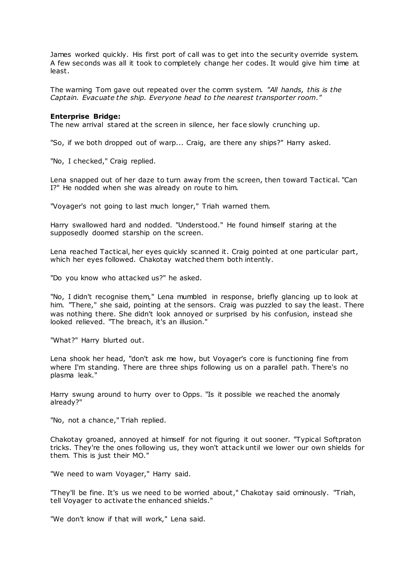James worked quickly. His first port of call was to get into the security override system. A few seconds was all it took to completely change her codes. It would give him time at least.

The warning Tom gave out repeated over the comm system. *"All hands, this is the Captain. Evacuate the ship. Everyone head to the nearest transporter room."*

### **Enterprise Bridge:**

The new arrival stared at the screen in silence, her face slowly crunching up.

"So, if we both dropped out of warp... Craig, are there any ships?" Harry asked.

"No, I checked," Craig replied.

Lena snapped out of her daze to turn away from the screen, then toward Tactical. "Can I?" He nodded when she was already on route to him.

"Voyager's not going to last much longer," Triah warned them.

Harry swallowed hard and nodded. "Understood." He found himself staring at the supposedly doomed starship on the screen.

Lena reached Tactical, her eyes quickly scanned it. Craig pointed at one particular part, which her eyes followed. Chakotay watched them both intently.

"Do you know who attacked us?" he asked.

"No, I didn't recognise them," Lena mumbled in response, briefly glancing up to look at him. "There," she said, pointing at the sensors. Craig was puzzled to say the least. There was nothing there. She didn't look annoyed or surprised by his confusion, instead she looked relieved. "The breach, it's an illusion."

"What?" Harry blurted out.

Lena shook her head, "don't ask me how, but Voyager's core is functioning fine from where I'm standing. There are three ships following us on a parallel path. There's no plasma leak."

Harry swung around to hurry over to Opps. "Is it possible we reached the anomaly already?"

"No, not a chance," Triah replied.

Chakotay groaned, annoyed at himself for not figuring it out sooner. "Typical Softpraton tricks. They're the ones following us, they won't attack until we lower our own shields for them. This is just their MO."

"We need to warn Voyager," Harry said.

"They'll be fine. It's us we need to be worried about," Chakotay said ominously. "Triah, tell Voyager to activate the enhanced shields."

"We don't know if that will work," Lena said.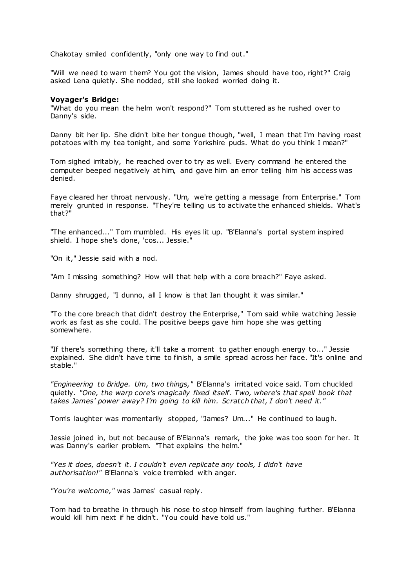Chakotay smiled confidently, "only one way to find out."

"Will we need to warn them? You got the vision, James should have too, right?" Craig asked Lena quietly. She nodded, still she looked worried doing it.

### **Voyager's Bridge:**

"What do you mean the helm won't respond?" Tom stuttered as he rushed over to Danny's side.

Danny bit her lip. She didn't bite her tongue though, "well, I mean that I'm having roast potatoes with my tea tonight, and some Yorkshire puds. What do you think I mean?"

Tom sighed irritably, he reached over to try as well. Every command he entered the computer beeped negatively at him, and gave him an error telling him his access was denied.

Faye cleared her throat nervously. "Um, we're getting a message from Enterprise." Tom merely grunted in response. "They're telling us to activate the enhanced shields. What's that?"

"The enhanced..." Tom mumbled. His eyes lit up. "B'Elanna's portal system inspired shield. I hope she's done, 'cos... Jessie."

"On it," Jessie said with a nod.

"Am I missing something? How will that help with a core breach?" Faye asked.

Danny shrugged, "I dunno, all I know is that Ian thought it was similar."

"To the core breach that didn't destroy the Enterprise," Tom said while watching Jessie work as fast as she could. The positive beeps gave him hope she was getting somewhere.

"If there's something there, it'll take a moment to gather enough energy to..." Jessie explained. She didn't have time to finish, a smile spread across her face. "It's online and stable."

*"Engineering to Bridge. Um, two things,"* B'Elanna's irritated voice said. Tom chuckled quietly. *"One, the warp core's magically fixed itself. Two, where's that spell book that takes James' power away? I'm going to kill him. Scratch that, I don't need it."*

Tom's laughter was momentarily stopped, "James? Um..." He continued to laugh.

Jessie joined in, but not because of B'Elanna's remark, the joke was too soon for her. It was Danny's earlier problem. "That explains the helm.

*"Yes it does, doesn't it. I couldn't even replicate any tools, I didn't have authorisation!"* B'Elanna's voice trembled with anger.

*"You're welcome,"* was James' casual reply.

Tom had to breathe in through his nose to stop himself from laughing further. B'Elanna would kill him next if he didn't. "You could have told us."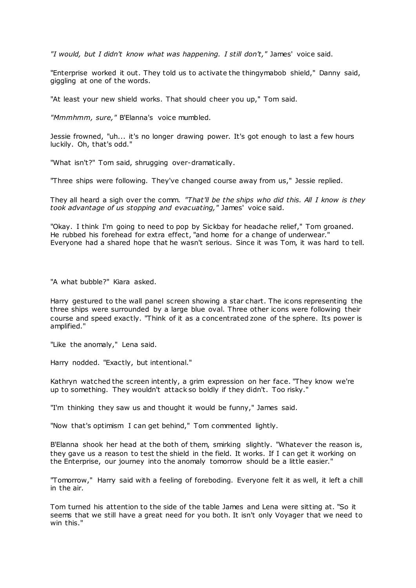*"I would, but I didn't know what was happening. I still don't,"* James' voice said.

"Enterprise worked it out. They told us to activate the thingymabob shield," Danny said, giggling at one of the words.

"At least your new shield works. That should cheer you up," Tom said.

*"Mmmhmm, sure,"* B'Elanna's voice mumbled.

Jessie frowned, "uh... it's no longer drawing power. It's got enough to last a few hours luckily. Oh, that's odd."

"What isn't?" Tom said, shrugging over-dramatically.

"Three ships were following. They've changed course away from us," Jessie replied.

They all heard a sigh over the comm. *"That'll be the ships who did this. All I know is they took advantage of us stopping and evacuating,"* James' voice said.

"Okay. I think I'm going to need to pop by Sickbay for headache relief," Tom groaned. He rubbed his forehead for extra effect, "and home for a change of underwear." Everyone had a shared hope that he wasn't serious. Since it was Tom, it was hard to tell.

"A what bubble?" Kiara asked.

Harry gestured to the wall panel screen showing a star chart. The icons representing the three ships were surrounded by a large blue oval. Three other icons were following their course and speed exactly. "Think of it as a concentrated zone of the sphere. Its power is amplified."

"Like the anomaly," Lena said.

Harry nodded. "Exactly, but intentional."

Kathryn watched the screen intently, a grim expression on her face. "They know we're up to something. They wouldn't attack so boldly if they didn't. Too risky."

"I'm thinking they saw us and thought it would be funny," James said.

"Now that's optimism I can get behind," Tom commented lightly.

B'Elanna shook her head at the both of them, smirking slightly. "Whatever the reason is, they gave us a reason to test the shield in the field. It works. If I can get it working on the Enterprise, our journey into the anomaly tomorrow should be a little easier."

"Tomorrow," Harry said with a feeling of foreboding. Everyone felt it as well, it left a chill in the air.

Tom turned his attention to the side of the table James and Lena were sitting at. "So it seems that we still have a great need for you both. It isn't only Voyager that we need to win this."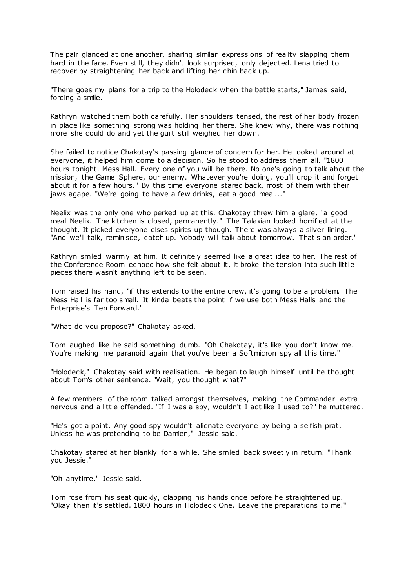The pair glanced at one another, sharing similar expressions of reality slapping them hard in the face. Even still, they didn't look surprised, only dejected. Lena tried to recover by straightening her back and lifting her chin back up.

"There goes my plans for a trip to the Holodeck when the battle starts," James said, forcing a smile.

Kathryn watched them both carefully. Her shoulders tensed, the rest of her body frozen in place like something strong was holding her there. She knew why, there was nothing more she could do and yet the guilt still weighed her down.

She failed to notice Chakotay's passing glance of concern for her. He looked around at everyone, it helped him come to a decision. So he stood to address them all. "1800 hours tonight. Mess Hall. Every one of you will be there. No one's going to talk about the mission, the Game Sphere, our enemy. Whatever you're doing, you'll drop it and forget about it for a few hours." By this time everyone stared back, most of them with their jaws agape. "We're going to have a few drinks, eat a good meal..."

Neelix was the only one who perked up at this. Chakotay threw him a glare, "a good meal Neelix. The kitchen is closed, permanently." The Talaxian looked horrified at the thought. It picked everyone elses spirits up though. There was always a silver lining. "And we'll talk, reminisce, catch up. Nobody will talk about tomorrow. That's an order."

Kathryn smiled warmly at him. It definitely seemed like a great idea to her. The rest of the Conference Room echoed how she felt about it, it broke the tension into such little pieces there wasn't anything left to be seen.

Tom raised his hand, "if this extends to the entire crew, it's going to be a problem. The Mess Hall is far too small. It kinda beats the point if we use both Mess Halls and the Enterprise's Ten Forward."

"What do you propose?" Chakotay asked.

Tom laughed like he said something dumb. "Oh Chakotay, it's like you don't know me. You're making me paranoid again that you've been a Softmicron spy all this time."

"Holodeck," Chakotay said with realisation. He began to laugh himself until he thought about Tom's other sentence. "Wait, you thought what?"

A few members of the room talked amongst themselves, making the Commander extra nervous and a little offended. "If I was a spy, wouldn't I act like I used to?" he muttered.

"He's got a point. Any good spy wouldn't alienate everyone by being a selfish prat. Unless he was pretending to be Damien," Jessie said.

Chakotay stared at her blankly for a while. She smiled back sweetly in return. "Thank you Jessie."

"Oh anytime," Jessie said.

Tom rose from his seat quickly, clapping his hands once before he straightened up. "Okay then it's settled. 1800 hours in Holodeck One. Leave the preparations to me."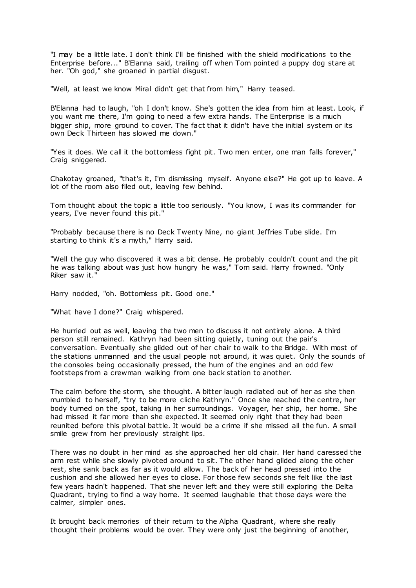"I may be a little late. I don't think I'll be finished with the shield modifications to the Enterprise before..." B'Elanna said, trailing off when Tom pointed a puppy dog stare at her. "Oh god," she groaned in partial disgust.

"Well, at least we know Miral didn't get that from him," Harry teased.

B'Elanna had to laugh, "oh I don't know. She's gotten the idea from him at least. Look, if you want me there, I'm going to need a few extra hands. The Enterprise is a much bigger ship, more ground to cover. The fact that it didn't have the initial system or its own Deck Thirteen has slowed me down."

"Yes it does. We call it the bottomless fight pit. Two men enter, one man falls forever," Craig sniggered.

Chakotay groaned, "that's it, I'm dismissing myself. Anyone else?" He got up to leave. A lot of the room also filed out, leaving few behind.

Tom thought about the topic a little too seriously. "You know, I was its commander for years, I've never found this pit."

"Probably because there is no Deck Twenty Nine, no giant Jeffries Tube slide. I'm starting to think it's a myth," Harry said.

"Well the guy who discovered it was a bit dense. He probably couldn't count and the pit he was talking about was just how hungry he was," Tom said. Harry frowned. "Only Riker saw it."

Harry nodded, "oh. Bottomless pit. Good one."

"What have I done?" Craig whispered.

He hurried out as well, leaving the two men to discuss it not entirely alone. A third person still remained. Kathryn had been sitting quietly, tuning out the pair's conversation. Eventually she glided out of her chair to walk to the Bridge. With most of the stations unmanned and the usual people not around, it was quiet. Only the sounds of the consoles being occasionally pressed, the hum of the engines and an odd few footsteps from a crewman walking from one back station to another.

The calm before the storm, she thought. A bitter laugh radiated out of her as she then mumbled to herself, "try to be more cliche Kathryn." Once she reached the centre, her body turned on the spot, taking in her surroundings. Voyager, her ship, her home. She had missed it far more than she expected. It seemed only right that they had been reunited before this pivotal battle. It would be a crime if she missed all the fun. A small smile grew from her previously straight lips.

There was no doubt in her mind as she approached her old chair. Her hand caressed the arm rest while she slowly pivoted around to sit. The other hand glided along the other rest, she sank back as far as it would allow. The back of her head pressed into the cushion and she allowed her eyes to close. For those few seconds she felt like the last few years hadn't happened. That she never left and they were still exploring the Delta Quadrant, trying to find a way home. It seemed laughable that those days were the calmer, simpler ones.

It brought back memories of their return to the Alpha Quadrant, where she really thought their problems would be over. They were only just the beginning of another,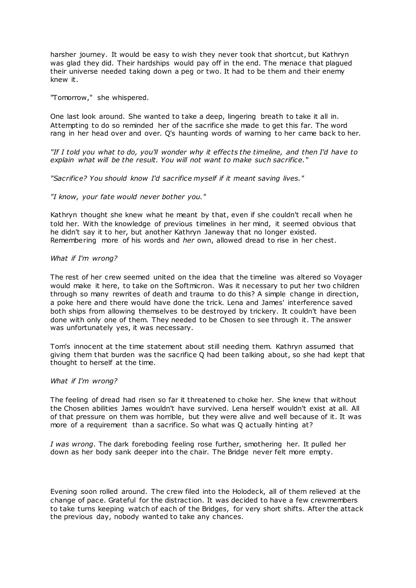harsher journey. It would be easy to wish they never took that shortcut, but Kathryn was glad they did. Their hardships would pay off in the end. The menace that plagued their universe needed taking down a peg or two. It had to be them and their enemy knew it.

"Tomorrow," she whispered.

One last look around. She wanted to take a deep, lingering breath to take it all in. Attempting to do so reminded her of the sacrifice she made to get this far. The word rang in her head over and over. Q's haunting words of warning to her came back to her.

*"If I told you what to do, you'll wonder why it effects the timeline, and then I'd have to explain what will be the result. You will not want to make such sacrifice."*

*"Sacrifice? You should know I'd sacrifice myself if it meant saving lives."*

*"I know, your fate would never bother you."*

Kathryn thought she knew what he meant by that, even if she couldn't recall when he told her. With the knowledge of previous timelines in her mind, it seemed obvious that he didn't say it to her, but another Kathryn Janeway that no longer existed. Remembering more of his words and *her* own, allowed dread to rise in her chest.

# *What if I'm wrong?*

The rest of her crew seemed united on the idea that the timeline was altered so Voyager would make it here, to take on the Softmicron. Was it necessary to put her two children through so many rewrites of death and trauma to do this? A simple change in direction, a poke here and there would have done the trick. Lena and James' interference saved both ships from allowing themselves to be destroyed by trickery. It couldn't have been done with only one of them. They needed to be Chosen to see through it. The answer was unfortunately yes, it was necessary.

Tom's innocent at the time statement about still needing them. Kathryn assumed that giving them that burden was the sacrifice Q had been talking about, so she had kept that thought to herself at the time.

# *What if I'm wrong?*

The feeling of dread had risen so far it threatened to choke her. She knew that without the Chosen abilities James wouldn't have survived. Lena herself wouldn't exist at all. All of that pressure on them was horrible, but they were alive and well because of it. It was more of a requirement than a sacrifice. So what was Q actually hinting at?

*I was wrong*. The dark foreboding feeling rose further, smothering her. It pulled her down as her body sank deeper into the chair. The Bridge never felt more empty.

Evening soon rolled around. The crew filed into the Holodeck, all of them relieved at the change of pace. Grateful for the distraction. It was decided to have a few crewmembers to take turns keeping watch of each of the Bridges, for very short shifts. After the attack the previous day, nobody wanted to take any chances.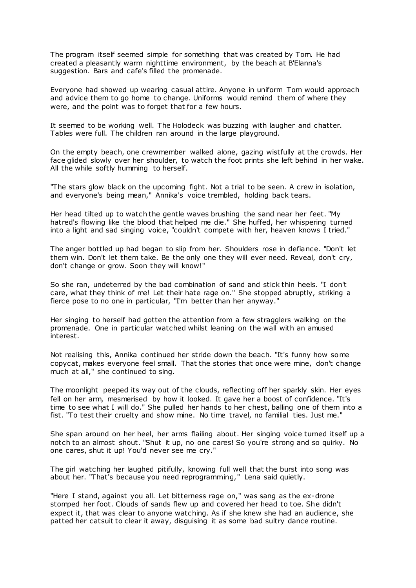The program itself seemed simple for something that was created by Tom. He had created a pleasantly warm nighttime environment, by the beach at B'Elanna's suggestion. Bars and cafe's filled the promenade.

Everyone had showed up wearing casual attire. Anyone in uniform Tom would approach and advice them to go home to change. Uniforms would remind them of where they were, and the point was to forget that for a few hours.

It seemed to be working well. The Holodeck was buzzing with laugher and chatter. Tables were full. The children ran around in the large playground.

On the empty beach, one crewmember walked alone, gazing wistfully at the crowds. Her face glided slowly over her shoulder, to watch the foot prints she left behind in her wake. All the while softly humming to herself.

"The stars glow black on the upcoming fight. Not a trial to be seen. A crew in isolation, and everyone's being mean," Annika's voice trembled, holding back tears.

Her head tilted up to watch the gentle waves brushing the sand near her feet. "My hatred's flowing like the blood that helped me die." She huffed, her whispering turned into a light and sad singing voice, "couldn't compete with her, heaven knows I tried."

The anger bottled up had began to slip from her. Shoulders rose in defiance. "Don't let them win. Don't let them take. Be the only one they will ever need. Reveal, don't cry, don't change or grow. Soon they will know!"

So she ran, undeterred by the bad combination of sand and stick thin heels. "I don't care, what they think of me! Let their hate rage on." She stopped abruptly, striking a fierce pose to no one in particular, "I'm better than her anyway."

Her singing to herself had gotten the attention from a few stragglers walking on the promenade. One in particular watched whilst leaning on the wall with an amused interest.

Not realising this, Annika continued her stride down the beach. "It's funny how some copycat, makes everyone feel small. That the stories that once were mine, don't change much at all," she continued to sing.

The moonlight peeped its way out of the clouds, reflecting off her sparkly skin. Her eyes fell on her arm, mesmerised by how it looked. It gave her a boost of confidence. "It's time to see what I will do." She pulled her hands to her chest, balling one of them into a fist. "To test their cruelty and show mine. No time travel, no familial ties. Just me."

She span around on her heel, her arms flailing about. Her singing voice turned itself up a notch to an almost shout. "Shut it up, no one cares! So you're strong and so quirky. No one cares, shut it up! You'd never see me cry."

The girl watching her laughed pitifully, knowing full well that the burst into song was about her. "That's because you need reprogramming," Lena said quietly.

"Here I stand, against you all. Let bitterness rage on," was sang as the ex-drone stomped her foot. Clouds of sands flew up and covered her head to toe. She didn't expect it, that was clear to anyone watching. As if she knew she had an audience, she patted her catsuit to clear it away, disguising it as some bad sultry dance routine.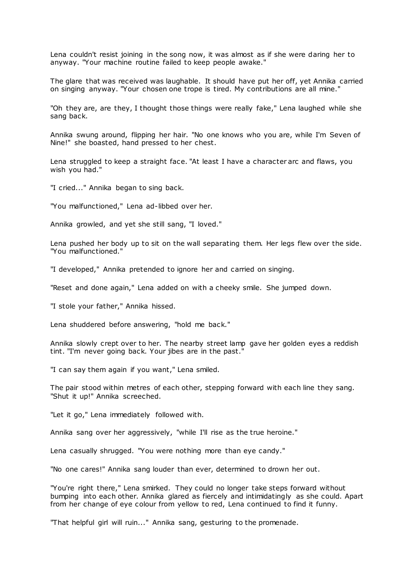Lena couldn't resist joining in the song now, it was almost as if she were daring her to anyway. "Your machine routine failed to keep people awake."

The glare that was received was laughable. It should have put her off, yet Annika carried on singing anyway. "Your chosen one trope is tired. My contributions are all mine."

"Oh they are, are they, I thought those things were really fake," Lena laughed while she sang back.

Annika swung around, flipping her hair. "No one knows who you are, while I'm Seven of Nine!" she boasted, hand pressed to her chest.

Lena struggled to keep a straight face. "At least I have a character arc and flaws, you wish you had."

"I cried..." Annika began to sing back.

"You malfunctioned," Lena ad-libbed over her.

Annika growled, and yet she still sang, "I loved."

Lena pushed her body up to sit on the wall separating them. Her legs flew over the side. "You malfunctioned."

"I developed," Annika pretended to ignore her and carried on singing.

"Reset and done again," Lena added on with a cheeky smile. She jumped down.

"I stole your father," Annika hissed.

Lena shuddered before answering, "hold me back."

Annika slowly crept over to her. The nearby street lamp gave her golden eyes a reddish tint. "I'm never going back. Your jibes are in the past."

"I can say them again if you want," Lena smiled.

The pair stood within metres of each other, stepping forward with each line they sang. "Shut it up!" Annika screeched.

"Let it go," Lena immediately followed with.

Annika sang over her aggressively, "while I'll rise as the true heroine."

Lena casually shrugged. "You were nothing more than eye candy."

"No one cares!" Annika sang louder than ever, determined to drown her out.

"You're right there," Lena smirked. They could no longer take steps forward without bumping into each other. Annika glared as fiercely and intimidatingly as she could. Apart from her change of eye colour from yellow to red, Lena continued to find it funny.

"That helpful girl will ruin..." Annika sang, gesturing to the promenade.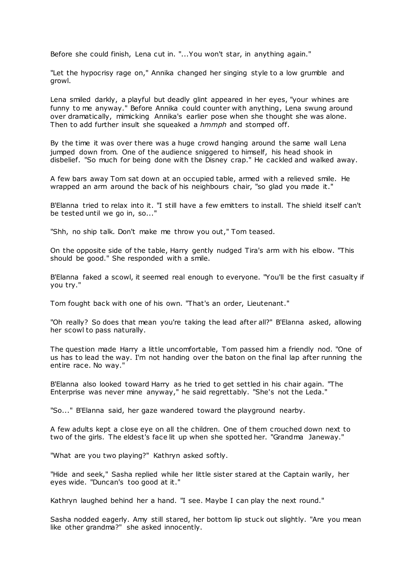Before she could finish, Lena cut in. "...You won't star, in anything again."

"Let the hypocrisy rage on," Annika changed her singing style to a low grumble and growl.

Lena smiled darkly, a playful but deadly glint appeared in her eyes, "your whines are funny to me anyway." Before Annika could counter with anything, Lena swung around over dramatically, mimicking Annika's earlier pose when she thought she was alone. Then to add further insult she squeaked a *hmmph* and stomped off.

By the time it was over there was a huge crowd hanging around the same wall Lena jumped down from. One of the audience sniggered to himself, his head shook in disbelief. "So much for being done with the Disney crap." He cackled and walked away.

A few bars away Tom sat down at an occupied table, armed with a relieved smile. He wrapped an arm around the back of his neighbours chair, "so glad you made it."

B'Elanna tried to relax into it. "I still have a few emitters to install. The shield itself can't be tested until we go in, so..."

"Shh, no ship talk. Don't make me throw you out," Tom teased.

On the opposite side of the table, Harry gently nudged Tira's arm with his elbow. "This should be good." She responded with a smile.

B'Elanna faked a scowl, it seemed real enough to everyone. "You'll be the first casualty if you try."

Tom fought back with one of his own. "That's an order, Lieutenant."

"Oh really? So does that mean you're taking the lead after all?" B'Elanna asked, allowing her scowl to pass naturally.

The question made Harry a little uncomfortable, Tom passed him a friendly nod. "One of us has to lead the way. I'm not handing over the baton on the final lap after running the entire race. No way."

B'Elanna also looked toward Harry as he tried to get settled in his chair again. "The Enterprise was never mine anyway," he said regrettably. "She's not the Leda."

"So..." B'Elanna said, her gaze wandered toward the playground nearby.

A few adults kept a close eye on all the children. One of them crouched down next to two of the girls. The eldest's face lit up when she spotted her. "Grandma Janeway."

"What are you two playing?" Kathryn asked softly.

"Hide and seek," Sasha replied while her little sister stared at the Captain warily, her eyes wide. "Duncan's too good at it."

Kathryn laughed behind her a hand. "I see. Maybe I can play the next round."

Sasha nodded eagerly. Amy still stared, her bottom lip stuck out slightly. "Are you mean like other grandma?" she asked innocently.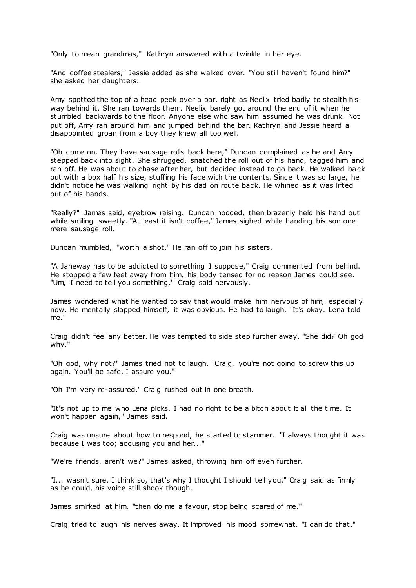"Only to mean grandmas," Kathryn answered with a twinkle in her eye.

"And coffee stealers," Jessie added as she walked over. "You still haven't found him?" she asked her daughters.

Amy spotted the top of a head peek over a bar, right as Neelix tried badly to stealth his way behind it. She ran towards them. Neelix barely got around the end of it when he stumbled backwards to the floor. Anyone else who saw him assumed he was drunk. Not put off, Amy ran around him and jumped behind the bar. Kathryn and Jessie heard a disappointed groan from a boy they knew all too well.

"Oh come on. They have sausage rolls back here," Duncan complained as he and Amy stepped back into sight. She shrugged, snatched the roll out of his hand, tagged him and ran off. He was about to chase after her, but decided instead to go back. He walked back out with a box half his size, stuffing his face with the contents. Since it was so large, he didn't notice he was walking right by his dad on route back. He whined as it was lifted out of his hands.

"Really?" James said, eyebrow raising. Duncan nodded, then brazenly held his hand out while smiling sweetly. "At least it isn't coffee," James sighed while handing his son one mere sausage roll.

Duncan mumbled, "worth a shot." He ran off to join his sisters.

"A Janeway has to be addicted to something I suppose," Craig commented from behind. He stopped a few feet away from him, his body tensed for no reason James could see. "Um, I need to tell you something," Craig said nervously.

James wondered what he wanted to say that would make him nervous of him, especially now. He mentally slapped himself, it was obvious. He had to laugh. "It's okay. Lena told me."

Craig didn't feel any better. He was tempted to side step further away. "She did? Oh god why."

"Oh god, why not?" James tried not to laugh. "Craig, you're not going to screw this up again. You'll be safe, I assure you."

"Oh I'm very re-assured," Craig rushed out in one breath.

"It's not up to me who Lena picks. I had no right to be a bitch about it all the time. It won't happen again," James said.

Craig was unsure about how to respond, he started to stammer. "I always thought it was because I was too; accusing you and her..."

"We're friends, aren't we?" James asked, throwing him off even further.

"I... wasn't sure. I think so, that's why I thought I should tell you," Craig said as firmly as he could, his voice still shook though.

James smirked at him, "then do me a favour, stop being scared of me."

Craig tried to laugh his nerves away. It improved his mood somewhat. "I can do that."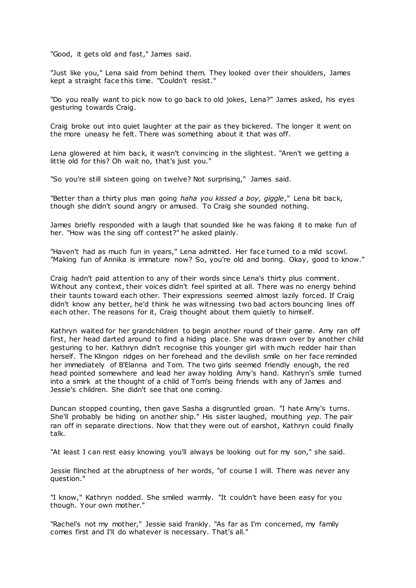"Good, it gets old and fast," James said.

"Just like you," Lena said from behind them. They looked over their shoulders, James kept a straight face this time. "Couldn't resist."

"Do you really want to pick now to go back to old jokes, Lena?" James asked, his eyes gesturing towards Craig.

Craig broke out into quiet laughter at the pair as they bickered. The longer it went on the more uneasy he felt. There was something about it that was off.

Lena glowered at him back, it wasn't convincing in the slightest. "Aren't we getting a little old for this? Oh wait no, that's just you."

"So you're still sixteen going on twelve? Not surprising," James said.

"Better than a thirty plus man going *haha you kissed a boy, giggle*," Lena bit back, though she didn't sound angry or amused. To Craig she sounded nothing.

James briefly responded with a laugh that sounded like he was faking it to make fun of her. "How was the sing off contest?" he asked plainly.

"Haven't had as much fun in years," Lena admitted. Her face turned to a mild scowl. "Making fun of Annika is immature now? So, you're old and boring. Okay, good to know."

Craig hadn't paid attention to any of their words since Lena's thirty plus comment. Without any context, their voices didn't feel spirited at all. There was no energy behind their taunts toward each other. Their expressions seemed almost lazily forced. If Craig didn't know any better, he'd think he was witnessing two bad actors bouncing lines off each other. The reasons for it, Craig thought about them quietly to himself.

Kathryn waited for her grandchildren to begin another round of their game. Amy ran off first, her head darted around to find a hiding place. She was drawn over by another child gesturing to her. Kathryn didn't recognise this younger girl with much redder hair than herself. The Klingon ridges on her forehead and the devilish smile on her face reminded her immediately of B'Elanna and Tom. The two girls seemed friendly enough, the red head pointed somewhere and lead her away holding Amy's hand. Kathryn's smile turned into a smirk at the thought of a child of Tom's being friends with any of James and Jessie's children. She didn't see that one coming.

Duncan stopped counting, then gave Sasha a disgruntled groan. "I hate Amy's turns. She'll probably be hiding on another ship." His sister laughed, mouthing *yep*. The pair ran off in separate directions. Now that they were out of earshot, Kathryn could finally talk.

"At least I can rest easy knowing you'll always be looking out for my son," she said.

Jessie flinched at the abruptness of her words, "of course I will. There was never any question."

"I know," Kathryn nodded. She smiled warmly. "It couldn't have been easy for you though. Your own mother."

"Rachel's not my mother," Jessie said frankly. "As far as I'm concerned, my family comes first and I'll do whatever is necessary. That's all."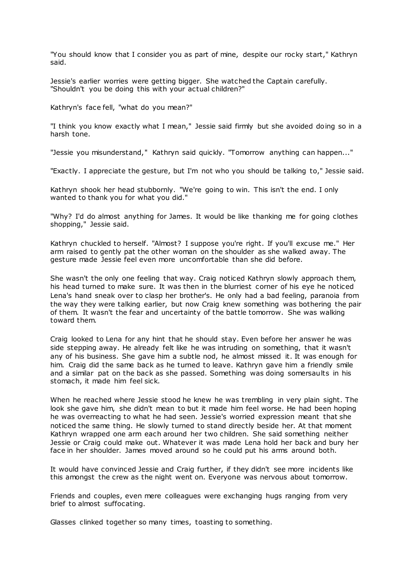"You should know that I consider you as part of mine, despite our rocky start," Kathryn said.

Jessie's earlier worries were getting bigger. She watched the Captain carefully. "Shouldn't you be doing this with your actual children?"

Kathryn's face fell, "what do you mean?"

"I think you know exactly what I mean," Jessie said firmly but she avoided doing so in a harsh tone.

"Jessie you misunderstand," Kathryn said quickly. "Tomorrow anything can happen..."

"Exactly. I appreciate the gesture, but I'm not who you should be talking to," Jessie said.

Kathryn shook her head stubbornly. "We're going to win. This isn't the end. I only wanted to thank you for what you did."

"Why? I'd do almost anything for James. It would be like thanking me for going clothes shopping," Jessie said.

Kathryn chuckled to herself. "Almost? I suppose you're right. If you'll excuse me." Her arm raised to gently pat the other woman on the shoulder as she walked away. The gesture made Jessie feel even more uncomfortable than she did before.

She wasn't the only one feeling that way. Craig noticed Kathryn slowly approach them, his head turned to make sure. It was then in the blurriest corner of his eye he noticed Lena's hand sneak over to clasp her brother's. He only had a bad feeling, paranoia from the way they were talking earlier, but now Craig knew something was bothering the pair of them. It wasn't the fear and uncertainty of the battle tomorrow. She was walking toward them.

Craig looked to Lena for any hint that he should stay. Even before her answer he was side stepping away. He already felt like he was intruding on something, that it wasn't any of his business. She gave him a subtle nod, he almost missed it. It was enough for him. Craig did the same back as he turned to leave. Kathryn gave him a friendly smile and a similar pat on the back as she passed. Something was doing somersaults in his stomach, it made him feel sick.

When he reached where Jessie stood he knew he was trembling in very plain sight. The look she gave him, she didn't mean to but it made him feel worse. He had been hoping he was overreacting to what he had seen. Jessie's worried expression meant that she noticed the same thing. He slowly turned to stand directly beside her. At that moment Kathryn wrapped one arm each around her two children. She said something neither Jessie or Craig could make out. Whatever it was made Lena hold her back and bury her face in her shoulder. James moved around so he could put his arms around both.

It would have convinced Jessie and Craig further, if they didn't see more incidents like this amongst the crew as the night went on. Everyone was nervous about tomorrow.

Friends and couples, even mere colleagues were exchanging hugs ranging from very brief to almost suffocating.

Glasses clinked together so many times, toasting to something.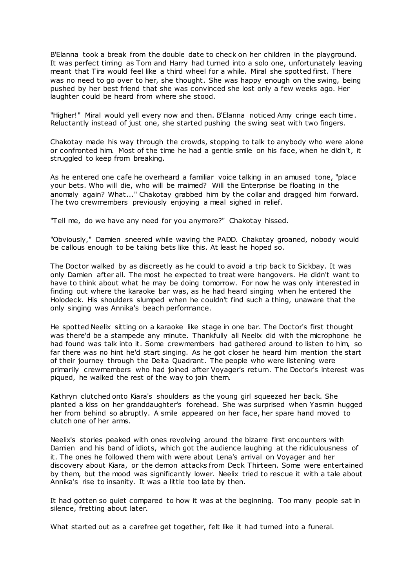B'Elanna took a break from the double date to check on her children in the playground. It was perfect timing as Tom and Harry had turned into a solo one, unfortunately leaving meant that Tira would feel like a third wheel for a while. Miral she spotted first. There was no need to go over to her, she thought. She was happy enough on the swing, being pushed by her best friend that she was convinced she lost only a few weeks ago. Her laughter could be heard from where she stood.

"Higher!" Miral would yell every now and then. B'Elanna noticed Amy cringe each time. Reluctantly instead of just one, she started pushing the swing seat with two fingers.

Chakotay made his way through the crowds, stopping to talk to anybody who were alone or confronted him. Most of the time he had a gentle smile on his face, when he didn't, it struggled to keep from breaking.

As he entered one cafe he overheard a familiar voice talking in an amused tone, "place your bets. Who will die, who will be maimed? Will the Enterprise be floating in the anomaly again? What..." Chakotay grabbed him by the collar and dragged him forward. The two crewmembers previously enjoying a meal sighed in relief.

"Tell me, do we have any need for you anymore?" Chakotay hissed.

"Obviously," Damien sneered while waving the PADD. Chakotay groaned, nobody would be callous enough to be taking bets like this. At least he hoped so.

The Doctor walked by as discreetly as he could to avoid a trip back to Sickbay. It was only Damien after all. The most he expected to treat were hangovers. He didn't want to have to think about what he may be doing tomorrow. For now he was only interested in finding out where the karaoke bar was, as he had heard singing when he entered the Holodeck. His shoulders slumped when he couldn't find such a thing, unaware that the only singing was Annika's beach performance.

He spotted Neelix sitting on a karaoke like stage in one bar. The Doctor's first thought was there'd be a stampede any minute. Thankfully all Neelix did with the microphone he had found was talk into it. Some crewmembers had gathered around to listen to him, so far there was no hint he'd start singing. As he got closer he heard him mention the start of their journey through the Delta Quadrant. The people who were listening were primarily crewmembers who had joined after Voyager's return. The Doctor's interest was piqued, he walked the rest of the way to join them.

Kathryn clutched onto Kiara's shoulders as the young girl squeezed her back. She planted a kiss on her granddaughter's forehead. She was surprised when Yasmin hugged her from behind so abruptly. A smile appeared on her face, her spare hand moved to clutch one of her arms.

Neelix's stories peaked with ones revolving around the bizarre first encounters with Damien and his band of idiots, which got the audience laughing at the ridiculousness of it. The ones he followed them with were about Lena's arrival on Voyager and her discovery about Kiara, or the demon attacks from Deck Thirteen. Some were entertained by them, but the mood was significantly lower. Neelix tried to rescue it with a tale about Annika's rise to insanity. It was a little too late by then.

It had gotten so quiet compared to how it was at the beginning. Too many people sat in silence, fretting about later.

What started out as a carefree get together, felt like it had turned into a funeral.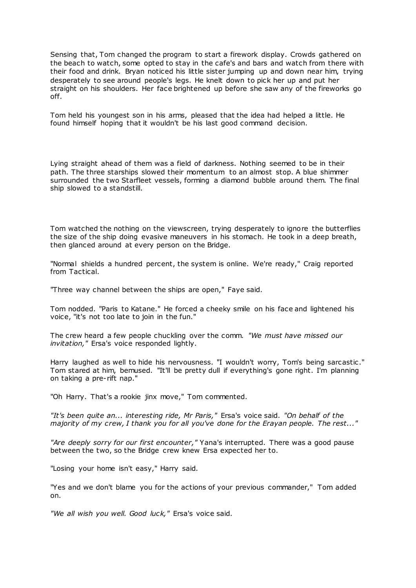Sensing that, Tom changed the program to start a firework display. Crowds gathered on the beach to watch, some opted to stay in the cafe's and bars and watch from there with their food and drink. Bryan noticed his little sister jumping up and down near him, trying desperately to see around people's legs. He knelt down to pick her up and put her straight on his shoulders. Her face brightened up before she saw any of the fireworks go off.

Tom held his youngest son in his arms, pleased that the idea had helped a little. He found himself hoping that it wouldn't be his last good command decision.

Lying straight ahead of them was a field of darkness. Nothing seemed to be in their path. The three starships slowed their momentum to an almost stop. A blue shimmer surrounded the two Starfleet vessels, forming a diamond bubble around them. The final ship slowed to a standstill.

Tom watched the nothing on the viewscreen, trying desperately to ignore the butterflies the size of the ship doing evasive maneuvers in his stomach. He took in a deep breath, then glanced around at every person on the Bridge.

"Normal shields a hundred percent, the system is online. We're ready," Craig reported from Tactical.

"Three way channel between the ships are open," Faye said.

Tom nodded. "Paris to Katane." He forced a cheeky smile on his face and lightened his voice, "it's not too late to join in the fun."

The crew heard a few people chuckling over the comm. *"We must have missed our invitation,"* Ersa's voice responded lightly.

Harry laughed as well to hide his nervousness. "I wouldn't worry, Tom's being sarcastic ." Tom stared at him, bemused. "It'll be pretty dull if everything's gone right. I'm planning on taking a pre-rift nap."

"Oh Harry. That's a rookie jinx move," Tom commented.

*"It's been quite an... interesting ride, Mr Paris,"* Ersa's voice said. *"On behalf of the majority of my crew, I thank you for all you've done for the Erayan people. The rest..."*

*"Are deeply sorry for our first encounter,"* Yana's interrupted. There was a good pause between the two, so the Bridge crew knew Ersa expected her to.

"Losing your home isn't easy," Harry said.

"Yes and we don't blame you for the actions of your previous commander," Tom added on.

*"We all wish you well. Good luck,"* Ersa's voice said.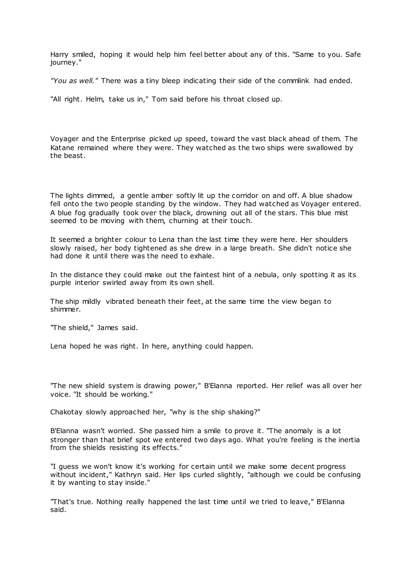Harry smiled, hoping it would help him feel better about any of this. "Same to you. Safe journey."

*"You as well."* There was a tiny bleep indicating their side of the commlink had ended.

"All right. Helm, take us in," Tom said before his throat closed up.

Voyager and the Enterprise picked up speed, toward the vast black ahead of them. The Katane remained where they were. They watched as the two ships were swallowed by the beast.

The lights dimmed, a gentle amber softly lit up the corridor on and off. A blue shadow fell onto the two people standing by the window. They had watched as Voyager entered. A blue fog gradually took over the black, drowning out all of the stars. This blue mist seemed to be moving with them, churning at their touch.

It seemed a brighter colour to Lena than the last time they were here. Her shoulders slowly raised, her body tightened as she drew in a large breath. She didn't notice she had done it until there was the need to exhale.

In the distance they could make out the faintest hint of a nebula, only spotting it as its purple interior swirled away from its own shell.

The ship mildly vibrated beneath their feet, at the same time the view began to shimmer.

"The shield," James said.

Lena hoped he was right. In here, anything could happen.

"The new shield system is drawing power," B'Elanna reported. Her relief was all over her voice. "It should be working."

Chakotay slowly approached her, "why is the ship shaking?"

B'Elanna wasn't worried. She passed him a smile to prove it. "The anomaly is a lot stronger than that brief spot we entered two days ago. What you're feeling is the inertia from the shields resisting its effects."

"I guess we won't know it's working for certain until we make some decent progress without incident," Kathryn said. Her lips curled slightly, "although we could be confusing it by wanting to stay inside."

"That's true. Nothing really happened the last time until we tried to leave," B'Elanna said.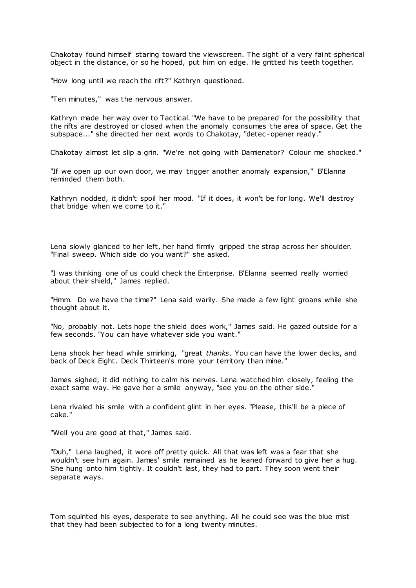Chakotay found himself staring toward the viewscreen. The sight of a very faint spherical object in the distance, or so he hoped, put him on edge. He gritted his teeth together.

"How long until we reach the rift?" Kathryn questioned.

"Ten minutes," was the nervous answer.

Kathryn made her way over to Tactical. "We have to be prepared for the possibility that the rifts are destroyed or closed when the anomaly consumes the area of space. Get the subspace..." she directed her next words to Chakotay, "detec -opener ready."

Chakotay almost let slip a grin. "We're not going with Damienator? Colour me shocked."

"If we open up our own door, we may trigger another anomaly expansion," B'Elanna reminded them both.

Kathryn nodded, it didn't spoil her mood. "If it does, it won't be for long. We'll destroy that bridge when we come to it."

Lena slowly glanced to her left, her hand firmly gripped the strap across her shoulder. "Final sweep. Which side do you want?" she asked.

"I was thinking one of us could check the Enterprise. B'Elanna seemed really worried about their shield," James replied.

"Hmm. Do we have the time?" Lena said warily. She made a few light groans while she thought about it.

"No, probably not. Lets hope the shield does work," James said. He gazed outside for a few seconds. "You can have whatever side you want."

Lena shook her head while smirking, "great *thanks*. You can have the lower decks, and back of Deck Eight. Deck Thirteen's more your territory than mine."

James sighed, it did nothing to calm his nerves. Lena watched him closely, feeling the exact same way. He gave her a smile anyway, "see you on the other side."

Lena rivaled his smile with a confident glint in her eyes. "Please, this'll be a piece of cake."

"Well you are good at that," James said.

"Duh," Lena laughed, it wore off pretty quick. All that was left was a fear that she wouldn't see him again. James' smile remained as he leaned forward to give her a hug. She hung onto him tightly. It couldn't last, they had to part. They soon went their separate ways.

Tom squinted his eyes, desperate to see anything. All he could see was the blue mist that they had been subjected to for a long twenty minutes.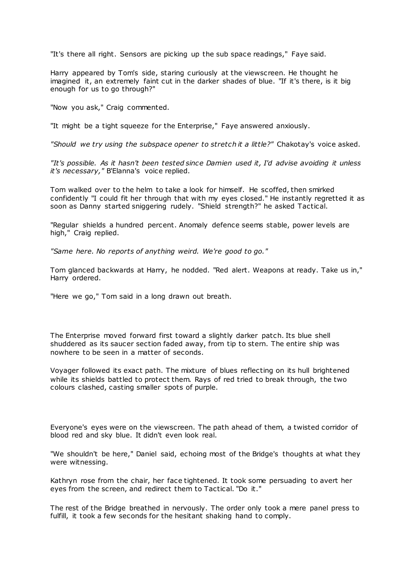"It's there all right. Sensors are picking up the sub space readings," Faye said.

Harry appeared by Tom's side, staring curiously at the viewscreen. He thought he imagined it, an extremely faint cut in the darker shades of blue. "If it's there, is it big enough for us to go through?"

"Now you ask," Craig commented.

"It might be a tight squeeze for the Enterprise," Faye answered anxiously.

*"Should we try using the subspace opener to stretch it a little?"* Chakotay's voice asked.

*"It's possible. As it hasn't been tested since Damien used it, I'd advise avoiding it unless it's necessary,"* B'Elanna's voice replied.

Tom walked over to the helm to take a look for himself. He scoffed, then smirked confidently "I could fit her through that with my eyes closed." He instantly regretted it as soon as Danny started sniggering rudely. "Shield strength?" he asked Tactical.

"Regular shields a hundred percent. Anomaly defence seems stable, power levels are high," Craig replied.

*"Same here. No reports of anything weird. We're good to go."*

Tom glanced backwards at Harry, he nodded. "Red alert. Weapons at ready. Take us in," Harry ordered.

"Here we go," Tom said in a long drawn out breath.

The Enterprise moved forward first toward a slightly darker patch. Its blue shell shuddered as its saucer section faded away, from tip to stern. The entire ship was nowhere to be seen in a matter of seconds.

Voyager followed its exact path. The mixture of blues reflecting on its hull brightened while its shields battled to protect them. Rays of red tried to break through, the two colours clashed, casting smaller spots of purple.

Everyone's eyes were on the viewscreen. The path ahead of them, a twisted corridor of blood red and sky blue. It didn't even look real.

"We shouldn't be here," Daniel said, echoing most of the Bridge's thoughts at what they were witnessing.

Kathryn rose from the chair, her face tightened. It took some persuading to avert her eyes from the screen, and redirect them to Tactical. "Do it."

The rest of the Bridge breathed in nervously. The order only took a mere panel press to fulfill, it took a few seconds for the hesitant shaking hand to comply.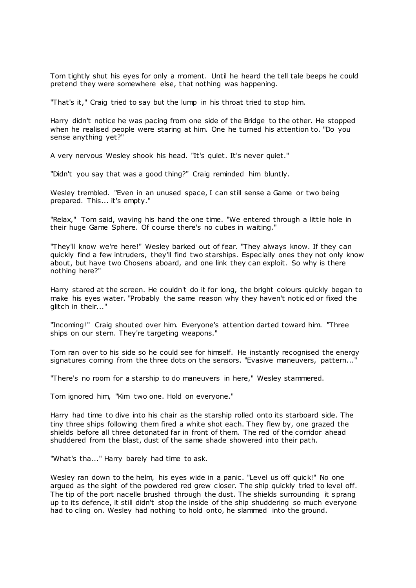Tom tightly shut his eyes for only a moment. Until he heard the tell tale beeps he could pretend they were somewhere else, that nothing was happening.

"That's it," Craig tried to say but the lump in his throat tried to stop him.

Harry didn't notice he was pacing from one side of the Bridge to the other. He stopped when he realised people were staring at him. One he turned his attention to. "Do you sense anything yet?"

A very nervous Wesley shook his head. "It's quiet. It's never quiet."

"Didn't you say that was a good thing?" Craig reminded him bluntly.

Wesley trembled. "Even in an unused space, I can still sense a Game or two being prepared. This... it's empty."

"Relax," Tom said, waving his hand the one time. "We entered through a little hole in their huge Game Sphere. Of course there's no cubes in waiting."

"They'll know we're here!" Wesley barked out of fear. "They always know. If they can quickly find a few intruders, they'll find two starships. Especially ones they not only know about, but have two Chosens aboard, and one link they can exploit. So why is there nothing here?"

Harry stared at the screen. He couldn't do it for long, the bright colours quickly began to make his eyes water. "Probably the same reason why they haven't notic ed or fixed the glitch in their..."

"Incoming!" Craig shouted over him. Everyone's attention darted toward him. "Three ships on our stern. They're targeting weapons."

Tom ran over to his side so he could see for himself. He instantly recognised the energy signatures coming from the three dots on the sensors. "Evasive maneuvers, pattern..."

"There's no room for a starship to do maneuvers in here," Wesley stammered.

Tom ignored him, "Kim two one. Hold on everyone."

Harry had time to dive into his chair as the starship rolled onto its starboard side. The tiny three ships following them fired a white shot each. They flew by, one grazed the shields before all three detonated far in front of them. The red of the corridor ahead shuddered from the blast, dust of the same shade showered into their path.

"What's tha..." Harry barely had time to ask.

Wesley ran down to the helm, his eyes wide in a panic . "Level us off quick!" No one argued as the sight of the powdered red grew closer. The ship quickly tried to level off. The tip of the port nacelle brushed through the dust. The shields surrounding it sprang up to its defence, it still didn't stop the inside of the ship shuddering so much everyone had to cling on. Wesley had nothing to hold onto, he slammed into the ground.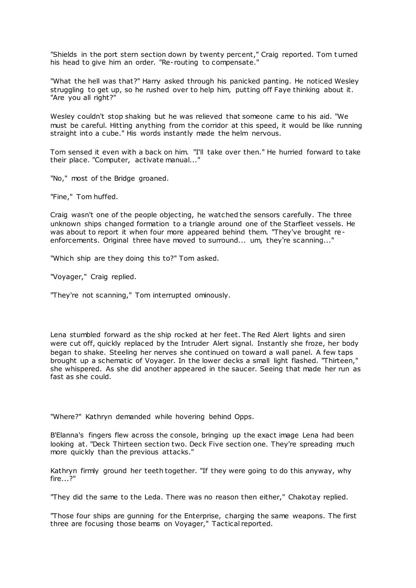"Shields in the port stern section down by twenty percent," Craig reported. Tom t urned his head to give him an order. "Re-routing to compensate."

"What the hell was that?" Harry asked through his panicked panting. He noticed Wesley struggling to get up, so he rushed over to help him, putting off Faye thinking about it. "Are you all right?"

Wesley couldn't stop shaking but he was relieved that someone came to his aid. "We must be careful. Hitting anything from the corridor at this speed, it would be like running straight into a cube." His words instantly made the helm nervous.

Tom sensed it even with a back on him. "I'll take over then." He hurried forward to take their place. "Computer, activate manual..."

"No," most of the Bridge groaned.

"Fine," Tom huffed.

Craig wasn't one of the people objecting, he watched the sensors carefully. The three unknown ships changed formation to a triangle around one of the Starfleet vessels. He was about to report it when four more appeared behind them. "They've brought reenforcements. Original three have moved to surround... um, they're scanning..."

"Which ship are they doing this to?" Tom asked.

"Voyager," Craig replied.

"They're not scanning," Tom interrupted ominously.

Lena stumbled forward as the ship rocked at her feet. The Red Alert lights and siren were cut off, quickly replaced by the Intruder Alert signal. Instantly she froze, her body began to shake. Steeling her nerves she continued on toward a wall panel. A few taps brought up a schematic of Voyager. In the lower decks a small light flashed. "Thirteen," she whispered. As she did another appeared in the saucer. Seeing that made her run as fast as she could.

"Where?" Kathryn demanded while hovering behind Opps.

B'Elanna's fingers flew across the console, bringing up the exact image Lena had been looking at. "Deck Thirteen section two. Deck Five section one. They're spreading much more quickly than the previous attacks."

Kathryn firmly ground her teeth together. "If they were going to do this anyway, why fire...?"

"They did the same to the Leda. There was no reason then either," Chakotay replied.

"Those four ships are gunning for the Enterprise, charging the same weapons. The first three are focusing those beams on Voyager," Tactical reported.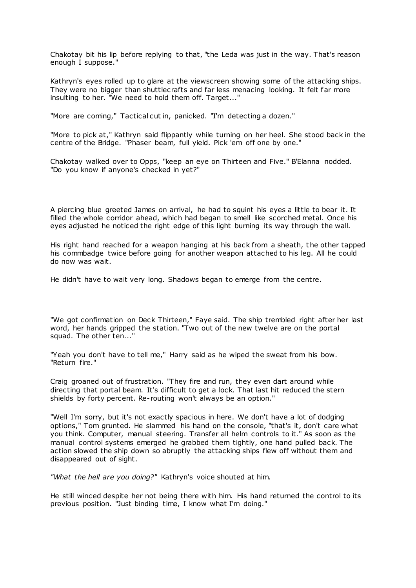Chakotay bit his lip before replying to that, "the Leda was just in the way. That's reason enough I suppose."

Kathryn's eyes rolled up to glare at the viewscreen showing some of the attacking ships. They were no bigger than shuttlecrafts and far less menacing looking. It felt far more insulting to her. "We need to hold them off. Target..."

"More are coming," Tactical cut in, panicked. "I'm detecting a dozen."

"More to pick at," Kathryn said flippantly while turning on her heel. She stood back in the centre of the Bridge. "Phaser beam, full yield. Pick 'em off one by one."

Chakotay walked over to Opps, "keep an eye on Thirteen and Five." B'Elanna nodded. "Do you know if anyone's checked in yet?"

A piercing blue greeted James on arrival, he had to squint his eyes a little to bear it. It filled the whole corridor ahead, which had began to smell like scorched metal. Once his eyes adjusted he noticed the right edge of this light burning its way through the wall.

His right hand reached for a weapon hanging at his back from a sheath, t he other tapped his commbadge twice before going for another weapon attached to his leg. All he could do now was wait.

He didn't have to wait very long. Shadows began to emerge from the centre.

"We got confirmation on Deck Thirteen," Faye said. The ship trembled right after her last word, her hands gripped the station. "Two out of the new twelve are on the portal squad. The other ten..."

"Yeah you don't have to tell me," Harry said as he wiped the sweat from his bow. "Return fire."

Craig groaned out of frustration. "They fire and run, they even dart around while directing that portal beam. It's difficult to get a lock. That last hit reduced the stern shields by forty percent. Re-routing won't always be an option."

"Well I'm sorry, but it's not exactly spacious in here. We don't have a lot of dodging options," Tom grunted. He slammed his hand on the console, "that's it, don't care what you think. Computer, manual steering. Transfer all helm controls to it." As soon as the manual control systems emerged he grabbed them tightly, one hand pulled back. The action slowed the ship down so abruptly the attacking ships flew off without them and disappeared out of sight.

*"What the hell are you doing?"* Kathryn's voice shouted at him.

He still winced despite her not being there with him. His hand returned the control to its previous position. "Just binding time, I know what I'm doing."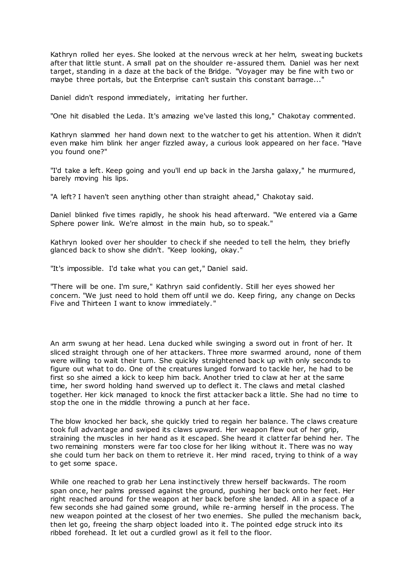Kathryn rolled her eyes. She looked at the nervous wreck at her helm, sweating buckets after that little stunt. A small pat on the shoulder re-assured them. Daniel was her next target, standing in a daze at the back of the Bridge. "Voyager may be fine with two or maybe three portals, but the Enterprise can't sustain this constant barrage..."

Daniel didn't respond immediately, irritating her further.

"One hit disabled the Leda. It's amazing we've lasted this long," Chakotay commented.

Kathryn slammed her hand down next to the watcher to get his attention. When it didn't even make him blink her anger fizzled away, a curious look appeared on her face. "Have you found one?"

"I'd take a left. Keep going and you'll end up back in the Jarsha galaxy," he murmured, barely moving his lips.

"A left? I haven't seen anything other than straight ahead," Chakotay said.

Daniel blinked five times rapidly, he shook his head afterward. "We entered via a Game Sphere power link. We're almost in the main hub, so to speak."

Kathryn looked over her shoulder to check if she needed to tell the helm, they briefly glanced back to show she didn't. "Keep looking, okay."

"It's impossible. I'd take what you can get," Daniel said.

"There will be one. I'm sure," Kathryn said confidently. Still her eyes showed her concern. "We just need to hold them off until we do. Keep firing, any change on Decks Five and Thirteen I want to know immediately."

An arm swung at her head. Lena ducked while swinging a sword out in front of her. It sliced straight through one of her attackers. Three more swarmed around, none of them were willing to wait their turn. She quickly straightened back up with only seconds to figure out what to do. One of the creatures lunged forward to tackle her, he had to be first so she aimed a kick to keep him back. Another tried to claw at her at the same time, her sword holding hand swerved up to deflect it. The claws and metal clashed together. Her kick managed to knock the first attacker back a little. She had no time to stop the one in the middle throwing a punch at her face.

The blow knocked her back, she quickly tried to regain her balance. The claws creature took full advantage and swiped its claws upward. Her weapon flew out of her grip, straining the muscles in her hand as it escaped. She heard it clatter far behind her. The two remaining monsters were far too close for her liking without it. There was no way she could turn her back on them to retrieve it. Her mind raced, trying to think of a way to get some space.

While one reached to grab her Lena instinctively threw herself backwards. The room span once, her palms pressed against the ground, pushing her back onto her feet. Her right reached around for the weapon at her back before she landed. All in a space of a few seconds she had gained some ground, while re-arming herself in the process. The new weapon pointed at the closest of her two enemies. She pulled the mechanism back, then let go, freeing the sharp object loaded into it. The pointed edge struck into its ribbed forehead. It let out a curdled growl as it fell to the floor.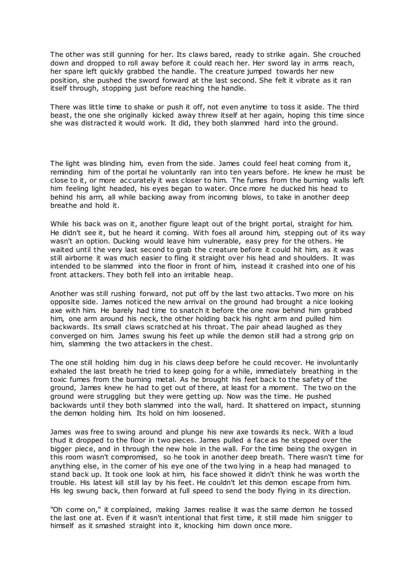The other was still gunning for her. Its claws bared, ready to strike again. She crouched down and dropped to roll away before it could reach her. Her sword lay in arms reach, her spare left quickly grabbed the handle. The creature jumped towards her new position, she pushed the sword forward at the last second. She felt it vibrate as it ran itself through, stopping just before reaching the handle.

There was little time to shake or push it off, not even anytime to toss it aside. The third beast, the one she originally kicked away threw itself at her again, hoping this time since she was distracted it would work. It did, they both slammed hard into the ground.

The light was blinding him, even from the side. James could feel heat coming from it, reminding him of the portal he voluntarily ran into ten years before. He knew he must be close to it, or more accurately it was closer to him. The fumes from the burning walls left him feeling light headed, his eyes began to water. Once more he ducked his head to behind his arm, all while backing away from incoming blows, to take in another deep breathe and hold it.

While his back was on it, another figure leapt out of the bright portal, straight for him. He didn't see it, but he heard it coming. With foes all around him, stepping out of its way wasn't an option. Ducking would leave him vulnerable, easy prey for the others. He waited until the very last second to grab the creature before it could hit him, as it was still airborne it was much easier to fling it straight over his head and shoulders. It was intended to be slammed into the floor in front of him, instead it crashed into one of his front attackers. They both fell into an irritable heap.

Another was still rushing forward, not put off by the last two attacks. Two more on his opposite side. James noticed the new arrival on the ground had brought a nice looking axe with him. He barely had time to snatch it before the one now behind him grabbed him, one arm around his neck, the other holding back his right arm and pulled him backwards. Its small claws scratched at his throat. The pair ahead laughed as they converged on him. James swung his feet up while the demon still had a strong grip on him, slamming the two attackers in the chest.

The one still holding him dug in his claws deep before he could recover. He involuntarily exhaled the last breath he tried to keep going for a while, immediately breathing in the toxic fumes from the burning metal. As he brought his feet back to the safety of the ground, James knew he had to get out of there, at least for a moment. The two on the ground were struggling but they were getting up. Now was the time. He pushed backwards until they both slammed into the wall, hard. It shattered on impact, stunning the demon holding him. Its hold on him loosened.

James was free to swing around and plunge his new axe towards its neck. With a loud thud it dropped to the floor in two pieces. James pulled a face as he stepped over the bigger piece, and in through the new hole in the wall. For the time being the oxygen in this room wasn't compromised, so he took in another deep breath. There wasn't time for anything else, in the corner of his eye one of the two lying in a heap had managed to stand back up. It took one look at him, his face showed it didn't think he was worth the trouble. His latest kill still lay by his feet. He couldn't let this demon escape from him. His leg swung back, then forward at full speed to send the body flying in its direction.

"Oh come on," it complained, making James realise it was the same demon he tossed the last one at. Even if it wasn't intentional that first time, it still made him snigger to himself as it smashed straight into it, knocking him down once more.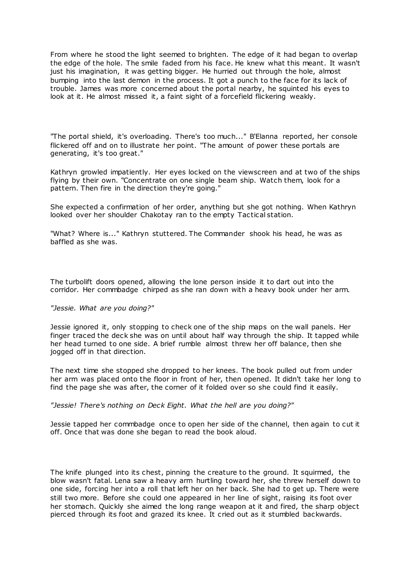From where he stood the light seemed to brighten. The edge of it had began to overlap the edge of the hole. The smile faded from his face. He knew what this meant. It wasn't just his imagination, it was getting bigger. He hurried out through the hole, almost bumping into the last demon in the process. It got a punch to the face for its lack of trouble. James was more concerned about the portal nearby, he squinted his eyes to look at it. He almost missed it, a faint sight of a forcefield flickering weakly.

"The portal shield, it's overloading. There's too much..." B'Elanna reported, her console flickered off and on to illustrate her point. "The amount of power these portals are generating, it's too great."

Kathryn growled impatiently. Her eyes locked on the viewscreen and at two of the ships flying by their own. "Concentrate on one single beam ship. Watch them, look for a pattern. Then fire in the direction they're going."

She expected a confirmation of her order, anything but she got nothing. When Kathryn looked over her shoulder Chakotay ran to the empty Tactical station.

"What? Where is..." Kathryn stuttered. The Commander shook his head, he was as baffled as she was.

The turbolift doors opened, allowing the lone person inside it to dart out into the corridor. Her commbadge chirped as she ran down with a heavy book under her arm.

# *"Jessie. What are you doing?"*

Jessie ignored it, only stopping to check one of the ship maps on the wall panels. Her finger traced the deck she was on until about half way through the ship. It tapped while her head turned to one side. A brief rumble almost threw her off balance, then she jogged off in that direction.

The next time she stopped she dropped to her knees. The book pulled out from under her arm was placed onto the floor in front of her, then opened. It didn't take her long to find the page she was after, the corner of it folded over so she could find it easily.

### *"Jessie! There's nothing on Deck Eight. What the hell are you doing?"*

Jessie tapped her commbadge once to open her side of the channel, then again to cut it off. Once that was done she began to read the book aloud.

The knife plunged into its chest, pinning the creature to the ground. It squirmed, the blow wasn't fatal. Lena saw a heavy arm hurtling toward her, she threw herself down to one side, forcing her into a roll that left her on her back. She had to get up. There were still two more. Before she could one appeared in her line of sight, raising its foot over her stomach. Quickly she aimed the long range weapon at it and fired, the sharp object pierced through its foot and grazed its knee. It cried out as it stumbled backwards.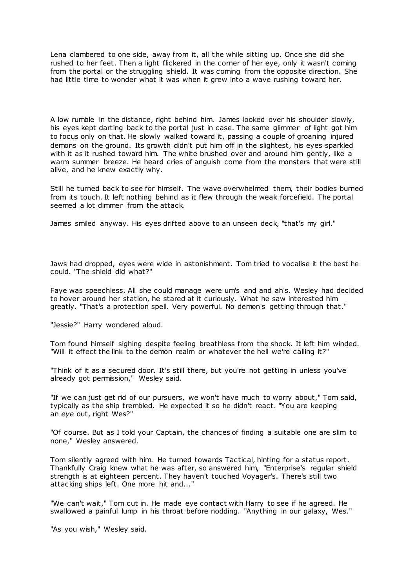Lena clambered to one side, away from it, all the while sitting up. Once she did she rushed to her feet. Then a light flickered in the corner of her eye, only it wasn't coming from the portal or the struggling shield. It was coming from the opposite direction. She had little time to wonder what it was when it grew into a wave rushing toward her.

A low rumble in the distance, right behind him. James looked over his shoulder slowly, his eyes kept darting back to the portal just in case. The same glimmer of light got him to focus only on that. He slowly walked toward it, passing a couple of groaning injured demons on the ground. Its growth didn't put him off in the slightest, his eyes sparkled with it as it rushed toward him. The white brushed over and around him gently, like a warm summer breeze. He heard cries of anguish come from the monsters that were still alive, and he knew exactly why.

Still he turned back to see for himself. The wave overwhelmed them, their bodies burned from its touch. It left nothing behind as it flew through the weak forcefield. The portal seemed a lot dimmer from the attack.

James smiled anyway. His eyes drifted above to an unseen deck, "that's my girl."

Jaws had dropped, eyes were wide in astonishment. Tom tried to vocalise it the best he could. "The shield did what?"

Faye was speechless. All she could manage were um's and and ah's. Wesley had decided to hover around her station, he stared at it curiously. What he saw interested him greatly. "That's a protection spell. Very powerful. No demon's getting through that."

"Jessie?" Harry wondered aloud.

Tom found himself sighing despite feeling breathless from the shock. It left him winded. "Will it effect the link to the demon realm or whatever the hell we're calling it?"

"Think of it as a secured door. It's still there, but you're not getting in unless you've already got permission," Wesley said.

"If we can just get rid of our pursuers, we won't have much to worry about," Tom said, typically as the ship trembled. He expected it so he didn't react. "You are keeping an *eye* out, right Wes?"

"Of course. But as I told your Captain, the chances of finding a suitable one are slim to none," Wesley answered.

Tom silently agreed with him. He turned towards Tactical, hinting for a status report. Thankfully Craig knew what he was after, so answered him, "Enterprise's regular shield strength is at eighteen percent. They haven't touched Voyager's. There's still two attacking ships left. One more hit and..."

"We can't wait," Tom cut in. He made eye contact with Harry to see if he agreed. He swallowed a painful lump in his throat before nodding. "Anything in our galaxy, Wes."

"As you wish," Wesley said.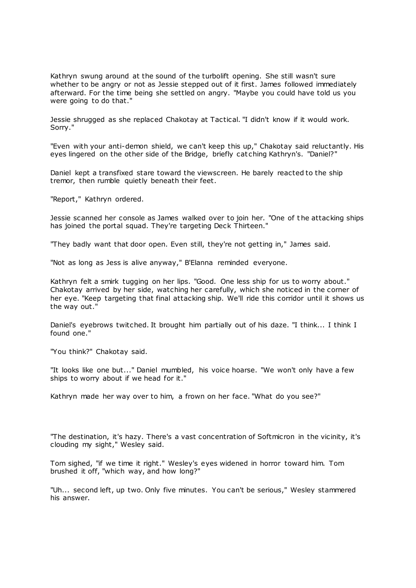Kathryn swung around at the sound of the turbolift opening. She still wasn't sure whether to be angry or not as Jessie stepped out of it first. James followed immediately afterward. For the time being she settled on angry. "Maybe you could have told us you were going to do that."

Jessie shrugged as she replaced Chakotay at Tactical. "I didn't know if it would work. Sorry."

"Even with your anti-demon shield, we can't keep this up," Chakotay said reluctantly. His eyes lingered on the other side of the Bridge, briefly cat ching Kathryn's. "Daniel?"

Daniel kept a transfixed stare toward the viewscreen. He barely reacted to the ship tremor, then rumble quietly beneath their feet.

"Report," Kathryn ordered.

Jessie scanned her console as James walked over to join her. "One of t he attacking ships has joined the portal squad. They're targeting Deck Thirteen."

"They badly want that door open. Even still, they're not getting in," James said.

"Not as long as Jess is alive anyway," B'Elanna reminded everyone.

Kathryn felt a smirk tugging on her lips. "Good. One less ship for us to worry about." Chakotay arrived by her side, watching her carefully, which she noticed in the corner of her eye. "Keep targeting that final attacking ship. We'll ride this corridor until it shows us the way out."

Daniel's eyebrows twitched. It brought him partially out of his daze. "I think... I think I found one."

"You think?" Chakotay said.

"It looks like one but..." Daniel mumbled, his voice hoarse. "We won't only have a few ships to worry about if we head for it."

Kathryn made her way over to him, a frown on her face. "What do you see?"

"The destination, it's hazy. There's a vast concentration of Softmicron in the vicinity, it's clouding my sight," Wesley said.

Tom sighed, "if we time it right." Wesley's eyes widened in horror toward him. Tom brushed it off, "which way, and how long?"

"Uh... second left, up two. Only five minutes. You can't be serious," Wesley stammered his answer.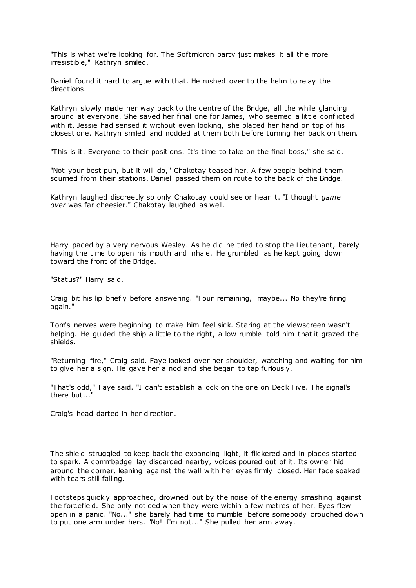"This is what we're looking for. The Softmicron party just makes it all the more irresistible," Kathryn smiled.

Daniel found it hard to argue with that. He rushed over to the helm to relay the directions.

Kathryn slowly made her way back to the centre of the Bridge, all the while glancing around at everyone. She saved her final one for James, who seemed a little conflicted with it. Jessie had sensed it without even looking, she placed her hand on top of his closest one. Kathryn smiled and nodded at them both before turning her back on them.

"This is it. Everyone to their positions. It's time to take on the final boss," she said.

"Not your best pun, but it will do," Chakotay teased her. A few people behind them scurried from their stations. Daniel passed them on route to the back of the Bridge.

Kathryn laughed discreetly so only Chakotay could see or hear it. "I thought *game over* was far cheesier." Chakotay laughed as well.

Harry paced by a very nervous Wesley. As he did he tried to stop the Lieutenant, barely having the time to open his mouth and inhale. He grumbled as he kept going down toward the front of the Bridge.

"Status?" Harry said.

Craig bit his lip briefly before answering. "Four remaining, maybe... No they're firing again."

Tom's nerves were beginning to make him feel sick. Staring at the viewscreen wasn't helping. He guided the ship a little to the right, a low rumble told him that it grazed the shields.

"Returning fire," Craig said. Faye looked over her shoulder, watching and waiting for him to give her a sign. He gave her a nod and she began to tap furiously.

"That's odd," Faye said. "I can't establish a lock on the one on Deck Five. The signal's there but..."

Craig's head darted in her direction.

The shield struggled to keep back the expanding light, it flickered and in places started to spark. A commbadge lay discarded nearby, voices poured out of it. Its owner hid around the corner, leaning against the wall with her eyes firmly closed. Her face soaked with tears still falling.

Footsteps quickly approached, drowned out by the noise of the energy smashing against the forcefield. She only noticed when they were within a few metres of her. Eyes flew open in a panic . "No..." she barely had time to mumble before somebody crouched down to put one arm under hers. "No! I'm not..." She pulled her arm away.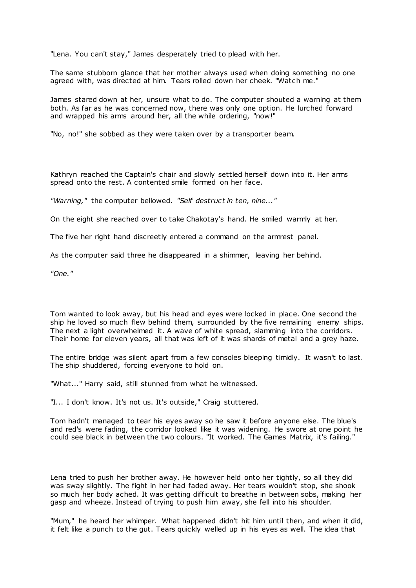"Lena. You can't stay," James desperately tried to plead with her.

The same stubborn glance that her mother always used when doing something no one agreed with, was directed at him. Tears rolled down her cheek. "Watch me."

James stared down at her, unsure what to do. The computer shouted a warning at them both. As far as he was concerned now, there was only one option. He lurched forward and wrapped his arms around her, all the while ordering, "now!"

"No, no!" she sobbed as they were taken over by a transporter beam.

Kathryn reached the Captain's chair and slowly settled herself down into it. Her arms spread onto the rest. A contented smile formed on her face.

*"Warning,"* the computer bellowed. *"Self destruct in ten, nine..."*

On the eight she reached over to take Chakotay's hand. He smiled warmly at her.

The five her right hand discreetly entered a command on the armrest panel.

As the computer said three he disappeared in a shimmer, leaving her behind.

*"One."*

Tom wanted to look away, but his head and eyes were locked in place. One second the ship he loved so much flew behind them, surrounded by the five remaining enemy ships. The next a light overwhelmed it. A wave of white spread, slamming into the corridors. Their home for eleven years, all that was left of it was shards of metal and a grey haze.

The entire bridge was silent apart from a few consoles bleeping timidly. It wasn't to last. The ship shuddered, forcing everyone to hold on.

"What..." Harry said, still stunned from what he witnessed.

"I... I don't know. It's not us. It's outside," Craig stuttered.

Tom hadn't managed to tear his eyes away so he saw it before anyone else. The blue's and red's were fading, the corridor looked like it was widening. He swore at one point he could see black in between the two colours. "It worked. The Games Matrix, it's failing."

Lena tried to push her brother away. He however held onto her tightly, so all they did was sway slightly. The fight in her had faded away. Her tears wouldn't stop, she shook so much her body ached. It was getting difficult to breathe in between sobs, making her gasp and wheeze. Instead of trying to push him away, she fell into his shoulder.

"Mum," he heard her whimper. What happened didn't hit him until then, and when it did, it felt like a punch to the gut. Tears quickly welled up in his eyes as well. The idea that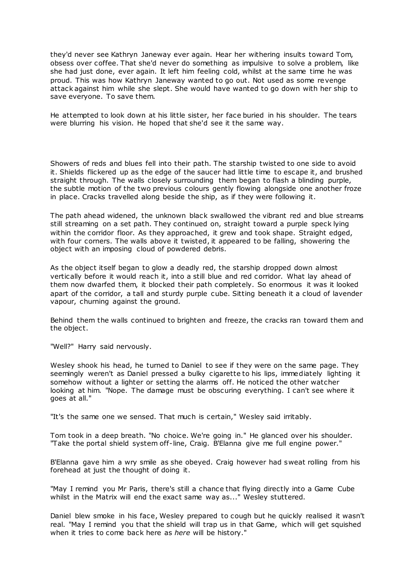they'd never see Kathryn Janeway ever again. Hear her withering insults toward Tom, obsess over coffee. That she'd never do something as impulsive to solve a problem, like she had just done, ever again. It left him feeling cold, whilst at the same time he was proud. This was how Kathryn Janeway wanted to go out. Not used as some revenge attack against him while she slept. She would have wanted to go down with her ship to save everyone. To save them.

He attempted to look down at his little sister, her face buried in his shoulder. The tears were blurring his vision. He hoped that she'd see it the same way.

Showers of reds and blues fell into their path. The starship twisted to one side to avoid it. Shields flickered up as the edge of the saucer had little time to escape it, and brushed straight through. The walls closely surrounding them began to flash a blinding purple, the subtle motion of the two previous colours gently flowing alongside one another froze in place. Cracks travelled along beside the ship, as if they were following it.

The path ahead widened, the unknown black swallowed the vibrant red and blue streams still streaming on a set path. They continued on, straight toward a purple speck lying within the corridor floor. As they approached, it grew and took shape. Straight edged, with four corners. The walls above it twisted, it appeared to be falling, showering the object with an imposing cloud of powdered debris.

As the object itself began to glow a deadly red, the starship dropped down almost vertically before it would reach it, into a still blue and red corridor. What lay ahead of them now dwarfed them, it blocked their path completely. So enormous it was it looked apart of the corridor, a tall and sturdy purple cube. Sitting beneath it a cloud of lavender vapour, churning against the ground.

Behind them the walls continued to brighten and freeze, the cracks ran toward them and the object.

"Well?" Harry said nervously.

Wesley shook his head, he turned to Daniel to see if they were on the same page. They seemingly weren't as Daniel pressed a bulky cigarette to his lips, immediately lighting it somehow without a lighter or setting the alarms off. He noticed the other watcher looking at him. "Nope. The damage must be obscuring everything. I can't see where it goes at all."

"It's the same one we sensed. That much is certain," Wesley said irritably.

Tom took in a deep breath. "No choice. We're going in." He glanced over his shoulder. "Take the portal shield system off-line, Craig. B'Elanna give me full engine power."

B'Elanna gave him a wry smile as she obeyed. Craig however had sweat rolling from his forehead at just the thought of doing it.

"May I remind you Mr Paris, there's still a chance that flying directly into a Game Cube whilst in the Matrix will end the exact same way as..." Wesley stuttered.

Daniel blew smoke in his face, Wesley prepared to cough but he quickly realised it wasn't real. "May I remind you that the shield will trap us in that Game, which will get squished when it tries to come back here as *here* will be history."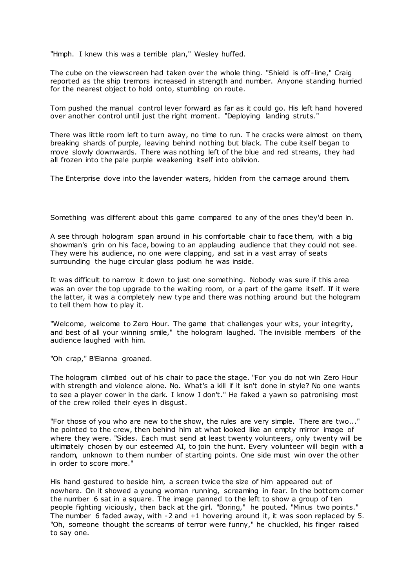"Hmph. I knew this was a terrible plan," Wesley huffed.

The cube on the viewscreen had taken over the whole thing. "Shield is off -line," Craig reported as the ship tremors increased in strength and number. Anyone standing hurried for the nearest object to hold onto, stumbling on route.

Tom pushed the manual control lever forward as far as it could go. His left hand hovered over another control until just the right moment. "Deploying landing struts."

There was little room left to turn away, no time to run. The cracks were almost on them, breaking shards of purple, leaving behind nothing but black. The cube itself began to move slowly downwards. There was nothing left of the blue and red streams, they had all frozen into the pale purple weakening itself into oblivion.

The Enterprise dove into the lavender waters, hidden from the carnage around them.

Something was different about this game compared to any of the ones they'd been in.

A see through hologram span around in his comfortable chair to face them, with a big showman's grin on his face, bowing to an applauding audience that they could not see. They were his audience, no one were clapping, and sat in a vast array of seats surrounding the huge circular glass podium he was inside.

It was difficult to narrow it down to just one something. Nobody was sure if this area was an over the top upgrade to the waiting room, or a part of the game itself. If it were the latter, it was a completely new type and there was nothing around but the hologram to tell them how to play it.

"Welcome, welcome to Zero Hour. The game that challenges your wits, your integrity, and best of all your winning smile," the hologram laughed. The invisible members of the audience laughed with him.

"Oh crap," B'Elanna groaned.

The hologram climbed out of his chair to pace the stage. "For you do not win Zero Hour with strength and violence alone. No. What's a kill if it isn't done in style? No one wants to see a player cower in the dark. I know I don't." He faked a yawn so patronising most of the crew rolled their eyes in disgust.

"For those of you who are new to the show, the rules are very simple. There are two..." he pointed to the crew, then behind him at what looked like an empty mirror image of where they were. "Sides. Each must send at least twenty volunteers, only twenty will be ultimately chosen by our esteemed AI, to join the hunt. Every volunteer will begin with a random, unknown to them number of starting points. One side must win over the other in order to score more."

His hand gestured to beside him, a screen twice the size of him appeared out of nowhere. On it showed a young woman running, screaming in fear. In the bottom corner the number 6 sat in a square. The image panned to the left to show a group of ten people fighting viciously, then back at the girl. "Boring," he pouted. "Minus two points." The number 6 faded away, with -2 and +1 hovering around it, it was soon replaced by 5. "Oh, someone thought the screams of terror were funny," he chuckled, his finger raised to say one.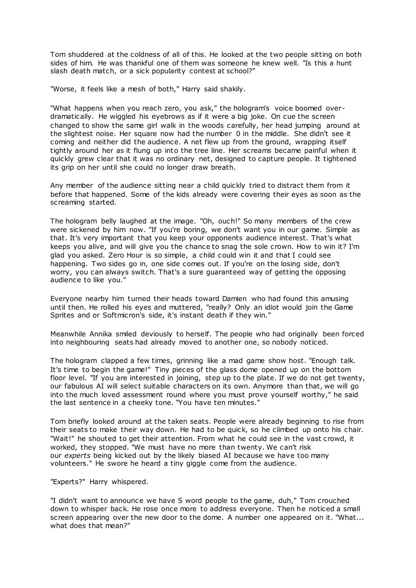Tom shuddered at the coldness of all of this. He looked at the two people sitting on both sides of him. He was thankful one of them was someone he knew well. "Is this a hunt slash death match, or a sick popularity contest at school?"

"Worse, it feels like a mesh of both," Harry said shakily.

"What happens when you reach zero, you ask," the hologram's voice boomed overdramatically. He wiggled his eyebrows as if it were a big joke. On cue the screen changed to show the same girl walk in the woods carefully, her head jumping around at the slightest noise. Her square now had the number 0 in the middle. She didn't see it coming and neither did the audience. A net flew up from the ground, wrapping itself tightly around her as it flung up into the tree line. Her screams became painful when it quickly grew clear that it was no ordinary net, designed to capture people. It tightened its grip on her until she could no longer draw breath.

Any member of the audience sitting near a child quickly tried to distract them from it before that happened. Some of the kids already were covering their eyes as soon as the screaming started.

The hologram belly laughed at the image. "Oh, ouch!" So many members of the crew were sickened by him now. "If you're boring, we don't want you in our game. Simple as that. It's very important that you keep your opponents audience interest. That's what keeps you alive, and will give you the chance to snag the sole crown. How to win it? I'm glad you asked. Zero Hour is so simple, a child could win it and that I could see happening. Two sides go in, one side comes out. If you're on the losing side, don't worry, you can always switch. That's a sure guaranteed way of getting the opposing audience to like you."

Everyone nearby him turned their heads toward Damien who had found this amusing until then. He rolled his eyes and muttered, "really? Only an idiot would join the Game Sprites and or Softmicron's side, it's instant death if they win."

Meanwhile Annika smiled deviously to herself. The people who had originally been forced into neighbouring seats had already moved to another one, so nobody noticed.

The hologram clapped a few times, grinning like a mad game show host. "Enough talk. It's time to begin the game!" Tiny pieces of the glass dome opened up on the bottom floor level. "If you are interested in joining, step up to the plate. If we do not get twenty, our fabulous AI will select suitable characters on its own. Anymore than that, we will go into the much loved assessment round where you must prove yourself worthy," he said the last sentence in a cheeky tone. "You have ten minutes."

Tom briefly looked around at the taken seats. People were already beginning to rise from their seats to make their way down. He had to be quick, so he climbed up onto his chair. "Wait!" he shouted to get their attention. From what he could see in the vast crowd, it worked, they stopped. "We must have no more than twenty. We can't risk our *experts* being kicked out by the likely biased AI because we have too many volunteers." He swore he heard a tiny giggle come from the audience.

"Experts?" Harry whispered.

"I didn't want to announce we have S word people to the game, duh," Tom crouched down to whisper back. He rose once more to address everyone. Then he noticed a small screen appearing over the new door to the dome. A number one appeared on it. "What... what does that mean?"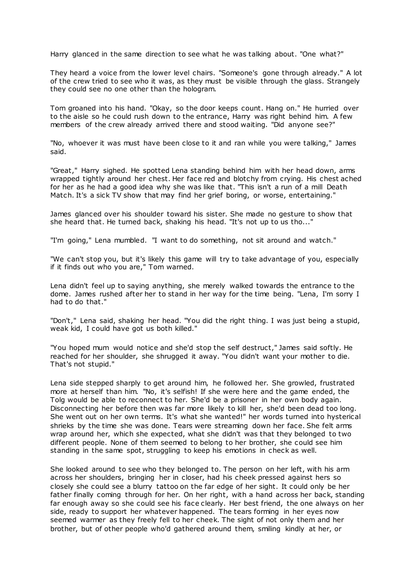Harry glanced in the same direction to see what he was talking about. "One what?"

They heard a voice from the lower level chairs. "Someone's gone through already." A lot of the crew tried to see who it was, as they must be visible through the glass. Strangely they could see no one other than the hologram.

Tom groaned into his hand. "Okay, so the door keeps count. Hang on." He hurried over to the aisle so he could rush down to the entrance, Harry was right behind him. A few members of the crew already arrived there and stood waiting. "Did anyone see?"

"No, whoever it was must have been close to it and ran while you were talking," James said.

"Great," Harry sighed. He spotted Lena standing behind him with her head down, arms wrapped tightly around her chest. Her face red and blotchy from crying. His chest ached for her as he had a good idea why she was like that. "This isn't a run of a mill Death Match. It's a sick TV show that may find her grief boring, or worse, entertaining."

James glanced over his shoulder toward his sister. She made no gesture to show that she heard that. He turned back, shaking his head. "It's not up to us tho..."

"I'm going," Lena mumbled. "I want to do something, not sit around and watch."

"We can't stop you, but it's likely this game will try to take advantage of you, especially if it finds out who you are," Tom warned.

Lena didn't feel up to saying anything, she merely walked towards the entrance to the dome. James rushed after her to stand in her way for the time being. "Lena, I'm sorry I had to do that."

"Don't," Lena said, shaking her head. "You did the right thing. I was just being a stupid, weak kid, I could have got us both killed."

"You hoped mum would notice and she'd stop the self destruct," James said softly. He reached for her shoulder, she shrugged it away. "You didn't want your mother to die. That's not stupid."

Lena side stepped sharply to get around him, he followed her. She growled, frustrated more at herself than him. "No, it's selfish! If she were here and the game ended, the Tolg would be able to reconnect to her. She'd be a prisoner in her own body again. Disconnecting her before then was far more likely to kill her, she'd been dead too long. She went out on her own terms. It's what she wanted!" her words turned into hysterical shrieks by the time she was done. Tears were streaming down her face. She felt arms wrap around her, which she expected, what she didn't was that they belonged to two different people. None of them seemed to belong to her brother, she could see him standing in the same spot, struggling to keep his emotions in check as well.

She looked around to see who they belonged to. The person on her left, with his arm across her shoulders, bringing her in closer, had his cheek pressed against hers so closely she could see a blurry tattoo on the far edge of her sight. It could only be her father finally coming through for her. On her right, with a hand across her back, standing far enough away so she could see his face clearly. Her best friend, the one always on her side, ready to support her whatever happened. The tears forming in her eyes now seemed warmer as they freely fell to her cheek. The sight of not only them and her brother, but of other people who'd gathered around them, smiling kindly at her, or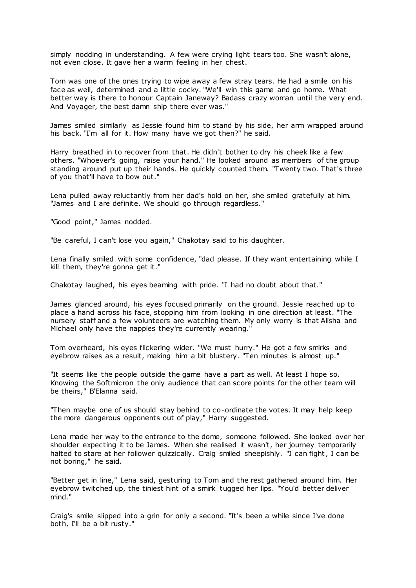simply nodding in understanding. A few were crying light tears too. She wasn't alone, not even close. It gave her a warm feeling in her chest.

Tom was one of the ones trying to wipe away a few stray tears. He had a smile on his face as well, determined and a little cocky. "We'll win this game and go home. What better way is there to honour Captain Janeway? Badass crazy woman until the very end. And Voyager, the best damn ship there ever was."

James smiled similarly as Jessie found him to stand by his side, her arm wrapped around his back. "I'm all for it. How many have we got then?" he said.

Harry breathed in to recover from that. He didn't bother to dry his cheek like a few others. "Whoever's going, raise your hand." He looked around as members of the group standing around put up their hands. He quickly counted them. "Twenty two. That's three of you that'll have to bow out."

Lena pulled away reluctantly from her dad's hold on her, she smiled gratefully at him. "James and I are definite. We should go through regardless."

"Good point," James nodded.

"Be careful, I can't lose you again," Chakotay said to his daughter.

Lena finally smiled with some confidence, "dad please. If they want entertaining while I kill them, they're gonna get it."

Chakotay laughed, his eyes beaming with pride. "I had no doubt about that."

James glanced around, his eyes focused primarily on the ground. Jessie reached up to place a hand across his face, stopping him from looking in one direction at least. "The nursery staff and a few volunteers are watching them. My only worry is that Alisha and Michael only have the nappies they're currently wearing."

Tom overheard, his eyes flickering wider. "We must hurry." He got a few smirks and eyebrow raises as a result, making him a bit blustery. "Ten minutes is almost up."

"It seems like the people outside the game have a part as well. At least I hope so. Knowing the Softmicron the only audience that can score points for the other team will be theirs," B'Elanna said.

"Then maybe one of us should stay behind to co-ordinate the votes. It may help keep the more dangerous opponents out of play," Harry suggested.

Lena made her way to the entrance to the dome, someone followed. She looked over her shoulder expecting it to be James. When she realised it wasn't, her journey temporarily halted to stare at her follower quizzically. Craig smiled sheepishly. "I can fight, I can be not boring," he said.

"Better get in line," Lena said, gesturing to Tom and the rest gathered around him. Her eyebrow twitched up, the tiniest hint of a smirk tugged her lips. "You'd better deliver mind."

Craig's smile slipped into a grin for only a second. "It's been a while since I've done both, I'll be a bit rusty."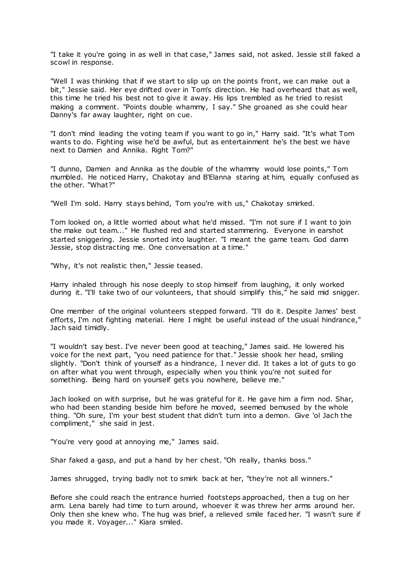"I take it you're going in as well in that case," James said, not asked. Jessie still faked a scowl in response.

"Well I was thinking that if we start to slip up on the points front, we can make out a bit," Jessie said. Her eye drifted over in Tom's direction. He had overheard that as well, this time he tried his best not to give it away. His lips trembled as he tried to resist making a comment. "Points double whammy, I say." She groaned as she could hear Danny's far away laughter, right on cue.

"I don't mind leading the voting team if you want to go in," Harry said. "It's what Tom wants to do. Fighting wise he'd be awful, but as entertainment he's the best we have next to Damien and Annika. Right Tom?"

"I dunno, Damien and Annika as the double of the whammy would lose points," Tom mumbled. He noticed Harry, Chakotay and B'Elanna staring at him, equally confused as the other. "What?"

"Well I'm sold. Harry stays behind, Tom you're with us," Chakotay smirked.

Tom looked on, a little worried about what he'd missed. "I'm not sure if I want to join the make out team..." He flushed red and started stammering. Everyone in earshot started sniggering. Jessie snorted into laughter. "I meant the game team. God damn Jessie, stop distracting me. One conversation at a time."

"Why, it's not realistic then," Jessie teased.

Harry inhaled through his nose deeply to stop himself from laughing, it only worked during it. "I'll take two of our volunteers, that should simplify this," he said mid snigger.

One member of the original volunteers stepped forward. "I'll do it. Despite James' best efforts, I'm not fighting material. Here I might be useful instead of the usual hindrance," Jach said timidly.

"I wouldn't say best. I've never been good at teaching," James said. He lowered his voice for the next part, "you need patience for that." Jessie shook her head, smiling slightly. "Don't think of yourself as a hindrance, I never did. It takes a lot of guts to go on after what you went through, especially when you think you're not suited for something. Being hard on yourself gets you nowhere, believe me."

Jach looked on with surprise, but he was grateful for it. He gave him a firm nod. Shar, who had been standing beside him before he moved, seemed bemused by the whole thing. "Oh sure, I'm your best student that didn't turn into a demon. Give 'ol Jach the compliment," she said in jest.

"You're very good at annoying me," James said.

Shar faked a gasp, and put a hand by her chest. "Oh really, thanks boss."

James shrugged, trying badly not to smirk back at her, "they're not all winners."

Before she could reach the entrance hurried footsteps approached, then a tug on her arm. Lena barely had time to turn around, whoever it was threw her arms around her. Only then she knew who. The hug was brief, a relieved smile faced her. "I wasn't sure if you made it. Voyager..." Kiara smiled.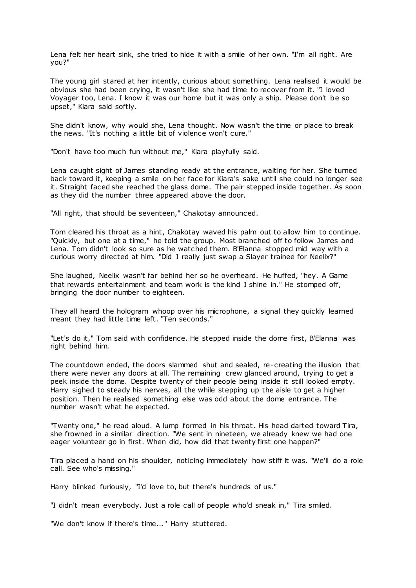Lena felt her heart sink, she tried to hide it with a smile of her own. "I'm all right. Are you?"

The young girl stared at her intently, curious about something. Lena realised it would be obvious she had been crying, it wasn't like she had time to recover from it. "I loved Voyager too, Lena. I know it was our home but it was only a ship. Please don't be so upset," Kiara said softly.

She didn't know, why would she, Lena thought. Now wasn't the time or place to break the news. "It's nothing a little bit of violence won't cure."

"Don't have too much fun without me," Kiara playfully said.

Lena caught sight of James standing ready at the entrance, waiting for her. She turned back toward it, keeping a smile on her face for Kiara's sake until she could no longer see it. Straight faced she reached the glass dome. The pair stepped inside together. As soon as they did the number three appeared above the door.

"All right, that should be seventeen," Chakotay announced.

Tom cleared his throat as a hint, Chakotay waved his palm out to allow him to continue. "Quickly, but one at a time," he told the group. Most branched off to follow James and Lena. Tom didn't look so sure as he watched them. B'Elanna stopped mid way with a curious worry directed at him. "Did I really just swap a Slayer trainee for Neelix?"

She laughed, Neelix wasn't far behind her so he overheard. He huffed, "hey. A Game that rewards entertainment and team work is the kind I shine in." He stomped off, bringing the door number to eighteen.

They all heard the hologram whoop over his microphone, a signal they quickly learned meant they had little time left. "Ten seconds."

"Let's do it," Tom said with confidence. He stepped inside the dome first, B'Elanna was right behind him.

The countdown ended, the doors slammed shut and sealed, re-creating the illusion that there were never any doors at all. The remaining crew glanced around, trying to get a peek inside the dome. Despite twenty of their people being inside it still looked empty. Harry sighed to steady his nerves, all the while stepping up the aisle to get a higher position. Then he realised something else was odd about the dome entrance. The number wasn't what he expected.

"Twenty one," he read aloud. A lump formed in his throat. His head darted toward Tira, she frowned in a similar direction. "We sent in nineteen, we already knew we had one eager volunteer go in first. When did, how did that twenty first one happen?"

Tira placed a hand on his shoulder, noticing immediately how stiff it was. "We'll do a role call. See who's missing."

Harry blinked furiously, "I'd love to, but there's hundreds of us."

"I didn't mean everybody. Just a role call of people who'd sneak in," Tira smiled.

"We don't know if there's time..." Harry stuttered.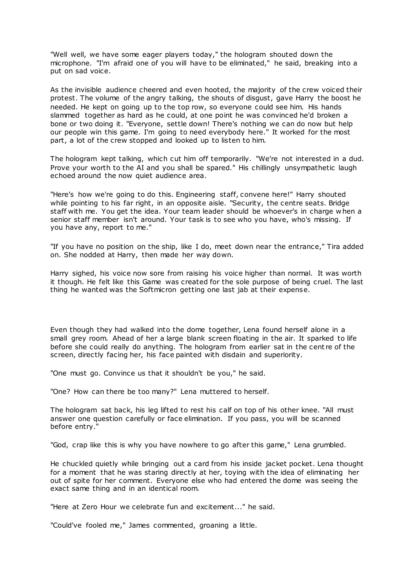"Well well, we have some eager players today," the hologram shouted down the microphone. "I'm afraid one of you will have to be eliminated," he said, breaking into a put on sad voice.

As the invisible audience cheered and even hooted, the majority of the crew voiced their protest. The volume of the angry talking, the shouts of disgust, gave Harry the boost he needed. He kept on going up to the top row, so everyone could see him. His hands slammed together as hard as he could, at one point he was convinced he'd broken a bone or two doing it. "Everyone, settle down! There's nothing we can do now but help our people win this game. I'm going to need everybody here." It worked for the most part, a lot of the crew stopped and looked up to listen to him.

The hologram kept talking, which cut him off temporarily. "We're not interested in a dud. Prove your worth to the AI and you shall be spared." His chillingly unsympathetic laugh echoed around the now quiet audience area.

"Here's how we're going to do this. Engineering staff, convene here!" Harry shouted while pointing to his far right, in an opposite aisle. "Security, the centre seats. Bridge staff with me. You get the idea. Your team leader should be whoever's in charge w hen a senior staff member isn't around. Your task is to see who you have, who's missing. If you have any, report to me."

"If you have no position on the ship, like I do, meet down near the entrance," Tira added on. She nodded at Harry, then made her way down.

Harry sighed, his voice now sore from raising his voice higher than normal. It was worth it though. He felt like this Game was created for the sole purpose of being cruel. The last thing he wanted was the Softmicron getting one last jab at their expense.

Even though they had walked into the dome together, Lena found herself alone in a small grey room. Ahead of her a large blank screen floating in the air. It sparked to life before she could really do anything. The hologram from earlier sat in the cent re of the screen, directly facing her, his face painted with disdain and superiority.

"One must go. Convince us that it shouldn't be you," he said.

"One? How can there be too many?" Lena muttered to herself.

The hologram sat back, his leg lifted to rest his calf on top of his other knee. "All must answer one question carefully or face elimination. If you pass, you will be scanned before entry."

"God, crap like this is why you have nowhere to go after this game," Lena grumbled.

He chuckled quietly while bringing out a card from his inside jacket pocket. Lena thought for a moment that he was staring directly at her, toying with the idea of eliminating her out of spite for her comment. Everyone else who had entered the dome was seeing the exact same thing and in an identical room.

"Here at Zero Hour we celebrate fun and excitement..." he said.

"Could've fooled me," James commented, groaning a little.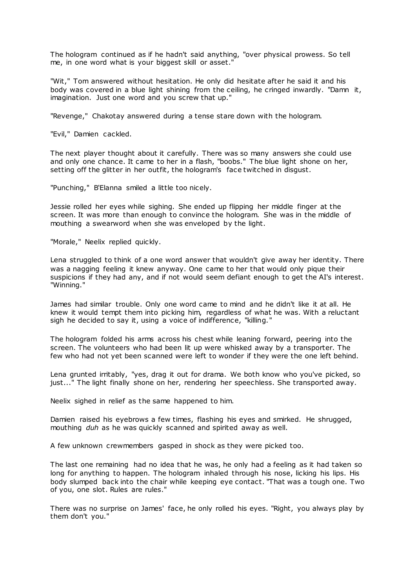The hologram continued as if he hadn't said anything, "over physical prowess. So tell me, in one word what is your biggest skill or asset."

"Wit," Tom answered without hesitation. He only did hesitate after he said it and his body was covered in a blue light shining from the ceiling, he cringed inwardly. "Damn it, imagination. Just one word and you screw that up."

"Revenge," Chakotay answered during a tense stare down with the hologram.

"Evil," Damien cackled.

The next player thought about it carefully. There was so many answers she could use and only one chance. It came to her in a flash, "boobs." The blue light shone on her, setting off the glitter in her outfit, the hologram's face twitched in disgust.

"Punching," B'Elanna smiled a little too nicely.

Jessie rolled her eyes while sighing. She ended up flipping her middle finger at the screen. It was more than enough to convince the hologram. She was in the middle of mouthing a swearword when she was enveloped by the light.

"Morale," Neelix replied quickly.

Lena struggled to think of a one word answer that wouldn't give away her identity. There was a nagging feeling it knew anyway. One came to her that would only pique their suspicions if they had any, and if not would seem defiant enough to get the AI's interest. "Winning."

James had similar trouble. Only one word came to mind and he didn't like it at all. He knew it would tempt them into picking him, regardless of what he was. With a reluctant sigh he decided to say it, using a voice of indifference, "killing."

The hologram folded his arms across his chest while leaning forward, peering into the screen. The volunteers who had been lit up were whisked away by a transporter. The few who had not yet been scanned were left to wonder if they were the one left behind.

Lena grunted irritably, "yes, drag it out for drama. We both know who you've picked, so just..." The light finally shone on her, rendering her speechless. She transported away.

Neelix sighed in relief as the same happened to him.

Damien raised his eyebrows a few times, flashing his eyes and smirked. He shrugged, mouthing *duh* as he was quickly scanned and spirited away as well.

A few unknown crewmembers gasped in shock as they were picked too.

The last one remaining had no idea that he was, he only had a feeling as it had taken so long for anything to happen. The hologram inhaled through his nose, licking his lips. His body slumped back into the chair while keeping eye contact. "That was a tough one. Two of you, one slot. Rules are rules."

There was no surprise on James' face, he only rolled his eyes. "Right, you always play by them don't you."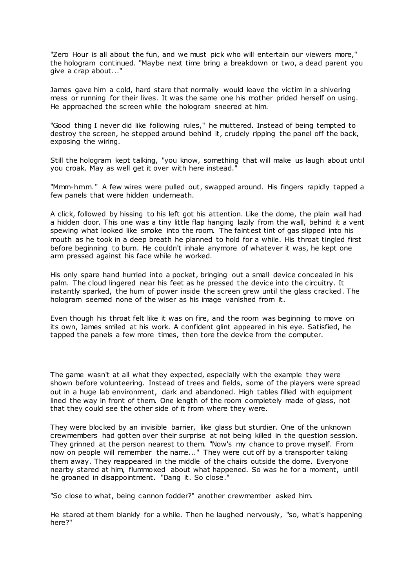"Zero Hour is all about the fun, and we must pick who will entertain our viewers more," the hologram continued. "Maybe next time bring a breakdown or two, a dead parent you give a crap about..."

James gave him a cold, hard stare that normally would leave the victim in a shivering mess or running for their lives. It was the same one his mother prided herself on using. He approached the screen while the hologram sneered at him.

"Good thing I never did like following rules," he muttered. Instead of being tempted to destroy the screen, he stepped around behind it, crudely ripping the panel off the back, exposing the wiring.

Still the hologram kept talking, "you know, something that will make us laugh about until you croak. May as well get it over with here instead."

"Mmm-hmm." A few wires were pulled out, swapped around. His fingers rapidly tapped a few panels that were hidden underneath.

A click, followed by hissing to his left got his attention. Like the dome, the plain wall had a hidden door. This one was a tiny little flap hanging lazily from the wall, behind it a vent spewing what looked like smoke into the room. The faintest tint of gas slipped into his mouth as he took in a deep breath he planned to hold for a while. His throat tingled first before beginning to burn. He couldn't inhale anymore of whatever it was, he kept one arm pressed against his face while he worked.

His only spare hand hurried into a pocket, bringing out a small device concealed in his palm. The cloud lingered near his feet as he pressed the device into the circuitry. It instantly sparked, the hum of power inside the screen grew until the glass cracked. The hologram seemed none of the wiser as his image vanished from it.

Even though his throat felt like it was on fire, and the room was beginning to move on its own, James smiled at his work. A confident glint appeared in his eye. Satisfied, he tapped the panels a few more times, then tore the device from the computer.

The game wasn't at all what they expected, especially with the example they were shown before volunteering. Instead of trees and fields, some of the players were spread out in a huge lab environment, dark and abandoned. High tables filled with equipment lined the way in front of them. One length of the room completely made of glass, not that they could see the other side of it from where they were.

They were blocked by an invisible barrier, like glass but sturdier. One of the unknown crewmembers had gotten over their surprise at not being killed in the question session. They grinned at the person nearest to them. "Now's my chance to prove myself. From now on people will remember the name..." They were cut off by a transporter taking them away. They reappeared in the middle of the chairs outside the dome. Everyone nearby stared at him, flummoxed about what happened. So was he for a moment, until he groaned in disappointment. "Dang it. So close."

"So close to what, being cannon fodder?" another crewmember asked him.

He stared at them blankly for a while. Then he laughed nervously, "so, what's happening here?"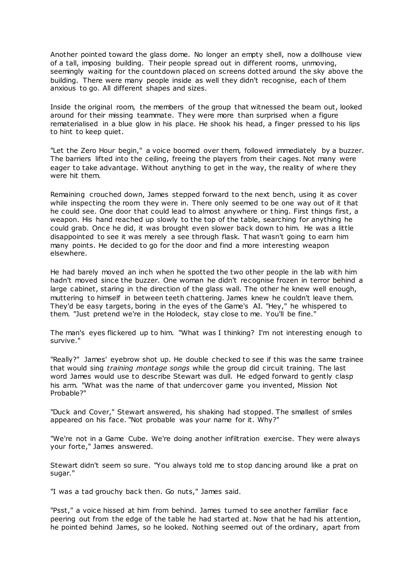Another pointed toward the glass dome. No longer an empty shell, now a dollhouse view of a tall, imposing building. Their people spread out in different rooms, unmoving, seemingly waiting for the countdown placed on screens dotted around the sky above the building. There were many people inside as well they didn't recognise, each of them anxious to go. All different shapes and sizes.

Inside the original room, the members of the group that witnessed the beam out, looked around for their missing teammate. They were more than surprised when a figure rematerialised in a blue glow in his place. He shook his head, a finger pressed to his lips to hint to keep quiet.

"Let the Zero Hour begin," a voice boomed over them, followed immediately by a buzzer. The barriers lifted into the ceiling, freeing the players from their cages. Not many were eager to take advantage. Without anything to get in the way, the reality of where they were hit them.

Remaining crouched down, James stepped forward to the next bench, using it as cover while inspecting the room they were in. There only seemed to be one way out of it that he could see. One door that could lead to almost anywhere or thing. First things first, a weapon. His hand reached up slowly to the top of the table, searching for anything he could grab. Once he did, it was brought even slower back down to him. He was a little disappointed to see it was merely a see through flask. That wasn't going to earn him many points. He decided to go for the door and find a more interesting weapon elsewhere.

He had barely moved an inch when he spotted the two other people in the lab with him hadn't moved since the buzzer. One woman he didn't recognise frozen in terror behind a large cabinet, staring in the direction of the glass wall. The other he knew well enough, muttering to himself in between teeth chattering. James knew he couldn't leave them. They'd be easy targets, boring in the eyes of the Game's AI. "Hey," he whispered to them. "Just pretend we're in the Holodeck, stay close to me. You'll be fine."

The man's eyes flickered up to him. "What was I thinking? I'm not interesting enough to survive."

"Really?" James' eyebrow shot up. He double checked to see if this was the same trainee that would sing *training montage songs* while the group did circuit training. The last word James would use to describe Stewart was dull. He edged forward to gently clasp his arm. "What was the name of that undercover game you invented, Mission Not Probable?"

"Duck and Cover," Stewart answered, his shaking had stopped. The smallest of smiles appeared on his face. "Not probable was your name for it. Why?"

"We're not in a Game Cube. We're doing another infiltration exercise. They were always your forte," James answered.

Stewart didn't seem so sure. "You always told me to stop dancing around like a prat on sugar."

"I was a tad grouchy back then. Go nuts," James said.

"Psst," a voice hissed at him from behind. James turned to see another familiar face peering out from the edge of the table he had started at. Now that he had his attention, he pointed behind James, so he looked. Nothing seemed out of the ordinary, apart from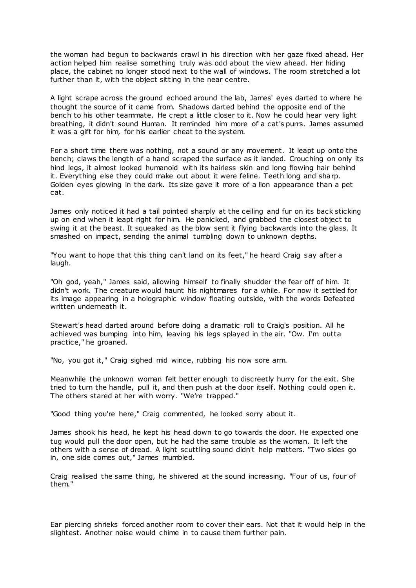the woman had begun to backwards crawl in his direction with her gaze fixed ahead. Her action helped him realise something truly was odd about the view ahead. Her hiding place, the cabinet no longer stood next to the wall of windows. The room stretched a lot further than it, with the object sitting in the near centre.

A light scrape across the ground echoed around the lab, James' eyes darted to where he thought the source of it came from. Shadows darted behind the opposite end of the bench to his other teammate. He crept a little closer to it. Now he could hear very light breathing, it didn't sound Human. It reminded him more of a cat's purrs. James assumed it was a gift for him, for his earlier cheat to the system.

For a short time there was nothing, not a sound or any movement. It leapt up onto the bench; claws the length of a hand scraped the surface as it landed. Crouching on only its hind legs, it almost looked humanoid with its hairless skin and long flowing hair behind it. Everything else they could make out about it were feline. Teeth long and sharp. Golden eyes glowing in the dark. Its size gave it more of a lion appearance than a pet cat.

James only noticed it had a tail pointed sharply at the ceiling and fur on its back sticking up on end when it leapt right for him. He panicked, and grabbed the closest object to swing it at the beast. It squeaked as the blow sent it flying backwards into the glass. It smashed on impact, sending the animal tumbling down to unknown depths.

"You want to hope that this thing can't land on its feet," he heard Craig say after a laugh.

"Oh god, yeah," James said, allowing himself to finally shudder the fear off of him. It didn't work. The creature would haunt his nightmares for a while. For now it settled for its image appearing in a holographic window floating outside, with the words Defeated written underneath it.

Stewart's head darted around before doing a dramatic roll to Craig's position. All he achieved was bumping into him, leaving his legs splayed in the air. "Ow. I'm outta practice," he groaned.

"No, you got it," Craig sighed mid wince, rubbing his now sore arm.

Meanwhile the unknown woman felt better enough to discreetly hurry for the exit. She tried to turn the handle, pull it, and then push at the door itself. Nothing could open it. The others stared at her with worry. "We're trapped."

"Good thing you're here," Craig commented, he looked sorry about it.

James shook his head, he kept his head down to go towards the door. He expected one tug would pull the door open, but he had the same trouble as the woman. It left the others with a sense of dread. A light scuttling sound didn't help matters. "Two sides go in, one side comes out," James mumbled.

Craig realised the same thing, he shivered at the sound increasing. "Four of us, four of them."

Ear piercing shrieks forced another room to cover their ears. Not that it would help in the slightest. Another noise would chime in to cause them further pain.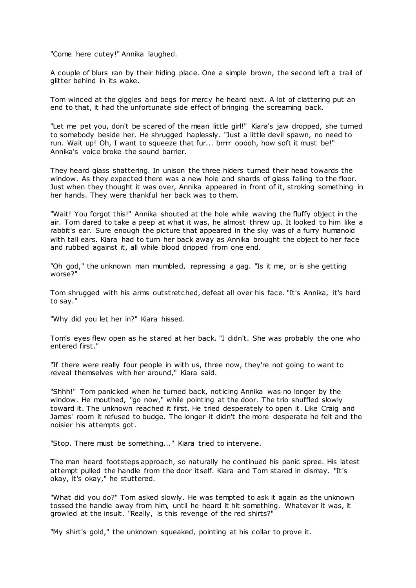"Come here cutey!" Annika laughed.

A couple of blurs ran by their hiding place. One a simple brown, the second left a trail of glitter behind in its wake.

Tom winced at the giggles and begs for mercy he heard next. A lot of clattering put an end to that, it had the unfortunate side effect of bringing the screaming back.

"Let me pet you, don't be scared of the mean little girl!" Kiara's jaw dropped, she turned to somebody beside her. He shrugged haplessly. "Just a little devil spawn, no need to run. Wait up! Oh, I want to squeeze that fur... brrrr ooooh, how soft it must be!" Annika's voice broke the sound barrier.

They heard glass shattering. In unison the three hiders turned their head towards the window. As they expected there was a new hole and shards of glass falling to the floor. Just when they thought it was over, Annika appeared in front of it, stroking something in her hands. They were thankful her back was to them.

"Wait! You forgot this!" Annika shouted at the hole while waving the fluffy object in the air. Tom dared to take a peep at what it was, he almost threw up. It looked to him like a rabbit's ear. Sure enough the picture that appeared in the sky was of a furry humanoid with tall ears. Kiara had to turn her back away as Annika brought the object to her face and rubbed against it, all while blood dripped from one end.

"Oh god," the unknown man mumbled, repressing a gag. "Is it me, or is she getting worse?"

Tom shrugged with his arms outstretched, defeat all over his face. "It's Annika, it's hard to say."

"Why did you let her in?" Kiara hissed.

Tom's eyes flew open as he stared at her back. "I didn't. She was probably the one who entered first."

"If there were really four people in with us, three now, they're not going to want to reveal themselves with her around," Kiara said.

"Shhh!" Tom panicked when he turned back, noticing Annika was no longer by the window. He mouthed, "go now," while pointing at the door. The trio shuffled slowly toward it. The unknown reached it first. He tried desperately to open it. Like Craig and James' room it refused to budge. The longer it didn't the more desperate he felt and the noisier his attempts got.

"Stop. There must be something..." Kiara tried to intervene.

The man heard footsteps approach, so naturally he continued his panic spree. His latest attempt pulled the handle from the door itself. Kiara and Tom stared in dismay. "It's okay, it's okay," he stuttered.

"What did you do?" Tom asked slowly. He was tempted to ask it again as the unknown tossed the handle away from him, until he heard it hit something. Whatever it was, it growled at the insult. "Really, is this revenge of the red shirts?"

"My shirt's gold," the unknown squeaked, pointing at his collar to prove it.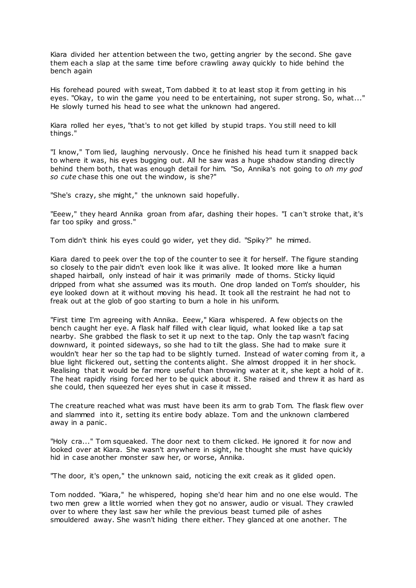Kiara divided her attention between the two, getting angrier by the second. She gave them each a slap at the same time before crawling away quickly to hide behind the bench again

His forehead poured with sweat, Tom dabbed it to at least stop it from getting in his eyes. "Okay, to win the game you need to be entertaining, not super strong. So, what..." He slowly turned his head to see what the unknown had angered.

Kiara rolled her eyes, "that's to not get killed by stupid traps. You still need to kill things."

"I know," Tom lied, laughing nervously. Once he finished his head turn it snapped back to where it was, his eyes bugging out. All he saw was a huge shadow standing directly behind them both, that was enough detail for him. "So, Annika's not going to *oh my god so cute* chase this one out the window, is she?"

"She's crazy, she might," the unknown said hopefully.

"Eeew," they heard Annika groan from afar, dashing their hopes. "I can't stroke that, it's far too spiky and gross."

Tom didn't think his eyes could go wider, yet they did. "Spiky?" he mimed.

Kiara dared to peek over the top of the counter to see it for herself. The figure standing so closely to the pair didn't even look like it was alive. It looked more like a human shaped hairball, only instead of hair it was primarily made of thorns. Sticky liquid dripped from what she assumed was its mouth. One drop landed on Tom's shoulder, his eye looked down at it without moving his head. It took all the restraint he had not to freak out at the glob of goo starting to burn a hole in his uniform.

"First time I'm agreeing with Annika. Eeew," Kiara whispered. A few objects on the bench caught her eye. A flask half filled with clear liquid, what looked like a tap sat nearby. She grabbed the flask to set it up next to the tap. Only the tap wasn't facing downward, it pointed sideways, so she had to tilt the glass. She had to make sure it wouldn't hear her so the tap had to be slightly turned. Instead of water coming from it, a blue light flickered out, setting the contents alight. She almost dropped it in her shock. Realising that it would be far more useful than throwing water at it, she kept a hold of it. The heat rapidly rising forced her to be quick about it. She raised and threw it as hard as she could, then squeezed her eyes shut in case it missed.

The creature reached what was must have been its arm to grab Tom. The flask flew over and slammed into it, setting its entire body ablaze. Tom and the unknown clambered away in a panic .

"Holy cra..." Tom squeaked. The door next to them clicked. He ignored it for now and looked over at Kiara. She wasn't anywhere in sight, he thought she must have quickly hid in case another monster saw her, or worse, Annika.

"The door, it's open," the unknown said, noticing the exit creak as it glided open.

Tom nodded. "Kiara," he whispered, hoping she'd hear him and no one else would. The two men grew a little worried when they got no answer, audio or visual. They crawled over to where they last saw her while the previous beast turned pile of ashes smouldered away. She wasn't hiding there either. They glanced at one another. The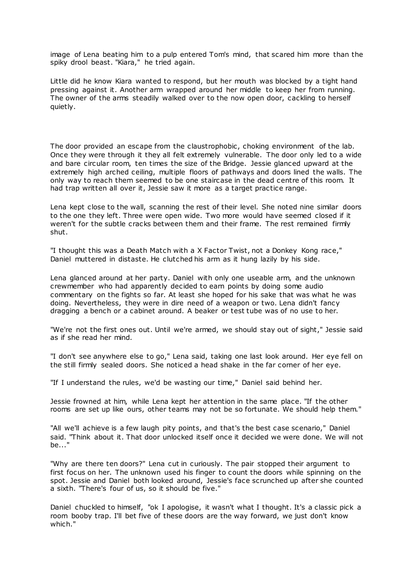image of Lena beating him to a pulp entered Tom's mind, that scared him more than the spiky drool beast. "Kiara," he tried again.

Little did he know Kiara wanted to respond, but her mouth was blocked by a tight hand pressing against it. Another arm wrapped around her middle to keep her from running. The owner of the arms steadily walked over to the now open door, cackling to herself quietly.

The door provided an escape from the claustrophobic, choking environment of the lab. Once they were through it they all felt extremely vulnerable. The door only led to a wide and bare circular room, ten times the size of the Bridge. Jessie glanced upward at the extremely high arched ceiling, multiple floors of pathways and doors lined the walls. The only way to reach them seemed to be one staircase in the dead centre of this room. It had trap written all over it, Jessie saw it more as a target practice range.

Lena kept close to the wall, scanning the rest of their level. She noted nine similar doors to the one they left. Three were open wide. Two more would have seemed closed if it weren't for the subtle cracks between them and their frame. The rest remained firmly shut.

"I thought this was a Death Match with a X Factor Twist, not a Donkey Kong race," Daniel muttered in distaste. He clutched his arm as it hung lazily by his side.

Lena glanced around at her party. Daniel with only one useable arm, and the unknown crewmember who had apparently decided to earn points by doing some audio commentary on the fights so far. At least she hoped for his sake that was what he was doing. Nevertheless, they were in dire need of a weapon or two. Lena didn't fancy dragging a bench or a cabinet around. A beaker or test tube was of no use to her.

"We're not the first ones out. Until we're armed, we should stay out of sight," Jessie said as if she read her mind.

"I don't see anywhere else to go," Lena said, taking one last look around. Her eye fell on the still firmly sealed doors. She noticed a head shake in the far corner of her eye.

"If I understand the rules, we'd be wasting our time," Daniel said behind her.

Jessie frowned at him, while Lena kept her attention in the same place. "If the other rooms are set up like ours, other teams may not be so fortunate. We should help them."

"All we'll achieve is a few laugh pity points, and that's the best case scenario," Daniel said. "Think about it. That door unlocked itself once it decided we were done. We will not be..."

"Why are there ten doors?" Lena cut in curiously. The pair stopped their argument to first focus on her. The unknown used his finger to count the doors while spinning on the spot. Jessie and Daniel both looked around, Jessie's face scrunched up after she counted a sixth. "There's four of us, so it should be five."

Daniel chuckled to himself, "ok I apologise, it wasn't what I thought. It's a classic pick a room booby trap. I'll bet five of these doors are the way forward, we just don't know which."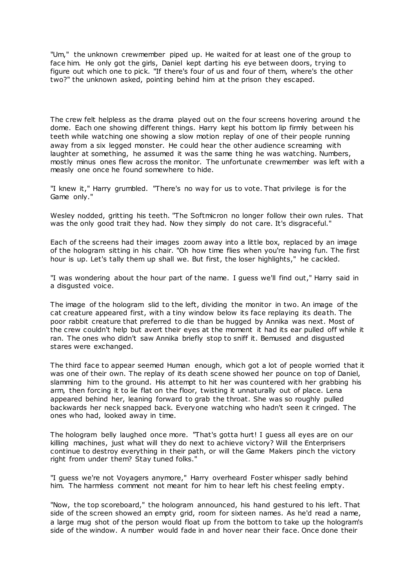"Um," the unknown crewmember piped up. He waited for at least one of the group to face him. He only got the girls, Daniel kept darting his eye between doors, trying to figure out which one to pick. "If there's four of us and four of them, where's the other two?" the unknown asked, pointing behind him at the prison they escaped.

The crew felt helpless as the drama played out on the four screens hovering around t he dome. Each one showing different things. Harry kept his bottom lip firmly between his teeth while watching one showing a slow motion replay of one of their people running away from a six legged monster. He could hear the other audience screaming with laughter at something, he assumed it was the same thing he was watching. Numbers, mostly minus ones flew across the monitor. The unfortunate crewmember was left with a measly one once he found somewhere to hide.

"I knew it," Harry grumbled. "There's no way for us to vote. That privilege is for the Game only."

Wesley nodded, gritting his teeth. "The Softmicron no longer follow their own rules. That was the only good trait they had. Now they simply do not care. It's disgraceful."

Each of the screens had their images zoom away into a little box, replaced by an image of the hologram sitting in his chair. "Oh how time flies when you're having fun. The first hour is up. Let's tally them up shall we. But first, the loser highlights," he cackled.

"I was wondering about the hour part of the name. I guess we'll find out," Harry said in a disgusted voice.

The image of the hologram slid to the left, dividing the monitor in two. An image of the cat creature appeared first, with a tiny window below its face replaying its death. The poor rabbit creature that preferred to die than be hugged by Annika was next. Most of the crew couldn't help but avert their eyes at the moment it had its ear pulled off while it ran. The ones who didn't saw Annika briefly stop to sniff it. Bemused and disgusted stares were exchanged.

The third face to appear seemed Human enough, which got a lot of people worried that it was one of their own. The replay of its death scene showed her pounce on top of Daniel, slamming him to the ground. His attempt to hit her was countered with her grabbing his arm, then forcing it to lie flat on the floor, twisting it unnaturally out of place. Lena appeared behind her, leaning forward to grab the throat. She was so roughly pulled backwards her neck snapped back. Everyone watching who hadn't seen it cringed. The ones who had, looked away in time.

The hologram belly laughed once more. "That's gotta hurt! I guess all eyes are on our killing machines, just what will they do next to achieve victory? Will the Enterprisers continue to destroy everything in their path, or will the Game Makers pinch the victory right from under them? Stay tuned folks."

"I guess we're not Voyagers anymore," Harry overheard Foster whisper sadly behind him. The harmless comment not meant for him to hear left his chest feeling empty.

"Now, the top scoreboard," the hologram announced, his hand gestured to his left. That side of the screen showed an empty grid, room for sixteen names. As he'd read a name, a large mug shot of the person would float up from the bottom to take up the hologram's side of the window. A number would fade in and hover near their face. Once done their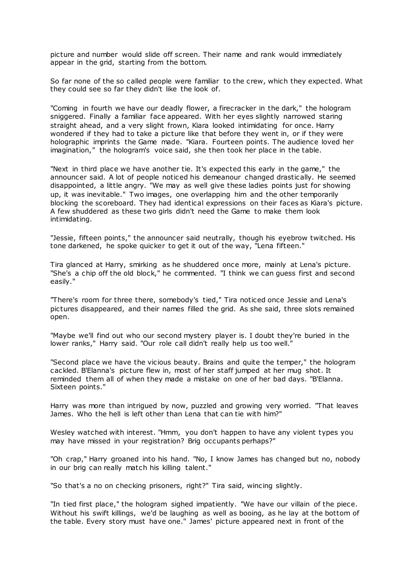picture and number would slide off screen. Their name and rank would immediately appear in the grid, starting from the bottom.

So far none of the so called people were familiar to the crew, which they expected. What they could see so far they didn't like the look of.

"Coming in fourth we have our deadly flower, a firecracker in the dark," the hologram sniggered. Finally a familiar face appeared. With her eyes slightly narrowed staring straight ahead, and a very slight frown, Kiara looked intimidating for once. Harry wondered if they had to take a picture like that before they went in, or if they were holographic imprints the Game made. "Kiara. Fourteen points. The audience loved her imagination," the hologram's voice said, she then took her place in the table.

"Next in third place we have another tie. It's expected this early in the game," the announcer said. A lot of people noticed his demeanour changed drastically. He seemed disappointed, a little angry. "We may as well give these ladies points just for showing up, it was inevitable." Two images, one overlapping him and the other temporarily blocking the scoreboard. They had identical expressions on their faces as Kiara's picture. A few shuddered as these two girls didn't need the Game to make them look intimidating.

"Jessie, fifteen points," the announcer said neutrally, though his eyebrow twitched. His tone darkened, he spoke quicker to get it out of the way, "Lena fifteen."

Tira glanced at Harry, smirking as he shuddered once more, mainly at Lena's picture. "She's a chip off the old block," he commented. "I think we can guess first and second easily."

"There's room for three there, somebody's tied," Tira noticed once Jessie and Lena's pictures disappeared, and their names filled the grid. As she said, three slots remained open.

"Maybe we'll find out who our second mystery player is. I doubt they're buried in the lower ranks," Harry said. "Our role call didn't really help us too well."

"Second place we have the vicious beauty. Brains and quite the temper," the hologram cackled. B'Elanna's picture flew in, most of her staff jumped at her mug shot. It reminded them all of when they made a mistake on one of her bad days. "B'Elanna. Sixteen points."

Harry was more than intrigued by now, puzzled and growing very worried. "That leaves James. Who the hell is left other than Lena that can tie with him?"

Wesley watched with interest. "Hmm, you don't happen to have any violent types you may have missed in your registration? Brig occupants perhaps?"

"Oh crap," Harry groaned into his hand. "No, I know James has changed but no, nobody in our brig can really match his killing talent."

"So that's a no on checking prisoners, right?" Tira said, wincing slightly.

"In tied first place," the hologram sighed impatiently. "We have our villain of the piece. Without his swift killings, we'd be laughing as well as booing, as he lay at the bottom of the table. Every story must have one." James' picture appeared next in front of the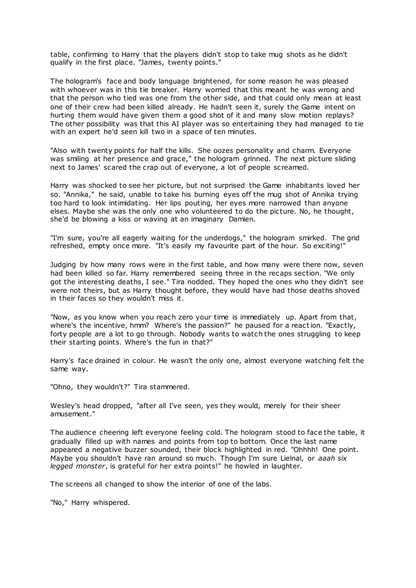table, confirming to Harry that the players didn't stop to take mug shots as he didn't qualify in the first place. "James, twenty points."

The hologram's face and body language brightened, for some reason he was pleased with whoever was in this tie breaker. Harry worried that this meant he was wrong and that the person who tied was one from the other side, and that could only mean at least one of their crew had been killed already. He hadn't seen it, surely the Game intent on hurting them would have given them a good shot of it and many slow motion replays? The other possibility was that this AI player was so entertaining they had managed to tie with an expert he'd seen kill two in a space of ten minutes.

"Also with twenty points for half the kills. She oozes personality and charm. Everyone was smiling at her presence and grace," the hologram grinned. The next picture sliding next to James' scared the crap out of everyone, a lot of people screamed.

Harry was shocked to see her picture, but not surprised the Game inhabitants loved her so. "Annika," he said, unable to take his burning eyes off the mug shot of Annika trying too hard to look intimidating. Her lips pouting, her eyes more narrowed than anyone elses. Maybe she was the only one who volunteered to do the picture. No, he thought, she'd be blowing a kiss or waving at an imaginary Damien.

"I'm sure, you're all eagerly waiting for the underdogs," the hologram smirked. The grid refreshed, empty once more. "It's easily my favourite part of the hour. So exciting!"

Judging by how many rows were in the first table, and how many were there now, seven had been killed so far. Harry remembered seeing three in the recaps section. "We only got the interesting deaths, I see." Tira nodded. They hoped the ones who they didn't see were not theirs, but as Harry thought before, they would have had those deaths shoved in their faces so they wouldn't miss it.

"Now, as you know when you reach zero your time is immediately up. Apart from that, where's the incentive, hmm? Where's the passion?" he paused for a reaction. "Exactly, forty people are a lot to go through. Nobody wants to watch the ones struggling to keep their starting points. Where's the fun in that?"

Harry's face drained in colour. He wasn't the only one, almost everyone watching felt the same way.

"Ohno, they wouldn't?" Tira stammered.

Wesley's head dropped, "after all I've seen, yes they would, merely for their sheer amusement."

The audience cheering left everyone feeling cold. The hologram stood to face the table, it gradually filled up with names and points from top to bottom. Once the last name appeared a negative buzzer sounded, their block highlighted in red. "Ohhhh! One point. Maybe you shouldn't have ran around so much. Though I'm sure Lielnal, or *aaah six legged monster*, is grateful for her extra points!" he howled in laughter.

The screens all changed to show the interior of one of the labs.

"No," Harry whispered.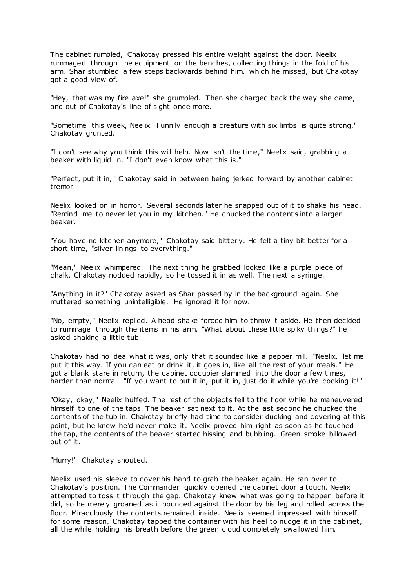The cabinet rumbled, Chakotay pressed his entire weight against the door. Neelix rummaged through the equipment on the benches, collecting things in the fold of his arm. Shar stumbled a few steps backwards behind him, which he missed, but Chakotay got a good view of.

"Hey, that was my fire axe!" she grumbled. Then she charged back the way she came, and out of Chakotay's line of sight once more.

"Sometime this week, Neelix. Funnily enough a creature with six limbs is quite strong," Chakotay grunted.

"I don't see why you think this will help. Now isn't the time," Neelix said, grabbing a beaker with liquid in. "I don't even know what this is."

"Perfect, put it in," Chakotay said in between being jerked forward by another cabinet tremor.

Neelix looked on in horror. Several seconds later he snapped out of it to shake his head. "Remind me to never let you in my kitchen." He chucked the content s into a larger beaker.

"You have no kitchen anymore," Chakotay said bitterly. He felt a tiny bit better for a short time, "silver linings to everything."

"Mean," Neelix whimpered. The next thing he grabbed looked like a purple piece of chalk. Chakotay nodded rapidly, so he tossed it in as well. The next a syringe.

"Anything in it?" Chakotay asked as Shar passed by in the background again. She muttered something unintelligible. He ignored it for now.

"No, empty," Neelix replied. A head shake forced him to throw it aside. He then decided to rummage through the items in his arm. "What about these little spiky things?" he asked shaking a little tub.

Chakotay had no idea what it was, only that it sounded like a pepper mill. "Neelix, let me put it this way. If you can eat or drink it, it goes in, like all the rest of your meals." He got a blank stare in return, the cabinet occupier slammed into the door a few times, harder than normal. "If you want to put it in, put it in, just do it while you're cooking it!"

"Okay, okay," Neelix huffed. The rest of the objects fell to the floor while he maneuvered himself to one of the taps. The beaker sat next to it. At the last second he chucked the contents of the tub in. Chakotay briefly had time to consider ducking and covering at this point, but he knew he'd never make it. Neelix proved him right as soon as he touched the tap, the contents of the beaker started hissing and bubbling. Green smoke billowed out of it.

"Hurry!" Chakotay shouted.

Neelix used his sleeve to cover his hand to grab the beaker again. He ran over to Chakotay's position. The Commander quickly opened the cabinet door a touch. Neelix attempted to toss it through the gap. Chakotay knew what was going to happen before it did, so he merely groaned as it bounced against the door by his leg and rolled across the floor. Miraculously the contents remained inside. Neelix seemed impressed with himself for some reason. Chakotay tapped the container with his heel to nudge it in the cabinet, all the while holding his breath before the green cloud completely swallowed him.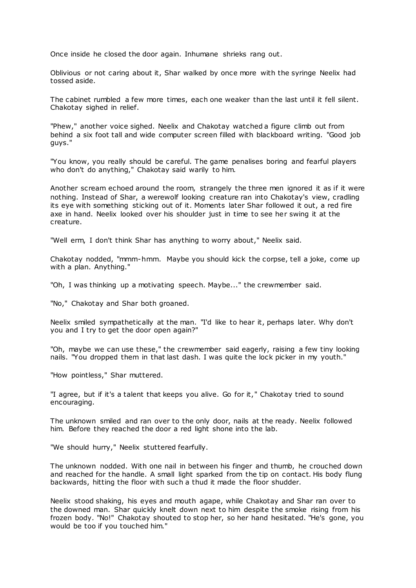Once inside he closed the door again. Inhumane shrieks rang out.

Oblivious or not caring about it, Shar walked by once more with the syringe Neelix had tossed aside.

The cabinet rumbled a few more times, each one weaker than the last until it fell silent. Chakotay sighed in relief.

"Phew," another voice sighed. Neelix and Chakotay watched a figure climb out from behind a six foot tall and wide computer screen filled with blackboard writing. "Good job guys."

"You know, you really should be careful. The game penalises boring and fearful players who don't do anything," Chakotay said warily to him.

Another scream echoed around the room, strangely the three men ignored it as if it were nothing. Instead of Shar, a werewolf looking creature ran into Chakotay's view, cradling its eye with something sticking out of it. Moments later Shar followed it out, a red fire axe in hand. Neelix looked over his shoulder just in time to see her swing it at the creature.

"Well erm, I don't think Shar has anything to worry about," Neelix said.

Chakotay nodded, "mmm-hmm. Maybe you should kick the corpse, tell a joke, come up with a plan. Anything."

"Oh, I was thinking up a motivating speech. Maybe..." the crewmember said.

"No," Chakotay and Shar both groaned.

Neelix smiled sympathetically at the man. "I'd like to hear it, perhaps later. Why don't you and I try to get the door open again?"

"Oh, maybe we can use these," the crewmember said eagerly, raising a few tiny looking nails. "You dropped them in that last dash. I was quite the lock picker in my youth."

"How pointless," Shar muttered.

"I agree, but if it's a talent that keeps you alive. Go for it," Chakotay tried to sound encouraging.

The unknown smiled and ran over to the only door, nails at the ready. Neelix followed him. Before they reached the door a red light shone into the lab.

"We should hurry," Neelix stuttered fearfully.

The unknown nodded. With one nail in between his finger and thumb, he crouched down and reached for the handle. A small light sparked from the tip on contact. His body flung backwards, hitting the floor with such a thud it made the floor shudder.

Neelix stood shaking, his eyes and mouth agape, while Chakotay and Shar ran over to the downed man. Shar quickly knelt down next to him despite the smoke rising from his frozen body. "No!" Chakotay shouted to stop her, so her hand hesitated. "He's gone, you would be too if you touched him."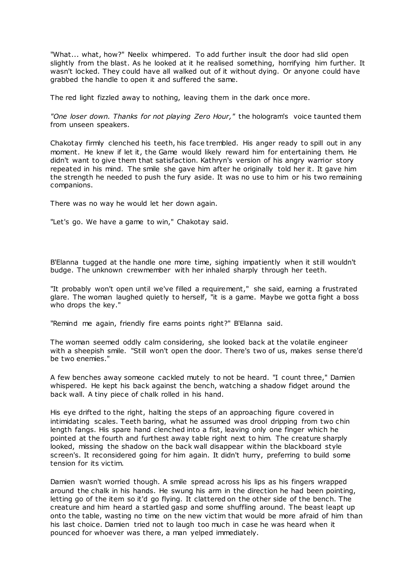"What... what, how?" Neelix whimpered. To add further insult the door had slid open slightly from the blast. As he looked at it he realised something, horrifying him further. It wasn't locked. They could have all walked out of it without dying. Or anyone could have grabbed the handle to open it and suffered the same.

The red light fizzled away to nothing, leaving them in the dark once more.

*"One loser down. Thanks for not playing Zero Hour,"* the hologram's voice taunted them from unseen speakers.

Chakotay firmly clenched his teeth, his face trembled. His anger ready to spill out in any moment. He knew if let it, the Game would likely reward him for entertaining them. He didn't want to give them that satisfaction. Kathryn's version of his angry warrior story repeated in his mind. The smile she gave him after he originally told her it. It gave him the strength he needed to push the fury aside. It was no use to him or his two remaining companions.

There was no way he would let her down again.

"Let's go. We have a game to win," Chakotay said.

B'Elanna tugged at the handle one more time, sighing impatiently when it still wouldn't budge. The unknown crewmember with her inhaled sharply through her teeth.

"It probably won't open until we've filled a requirement," she said, earning a frustrated glare. The woman laughed quietly to herself, "it is a game. Maybe we gotta fight a boss who drops the key."

"Remind me again, friendly fire earns points right?" B'Elanna said.

The woman seemed oddly calm considering, she looked back at the volatile engineer with a sheepish smile. "Still won't open the door. There's two of us, makes sense there'd be two enemies."

A few benches away someone cackled mutely to not be heard. "I count three," Damien whispered. He kept his back against the bench, watching a shadow fidget around the back wall. A tiny piece of chalk rolled in his hand.

His eye drifted to the right, halting the steps of an approaching figure covered in intimidating scales. Teeth baring, what he assumed was drool dripping from two chin length fangs. His spare hand clenched into a fist, leaving only one finger which he pointed at the fourth and furthest away table right next to him. The creature sharply looked, missing the shadow on the back wall disappear within the blackboard style screen's. It reconsidered going for him again. It didn't hurry, preferring to build some tension for its victim.

Damien wasn't worried though. A smile spread across his lips as his fingers wrapped around the chalk in his hands. He swung his arm in the direction he had been pointing, letting go of the item so it'd go flying. It clattered on the other side of the bench. The creature and him heard a startled gasp and some shuffling around. The beast leapt up onto the table, wasting no time on the new victim that would be more afraid of him than his last choice. Damien tried not to laugh too much in case he was heard when it pounced for whoever was there, a man yelped immediately.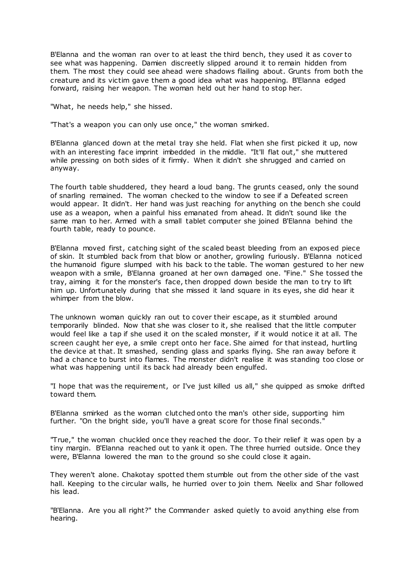B'Elanna and the woman ran over to at least the third bench, they used it as cover to see what was happening. Damien discreetly slipped around it to remain hidden from them. The most they could see ahead were shadows flailing about. Grunts from both the creature and its victim gave them a good idea what was happening. B'Elanna edged forward, raising her weapon. The woman held out her hand to stop her.

"What, he needs help," she hissed.

"That's a weapon you can only use once," the woman smirked.

B'Elanna glanced down at the metal tray she held. Flat when she first picked it up, now with an interesting face imprint imbedded in the middle. "It'll flat out," she muttered while pressing on both sides of it firmly. When it didn't she shrugged and carried on anyway.

The fourth table shuddered, they heard a loud bang. The grunts ceased, only the sound of snarling remained. The woman checked to the window to see if a Defeated screen would appear. It didn't. Her hand was just reaching for anything on the bench she could use as a weapon, when a painful hiss emanated from ahead. It didn't sound like the same man to her. Armed with a small tablet computer she joined B'Elanna behind the fourth table, ready to pounce.

B'Elanna moved first, catching sight of the scaled beast bleeding from an exposed piece of skin. It stumbled back from that blow or another, growling furiously. B'Elanna noticed the humanoid figure slumped with his back to the table. The woman gestured to her new weapon with a smile, B'Elanna groaned at her own damaged one. "Fine." She tossed the tray, aiming it for the monster's face, then dropped down beside the man to try to lift him up. Unfortunately during that she missed it land square in its eyes, she did hear it whimper from the blow.

The unknown woman quickly ran out to cover their escape, as it stumbled around temporarily blinded. Now that she was closer to it, she realised that the little computer would feel like a tap if she used it on the scaled monster, if it would notice it at all. The screen caught her eye, a smile crept onto her face. She aimed for that instead, hurtling the device at that. It smashed, sending glass and sparks flying. She ran away before it had a chance to burst into flames. The monster didn't realise it was standing too close or what was happening until its back had already been engulfed.

"I hope that was the requirement, or I've just killed us all," she quipped as smoke drifted toward them.

B'Elanna smirked as the woman clutched onto the man's other side, supporting him further. "On the bright side, you'll have a great score for those final seconds."

"True," the woman chuckled once they reached the door. To their relief it was open by a tiny margin. B'Elanna reached out to yank it open. The three hurried outside. Once they were, B'Elanna lowered the man to the ground so she could close it again.

They weren't alone. Chakotay spotted them stumble out from the other side of the vast hall. Keeping to the circular walls, he hurried over to join them. Neelix and Shar followed his lead.

"B'Elanna. Are you all right?" the Commander asked quietly to avoid anything else from hearing.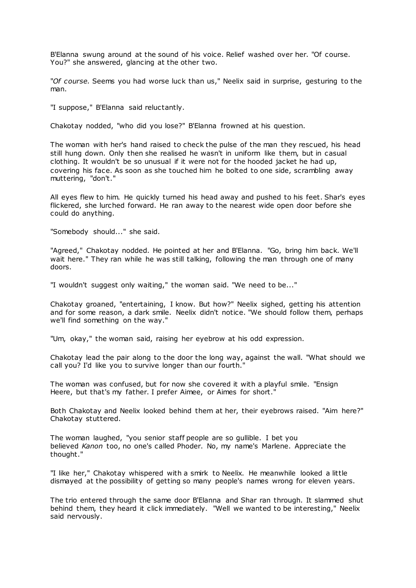B'Elanna swung around at the sound of his voice. Relief washed over her. "Of course. You?" she answered, glancing at the other two.

"*Of course.* Seems you had worse luck than us," Neelix said in surprise, gesturing to the man.

"I suppose," B'Elanna said reluctantly.

Chakotay nodded, "who did you lose?" B'Elanna frowned at his question.

The woman with her's hand raised to check the pulse of the man they rescued, his head still hung down. Only then she realised he wasn't in uniform like them, but in casual clothing. It wouldn't be so unusual if it were not for the hooded jacket he had up, covering his face. As soon as she touched him he bolted to one side, scrambling away muttering, "don't."

All eyes flew to him. He quickly turned his head away and pushed to his feet. Shar's eyes flickered, she lurched forward. He ran away to the nearest wide open door before she could do anything.

"Somebody should..." she said.

"Agreed," Chakotay nodded. He pointed at her and B'Elanna. "Go, bring him back. We'll wait here." They ran while he was still talking, following the man through one of many doors.

"I wouldn't suggest only waiting," the woman said. "We need to be..."

Chakotay groaned, "entertaining, I know. But how?" Neelix sighed, getting his attention and for some reason, a dark smile. Neelix didn't notice. "We should follow them, perhaps we'll find something on the way."

"Um, okay," the woman said, raising her eyebrow at his odd expression.

Chakotay lead the pair along to the door the long way, against the wall. "What should we call you? I'd like you to survive longer than our fourth."

The woman was confused, but for now she covered it with a playful smile. "Ensign Heere, but that's my father. I prefer Aimee, or Aimes for short."

Both Chakotay and Neelix looked behind them at her, their eyebrows raised. "Aim here?" Chakotay stuttered.

The woman laughed, "you senior staff people are so gullible. I bet you believed *Kanon* too, no one's called Phoder. No, my name's Marlene. Appreciate the thought."

"I like her," Chakotay whispered with a smirk to Neelix. He meanwhile looked a little dismayed at the possibility of getting so many people's names wrong for eleven years.

The trio entered through the same door B'Elanna and Shar ran through. It slammed shut behind them, they heard it click immediately. "Well we wanted to be interesting," Neelix said nervously.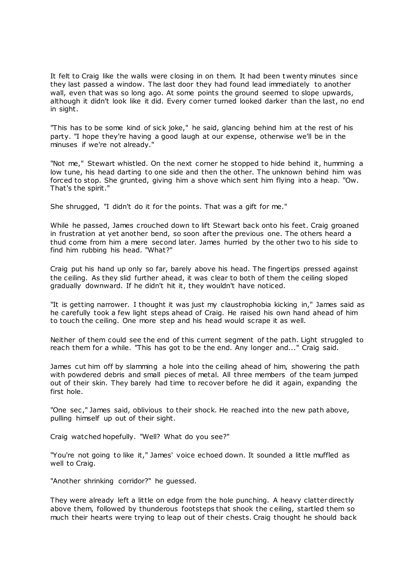It felt to Craig like the walls were closing in on them. It had been t wenty minutes since they last passed a window. The last door they had found lead immediately to another wall, even that was so long ago. At some points the ground seemed to slope upwards, although it didn't look like it did. Every corner turned looked darker than the last, no end in sight.

"This has to be some kind of sick joke," he said, glancing behind him at the rest of his party. "I hope they're having a good laugh at our expense, otherwise we'll be in the minuses if we're not already."

"Not me," Stewart whistled. On the next corner he stopped to hide behind it, humming a low tune, his head darting to one side and then the other. The unknown behind him was forced to stop. She grunted, giving him a shove which sent him flying into a heap. "Ow. That's the spirit."

She shrugged, "I didn't do it for the points. That was a gift for me."

While he passed, James crouched down to lift Stewart back onto his feet. Craig groaned in frustration at yet another bend, so soon after the previous one. The others heard a thud come from him a mere second later. James hurried by the other two to his side to find him rubbing his head. "What?"

Craig put his hand up only so far, barely above his head. The fingertips pressed against the ceiling. As they slid further ahead, it was clear to both of them the ceiling sloped gradually downward. If he didn't hit it, they wouldn't have noticed.

"It is getting narrower. I thought it was just my claustrophobia kicking in," James said as he carefully took a few light steps ahead of Craig. He raised his own hand ahead of him to touch the ceiling. One more step and his head would scrape it as well.

Neither of them could see the end of this current segment of the path. Light struggled to reach them for a while. "This has got to be the end. Any longer and..." Craig said.

James cut him off by slamming a hole into the ceiling ahead of him, showering the path with powdered debris and small pieces of metal. All three members of the team jumped out of their skin. They barely had time to recover before he did it again, expanding the first hole.

"One sec ," James said, oblivious to their shock. He reached into the new path above, pulling himself up out of their sight.

Craig watched hopefully. "Well? What do you see?"

"You're not going to like it," James' voice echoed down. It sounded a little muffled as well to Craig.

"Another shrinking corridor?" he guessed.

They were already left a little on edge from the hole punching. A heavy clatter directly above them, followed by thunderous footsteps that shook the c eiling, startled them so much their hearts were trying to leap out of their chests. Craig thought he should back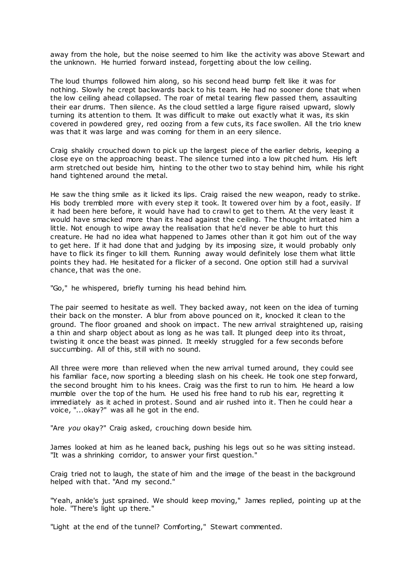away from the hole, but the noise seemed to him like the activity was above Stewart and the unknown. He hurried forward instead, forgetting about the low ceiling.

The loud thumps followed him along, so his second head bump felt like it was for nothing. Slowly he crept backwards back to his team. He had no sooner done that when the low ceiling ahead collapsed. The roar of metal tearing flew passed them, assaulting their ear drums. Then silence. As the cloud settled a large figure raised upward, slowly turning its attention to them. It was difficult to make out exactly what it was, its skin covered in powdered grey, red oozing from a few cuts, its face swollen. All the trio knew was that it was large and was coming for them in an eery silence.

Craig shakily crouched down to pick up the largest piece of the earlier debris, keeping a close eye on the approaching beast. The silence turned into a low pit ched hum. His left arm stretched out beside him, hinting to the other two to stay behind him, while his right hand tightened around the metal.

He saw the thing smile as it licked its lips. Craig raised the new weapon, ready to strike. His body trembled more with every step it took. It towered over him by a foot, easily. If it had been here before, it would have had to crawl to get to them. At the very least it would have smacked more than its head against the ceiling. The thought irritated him a little. Not enough to wipe away the realisation that he'd never be able to hurt this creature. He had no idea what happened to James other than it got him out of the way to get here. If it had done that and judging by its imposing size, it would probably only have to flick its finger to kill them. Running away would definitely lose them what little points they had. He hesitated for a flicker of a second. One option still had a survival chance, that was the one.

"Go," he whispered, briefly turning his head behind him.

The pair seemed to hesitate as well. They backed away, not keen on the idea of turning their back on the monster. A blur from above pounced on it, knocked it clean to the ground. The floor groaned and shook on impact. The new arrival straightened up, raising a thin and sharp object about as long as he was tall. It plunged deep into its throat, twisting it once the beast was pinned. It meekly struggled for a few seconds before succumbing. All of this, still with no sound.

All three were more than relieved when the new arrival turned around, they could see his familiar face, now sporting a bleeding slash on his cheek. He took one step forward, the second brought him to his knees. Craig was the first to run to him. He heard a low mumble over the top of the hum. He used his free hand to rub his ear, regretting it immediately as it ached in protest. Sound and air rushed into it. Then he could hear a voice, "...okay?" was all he got in the end.

"Are *you* okay?" Craig asked, crouching down beside him.

James looked at him as he leaned back, pushing his legs out so he was sitting instead. "It was a shrinking corridor, to answer your first question."

Craig tried not to laugh, the state of him and the image of the beast in the background helped with that. "And my second."

"Yeah, ankle's just sprained. We should keep moving," James replied, pointing up at the hole. "There's light up there."

"Light at the end of the tunnel? Comforting," Stewart commented.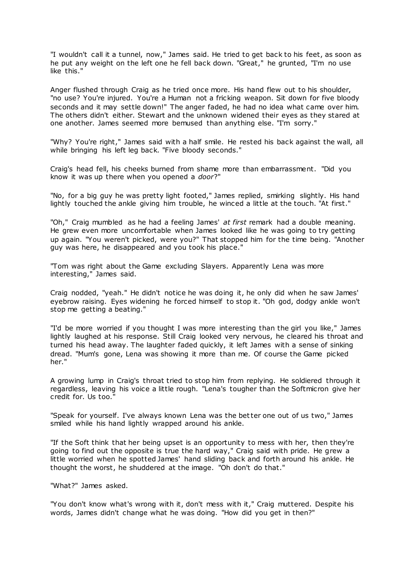"I wouldn't call it a tunnel, now," James said. He tried to get back to his feet, as soon as he put any weight on the left one he fell back down. "Great," he grunted, "I'm no use like this."

Anger flushed through Craig as he tried once more. His hand flew out to his shoulder, "no use? You're injured. You're a Human not a fricking weapon. Sit down for five bloody seconds and it may settle down!" The anger faded, he had no idea what came over him. The others didn't either. Stewart and the unknown widened their eyes as they stared at one another. James seemed more bemused than anything else. "I'm sorry."

"Why? You're right," James said with a half smile. He rested his back against the wall, all while bringing his left leg back. "Five bloody seconds."

Craig's head fell, his cheeks burned from shame more than embarrassment. "Did you know it was up there when you opened a *door*?"

"No, for a big guy he was pretty light footed," James replied, smirking slightly. His hand lightly touched the ankle giving him trouble, he winced a little at the touch. "At first."

"Oh," Craig mumbled as he had a feeling James' *at first* remark had a double meaning. He grew even more uncomfortable when James looked like he was going to try getting up again. "You weren't picked, were you?" That stopped him for the time being. "Another guy was here, he disappeared and you took his place."

"Tom was right about the Game excluding Slayers. Apparently Lena was more interesting," James said.

Craig nodded, "yeah." He didn't notice he was doing it, he only did when he saw James' eyebrow raising. Eyes widening he forced himself to stop it. "Oh god, dodgy ankle won't stop me getting a beating."

"I'd be more worried if you thought I was more interesting than the girl you like," James lightly laughed at his response. Still Craig looked very nervous, he cleared his throat and turned his head away. The laughter faded quickly, it left James with a sense of sinking dread. "Mum's gone, Lena was showing it more than me. Of course the Game picked her."

A growing lump in Craig's throat tried to stop him from replying. He soldiered through it regardless, leaving his voice a little rough. "Lena's tougher than the Softmicron give her credit for. Us too."

"Speak for yourself. I've always known Lena was the better one out of us two," James smiled while his hand lightly wrapped around his ankle.

"If the Soft think that her being upset is an opportunity to mess with her, then they're going to find out the opposite is true the hard way," Craig said with pride. He grew a little worried when he spotted James' hand sliding back and forth around his ankle. He thought the worst, he shuddered at the image. "Oh don't do that."

"What?" James asked.

"You don't know what's wrong with it, don't mess with it," Craig muttered. Despite his words, James didn't change what he was doing. "How did you get in then?"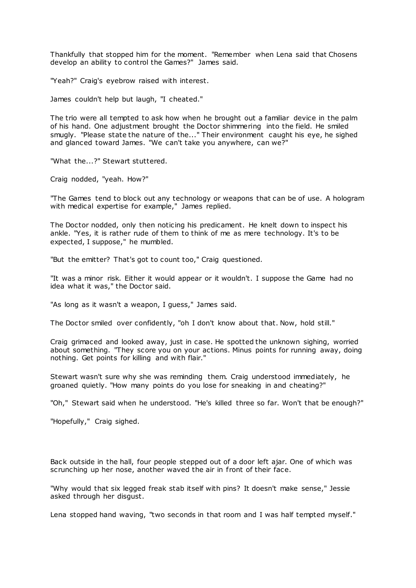Thankfully that stopped him for the moment. "Remember when Lena said that Chosens develop an ability to control the Games?" James said.

"Yeah?" Craig's eyebrow raised with interest.

James couldn't help but laugh, "I cheated."

The trio were all tempted to ask how when he brought out a familiar device in the palm of his hand. One adjustment brought the Doctor shimmering into the field. He smiled smugly. "Please state the nature of the..." Their environment caught his eye, he sighed and glanced toward James. "We can't take you anywhere, can we?"

"What the...?" Stewart stuttered.

Craig nodded, "yeah. How?"

"The Games tend to block out any technology or weapons that can be of use. A hologram with medical expertise for example," James replied.

The Doctor nodded, only then noticing his predicament. He knelt down to inspect his ankle. "Yes, it is rather rude of them to think of me as mere technology. It's to be expected, I suppose," he mumbled.

"But the emitter? That's got to count too," Craig questioned.

"It was a minor risk. Either it would appear or it wouldn't. I suppose the Game had no idea what it was," the Doctor said.

"As long as it wasn't a weapon, I guess," James said.

The Doctor smiled over confidently, "oh I don't know about that. Now, hold still."

Craig grimaced and looked away, just in case. He spotted the unknown sighing, worried about something. "They score you on your actions. Minus points for running away, doing nothing. Get points for killing and with flair."

Stewart wasn't sure why she was reminding them. Craig understood immediately, he groaned quietly. "How many points do you lose for sneaking in and cheating?"

"Oh," Stewart said when he understood. "He's killed three so far. Won't that be enough?"

"Hopefully," Craig sighed.

Back outside in the hall, four people stepped out of a door left ajar. One of which was scrunching up her nose, another waved the air in front of their face.

"Why would that six legged freak stab itself with pins? It doesn't make sense," Jessie asked through her disgust.

Lena stopped hand waving, "two seconds in that room and I was half tempted myself."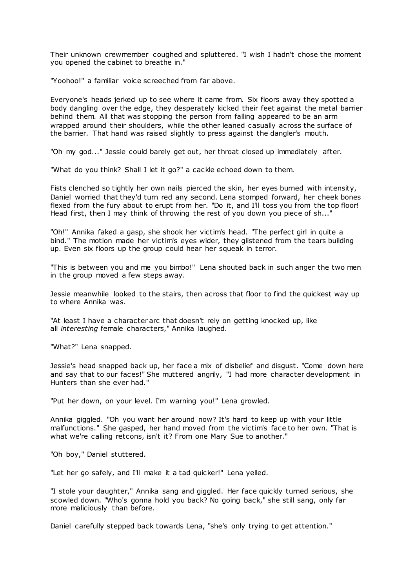Their unknown crewmember coughed and spluttered. "I wish I hadn't chose the moment you opened the cabinet to breathe in."

"Yoohoo!" a familiar voice screeched from far above.

Everyone's heads jerked up to see where it came from. Six floors away they spotted a body dangling over the edge, they desperately kicked their feet against the metal barrier behind them. All that was stopping the person from falling appeared to be an arm wrapped around their shoulders, while the other leaned casually across the surface of the barrier. That hand was raised slightly to press against the dangler's mouth.

"Oh my god..." Jessie could barely get out, her throat closed up immediately after.

"What do you think? Shall I let it go?" a cackle echoed down to them.

Fists clenched so tightly her own nails pierced the skin, her eyes burned with intensity, Daniel worried that they'd turn red any second. Lena stomped forward, her cheek bones flexed from the fury about to erupt from her. "Do it, and I'll toss you from the top floor! Head first, then I may think of throwing the rest of you down you piece of sh..."

"Oh!" Annika faked a gasp, she shook her victim's head. "The perfect girl in quite a bind." The motion made her victim's eyes wider, they glistened from the tears building up. Even six floors up the group could hear her squeak in terror.

"This is between you and me you bimbo!" Lena shouted back in such anger the two men in the group moved a few steps away.

Jessie meanwhile looked to the stairs, then across that floor to find the quickest way up to where Annika was.

"At least I have a character arc that doesn't rely on getting knocked up, like all *interesting* female characters," Annika laughed.

"What?" Lena snapped.

Jessie's head snapped back up, her face a mix of disbelief and disgust. "Come down here and say that to our faces!" She muttered angrily, "I had more character development in Hunters than she ever had."

"Put her down, on your level. I'm warning you!" Lena growled.

Annika giggled. "Oh you want her around now? It's hard to keep up with your little malfunctions." She gasped, her hand moved from the victim's face to her own. "That is what we're calling retcons, isn't it? From one Mary Sue to another."

"Oh boy," Daniel stuttered.

"Let her go safely, and I'll make it a tad quicker!" Lena yelled.

"I stole your daughter," Annika sang and giggled. Her face quickly turned serious, she scowled down. "Who's gonna hold you back? No going back," she still sang, only far more maliciously than before.

Daniel carefully stepped back towards Lena, "she's only trying to get attention."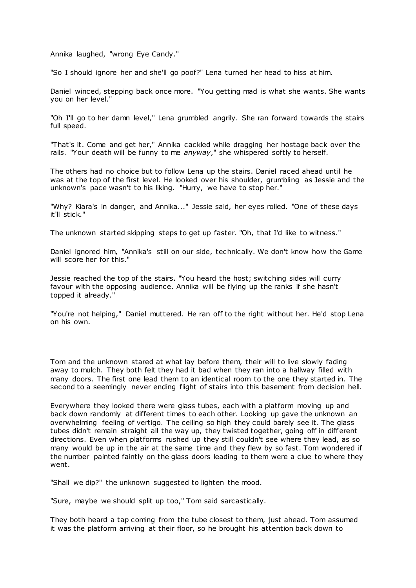Annika laughed, "wrong Eye Candy."

"So I should ignore her and she'll go poof?" Lena turned her head to hiss at him.

Daniel winced, stepping back once more. "You getting mad is what she wants. She wants you on her level."

"Oh I'll go to her damn level," Lena grumbled angrily. She ran forward towards the stairs full speed.

"That's it. Come and get her," Annika cackled while dragging her hostage back over the rails. "Your death will be funny to me *anyway*," she whispered softly to herself.

The others had no choice but to follow Lena up the stairs. Daniel raced ahead until he was at the top of the first level. He looked over his shoulder, grumbling as Jessie and the unknown's pace wasn't to his liking. "Hurry, we have to stop her."

"Why? Kiara's in danger, and Annika..." Jessie said, her eyes rolled. "One of these days it'll stick."

The unknown started skipping steps to get up faster. "Oh, that I'd like to witness."

Daniel ignored him, "Annika's still on our side, technically. We don't know how the Game will score her for this."

Jessie reached the top of the stairs. "You heard the host; switching sides will curry favour with the opposing audience. Annika will be flying up the ranks if she hasn't topped it already."

"You're not helping," Daniel muttered. He ran off to the right without her. He'd stop Lena on his own.

Tom and the unknown stared at what lay before them, their will to live slowly fading away to mulch. They both felt they had it bad when they ran into a hallway filled with many doors. The first one lead them to an identical room to the one they started in. The second to a seemingly never ending flight of stairs into this basement from decision hell.

Everywhere they looked there were glass tubes, each with a platform moving up and back down randomly at different times to each other. Looking up gave the unknown an overwhelming feeling of vertigo. The ceiling so high they could barely see it. The glass tubes didn't remain straight all the way up, they twisted together, going off in different directions. Even when platforms rushed up they still couldn't see where they lead, as so many would be up in the air at the same time and they flew by so fast. Tom wondered if the number painted faintly on the glass doors leading to them were a clue to where they went.

"Shall we dip?" the unknown suggested to lighten the mood.

"Sure, maybe we should split up too," Tom said sarcastically.

They both heard a tap coming from the tube closest to them, just ahead. Tom assumed it was the platform arriving at their floor, so he brought his attention back down to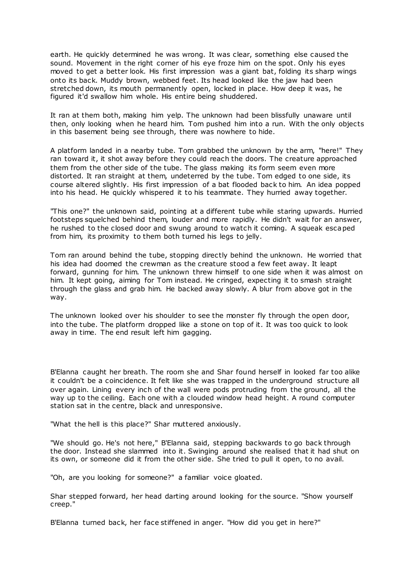earth. He quickly determined he was wrong. It was clear, something else caused the sound. Movement in the right corner of his eye froze him on the spot. Only his eyes moved to get a better look. His first impression was a giant bat, folding its sharp wings onto its back. Muddy brown, webbed feet. Its head looked like the jaw had been stretched down, its mouth permanently open, locked in place. How deep it was, he figured it'd swallow him whole. His entire being shuddered.

It ran at them both, making him yelp. The unknown had been blissfully unaware until then, only looking when he heard him. Tom pushed him into a run. With the only objects in this basement being see through, there was nowhere to hide.

A platform landed in a nearby tube. Tom grabbed the unknown by the arm, "here!" They ran toward it, it shot away before they could reach the doors. The creature approached them from the other side of the tube. The glass making its form seem even more distorted. It ran straight at them, undeterred by the tube. Tom edged to one side, its course altered slightly. His first impression of a bat flooded back to him. An idea popped into his head. He quickly whispered it to his teammate. They hurried away together.

"This one?" the unknown said, pointing at a different tube while staring upwards. Hurried footsteps squelched behind them, louder and more rapidly. He didn't wait for an answer, he rushed to the closed door and swung around to watch it coming. A squeak escaped from him, its proximity to them both turned his legs to jelly.

Tom ran around behind the tube, stopping directly behind the unknown. He worried that his idea had doomed the crewman as the creature stood a few feet away. It leapt forward, gunning for him. The unknown threw himself to one side when it was almost on him. It kept going, aiming for Tom instead. He cringed, expecting it to smash straight through the glass and grab him. He backed away slowly. A blur from above got in the way.

The unknown looked over his shoulder to see the monster fly through the open door, into the tube. The platform dropped like a stone on top of it. It was too quick to look away in time. The end result left him gagging.

B'Elanna caught her breath. The room she and Shar found herself in looked far too alike it couldn't be a coincidence. It felt like she was trapped in the underground structure all over again. Lining every inch of the wall were pods protruding from the ground, all the way up to the ceiling. Each one with a clouded window head height. A round computer station sat in the centre, black and unresponsive.

"What the hell is this place?" Shar muttered anxiously.

"We should go. He's not here," B'Elanna said, stepping backwards to go back through the door. Instead she slammed into it. Swinging around she realised that it had shut on its own, or someone did it from the other side. She tried to pull it open, to no avail.

"Oh, are you looking for someone?" a familiar voice gloated.

Shar stepped forward, her head darting around looking for the source. "Show yourself creep."

B'Elanna turned back, her face stiffened in anger. "How did you get in here?"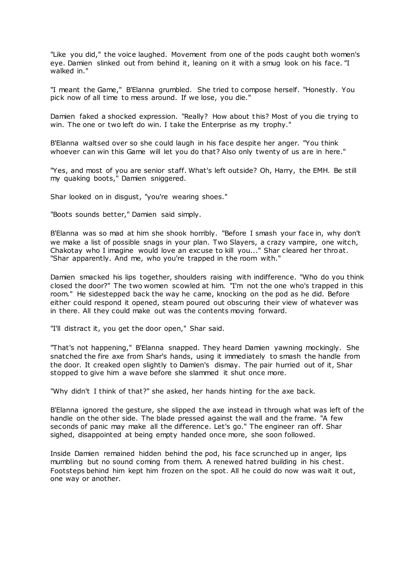"Like you did," the voice laughed. Movement from one of the pods caught both women's eye. Damien slinked out from behind it, leaning on it with a smug look on his face. "I walked in."

"I meant the Game," B'Elanna grumbled. She tried to compose herself. "Honestly. You pick now of all time to mess around. If we lose, you die."

Damien faked a shocked expression. "Really? How about this? Most of you die trying to win. The one or two left do win. I take the Enterprise as my trophy."

B'Elanna waltsed over so she could laugh in his face despite her anger. "You think whoever can win this Game will let you do that? Also only twenty of us are in here."

"Yes, and most of you are senior staff. What's left outside? Oh, Harry, the EMH. Be still my quaking boots," Damien sniggered.

Shar looked on in disgust, "you're wearing shoes."

"Boots sounds better," Damien said simply.

B'Elanna was so mad at him she shook horribly. "Before I smash your face in, why don't we make a list of possible snags in your plan. Two Slayers, a crazy vampire, one witch, Chakotay who I imagine would love an excuse to kill you..." Shar cleared her throat. "Shar apparently. And me, who you're trapped in the room with."

Damien smacked his lips together, shoulders raising with indifference. "Who do you think closed the door?" The two women scowled at him. "I'm not the one who's trapped in this room." He sidestepped back the way he came, knocking on the pod as he did. Before either could respond it opened, steam poured out obscuring their view of whatever was in there. All they could make out was the contents moving forward.

"I'll distract it, you get the door open," Shar said.

"That's not happening," B'Elanna snapped. They heard Damien yawning mockingly. She snatched the fire axe from Shar's hands, using it immediately to smash the handle from the door. It creaked open slightly to Damien's dismay. The pair hurried out of it, Shar stopped to give him a wave before she slammed it shut once more.

"Why didn't I think of that?" she asked, her hands hinting for the axe back.

B'Elanna ignored the gesture, she slipped the axe instead in through what was left of the handle on the other side. The blade pressed against the wall and the frame. "A few seconds of panic may make all the difference. Let's go." The engineer ran off. Shar sighed, disappointed at being empty handed once more, she soon followed.

Inside Damien remained hidden behind the pod, his face scrunched up in anger, lips mumbling but no sound coming from them. A renewed hatred building in his chest. Footsteps behind him kept him frozen on the spot. All he could do now was wait it out, one way or another.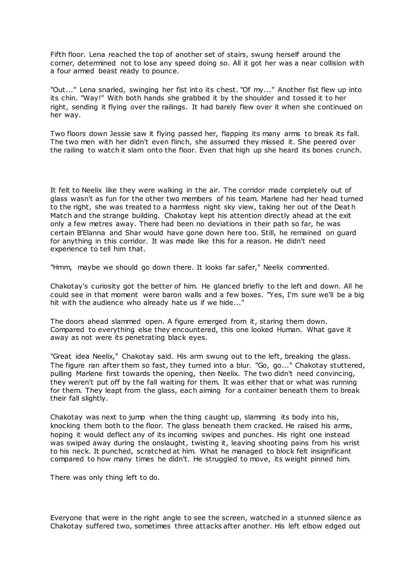Fifth floor. Lena reached the top of another set of stairs, swung herself around the corner, determined not to lose any speed doing so. All it got her was a near collision with a four armed beast ready to pounce.

"Out..." Lena snarled, swinging her fist into its chest. "Of my..." Another fist flew up into its chin. "Way!" With both hands she grabbed it by the shoulder and tossed it to her right, sending it flying over the railings. It had barely flew over it when she continued on her way.

Two floors down Jessie saw it flying passed her, flapping its many arms to break its fall. The two men with her didn't even flinch, she assumed they missed it. She peered over the railing to watch it slam onto the floor. Even that high up she heard its bones crunch.

It felt to Neelix like they were walking in the air. The corridor made completely out of glass wasn't as fun for the other two members of his team. Marlene had her head turned to the right, she was treated to a harmless night sky view, taking her out of the Deat h Match and the strange building. Chakotay kept his attention directly ahead at the exit only a few metres away. There had been no deviations in their path so far, he was certain B'Elanna and Shar would have gone down here too. Still, he remained on guard for anything in this corridor. It was made like this for a reason. He didn't need experience to tell him that.

"Hmm, maybe we should go down there. It looks far safer," Neelix commented.

Chakotay's curiosity got the better of him. He glanced briefly to the left and down. All he could see in that moment were baron walls and a few boxes. "Yes, I'm sure we'll be a big hit with the audience who already hate us if we hide..."

The doors ahead slammed open. A figure emerged from it, staring them down. Compared to everything else they encountered, this one looked Human. What gave it away as not were its penetrating black eyes.

"Great idea Neelix," Chakotay said. His arm swung out to the left, breaking the glass. The figure ran after them so fast, they turned into a blur. "Go, go..." Chakotay stuttered, pulling Marlene first towards the opening, then Neelix. The two didn't need convincing, they weren't put off by the fall waiting for them. It was either that or what was running for them. They leapt from the glass, each aiming for a container beneath them to break their fall slightly.

Chakotay was next to jump when the thing caught up, slamming its body into his, knocking them both to the floor. The glass beneath them cracked. He raised his arms, hoping it would deflect any of its incoming swipes and punches. His right one instead was swiped away during the onslaught, twisting it, leaving shooting pains from his wrist to his neck. It punched, scratched at him. What he managed to block felt insignificant compared to how many times he didn't. He struggled to move, its weight pinned him.

There was only thing left to do.

Everyone that were in the right angle to see the screen, watched in a stunned silence as Chakotay suffered two, sometimes three attacks after another. His left elbow edged out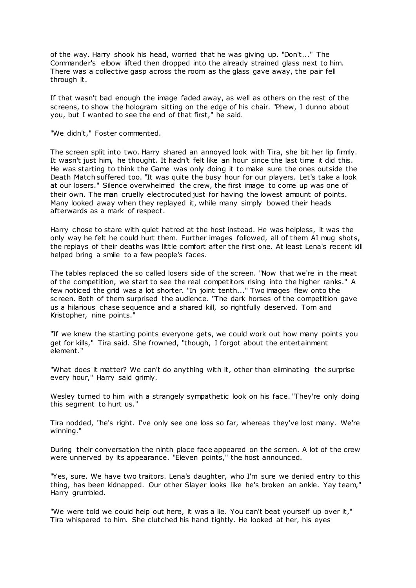of the way. Harry shook his head, worried that he was giving up. "Don't..." The Commander's elbow lifted then dropped into the already strained glass next to him. There was a collective gasp across the room as the glass gave away, the pair fell through it.

If that wasn't bad enough the image faded away, as well as others on the rest of the screens, to show the hologram sitting on the edge of his chair. "Phew, I dunno about you, but I wanted to see the end of that first," he said.

"We didn't," Foster commented.

The screen split into two. Harry shared an annoyed look with Tira, she bit her lip firmly. It wasn't just him, he thought. It hadn't felt like an hour since the last time it did this. He was starting to think the Game was only doing it to make sure the ones outside the Death Match suffered too. "It was quite the busy hour for our players. Let's take a look at our losers." Silence overwhelmed the crew, the first image to come up was one of their own. The man cruelly electrocuted just for having the lowest amount of points. Many looked away when they replayed it, while many simply bowed their heads afterwards as a mark of respect.

Harry chose to stare with quiet hatred at the host instead. He was helpless, it was the only way he felt he could hurt them. Further images followed, all of them AI mug shots, the replays of their deaths was little comfort after the first one. At least Lena's recent kill helped bring a smile to a few people's faces.

The tables replaced the so called losers side of the screen. "Now that we're in the meat of the competition, we start to see the real competitors rising into the higher ranks." A few noticed the grid was a lot shorter. "In joint tenth..." Two images flew onto the screen. Both of them surprised the audience. "The dark horses of the competition gave us a hilarious chase sequence and a shared kill, so rightfully deserved. Tom and Kristopher, nine points."

"If we knew the starting points everyone gets, we could work out how many points you get for kills," Tira said. She frowned, "though, I forgot about the entertainment element."

"What does it matter? We can't do anything with it, other than eliminating the surprise every hour," Harry said grimly.

Wesley turned to him with a strangely sympathetic look on his face. "They're only doing this segment to hurt us."

Tira nodded, "he's right. I've only see one loss so far, whereas they've lost many. We're winning."

During their conversation the ninth place face appeared on the screen. A lot of the crew were unnerved by its appearance. "Eleven points," the host announced.

"Yes, sure. We have two traitors. Lena's daughter, who I'm sure we denied entry to this thing, has been kidnapped. Our other Slayer looks like he's broken an ankle. Yay team," Harry grumbled.

"We were told we could help out here, it was a lie. You can't beat yourself up over it," Tira whispered to him. She clutched his hand tightly. He looked at her, his eyes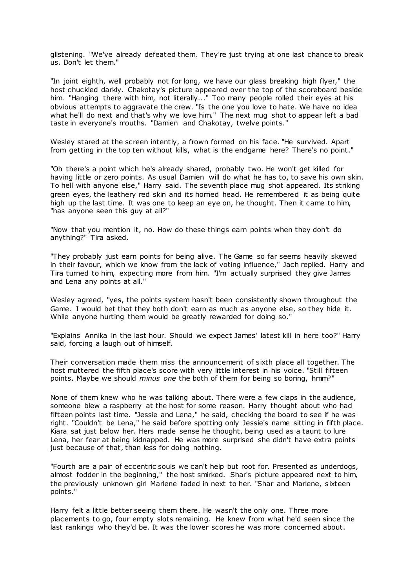glistening. "We've already defeated them. They're just trying at one last chance to break us. Don't let them."

"In joint eighth, well probably not for long, we have our glass breaking high flyer," the host chuckled darkly. Chakotay's picture appeared over the top of the scoreboard beside him. "Hanging there with him, not literally..." Too many people rolled their eyes at his obvious attempts to aggravate the crew. "Is the one you love to hate. We have no idea what he'll do next and that's why we love him." The next mug shot to appear left a bad taste in everyone's mouths. "Damien and Chakotay, twelve points."

Wesley stared at the screen intently, a frown formed on his face. "He survived. Apart from getting in the top ten without kills, what is the endgame here? There's no point."

"Oh there's a point which he's already shared, probably two. He won't get killed for having little or zero points. As usual Damien will do what he has to, to save his own skin. To hell with anyone else," Harry said. The seventh place mug shot appeared. Its striking green eyes, the leathery red skin and its horned head. He remembered it as being quite high up the last time. It was one to keep an eye on, he thought. Then it came to him, "has anyone seen this guy at all?"

"Now that you mention it, no. How do these things earn points when they don't do anything?" Tira asked.

"They probably just earn points for being alive. The Game so far seems heavily skewed in their favour, which we know from the lack of voting influence," Jach replied. Harry and Tira turned to him, expecting more from him. "I'm actually surprised they give James and Lena any points at all."

Wesley agreed, "yes, the points system hasn't been consistently shown throughout the Game. I would bet that they both don't earn as much as anyone else, so they hide it. While anyone hurting them would be greatly rewarded for doing so."

"Explains Annika in the last hour. Should we expect James' latest kill in here too?" Harry said, forcing a laugh out of himself.

Their conversation made them miss the announcement of sixth place all together. The host muttered the fifth place's score with very little interest in his voice. "Still fifteen points. Maybe we should *minus one* the both of them for being so boring, hmm?"

None of them knew who he was talking about. There were a few claps in the audience, someone blew a raspberry at the host for some reason. Harry thought about who had fifteen points last time. "Jessie and Lena," he said, checking the board to see if he was right. "Couldn't be Lena," he said before spotting only Jessie's name sitting in fifth place. Kiara sat just below her. Hers made sense he thought, being used as a taunt to lure Lena, her fear at being kidnapped. He was more surprised she didn't have extra points just because of that, than less for doing nothing.

"Fourth are a pair of eccentric souls we can't help but root for. Presented as underdogs, almost fodder in the beginning," the host smirked. Shar's picture appeared next to him, the previously unknown girl Marlene faded in next to her. "Shar and Marlene, sixteen points."

Harry felt a little better seeing them there. He wasn't the only one. Three more placements to go, four empty slots remaining. He knew from what he'd seen since the last rankings who they'd be. It was the lower scores he was more concerned about.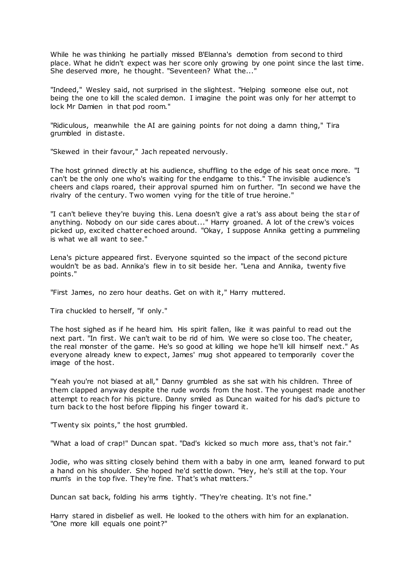While he was thinking he partially missed B'Elanna's demotion from second to third place. What he didn't expect was her score only growing by one point since the last time. She deserved more, he thought. "Seventeen? What the...'

"Indeed," Wesley said, not surprised in the slightest. "Helping someone else out, not being the one to kill the scaled demon. I imagine the point was only for her attempt to lock Mr Damien in that pod room."

"Ridiculous, meanwhile the AI are gaining points for not doing a damn thing," Tira grumbled in distaste.

"Skewed in their favour," Jach repeated nervously.

The host grinned directly at his audience, shuffling to the edge of his seat once more. "I can't be the only one who's waiting for the endgame to this." The invisible audience's cheers and claps roared, their approval spurned him on further. "In second we have the rivalry of the century. Two women vying for the title of true heroine."

"I can't believe they're buying this. Lena doesn't give a rat's ass about being the star of anything. Nobody on our side cares about..." Harry groaned. A lot of the crew's voices picked up, excited chatter echoed around. "Okay, I suppose Annika getting a pummeling is what we all want to see."

Lena's picture appeared first. Everyone squinted so the impact of the second picture wouldn't be as bad. Annika's flew in to sit beside her. "Lena and Annika, twenty five points."

"First James, no zero hour deaths. Get on with it," Harry muttered.

Tira chuckled to herself, "if only."

The host sighed as if he heard him. His spirit fallen, like it was painful to read out the next part. "In first. We can't wait to be rid of him. We were so close too. The cheater, the real monster of the game. He's so good at killing we hope he'll kill himself next." As everyone already knew to expect, James' mug shot appeared to temporarily cover the image of the host.

"Yeah you're not biased at all," Danny grumbled as she sat with his children. Three of them clapped anyway despite the rude words from the host. The youngest made another attempt to reach for his picture. Danny smiled as Duncan waited for his dad's picture to turn back to the host before flipping his finger toward it.

"Twenty six points," the host grumbled.

"What a load of crap!" Duncan spat. "Dad's kicked so much more ass, that's not fair."

Jodie, who was sitting closely behind them with a baby in one arm, leaned forward to put a hand on his shoulder. She hoped he'd settle down. "Hey, he's still at the top. Your mum's in the top five. They're fine. That's what matters."

Duncan sat back, folding his arms tightly. "They're cheating. It's not fine."

Harry stared in disbelief as well. He looked to the others with him for an explanation. "One more kill equals one point?"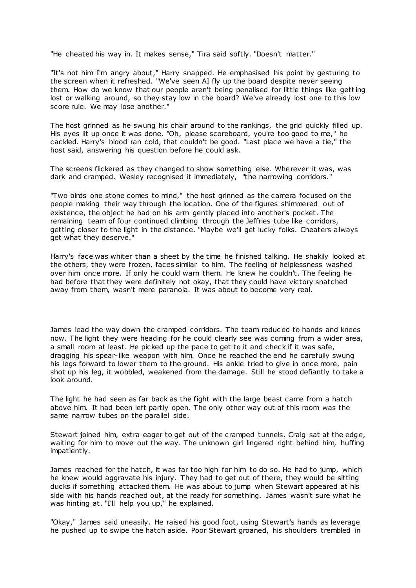"He cheated his way in. It makes sense," Tira said softly. "Doesn't matter."

"It's not him I'm angry about," Harry snapped. He emphasised his point by gesturing to the screen when it refreshed. "We've seen AI fly up the board despite never seeing them. How do we know that our people aren't being penalised for little things like getting lost or walking around, so they stay low in the board? We've already lost one to this low score rule. We may lose another."

The host grinned as he swung his chair around to the rankings, the grid quickly filled up. His eyes lit up once it was done. "Oh, please scoreboard, you're too good to me," he cackled. Harry's blood ran cold, that couldn't be good. "Last place we have a tie," the host said, answering his question before he could ask.

The screens flickered as they changed to show something else. Wherever it was, was dark and cramped. Wesley recognised it immediately, "the narrowing corridors."

"Two birds one stone comes to mind," the host grinned as the camera focused on the people making their way through the location. One of the figures shimmered out of existence, the object he had on his arm gently placed into another's pocket. The remaining team of four continued climbing through the Jeffries tube like corridors, getting closer to the light in the distance. "Maybe we'll get lucky folks. Cheaters always get what they deserve."

Harry's face was whiter than a sheet by the time he finished talking. He shakily looked at the others, they were frozen, faces similar to him. The feeling of helplessness washed over him once more. If only he could warn them. He knew he couldn't. The feeling he had before that they were definitely not okay, that they could have victory snatched away from them, wasn't mere paranoia. It was about to become very real.

James lead the way down the cramped corridors. The team reduc ed to hands and knees now. The light they were heading for he could clearly see was coming from a wider area, a small room at least. He picked up the pace to get to it and check if it was safe, dragging his spear-like weapon with him. Once he reached the end he carefully swung his legs forward to lower them to the ground. His ankle tried to give in once more, pain shot up his leg, it wobbled, weakened from the damage. Still he stood defiantly to take a look around.

The light he had seen as far back as the fight with the large beast came from a hatch above him. It had been left partly open. The only other way out of this room was the same narrow tubes on the parallel side.

Stewart joined him, extra eager to get out of the cramped tunnels. Craig sat at the edge, waiting for him to move out the way. The unknown girl lingered right behind him, huffing impatiently.

James reached for the hatch, it was far too high for him to do so. He had to jump, which he knew would aggravate his injury. They had to get out of there, they would be sitting ducks if something attacked them. He was about to jump when Stewart appeared at his side with his hands reached out, at the ready for something. James wasn't sure what he was hinting at. "I'll help you up," he explained.

"Okay," James said uneasily. He raised his good foot, using Stewart's hands as leverage he pushed up to swipe the hatch aside. Poor Stewart groaned, his shoulders trembled in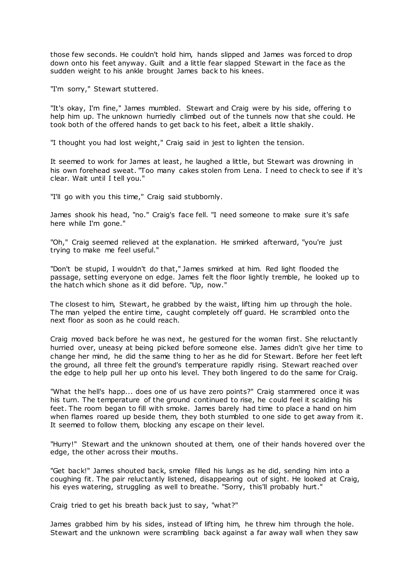those few seconds. He couldn't hold him, hands slipped and James was forced to drop down onto his feet anyway. Guilt and a little fear slapped Stewart in the face as the sudden weight to his ankle brought James back to his knees.

"I'm sorry," Stewart stuttered.

"It's okay, I'm fine," James mumbled. Stewart and Craig were by his side, offering to help him up. The unknown hurriedly climbed out of the tunnels now that she could. He took both of the offered hands to get back to his feet, albeit a little shakily.

"I thought you had lost weight," Craig said in jest to lighten the tension.

It seemed to work for James at least, he laughed a little, but Stewart was drowning in his own forehead sweat. "Too many cakes stolen from Lena. I need to check to see if it's clear. Wait until I tell you."

"I'll go with you this time," Craig said stubbornly.

James shook his head, "no." Craig's face fell. "I need someone to make sure it's safe here while I'm gone."

"Oh," Craig seemed relieved at the explanation. He smirked afterward, "you're just trying to make me feel useful."

"Don't be stupid, I wouldn't do that," James smirked at him. Red light flooded the passage, setting everyone on edge. James felt the floor lightly tremble, he looked up to the hatch which shone as it did before. "Up, now."

The closest to him, Stewart, he grabbed by the waist, lifting him up through the hole. The man yelped the entire time, caught completely off guard. He scrambled onto the next floor as soon as he could reach.

Craig moved back before he was next, he gestured for the woman first. She reluctantly hurried over, uneasy at being picked before someone else. James didn't give her time to change her mind, he did the same thing to her as he did for Stewart. Before her feet left the ground, all three felt the ground's temperature rapidly rising. Stewart reached over the edge to help pull her up onto his level. They both lingered to do the same for Craig.

"What the hell's happ... does one of us have zero points?" Craig stammered once it was his turn. The temperature of the ground continued to rise, he could feel it scalding his feet. The room began to fill with smoke. James barely had time to place a hand on him when flames roared up beside them, they both stumbled to one side to get away from it. It seemed to follow them, blocking any escape on their level.

"Hurry!" Stewart and the unknown shouted at them, one of their hands hovered over the edge, the other across their mouths.

"Get back!" James shouted back, smoke filled his lungs as he did, sending him into a coughing fit. The pair reluctantly listened, disappearing out of sight. He looked at Craig, his eyes watering, struggling as well to breathe. "Sorry, this'll probably hurt."

Craig tried to get his breath back just to say, "what?"

James grabbed him by his sides, instead of lifting him, he threw him through the hole. Stewart and the unknown were scrambling back against a far away wall when they saw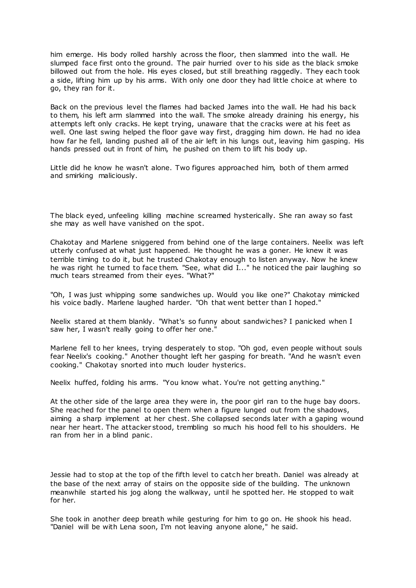him emerge. His body rolled harshly across the floor, then slammed into the wall. He slumped face first onto the ground. The pair hurried over to his side as the black smoke billowed out from the hole. His eyes closed, but still breathing raggedly. They each took a side, lifting him up by his arms. With only one door they had little choice at where to go, they ran for it.

Back on the previous level the flames had backed James into the wall. He had his back to them, his left arm slammed into the wall. The smoke already draining his energy, his attempts left only cracks. He kept trying, unaware that the cracks were at his feet as well. One last swing helped the floor gave way first, dragging him down. He had no idea how far he fell, landing pushed all of the air left in his lungs out, leaving him gasping. His hands pressed out in front of him, he pushed on them to lift his body up.

Little did he know he wasn't alone. Two figures approached him, both of them armed and smirking maliciously.

The black eyed, unfeeling killing machine screamed hysterically. She ran away so fast she may as well have vanished on the spot.

Chakotay and Marlene sniggered from behind one of the large containers. Neelix was left utterly confused at what just happened. He thought he was a goner. He knew it was terrible timing to do it, but he trusted Chakotay enough to listen anyway. Now he knew he was right he turned to face them. "See, what did I..." he noticed the pair laughing so much tears streamed from their eyes. "What?"

"Oh, I was just whipping some sandwiches up. Would you like one?" Chakotay mimicked his voice badly. Marlene laughed harder. "Oh that went better than I hoped."

Neelix stared at them blankly. "What's so funny about sandwiches? I panicked when I saw her, I wasn't really going to offer her one.'

Marlene fell to her knees, trying desperately to stop. "Oh god, even people without souls fear Neelix's cooking." Another thought left her gasping for breath. "And he wasn't even cooking." Chakotay snorted into much louder hysterics.

Neelix huffed, folding his arms. "You know what. You're not getting anything."

At the other side of the large area they were in, the poor girl ran to the huge bay doors. She reached for the panel to open them when a figure lunged out from the shadows, aiming a sharp implement at her chest. She collapsed seconds later with a gaping wound near her heart. The attacker stood, trembling so much his hood fell to his shoulders. He ran from her in a blind panic .

Jessie had to stop at the top of the fifth level to catch her breath. Daniel was already at the base of the next array of stairs on the opposite side of the building. The unknown meanwhile started his jog along the walkway, until he spotted her. He stopped to wait for her.

She took in another deep breath while gesturing for him to go on. He shook his head. "Daniel will be with Lena soon, I'm not leaving anyone alone," he said.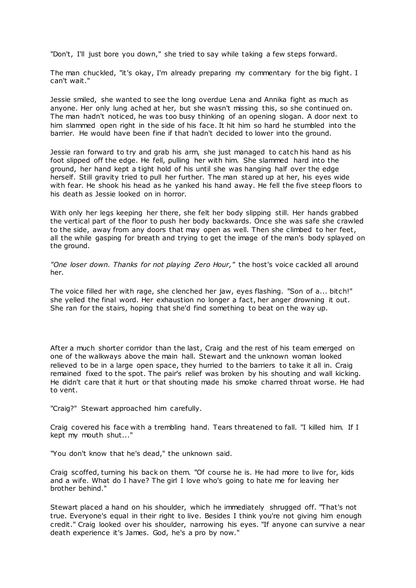"Don't, I'll just bore you down," she tried to say while taking a few steps forward.

The man chuckled, "it's okay, I'm already preparing my commentary for the big fight. I can't wait."

Jessie smiled, she wanted to see the long overdue Lena and Annika fight as much as anyone. Her only lung ached at her, but she wasn't missing this, so she continued on. The man hadn't noticed, he was too busy thinking of an opening slogan. A door next to him slammed open right in the side of his face. It hit him so hard he stumbled into the barrier. He would have been fine if that hadn't decided to lower into the ground.

Jessie ran forward to try and grab his arm, she just managed to catch his hand as his foot slipped off the edge. He fell, pulling her with him. She slammed hard into the ground, her hand kept a tight hold of his until she was hanging half over the edge herself. Still gravity tried to pull her further. The man stared up at her, his eyes wide with fear. He shook his head as he yanked his hand away. He fell the five steep floors to his death as Jessie looked on in horror.

With only her legs keeping her there, she felt her body slipping still. Her hands grabbed the vertical part of the floor to push her body backwards. Once she was safe she crawled to the side, away from any doors that may open as well. Then she climbed to her feet, all the while gasping for breath and trying to get the image of the man's body splayed on the ground.

*"One loser down. Thanks for not playing Zero Hour,"* the host's voice cackled all around her.

The voice filled her with rage, she clenched her jaw, eyes flashing. "Son of a... bitch!" she yelled the final word. Her exhaustion no longer a fact, her anger drowning it out. She ran for the stairs, hoping that she'd find something to beat on the way up.

After a much shorter corridor than the last, Craig and the rest of his team emerged on one of the walkways above the main hall. Stewart and the unknown woman looked relieved to be in a large open space, they hurried to the barriers to take it all in. Craig remained fixed to the spot. The pair's relief was broken by his shouting and wall kicking. He didn't care that it hurt or that shouting made his smoke charred throat worse. He had to vent.

"Craig?" Stewart approached him carefully.

Craig covered his face with a trembling hand. Tears threatened to fall. "I killed him. If I kept my mouth shut..."

"You don't know that he's dead," the unknown said.

Craig scoffed, turning his back on them. "Of course he is. He had more to live for, kids and a wife. What do I have? The girl I love who's going to hate me for leaving her brother behind."

Stewart placed a hand on his shoulder, which he immediately shrugged off. "That's not true. Everyone's equal in their right to live. Besides I think you're not giving him enough credit." Craig looked over his shoulder, narrowing his eyes. "If anyone can survive a near death experience it's James. God, he's a pro by now."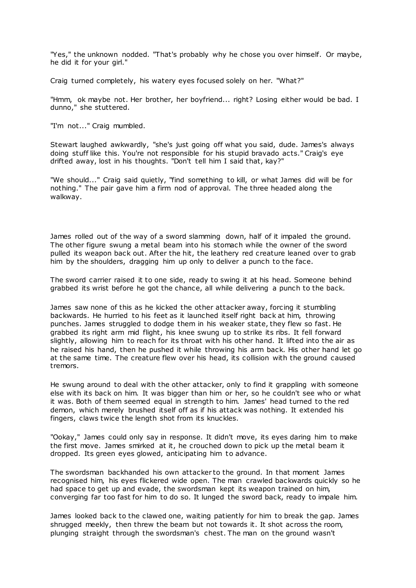"Yes," the unknown nodded. "That's probably why he chose you over himself. Or maybe, he did it for your girl."

Craig turned completely, his watery eyes focused solely on her. "What?"

"Hmm, ok maybe not. Her brother, her boyfriend... right? Losing either would be bad. I dunno," she stuttered.

"I'm not..." Craig mumbled.

Stewart laughed awkwardly, "she's just going off what you said, dude. James's always doing stuff like this. You're not responsible for his stupid bravado acts." Craig's eye drifted away, lost in his thoughts. "Don't tell him I said that, kay?"

"We should..." Craig said quietly, "find something to kill, or what James did will be for nothing." The pair gave him a firm nod of approval. The three headed along the walkway.

James rolled out of the way of a sword slamming down, half of it impaled the ground. The other figure swung a metal beam into his stomach while the owner of the sword pulled its weapon back out. After the hit, the leathery red creature leaned over to grab him by the shoulders, dragging him up only to deliver a punch to the face.

The sword carrier raised it to one side, ready to swing it at his head. Someone behind grabbed its wrist before he got the chance, all while delivering a punch to the back.

James saw none of this as he kicked the other attacker away, forcing it stumbling backwards. He hurried to his feet as it launched itself right back at him, throwing punches. James struggled to dodge them in his weaker state, they flew so fast. He grabbed its right arm mid flight, his knee swung up to strike its ribs. It fell forward slightly, allowing him to reach for its throat with his other hand. It lifted into the air as he raised his hand, then he pushed it while throwing his arm back. His other hand let go at the same time. The creature flew over his head, its collision with the ground caused tremors.

He swung around to deal with the other attacker, only to find it grappling with someone else with its back on him. It was bigger than him or her, so he couldn't see who or what it was. Both of them seemed equal in strength to him. James' head turned to the red demon, which merely brushed itself off as if his attack was nothing. It extended his fingers, claws twice the length shot from its knuckles.

"Ookay," James could only say in response. It didn't move, its eyes daring him to make the first move. James smirked at it, he crouched down to pick up the metal beam it dropped. Its green eyes glowed, anticipating him to advance.

The swordsman backhanded his own attacker to the ground. In that moment James recognised him, his eyes flickered wide open. The man crawled backwards quickly so he had space to get up and evade, the swordsman kept its weapon trained on him, converging far too fast for him to do so. It lunged the sword back, ready to impale him.

James looked back to the clawed one, waiting patiently for him to break the gap. James shrugged meekly, then threw the beam but not towards it. It shot across the room, plunging straight through the swordsman's chest. The man on the ground wasn't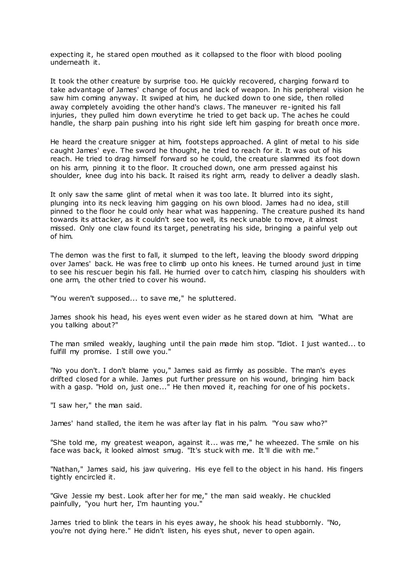expecting it, he stared open mouthed as it collapsed to the floor with blood pooling underneath it.

It took the other creature by surprise too. He quickly recovered, charging forward to take advantage of James' change of focus and lack of weapon. In his peripheral vision he saw him coming anyway. It swiped at him, he ducked down to one side, then rolled away completely avoiding the other hand's claws. The maneuver re-ignited his fall injuries, they pulled him down everytime he tried to get back up. The aches he could handle, the sharp pain pushing into his right side left him gasping for breath once more.

He heard the creature snigger at him, footsteps approached. A glint of metal to his side caught James' eye. The sword he thought, he tried to reach for it. It was out of his reach. He tried to drag himself forward so he could, the creature slammed its foot down on his arm, pinning it to the floor. It crouched down, one arm pressed against his shoulder, knee dug into his back. It raised its right arm, ready to deliver a deadly slash.

It only saw the same glint of metal when it was too late. It blurred into its sight, plunging into its neck leaving him gagging on his own blood. James had no idea, still pinned to the floor he could only hear what was happening. The creature pushed its hand towards its attacker, as it couldn't see too well, its neck unable to move, it almost missed. Only one claw found its target, penetrating his side, bringing a painful yelp out of him.

The demon was the first to fall, it slumped to the left, leaving the bloody sword dripping over James' back. He was free to climb up onto his knees. He turned around just in time to see his rescuer begin his fall. He hurried over to catch him, clasping his shoulders with one arm, the other tried to cover his wound.

"You weren't supposed... to save me," he spluttered.

James shook his head, his eyes went even wider as he stared down at him. "What are you talking about?"

The man smiled weakly, laughing until the pain made him stop. "Idiot. I just wanted... to fulfill my promise. I still owe you.'

"No you don't. I don't blame you," James said as firmly as possible. The man's eyes drifted closed for a while. James put further pressure on his wound, bringing him back with a gasp. "Hold on, just one..." He then moved it, reaching for one of his pockets.

"I saw her," the man said.

James' hand stalled, the item he was after lay flat in his palm. "You saw who?"

"She told me, my greatest weapon, against it... was me," he wheezed. The smile on his face was back, it looked almost smug. "It's stuck with me. It'll die with me."

"Nathan," James said, his jaw quivering. His eye fell to the object in his hand. His fingers tightly encircled it.

"Give Jessie my best. Look after her for me," the man said weakly. He chuckled painfully, "you hurt her, I'm haunting you."

James tried to blink the tears in his eyes away, he shook his head stubbornly. "No, you're not dying here." He didn't listen, his eyes shut, never to open again.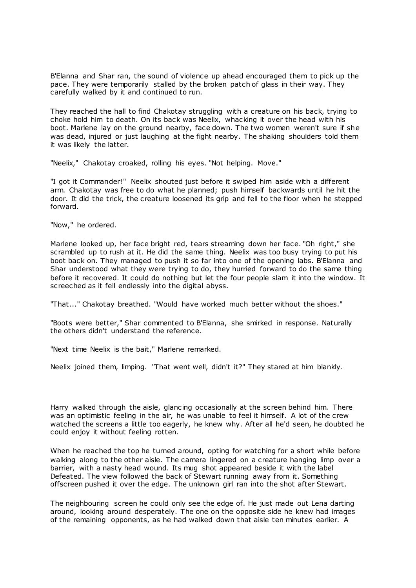B'Elanna and Shar ran, the sound of violence up ahead encouraged them to pick up the pace. They were temporarily stalled by the broken patch of glass in their way. They carefully walked by it and continued to run.

They reached the hall to find Chakotay struggling with a creature on his back, trying to choke hold him to death. On its back was Neelix, whacking it over the head with his boot. Marlene lay on the ground nearby, face down. The two women weren't sure if she was dead, injured or just laughing at the fight nearby. The shaking shoulders told them it was likely the latter.

"Neelix," Chakotay croaked, rolling his eyes. "Not helping. Move."

"I got it Commander!" Neelix shouted just before it swiped him aside with a different arm. Chakotay was free to do what he planned; push himself backwards until he hit the door. It did the trick, the creature loosened its grip and fell to the floor when he stepped forward.

"Now," he ordered.

Marlene looked up, her face bright red, tears streaming down her face. "Oh right," she scrambled up to rush at it. He did the same thing. Neelix was too busy trying to put his boot back on. They managed to push it so far into one of the opening labs. B'Elanna and Shar understood what they were trying to do, they hurried forward to do the same thing before it recovered. It could do nothing but let the four people slam it into the window. It screeched as it fell endlessly into the digital abyss.

"That..." Chakotay breathed. "Would have worked much better without the shoes."

"Boots were better," Shar commented to B'Elanna, she smirked in response. Naturally the others didn't understand the reference.

"Next time Neelix is the bait," Marlene remarked.

Neelix joined them, limping. "That went well, didn't it?" They stared at him blankly.

Harry walked through the aisle, glancing occasionally at the screen behind him. There was an optimistic feeling in the air, he was unable to feel it himself. A lot of the crew watched the screens a little too eagerly, he knew why. After all he'd seen, he doubted he could enjoy it without feeling rotten.

When he reached the top he turned around, opting for watching for a short while before walking along to the other aisle. The camera lingered on a creature hanging limp over a barrier, with a nasty head wound. Its mug shot appeared beside it with the label Defeated. The view followed the back of Stewart running away from it. Something offscreen pushed it over the edge. The unknown girl ran into the shot after Stewart.

The neighbouring screen he could only see the edge of. He just made out Lena darting around, looking around desperately. The one on the opposite side he knew had images of the remaining opponents, as he had walked down that aisle ten minutes earlier. A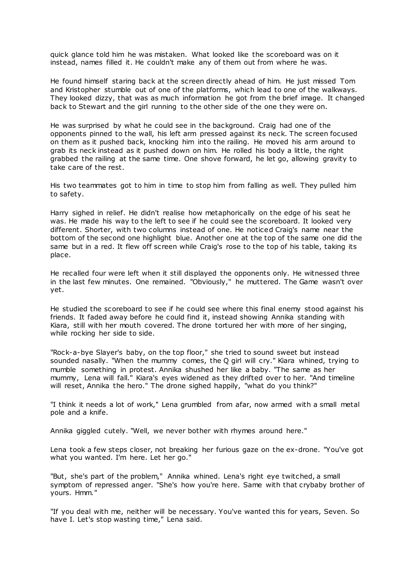quick glance told him he was mistaken. What looked like the scoreboard was on it instead, names filled it. He couldn't make any of them out from where he was.

He found himself staring back at the screen directly ahead of him. He just missed Tom and Kristopher stumble out of one of the platforms, which lead to one of the walkways. They looked dizzy, that was as much information he got from the brief image. It changed back to Stewart and the girl running to the other side of the one they were on.

He was surprised by what he could see in the background. Craig had one of the opponents pinned to the wall, his left arm pressed against its neck. The screen focused on them as it pushed back, knocking him into the railing. He moved his arm around to grab its neck instead as it pushed down on him. He rolled his body a little, the right grabbed the railing at the same time. One shove forward, he let go, allowing gravity to take care of the rest.

His two teammates got to him in time to stop him from falling as well. They pulled him to safety.

Harry sighed in relief. He didn't realise how metaphorically on the edge of his seat he was. He made his way to the left to see if he could see the scoreboard. It looked very different. Shorter, with two columns instead of one. He noticed Craig's name near the bottom of the second one highlight blue. Another one at the top of the same one did the same but in a red. It flew off screen while Craig's rose to the top of his table, taking its place.

He recalled four were left when it still displayed the opponents only. He witnessed three in the last few minutes. One remained. "Obviously," he muttered. The Game wasn't over yet.

He studied the scoreboard to see if he could see where this final enemy stood against his friends. It faded away before he could find it, instead showing Annika standing with Kiara, still with her mouth covered. The drone tortured her with more of her singing, while rocking her side to side.

"Rock-a-bye Slayer's baby, on the top floor," she tried to sound sweet but instead sounded nasally. "When the mummy comes, the Q girl will cry." Kiara whined, trying to mumble something in protest. Annika shushed her like a baby. "The same as her mummy, Lena will fall." Kiara's eyes widened as they drifted over to her. "And timeline will reset, Annika the hero." The drone sighed happily, "what do you think?"

"I think it needs a lot of work," Lena grumbled from afar, now armed with a small metal pole and a knife.

Annika giggled cutely. "Well, we never bother with rhymes around here."

Lena took a few steps closer, not breaking her furious gaze on the ex-drone. "You've got what you wanted. I'm here. Let her go."

"But, she's part of the problem," Annika whined. Lena's right eye twitched, a small symptom of repressed anger. "She's how you're here. Same with that crybaby brother of yours. Hmm."

"If you deal with me, neither will be necessary. You've wanted this for years, Seven. So have I. Let's stop wasting time," Lena said.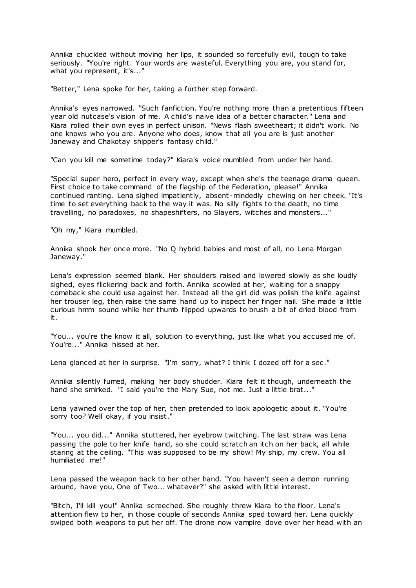Annika chuckled without moving her lips, it sounded so forcefully evil, tough to take seriously. "You're right. Your words are wasteful. Everything you are, you stand for, what you represent, it's..."

"Better," Lena spoke for her, taking a further step forward.

Annika's eyes narrowed. "Such fanfiction. You're nothing more than a pretentious fifteen year old nutcase's vision of me. A child's naive idea of a better character." Lena and Kiara rolled their own eyes in perfect unison. "News flash sweetheart; it didn't work. No one knows who you are. Anyone who does, know that all you are is just another Janeway and Chakotay shipper's fantasy child."

"Can you kill me sometime today?" Kiara's voice mumbled from under her hand.

"Special super hero, perfect in every way, except when she's the teenage drama queen. First choice to take command of the flagship of the Federation, please!" Annika continued ranting. Lena sighed impatiently, absent -mindedly chewing on her cheek. "It's time to set everything back to the way it was. No silly fights to the death, no time travelling, no paradoxes, no shapeshifters, no Slayers, witches and monsters..."

"Oh my," Kiara mumbled.

Annika shook her once more. "No Q hybrid babies and most of all, no Lena Morgan Janeway."

Lena's expression seemed blank. Her shoulders raised and lowered slowly as she loudly sighed, eyes flickering back and forth. Annika scowled at her, waiting for a snappy comeback she could use against her. Instead all the girl did was polish the knife against her trouser leg, then raise the same hand up to inspect her finger nail. She made a little curious hmm sound while her thumb flipped upwards to brush a bit of dried blood from it.

"You... you're the know it all, solution to everything, just like what you accused me of. You're..." Annika hissed at her.

Lena glanced at her in surprise. "I'm sorry, what? I think I dozed off for a sec."

Annika silently fumed, making her body shudder. Kiara felt it though, underneath the hand she smirked. "I said you're the Mary Sue, not me. Just a little brat..."

Lena yawned over the top of her, then pretended to look apologetic about it. "You're sorry too? Well okay, if you insist."

"You... you did..." Annika stuttered, her eyebrow twitching. The last straw was Lena passing the pole to her knife hand, so she could scratch an itch on her back, all while staring at the ceiling. "This was supposed to be my show! My ship, my crew. You all humiliated me!"

Lena passed the weapon back to her other hand. "You haven't seen a demon running around, have you, One of Two... whatever?" she asked with little interest.

"Bitch, I'll kill you!" Annika screeched. She roughly threw Kiara to the floor. Lena's attention flew to her, in those couple of seconds Annika sped toward her. Lena quickly swiped both weapons to put her off. The drone now vampire dove over her head with an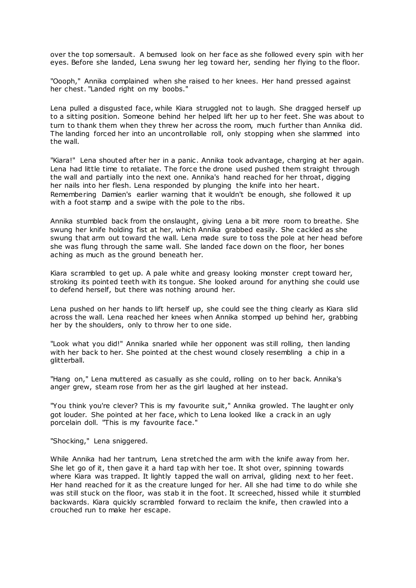over the top somersault. A bemused look on her face as she followed every spin with her eyes. Before she landed, Lena swung her leg toward her, sending her flying to the floor.

"Oooph," Annika complained when she raised to her knees. Her hand pressed against her chest. "Landed right on my boobs."

Lena pulled a disgusted face, while Kiara struggled not to laugh. She dragged herself up to a sitting position. Someone behind her helped lift her up to her feet. She was about to turn to thank them when they threw her across the room, much further than Annika did. The landing forced her into an uncontrollable roll, only stopping when she slammed into the wall.

"Kiara!" Lena shouted after her in a panic. Annika took advantage, charging at her again. Lena had little time to retaliate. The force the drone used pushed them straight through the wall and partially into the next one. Annika's hand reached for her throat, digging her nails into her flesh. Lena responded by plunging the knife into her heart. Remembering Damien's earlier warning that it wouldn't be enough, she followed it up with a foot stamp and a swipe with the pole to the ribs.

Annika stumbled back from the onslaught, giving Lena a bit more room to breathe. She swung her knife holding fist at her, which Annika grabbed easily. She cackled as she swung that arm out toward the wall. Lena made sure to toss the pole at her head before she was flung through the same wall. She landed face down on the floor, her bones aching as much as the ground beneath her.

Kiara scrambled to get up. A pale white and greasy looking monster crept toward her, stroking its pointed teeth with its tongue. She looked around for anything she could use to defend herself, but there was nothing around her.

Lena pushed on her hands to lift herself up, she could see the thing clearly as Kiara slid across the wall. Lena reached her knees when Annika stomped up behind her, grabbing her by the shoulders, only to throw her to one side.

"Look what you did!" Annika snarled while her opponent was still rolling, then landing with her back to her. She pointed at the chest wound closely resembling a chip in a glitterball.

"Hang on," Lena muttered as casually as she could, rolling on to her back. Annika's anger grew, steam rose from her as the girl laughed at her instead.

"You think you're clever? This is my favourite suit," Annika growled. The laught er only got louder. She pointed at her face, which to Lena looked like a crack in an ugly porcelain doll. "This is my favourite face."

"Shocking," Lena sniggered.

While Annika had her tantrum, Lena stretched the arm with the knife away from her. She let go of it, then gave it a hard tap with her toe. It shot over, spinning towards where Kiara was trapped. It lightly tapped the wall on arrival, gliding next to her feet. Her hand reached for it as the creature lunged for her. All she had time to do while she was still stuck on the floor, was stab it in the foot. It screeched, hissed while it stumbled backwards. Kiara quickly scrambled forward to reclaim the knife, then crawled into a crouched run to make her escape.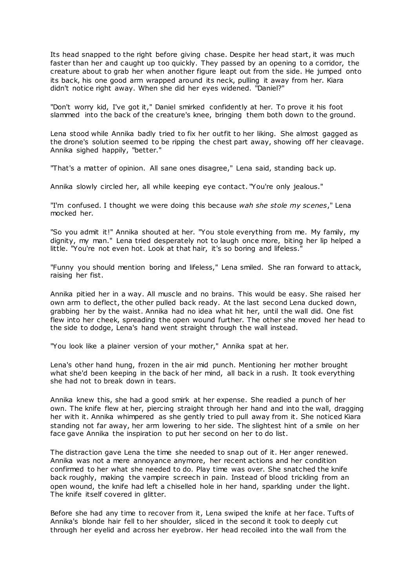Its head snapped to the right before giving chase. Despite her head start, it was much faster than her and caught up too quickly. They passed by an opening to a corridor, the creature about to grab her when another figure leapt out from the side. He jumped onto its back, his one good arm wrapped around its neck, pulling it away from her. Kiara didn't notice right away. When she did her eyes widened. "Daniel?"

"Don't worry kid, I've got it," Daniel smirked confidently at her. To prove it his foot slammed into the back of the creature's knee, bringing them both down to the ground.

Lena stood while Annika badly tried to fix her outfit to her liking. She almost gagged as the drone's solution seemed to be ripping the chest part away, showing off her cleavage. Annika sighed happily, "better."

"That's a matter of opinion. All sane ones disagree," Lena said, standing back up.

Annika slowly circled her, all while keeping eye contact. "You're only jealous."

"I'm confused. I thought we were doing this because *wah she stole my scenes*," Lena mocked her.

"So you admit it!" Annika shouted at her. "You stole everything from me. My family, my dignity, my man." Lena tried desperately not to laugh once more, biting her lip helped a little. "You're not even hot. Look at that hair, it's so boring and lifeless."

"Funny you should mention boring and lifeless," Lena smiled. She ran forward to attack, raising her fist.

Annika pitied her in a way. All muscle and no brains. This would be easy. She raised her own arm to deflect, the other pulled back ready. At the last second Lena ducked down, grabbing her by the waist. Annika had no idea what hit her, until the wall did. One fist flew into her cheek, spreading the open wound further. The other she moved her head to the side to dodge, Lena's hand went straight through the wall instead.

"You look like a plainer version of your mother," Annika spat at her.

Lena's other hand hung, frozen in the air mid punch. Mentioning her mother brought what she'd been keeping in the back of her mind, all back in a rush. It took everything she had not to break down in tears.

Annika knew this, she had a good smirk at her expense. She readied a punch of her own. The knife flew at her, piercing straight through her hand and into the wall, dragging her with it. Annika whimpered as she gently tried to pull away from it. She noticed Kiara standing not far away, her arm lowering to her side. The slightest hint of a smile on her face gave Annika the inspiration to put her second on her to do list.

The distraction gave Lena the time she needed to snap out of it. Her anger renewed. Annika was not a mere annoyance anymore, her recent actions and her condition confirmed to her what she needed to do. Play time was over. She snatched the knife back roughly, making the vampire screech in pain. Instead of blood trickling from an open wound, the knife had left a chiselled hole in her hand, sparkling under the light. The knife itself covered in glitter.

Before she had any time to recover from it, Lena swiped the knife at her face. Tufts of Annika's blonde hair fell to her shoulder, sliced in the second it took to deeply cut through her eyelid and across her eyebrow. Her head recoiled into the wall from the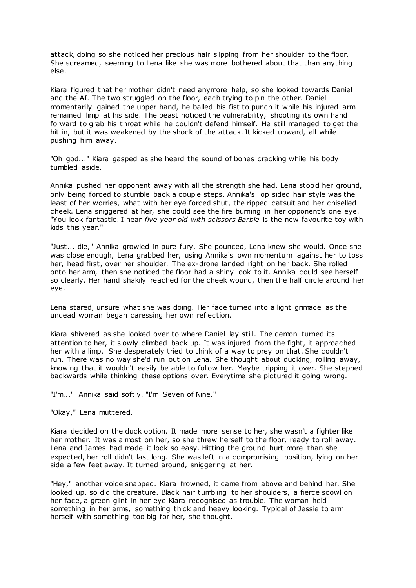attack, doing so she noticed her precious hair slipping from her shoulder to the floor. She screamed, seeming to Lena like she was more bothered about that than anything else.

Kiara figured that her mother didn't need anymore help, so she looked towards Daniel and the AI. The two struggled on the floor, each trying to pin the other. Daniel momentarily gained the upper hand, he balled his fist to punch it while his injured arm remained limp at his side. The beast noticed the vulnerability, shooting its own hand forward to grab his throat while he couldn't defend himself. He still managed to get the hit in, but it was weakened by the shock of the attack. It kicked upward, all while pushing him away.

"Oh god..." Kiara gasped as she heard the sound of bones cracking while his body tumbled aside.

Annika pushed her opponent away with all the strength she had. Lena stood her ground, only being forced to stumble back a couple steps. Annika's lop sided hair style was the least of her worries, what with her eye forced shut, the ripped catsuit and her chiselled cheek. Lena sniggered at her, she could see the fire burning in her opponent's one eye. "You look fantastic . I hear *five year old with scissors Barbie* is the new favourite toy with kids this year."

"Just... die," Annika growled in pure fury. She pounced, Lena knew she would. Once she was close enough, Lena grabbed her, using Annika's own momentum against her to toss her, head first, over her shoulder. The ex-drone landed right on her back. She rolled onto her arm, then she noticed the floor had a shiny look to it. Annika could see herself so clearly. Her hand shakily reached for the cheek wound, then the half circle around her eye.

Lena stared, unsure what she was doing. Her face turned into a light grimace as the undead woman began caressing her own reflection.

Kiara shivered as she looked over to where Daniel lay still. The demon turned its attention to her, it slowly climbed back up. It was injured from the fight, it approached her with a limp. She desperately tried to think of a way to prey on that. She couldn't run. There was no way she'd run out on Lena. She thought about ducking, rolling away, knowing that it wouldn't easily be able to follow her. Maybe tripping it over. She stepped backwards while thinking these options over. Everytime she pictured it going wrong.

"I'm..." Annika said softly. "I'm Seven of Nine."

"Okay," Lena muttered.

Kiara decided on the duck option. It made more sense to her, she wasn't a fighter like her mother. It was almost on her, so she threw herself to the floor, ready to roll away. Lena and James had made it look so easy. Hitting the ground hurt more than she expected, her roll didn't last long. She was left in a compromising position, lying on her side a few feet away. It turned around, sniggering at her.

"Hey," another voice snapped. Kiara frowned, it came from above and behind her. She looked up, so did the creature. Black hair tumbling to her shoulders, a fierce scowl on her face, a green glint in her eye Kiara recognised as trouble. The woman held something in her arms, something thick and heavy looking. Typical of Jessie to arm herself with something too big for her, she thought.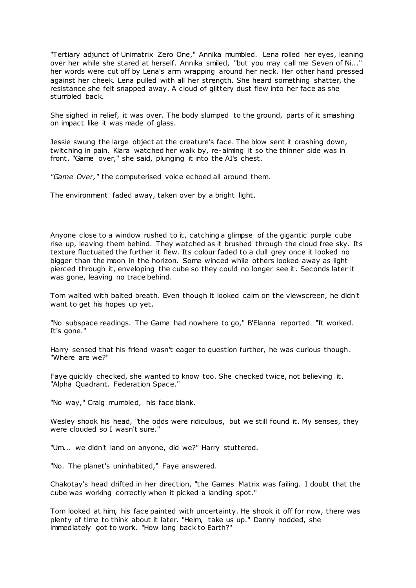"Tertiary adjunct of Unimatrix Zero One," Annika mumbled. Lena rolled her eyes, leaning over her while she stared at herself. Annika smiled, "but you may call me Seven of Ni...' her words were cut off by Lena's arm wrapping around her neck. Her other hand pressed against her cheek. Lena pulled with all her strength. She heard something shatter, the resistance she felt snapped away. A cloud of glittery dust flew into her face as she stumbled back.

She sighed in relief, it was over. The body slumped to the ground, parts of it smashing on impact like it was made of glass.

Jessie swung the large object at the creature's face. The blow sent it crashing down, twitching in pain. Kiara watched her walk by, re-aiming it so the thinner side was in front. "Game over," she said, plunging it into the AI's chest.

*"Game Over,"* the computerised voice echoed all around them.

The environment faded away, taken over by a bright light.

Anyone close to a window rushed to it, catching a glimpse of the gigantic purple cube rise up, leaving them behind. They watched as it brushed through the cloud free sky. Its texture fluctuated the further it flew. Its colour faded to a dull grey once it looked no bigger than the moon in the horizon. Some winced while others looked away as light pierced through it, enveloping the cube so they could no longer see it. Seconds later it was gone, leaving no trace behind.

Tom waited with baited breath. Even though it looked calm on the viewscreen, he didn't want to get his hopes up yet.

"No subspace readings. The Game had nowhere to go," B'Elanna reported. "It worked. It's gone."

Harry sensed that his friend wasn't eager to question further, he was curious though. "Where are we?"

Faye quickly checked, she wanted to know too. She checked twice, not believing it. "Alpha Quadrant. Federation Space."

"No way," Craig mumbled, his face blank.

Wesley shook his head, "the odds were ridiculous, but we still found it. My senses, they were clouded so I wasn't sure."

"Um... we didn't land on anyone, did we?" Harry stuttered.

"No. The planet's uninhabited," Faye answered.

Chakotay's head drifted in her direction, "the Games Matrix was failing. I doubt that the cube was working correctly when it picked a landing spot."

Tom looked at him, his face painted with uncertainty. He shook it off for now, there was plenty of time to think about it later. "Helm, take us up." Danny nodded, she immediately got to work. "How long back to Earth?"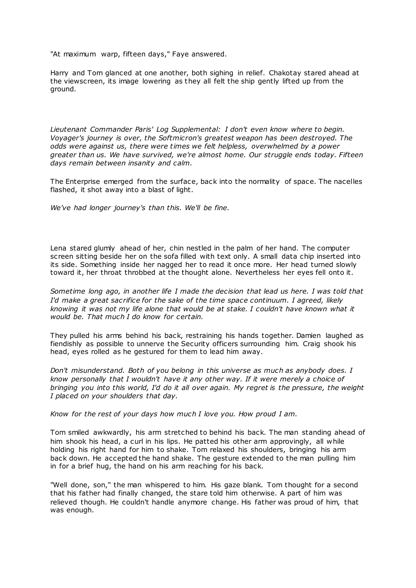"At maximum warp, fifteen days," Faye answered.

Harry and Tom glanced at one another, both sighing in relief. Chakotay stared ahead at the viewscreen, its image lowering as they all felt the ship gently lifted up from the ground.

*Lieutenant Commander Paris' Log Supplemental: I don't even know where to begin. Voyager's journey is over, the Softmicron's greatest weapon has been destroyed. The odds were against us, there were times we felt helpless, overwhelmed by a power greater than us. We have survived, we're almost home. Our struggle ends today. Fifteen days remain between insanity and calm.*

The Enterprise emerged from the surface, back into the normality of space. The nacelles flashed, it shot away into a blast of light.

*We've had longer journey's than this. We'll be fine.*

Lena stared glumly ahead of her, chin nestled in the palm of her hand. The computer screen sitting beside her on the sofa filled with text only. A small data chip inserted into its side. Something inside her nagged her to read it once more. Her head turned slowly toward it, her throat throbbed at the thought alone. Nevertheless her eyes fell onto it.

*Sometime long ago, in another life I made the decision that lead us here. I was told that I'd make a great sacrifice for the sake of the time space continuum. I agreed, likely knowing it was not my life alone that would be at stake. I couldn't have known what it would be. That much I do know for certain.*

They pulled his arms behind his back, restraining his hands together. Damien laughed as fiendishly as possible to unnerve the Security officers surrounding him. Craig shook his head, eyes rolled as he gestured for them to lead him away.

*Don't misunderstand. Both of you belong in this universe as much as anybody does. I know personally that I wouldn't have it any other way. If it were merely a choice of bringing you into this world, I'd do it all over again. My regret is the pressure, the weight I placed on your shoulders that day.*

*Know for the rest of your days how much I love you. How proud I am.*

Tom smiled awkwardly, his arm stretched to behind his back. The man standing ahead of him shook his head, a curl in his lips. He patted his other arm approvingly, all while holding his right hand for him to shake. Tom relaxed his shoulders, bringing his arm back down. He accepted the hand shake. The gesture extended to the man pulling him in for a brief hug, the hand on his arm reaching for his back.

"Well done, son," the man whispered to him. His gaze blank. Tom thought for a second that his father had finally changed, the stare told him otherwise. A part of him was relieved though. He couldn't handle anymore change. His father was proud of him, that was enough.